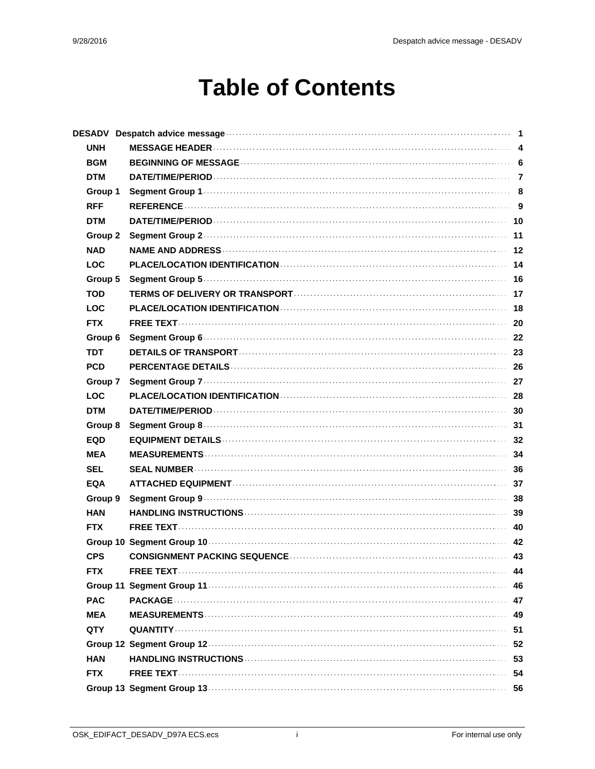### **Table of Contents**

|            | DESADV Despatch advice message <b>constructions</b> and constructions of the set of the state of the set of the state of the state of the state of the state of the state of the state of the state of the state of the state of th |    |
|------------|-------------------------------------------------------------------------------------------------------------------------------------------------------------------------------------------------------------------------------------|----|
| <b>UNH</b> |                                                                                                                                                                                                                                     |    |
| <b>BGM</b> |                                                                                                                                                                                                                                     |    |
| <b>DTM</b> |                                                                                                                                                                                                                                     |    |
| Group 1    |                                                                                                                                                                                                                                     |    |
| <b>RFF</b> |                                                                                                                                                                                                                                     |    |
| <b>DTM</b> |                                                                                                                                                                                                                                     |    |
| Group 2    |                                                                                                                                                                                                                                     |    |
| <b>NAD</b> |                                                                                                                                                                                                                                     |    |
| <b>LOC</b> |                                                                                                                                                                                                                                     |    |
| Group 5    |                                                                                                                                                                                                                                     |    |
| <b>TOD</b> |                                                                                                                                                                                                                                     |    |
| <b>LOC</b> |                                                                                                                                                                                                                                     |    |
| <b>FTX</b> |                                                                                                                                                                                                                                     |    |
| Group 6    |                                                                                                                                                                                                                                     |    |
| <b>TDT</b> |                                                                                                                                                                                                                                     |    |
| <b>PCD</b> |                                                                                                                                                                                                                                     |    |
| Group 7    |                                                                                                                                                                                                                                     |    |
| <b>LOC</b> |                                                                                                                                                                                                                                     |    |
| <b>DTM</b> |                                                                                                                                                                                                                                     |    |
| Group 8    |                                                                                                                                                                                                                                     |    |
| <b>EQD</b> |                                                                                                                                                                                                                                     |    |
| MEA        |                                                                                                                                                                                                                                     |    |
| <b>SEL</b> |                                                                                                                                                                                                                                     |    |
| <b>EQA</b> |                                                                                                                                                                                                                                     |    |
| Group 9    |                                                                                                                                                                                                                                     |    |
| <b>HAN</b> |                                                                                                                                                                                                                                     |    |
| <b>FTX</b> |                                                                                                                                                                                                                                     |    |
|            |                                                                                                                                                                                                                                     |    |
| <b>CPS</b> |                                                                                                                                                                                                                                     |    |
| <b>FTX</b> |                                                                                                                                                                                                                                     | 44 |
|            |                                                                                                                                                                                                                                     |    |
| <b>PAC</b> |                                                                                                                                                                                                                                     |    |
| <b>MEA</b> |                                                                                                                                                                                                                                     |    |
| QTY.       |                                                                                                                                                                                                                                     | 51 |
|            |                                                                                                                                                                                                                                     | 52 |
| <b>HAN</b> |                                                                                                                                                                                                                                     |    |
| <b>FTX</b> |                                                                                                                                                                                                                                     |    |
|            |                                                                                                                                                                                                                                     |    |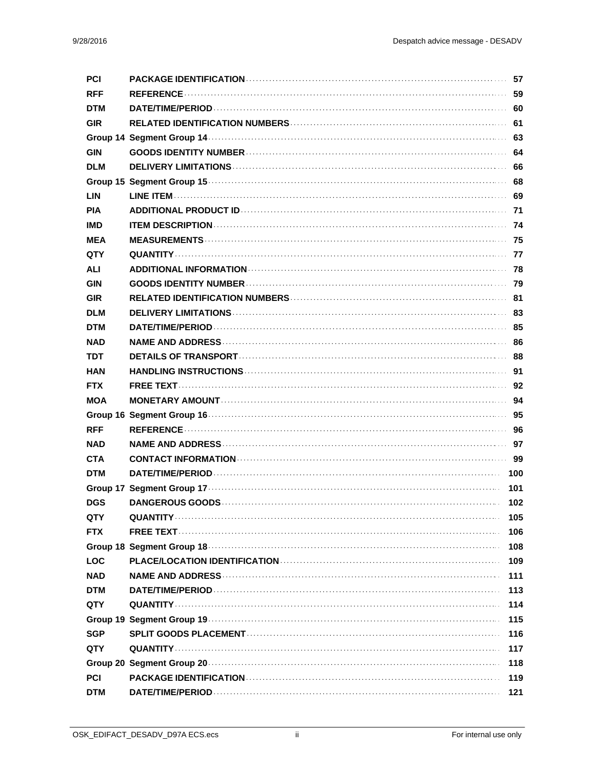| <b>PCI</b> |     |
|------------|-----|
| <b>RFF</b> |     |
| <b>DTM</b> |     |
| <b>GIR</b> |     |
|            |     |
| <b>GIN</b> |     |
| <b>DLM</b> |     |
|            |     |
| <b>LIN</b> |     |
| <b>PIA</b> |     |
| IMD        |     |
| MEA        |     |
| QTY        |     |
| <b>ALI</b> |     |
| GIN        |     |
| <b>GIR</b> |     |
| <b>DLM</b> |     |
| <b>DTM</b> |     |
| <b>NAD</b> |     |
| TDT        |     |
| HAN        |     |
| <b>FTX</b> |     |
| MOA        |     |
|            |     |
| <b>RFF</b> |     |
| <b>NAD</b> |     |
| <b>CTA</b> |     |
| <b>DTM</b> |     |
|            | 101 |
| <b>DGS</b> | 102 |
| QTY        | 105 |
| <b>FTX</b> | 106 |
|            | 108 |
| <b>LOC</b> | 109 |
| NAD        | 111 |
| <b>DTM</b> | 113 |
| QTY        | 114 |
|            | 115 |
| SGP        | 116 |
| QTY        | 117 |
|            | 118 |
| <b>PCI</b> | 119 |
| <b>DTM</b> | 121 |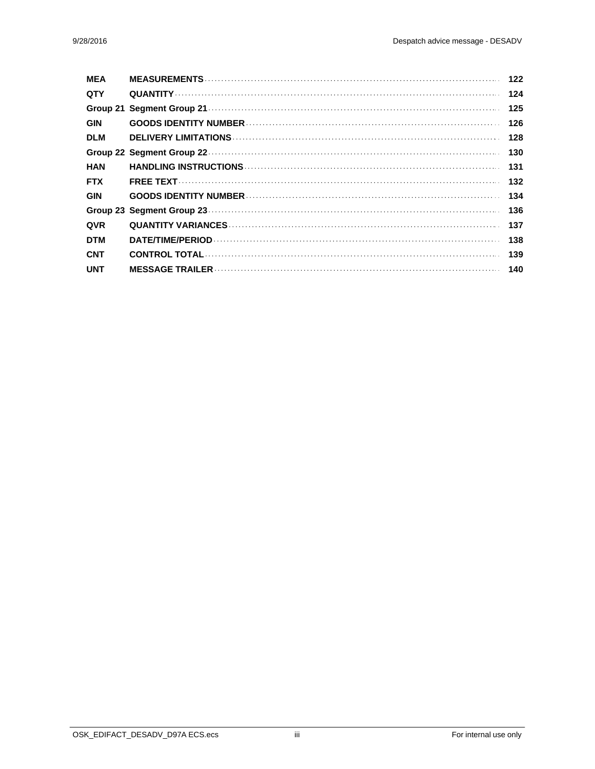| <b>MEA</b> | 122 |
|------------|-----|
| <b>QTY</b> | 124 |
|            | 125 |
| <b>GIN</b> | 126 |
| <b>DLM</b> | 128 |
|            | 130 |
| HAN        | 131 |
| <b>FTX</b> | 132 |
| <b>GIN</b> | 134 |
|            | 136 |
| <b>QVR</b> | 137 |
| <b>DTM</b> | 138 |
| <b>CNT</b> | 139 |
| <b>UNT</b> |     |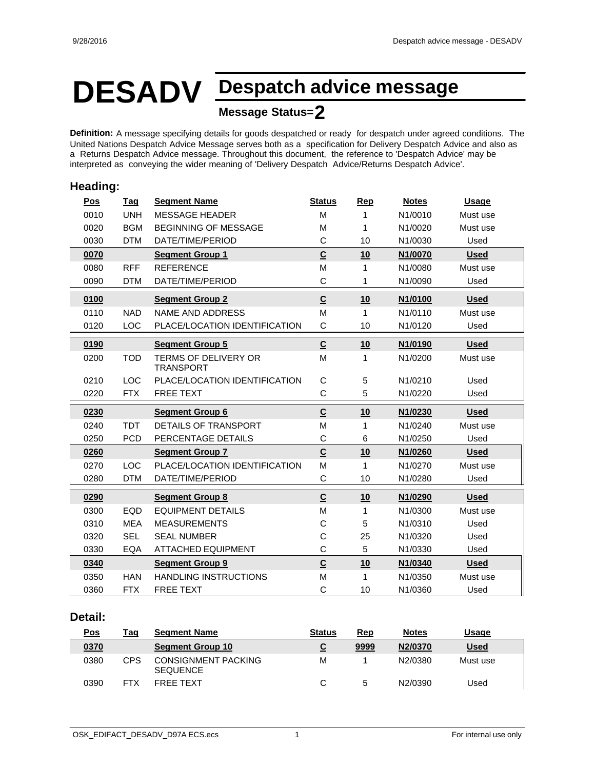# **DESADV Despatch advice message**

#### **Message Status=2**

**Definition:** A message specifying details for goods despatched or ready for despatch under agreed conditions. The United Nations Despatch Advice Message serves both as a specification for Delivery Despatch Advice and also as a Returns Despatch Advice message. Throughout this document, the reference to 'Despatch Advice' may be interpreted as conveying the wider meaning of 'Delivery Despatch Advice/Returns Despatch Advice'.

#### **Heading: Pos Tag Segment Name Status Rep Notes Usage** 0010 UNH MESSAGE HEADER M 1 N1/0010 Must use 0020 BGM BEGINNING OF MESSAGE M 1 N1/0020 Must use 0030 DTM DATE/TIME/PERIOD C 10 N1/0030 Used **0070 Segment Group 1 C 10 N1/0070 Used** 0080 RFF REFERENCE M 1 N1/0080 Must use 0090 DTM DATE/TIME/PERIOD C 1 N1/0090 Used **0100 Segment Group 2 C 10 N1/0100 Used** 0110 NAD NAME AND ADDRESS M M 1 N1/0110 Must use 0120 LOC PLACE/LOCATION IDENTIFICATION C 10 N1/0120 Used **0190 Segment Group 5 C 10 N1/0190 Used** 0200 TOD TERMS OF DELIVERY OR M 1 N1/0200 TRANSPORT Must use 0210 LOC PLACE/LOCATION IDENTIFICATION C 5 N1/0210 Used 0220 FTX FREE TEXT C 5 N1/0220 Used **0230 Segment Group 6 C 10 N1/0230 Used** 0240 TDT DETAILS OF TRANSPORT M 1 N1/0240 Must use 0250 PCD PERCENTAGE DETAILS C 6 N1/0250 Used **0260 Segment Group 7 C 10 N1/0260 Used** 0270 LOC PLACE/LOCATION IDENTIFICATION M 1 N1/0270 Must use 0280 DTM DATE/TIME/PERIOD C 10 N1/0280 Used **0290 Segment Group 8 C 10 N1/0290 Used** 0300 EQD EQUIPMENT DETAILS M 1 N1/0300 Must use 0310 MEA MEASUREMENTS C 5 N1/0310 Used 0320 SEL SEAL NUMBER C 25 N1/0320 Used 0330 EQA ATTACHED EQUIPMENT C 5 N1/0330 Used **0340 Segment Group 9 C 10 N1/0340 Used** 0350 HAN HANDLING INSTRUCTIONS M 1 N1/0350 Must use 0360 FTX FREE TEXT C 10 N1/0360 Used

#### **Detail:**

| <u>Pos</u> | Tag | <b>Segment Name</b>                           | <b>Status</b> | Rep  | <b>Notes</b> | Usage       |
|------------|-----|-----------------------------------------------|---------------|------|--------------|-------------|
| 0370       |     | <b>Segment Group 10</b>                       | <u>પ્</u>     | 9999 | N2/0370      | <b>Used</b> |
| 0380       | CPS | <b>CONSIGNMENT PACKING</b><br><b>SEQUENCE</b> | M             |      | N2/0380      | Must use    |
| 0390       |     | <b>FREE TEXT</b>                              |               |      | N2/0390      | Used        |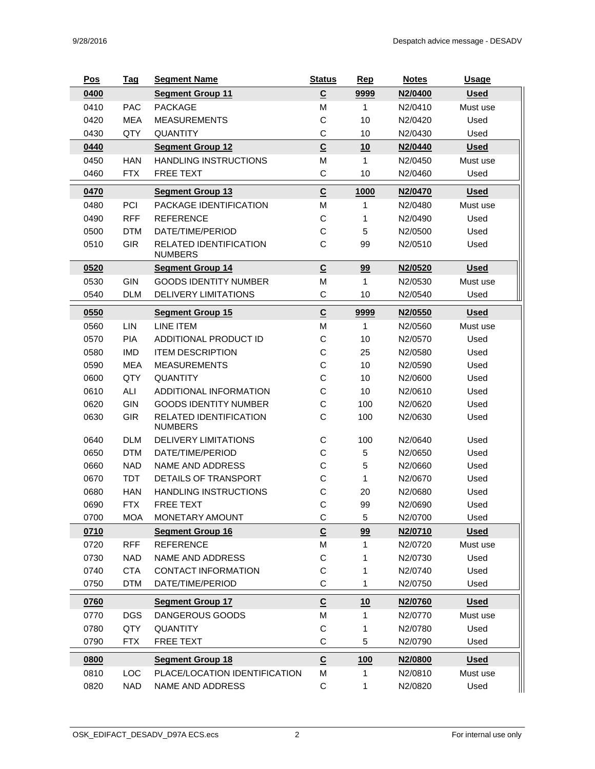| $\underline{\mathsf{C}}$<br>0400<br>9999<br><b>Segment Group 11</b><br>N2/0400<br><b>Used</b><br>0410<br><b>PACKAGE</b><br>M<br><b>PAC</b><br>$\mathbf 1$<br>N2/0410<br>Must use<br>0420<br>С<br><b>MEA</b><br><b>MEASUREMENTS</b><br>10<br>N2/0420<br>Used<br>0430<br>С<br>QTY<br><b>QUANTITY</b><br>10<br>N2/0430<br>Used<br>$\underline{\mathbf{C}}$<br>0440<br><b>Segment Group 12</b><br>10<br>N2/0440<br><u>Used</u><br>0450<br><b>HAN</b><br><b>HANDLING INSTRUCTIONS</b><br>M<br>1<br>N2/0450<br>Must use<br>0460<br>FREE TEXT<br>С<br>N2/0460<br><b>FTX</b><br>10<br>Used<br>$\underline{\mathsf{C}}$<br>0470<br>1000<br>N2/0470<br><b>Segment Group 13</b><br><b>Used</b><br>M<br>0480<br>PCI<br>PACKAGE IDENTIFICATION<br>1<br>Must use<br>N2/0480<br>С<br>0490<br><b>RFF</b><br><b>REFERENCE</b><br>N2/0490<br>Used<br>1 |
|--------------------------------------------------------------------------------------------------------------------------------------------------------------------------------------------------------------------------------------------------------------------------------------------------------------------------------------------------------------------------------------------------------------------------------------------------------------------------------------------------------------------------------------------------------------------------------------------------------------------------------------------------------------------------------------------------------------------------------------------------------------------------------------------------------------------------------------|
|                                                                                                                                                                                                                                                                                                                                                                                                                                                                                                                                                                                                                                                                                                                                                                                                                                      |
|                                                                                                                                                                                                                                                                                                                                                                                                                                                                                                                                                                                                                                                                                                                                                                                                                                      |
|                                                                                                                                                                                                                                                                                                                                                                                                                                                                                                                                                                                                                                                                                                                                                                                                                                      |
|                                                                                                                                                                                                                                                                                                                                                                                                                                                                                                                                                                                                                                                                                                                                                                                                                                      |
|                                                                                                                                                                                                                                                                                                                                                                                                                                                                                                                                                                                                                                                                                                                                                                                                                                      |
|                                                                                                                                                                                                                                                                                                                                                                                                                                                                                                                                                                                                                                                                                                                                                                                                                                      |
|                                                                                                                                                                                                                                                                                                                                                                                                                                                                                                                                                                                                                                                                                                                                                                                                                                      |
|                                                                                                                                                                                                                                                                                                                                                                                                                                                                                                                                                                                                                                                                                                                                                                                                                                      |
|                                                                                                                                                                                                                                                                                                                                                                                                                                                                                                                                                                                                                                                                                                                                                                                                                                      |
|                                                                                                                                                                                                                                                                                                                                                                                                                                                                                                                                                                                                                                                                                                                                                                                                                                      |
| C<br>0500<br><b>DTM</b><br>DATE/TIME/PERIOD<br>5<br>N2/0500<br>Used                                                                                                                                                                                                                                                                                                                                                                                                                                                                                                                                                                                                                                                                                                                                                                  |
| C<br>0510<br><b>GIR</b><br>RELATED IDENTIFICATION<br>99<br>N2/0510<br>Used<br><b>NUMBERS</b>                                                                                                                                                                                                                                                                                                                                                                                                                                                                                                                                                                                                                                                                                                                                         |
| $\underline{\mathsf{C}}$<br>99<br>0520<br><b>Segment Group 14</b><br>N2/0520<br><b>Used</b>                                                                                                                                                                                                                                                                                                                                                                                                                                                                                                                                                                                                                                                                                                                                          |
| 0530<br>GIN<br><b>GOODS IDENTITY NUMBER</b><br>M<br>1<br>N2/0530<br>Must use                                                                                                                                                                                                                                                                                                                                                                                                                                                                                                                                                                                                                                                                                                                                                         |
| 0540<br><b>DLM</b><br><b>DELIVERY LIMITATIONS</b><br>С<br>10<br>N2/0540<br>Used                                                                                                                                                                                                                                                                                                                                                                                                                                                                                                                                                                                                                                                                                                                                                      |
| $\underline{\mathsf{C}}$<br>0550<br>9999<br>N2/0550<br><b>Segment Group 15</b><br><b>Used</b>                                                                                                                                                                                                                                                                                                                                                                                                                                                                                                                                                                                                                                                                                                                                        |
| 0560<br>LIN<br>LINE ITEM<br>M<br>$\mathbf{1}$<br>N2/0560<br>Must use                                                                                                                                                                                                                                                                                                                                                                                                                                                                                                                                                                                                                                                                                                                                                                 |
| C<br>0570<br><b>PIA</b><br>ADDITIONAL PRODUCT ID<br>10<br>N2/0570<br>Used                                                                                                                                                                                                                                                                                                                                                                                                                                                                                                                                                                                                                                                                                                                                                            |
| С<br>0580<br><b>ITEM DESCRIPTION</b><br>25<br><b>IMD</b><br>N2/0580<br>Used                                                                                                                                                                                                                                                                                                                                                                                                                                                                                                                                                                                                                                                                                                                                                          |
| C<br>0590<br><b>MEA</b><br><b>MEASUREMENTS</b><br>10<br>N2/0590<br>Used                                                                                                                                                                                                                                                                                                                                                                                                                                                                                                                                                                                                                                                                                                                                                              |
| QTY<br>C<br>0600<br><b>QUANTITY</b><br>10<br>N2/0600<br>Used                                                                                                                                                                                                                                                                                                                                                                                                                                                                                                                                                                                                                                                                                                                                                                         |
| C<br><b>ALI</b><br>0610<br>ADDITIONAL INFORMATION<br>10<br>N2/0610<br>Used                                                                                                                                                                                                                                                                                                                                                                                                                                                                                                                                                                                                                                                                                                                                                           |
| С<br>0620<br>GIN<br><b>GOODS IDENTITY NUMBER</b><br>100<br>N2/0620<br>Used                                                                                                                                                                                                                                                                                                                                                                                                                                                                                                                                                                                                                                                                                                                                                           |
| C<br>0630<br><b>GIR</b><br>RELATED IDENTIFICATION<br>100<br>N2/0630<br>Used<br><b>NUMBERS</b>                                                                                                                                                                                                                                                                                                                                                                                                                                                                                                                                                                                                                                                                                                                                        |
| 0640<br><b>DLM</b><br><b>DELIVERY LIMITATIONS</b><br>С<br>100<br>N2/0640<br>Used                                                                                                                                                                                                                                                                                                                                                                                                                                                                                                                                                                                                                                                                                                                                                     |
| С<br>0650<br><b>DTM</b><br>DATE/TIME/PERIOD<br>5<br>N2/0650<br>Used                                                                                                                                                                                                                                                                                                                                                                                                                                                                                                                                                                                                                                                                                                                                                                  |
| С<br>0660<br><b>NAD</b><br><b>NAME AND ADDRESS</b><br>5<br>N2/0660<br>Used                                                                                                                                                                                                                                                                                                                                                                                                                                                                                                                                                                                                                                                                                                                                                           |
| С<br>0670<br><b>TDT</b><br>DETAILS OF TRANSPORT<br>1<br>N2/0670<br>Used                                                                                                                                                                                                                                                                                                                                                                                                                                                                                                                                                                                                                                                                                                                                                              |
| С<br>0680<br><b>HANDLING INSTRUCTIONS</b><br>20<br><b>HAN</b><br>N2/0680<br>Used                                                                                                                                                                                                                                                                                                                                                                                                                                                                                                                                                                                                                                                                                                                                                     |
| C<br>0690<br><b>FTX</b><br>FREE TEXT<br>99<br>N2/0690<br>Used                                                                                                                                                                                                                                                                                                                                                                                                                                                                                                                                                                                                                                                                                                                                                                        |
| 0700<br>С<br>N2/0700<br><b>MOA</b><br>MONETARY AMOUNT<br>5<br>Used                                                                                                                                                                                                                                                                                                                                                                                                                                                                                                                                                                                                                                                                                                                                                                   |
| $\underline{\mathsf{C}}$<br>99<br>0710<br><b>Segment Group 16</b><br>N2/0710<br><b>Used</b>                                                                                                                                                                                                                                                                                                                                                                                                                                                                                                                                                                                                                                                                                                                                          |
| 0720<br><b>REFERENCE</b><br>N2/0720<br><b>RFF</b><br>M<br>1<br>Must use                                                                                                                                                                                                                                                                                                                                                                                                                                                                                                                                                                                                                                                                                                                                                              |
| 0730<br>С<br><b>NAD</b><br>NAME AND ADDRESS<br>N2/0730<br>Used<br>1                                                                                                                                                                                                                                                                                                                                                                                                                                                                                                                                                                                                                                                                                                                                                                  |
| С<br>0740<br><b>CTA</b><br><b>CONTACT INFORMATION</b><br>N2/0740<br>Used<br>1                                                                                                                                                                                                                                                                                                                                                                                                                                                                                                                                                                                                                                                                                                                                                        |
| С<br>0750<br><b>DTM</b><br>DATE/TIME/PERIOD<br>N2/0750<br>1<br>Used                                                                                                                                                                                                                                                                                                                                                                                                                                                                                                                                                                                                                                                                                                                                                                  |
| $\underline{\mathsf{C}}$<br>0760<br>10<br>N2/0760<br><b>Used</b><br><b>Segment Group 17</b>                                                                                                                                                                                                                                                                                                                                                                                                                                                                                                                                                                                                                                                                                                                                          |
| <b>DGS</b><br>DANGEROUS GOODS<br>0770<br>M<br>1<br>N2/0770<br>Must use                                                                                                                                                                                                                                                                                                                                                                                                                                                                                                                                                                                                                                                                                                                                                               |
| С<br>0780<br>QTY<br>QUANTITY<br>N2/0780<br>Used<br>1                                                                                                                                                                                                                                                                                                                                                                                                                                                                                                                                                                                                                                                                                                                                                                                 |
| С<br>0790<br>FREE TEXT<br>5<br><b>FTX</b><br>N2/0790<br>Used                                                                                                                                                                                                                                                                                                                                                                                                                                                                                                                                                                                                                                                                                                                                                                         |
| $\underline{\mathsf{C}}$<br>0800<br><b>Segment Group 18</b><br>100<br>N <sub>2</sub> /0800<br><u>Used</u>                                                                                                                                                                                                                                                                                                                                                                                                                                                                                                                                                                                                                                                                                                                            |
|                                                                                                                                                                                                                                                                                                                                                                                                                                                                                                                                                                                                                                                                                                                                                                                                                                      |
| 0810<br>PLACE/LOCATION IDENTIFICATION<br>N2/0810<br>LOC<br>M<br>Must use<br>1                                                                                                                                                                                                                                                                                                                                                                                                                                                                                                                                                                                                                                                                                                                                                        |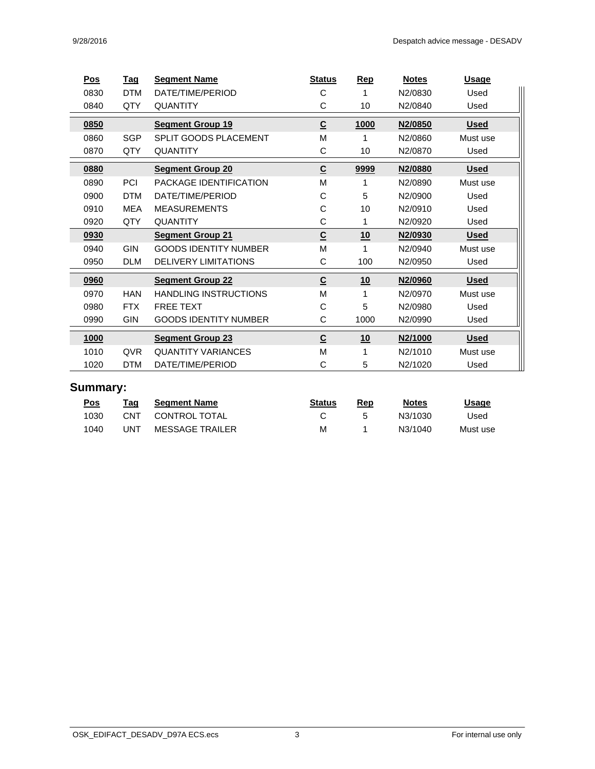| <u>Pos</u> | <b>Tag</b> | <b>Segment Name</b>          | <b>Status</b>            | <b>Rep</b>  | <b>Notes</b>   | <b>Usage</b> |
|------------|------------|------------------------------|--------------------------|-------------|----------------|--------------|
| 0830       | <b>DTM</b> | DATE/TIME/PERIOD             | С                        |             | N2/0830        | Used         |
| 0840       | QTY        | <b>QUANTITY</b>              | С                        | 10          | N2/0840        | Used         |
| 0850       |            | <b>Segment Group 19</b>      | $\underline{\mathsf{C}}$ | <u>1000</u> | <u>N2/0850</u> | <u>Used</u>  |
| 0860       | <b>SGP</b> | SPLIT GOODS PLACEMENT        | M                        |             | N2/0860        | Must use     |
| 0870       | QTY        | <b>QUANTITY</b>              | С                        | 10          | N2/0870        | Used         |
| 0880       |            | <b>Segment Group 20</b>      | $\underline{\mathsf{C}}$ | 9999        | N2/0880        | <b>Used</b>  |
| 0890       | <b>PCI</b> | PACKAGE IDENTIFICATION       | М                        |             | N2/0890        | Must use     |
| 0900       | <b>DTM</b> | DATE/TIME/PERIOD             | С                        | 5           | N2/0900        | Used         |
| 0910       | <b>MEA</b> | <b>MEASUREMENTS</b>          | С                        | 10          | N2/0910        | Used         |
| 0920       | QTY        | <b>QUANTITY</b>              | С                        |             | N2/0920        | Used         |
| 0930       |            | <b>Segment Group 21</b>      | $\underline{\mathsf{C}}$ | 10          | N2/0930        | <u>Used</u>  |
| 0940       | <b>GIN</b> | <b>GOODS IDENTITY NUMBER</b> | М                        |             | N2/0940        | Must use     |
| 0950       | <b>DLM</b> | DELIVERY LIMITATIONS         | С                        | 100         | N2/0950        | Used         |
| 0960       |            | <b>Segment Group 22</b>      | $\underline{\mathsf{C}}$ | 10          | N2/0960        | <b>Used</b>  |
| 0970       | <b>HAN</b> | <b>HANDLING INSTRUCTIONS</b> | М                        |             | N2/0970        | Must use     |
| 0980       | <b>FTX</b> | <b>FREE TEXT</b>             | С                        | 5           | N2/0980        | Used         |
| 0990       | <b>GIN</b> | <b>GOODS IDENTITY NUMBER</b> | C                        | 1000        | N2/0990        | Used         |
| 1000       |            | <b>Segment Group 23</b>      | $\overline{c}$           | 10          | N2/1000        | <b>Used</b>  |
| 1010       | QVR        | <b>QUANTITY VARIANCES</b>    | М                        |             | N2/1010        | Must use     |
| 1020       | <b>DTM</b> | DATE/TIME/PERIOD             | С                        | 5           | N2/1020        | Used         |

#### **Summary:**

| <u>Pos</u> | Taq | <b>Seament Name</b>    | <b>Status</b> | Rep | <b>Notes</b> | <u>Usage</u> |
|------------|-----|------------------------|---------------|-----|--------------|--------------|
| 1030       | CNT | CONTROL TOTAL          |               |     | N3/1030      | Used         |
| 1040       | UNT | <b>MESSAGE TRAILER</b> | М             |     | N3/1040      | Must use     |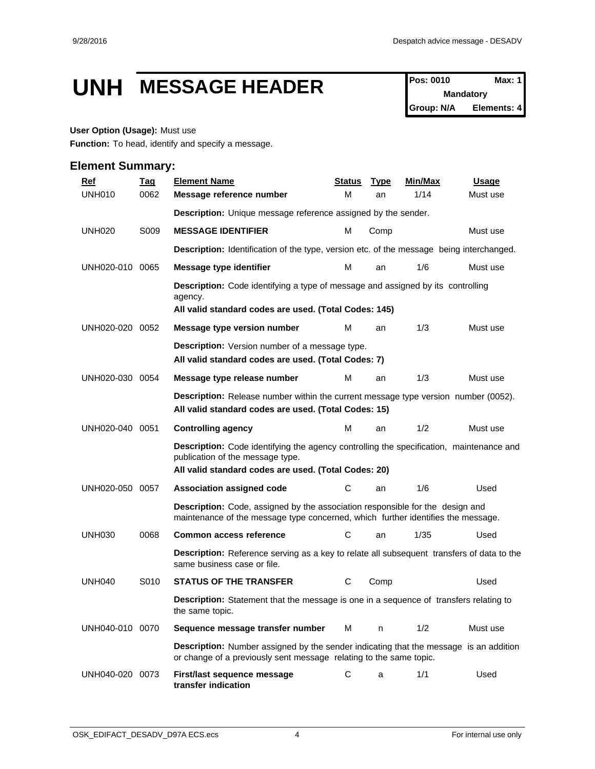### UNH MESSAGE HEADER **Pos: 0010** Max: 1

**Mandatory Group: N/A Elements: 4**

#### **User Option (Usage):** Must use

**Function:** To head, identify and specify a message.

| <b>Ref</b>      | <u>Tag</u> | <b>Element Name</b>                                                                                                                                                                        | Status | <u>Type</u> | Min/Max | Usage    |
|-----------------|------------|--------------------------------------------------------------------------------------------------------------------------------------------------------------------------------------------|--------|-------------|---------|----------|
| <b>UNH010</b>   | 0062       | Message reference number                                                                                                                                                                   | м      | an          | 1/14    | Must use |
|                 |            | Description: Unique message reference assigned by the sender.                                                                                                                              |        |             |         |          |
| <b>UNH020</b>   | S009       | <b>MESSAGE IDENTIFIER</b>                                                                                                                                                                  | м      | Comp        |         | Must use |
|                 |            | <b>Description:</b> Identification of the type, version etc. of the message being interchanged.                                                                                            |        |             |         |          |
| UNH020-010 0065 |            | Message type identifier                                                                                                                                                                    | м      | an          | 1/6     | Must use |
|                 |            | <b>Description:</b> Code identifying a type of message and assigned by its controlling<br>agency.<br>All valid standard codes are used. (Total Codes: 145)                                 |        |             |         |          |
| UNH020-020 0052 |            | Message type version number                                                                                                                                                                | м      | an          | 1/3     | Must use |
|                 |            | <b>Description:</b> Version number of a message type.<br>All valid standard codes are used. (Total Codes: 7)                                                                               |        |             |         |          |
| UNH020-030 0054 |            | Message type release number                                                                                                                                                                | M      | an          | 1/3     | Must use |
|                 |            | <b>Description:</b> Release number within the current message type version number (0052).<br>All valid standard codes are used. (Total Codes: 15)                                          |        |             |         |          |
| UNH020-040 0051 |            | <b>Controlling agency</b>                                                                                                                                                                  | м      | an          | 1/2     | Must use |
|                 |            | <b>Description:</b> Code identifying the agency controlling the specification, maintenance and<br>publication of the message type.<br>All valid standard codes are used. (Total Codes: 20) |        |             |         |          |
| UNH020-050 0057 |            | Association assigned code                                                                                                                                                                  | С      | an          | 1/6     | Used     |
|                 |            | <b>Description:</b> Code, assigned by the association responsible for the design and<br>maintenance of the message type concerned, which further identifies the message.                   |        |             |         |          |
| <b>UNH030</b>   | 0068       | <b>Common access reference</b>                                                                                                                                                             | С      | an          | 1/35    | Used     |
|                 |            | <b>Description:</b> Reference serving as a key to relate all subsequent transfers of data to the<br>same business case or file.                                                            |        |             |         |          |
| <b>UNH040</b>   | S010       | <b>STATUS OF THE TRANSFER</b>                                                                                                                                                              | С      | Comp        |         | Used     |
|                 |            | <b>Description:</b> Statement that the message is one in a sequence of transfers relating to<br>the same topic.                                                                            |        |             |         |          |
| UNH040-010 0070 |            | Sequence message transfer number                                                                                                                                                           | м      | n           | 1/2     | Must use |
|                 |            | <b>Description:</b> Number assigned by the sender indicating that the message is an addition<br>or change of a previously sent message relating to the same topic.                         |        |             |         |          |
| UNH040-020 0073 |            | First/last sequence message<br>transfer indication                                                                                                                                         | С      | a           | 1/1     | Used     |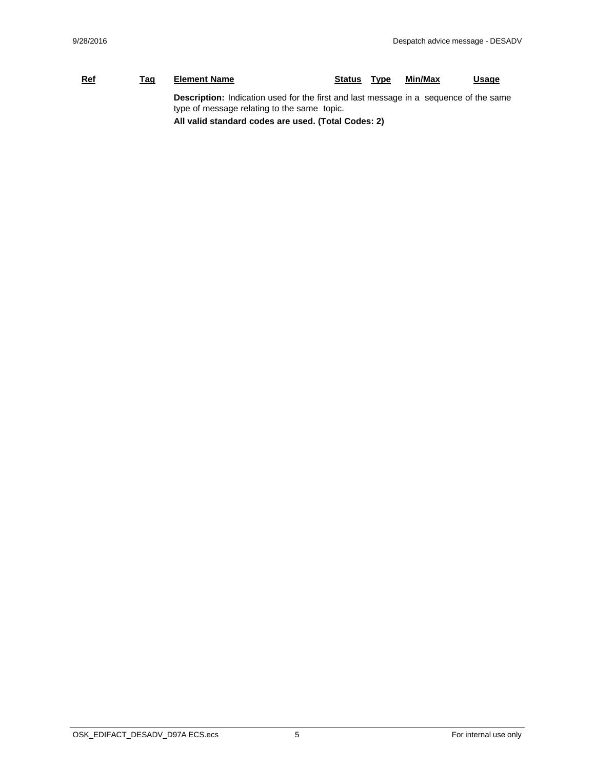#### **Ref Tag Element Name Status Type Min/Max Usage Description:** Indication used for the first and last message in a sequence of the same type of message relating to the same topic.

**All valid standard codes are used. (Total Codes: 2)**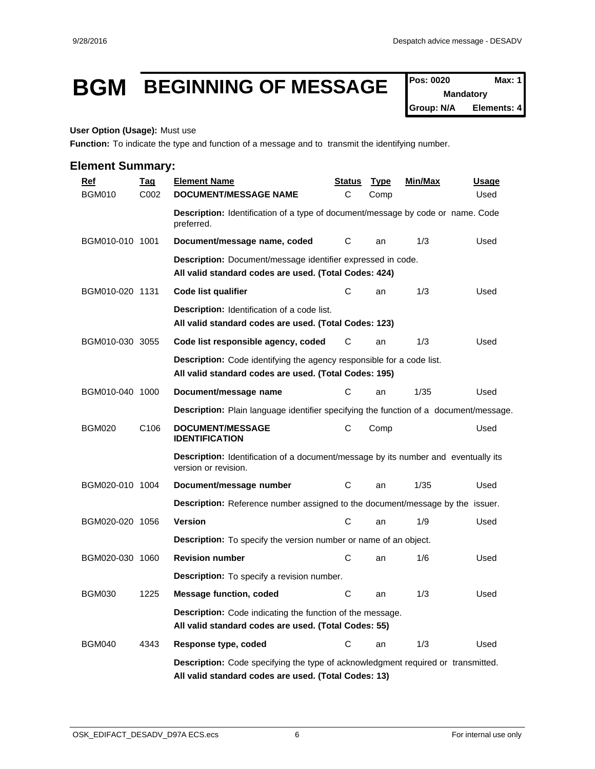### **BGM BEGINNING OF MESSAGE**  $\int_{\text{Pois: 0020}}^{\text{Pos: 0020}}$  Max: 1

**Mandatory Group: N/A Elements: 4**

#### **User Option (Usage):** Must use

Function: To indicate the type and function of a message and to transmit the identifying number.

| <u>Ref</u>      | <b>Tag</b>       | <b>Element Name</b>                                                                                                                             | <u>Status</u> | <u>Type</u> | <u>Min/Max</u> | <u>Usage</u> |
|-----------------|------------------|-------------------------------------------------------------------------------------------------------------------------------------------------|---------------|-------------|----------------|--------------|
| <b>BGM010</b>   | C002             | <b>DOCUMENT/MESSAGE NAME</b>                                                                                                                    | C             | Comp        |                | Used         |
|                 |                  | Description: Identification of a type of document/message by code or name. Code<br>preferred.                                                   |               |             |                |              |
| BGM010-010 1001 |                  | Document/message name, coded                                                                                                                    | С             | an          | 1/3            | Used         |
|                 |                  | Description: Document/message identifier expressed in code.<br>All valid standard codes are used. (Total Codes: 424)                            |               |             |                |              |
| BGM010-020 1131 |                  | Code list qualifier                                                                                                                             | C             | an          | 1/3            | Used         |
|                 |                  | <b>Description:</b> Identification of a code list.<br>All valid standard codes are used. (Total Codes: 123)                                     |               |             |                |              |
| BGM010-030 3055 |                  | Code list responsible agency, coded                                                                                                             | С             | an          | 1/3            | Used         |
|                 |                  | <b>Description:</b> Code identifying the agency responsible for a code list.<br>All valid standard codes are used. (Total Codes: 195)           |               |             |                |              |
| BGM010-040 1000 |                  | Document/message name                                                                                                                           | С             | an          | 1/35           | Used         |
|                 |                  | Description: Plain language identifier specifying the function of a document/message.                                                           |               |             |                |              |
| <b>BGM020</b>   | C <sub>106</sub> | <b>DOCUMENT/MESSAGE</b><br><b>IDENTIFICATION</b>                                                                                                | С             | Comp        |                | Used         |
|                 |                  | Description: Identification of a document/message by its number and eventually its<br>version or revision.                                      |               |             |                |              |
| BGM020-010 1004 |                  | Document/message number                                                                                                                         | C             | an          | 1/35           | Used         |
|                 |                  | <b>Description:</b> Reference number assigned to the document/message by the issuer.                                                            |               |             |                |              |
| BGM020-020 1056 |                  | <b>Version</b>                                                                                                                                  | C             | an          | 1/9            | Used         |
|                 |                  | <b>Description:</b> To specify the version number or name of an object.                                                                         |               |             |                |              |
| BGM020-030 1060 |                  | <b>Revision number</b>                                                                                                                          | С             | an          | 1/6            | Used         |
|                 |                  | <b>Description:</b> To specify a revision number.                                                                                               |               |             |                |              |
| <b>BGM030</b>   | 1225             | <b>Message function, coded</b>                                                                                                                  | C             | an          | 1/3            | Used         |
|                 |                  | <b>Description:</b> Code indicating the function of the message.<br>All valid standard codes are used. (Total Codes: 55)                        |               |             |                |              |
| <b>BGM040</b>   | 4343             | Response type, coded                                                                                                                            | С             | an          | 1/3            | Used         |
|                 |                  | <b>Description:</b> Code specifying the type of acknowledgment required or transmitted.<br>All valid standard codes are used. (Total Codes: 13) |               |             |                |              |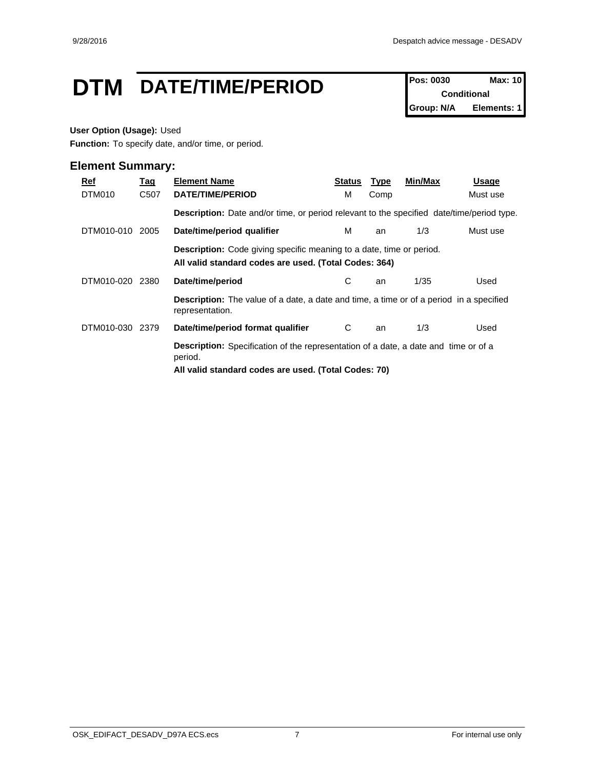### **DTM** DATE/TIME/PERIOD **Pos: 0030** Max: 10

**Conditional Group: N/A Elements: 1**

#### **User Option (Usage):** Used

**Function:** To specify date, and/or time, or period.

| <u>Ref</u> | <u>Tag</u>                                                                                                                           | <b>Element Name</b>                                                                                                                                           | Status | <b>Type</b> | Min/Max | Usage    |  |  |
|------------|--------------------------------------------------------------------------------------------------------------------------------------|---------------------------------------------------------------------------------------------------------------------------------------------------------------|--------|-------------|---------|----------|--|--|
| DTM010     | C <sub>50</sub> 7                                                                                                                    | DATE/TIME/PERIOD                                                                                                                                              | м      | Comp        |         | Must use |  |  |
|            |                                                                                                                                      | <b>Description:</b> Date and/or time, or period relevant to the specified date/time/period type.                                                              |        |             |         |          |  |  |
| DTM010-010 | 2005                                                                                                                                 | Date/time/period qualifier                                                                                                                                    | м      | an          | 1/3     | Must use |  |  |
|            | <b>Description:</b> Code giving specific meaning to a date, time or period.<br>All valid standard codes are used. (Total Codes: 364) |                                                                                                                                                               |        |             |         |          |  |  |
| DTM010-020 | 2380                                                                                                                                 | Date/time/period                                                                                                                                              | С      | an          | 1/35    | Used     |  |  |
|            |                                                                                                                                      | <b>Description:</b> The value of a date, a date and time, a time or of a period in a specified<br>representation.                                             |        |             |         |          |  |  |
| DTM010-030 | 2379                                                                                                                                 | Date/time/period format qualifier                                                                                                                             | C      | an          | 1/3     | Used     |  |  |
|            |                                                                                                                                      | <b>Description:</b> Specification of the representation of a date, a date and time or of a<br>period.<br>All valid standard codes are used. (Total Codes: 70) |        |             |         |          |  |  |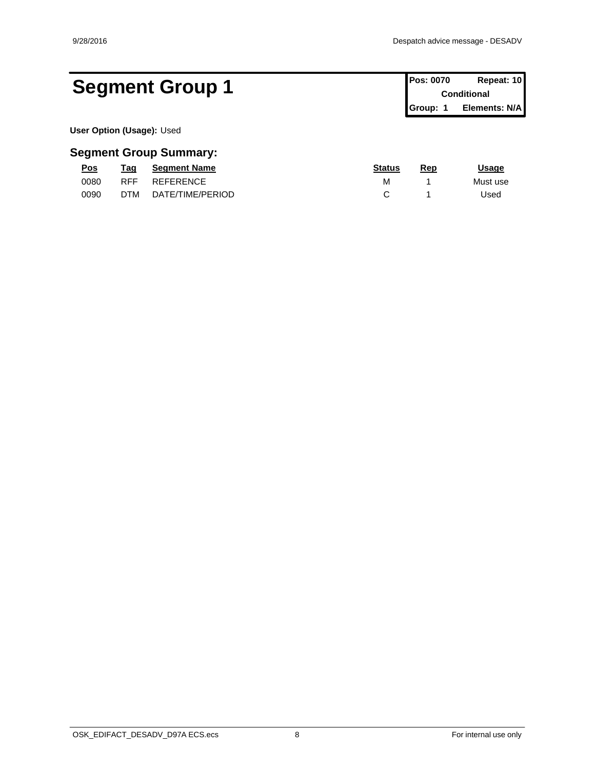**Conditional Group: 1 Elements: N/A**

### Segment Group 1 **Pos: 0070 Repeat: 10 Pos: 0070 Repeat: 10**

**User Option (Usage):** Used

| <u>Pos</u> | Taq        | <b>Seament Name</b> | <b>Status</b> | Rep | <u> Jsage</u> |
|------------|------------|---------------------|---------------|-----|---------------|
| 0080       | <b>RFF</b> | <b>REFERENCE</b>    | м             |     | Must use      |
| 0090       | <b>DTM</b> | DATE/TIME/PERIOD    |               |     | Jsed          |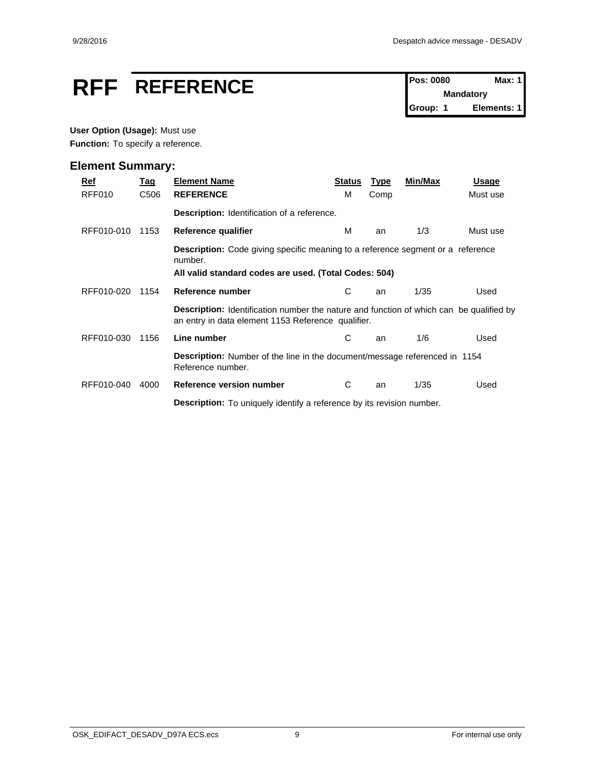# **RFF** REFERENCE Pos: 0080 Max: 1

**Mandatory Group: 1 Elements: 1**

#### **User Option (Usage):** Must use

Function: To specify a reference.

| Ref        | <u>Tag</u> | <b>Element Name</b>                                                                                                                                        | <b>Status</b> | <b>Type</b> | Min/Max | <b>Usage</b> |  |
|------------|------------|------------------------------------------------------------------------------------------------------------------------------------------------------------|---------------|-------------|---------|--------------|--|
| RFF010     | C506       | <b>REFERENCE</b>                                                                                                                                           | м             | Comp        |         | Must use     |  |
|            |            | Description: Identification of a reference.                                                                                                                |               |             |         |              |  |
| RFF010-010 | 1153       | Reference qualifier                                                                                                                                        | м             | an          | 1/3     | Must use     |  |
|            |            | <b>Description:</b> Code giving specific meaning to a reference segment or a reference<br>number.<br>All valid standard codes are used. (Total Codes: 504) |               |             |         |              |  |
| RFF010-020 | 1154       | Reference number                                                                                                                                           | С             | an          | 1/35    | Used         |  |
|            |            | <b>Description:</b> Identification number the nature and function of which can be qualified by<br>an entry in data element 1153 Reference qualifier.       |               |             |         |              |  |
| RFF010-030 | 1156       | Line number                                                                                                                                                | С             | an          | 1/6     | Used         |  |
|            |            | <b>Description:</b> Number of the line in the document/message referenced in 1154<br>Reference number.                                                     |               |             |         |              |  |
| RFF010-040 | 4000       | Reference version number                                                                                                                                   | C             | an          | 1/35    | Used         |  |
|            |            | <b>Description:</b> To uniquely identify a reference by its revision number.                                                                               |               |             |         |              |  |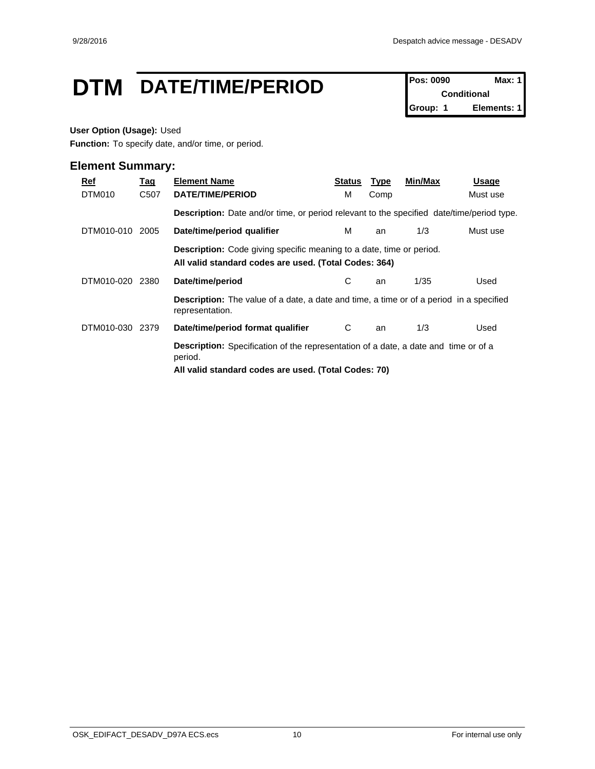### **DTM** DATE/TIME/PERIOD **Pos: 0090** Max: 1

**Conditional Group: 1 Elements: 1**

#### **User Option (Usage):** Used

**Function:** To specify date, and/or time, or period.

| Ref<br>DTM010   | <u>Tag</u><br>C507 | <b>Element Name</b><br><b>DATE/TIME/PERIOD</b>                                                                                                                | Status<br>м | <b>Type</b><br>Comp | Min/Max | Usage<br>Must use |
|-----------------|--------------------|---------------------------------------------------------------------------------------------------------------------------------------------------------------|-------------|---------------------|---------|-------------------|
|                 |                    | <b>Description:</b> Date and/or time, or period relevant to the specified date/time/period type.                                                              |             |                     |         |                   |
| DTM010-010 2005 |                    | Date/time/period qualifier                                                                                                                                    | м           | an                  | 1/3     | Must use          |
|                 |                    | <b>Description:</b> Code giving specific meaning to a date, time or period.<br>All valid standard codes are used. (Total Codes: 364)                          |             |                     |         |                   |
| DTM010-020      | 2380               | Date/time/period                                                                                                                                              | C.          | an                  | 1/35    | Used              |
|                 |                    | <b>Description:</b> The value of a date, a date and time, a time or of a period in a specified<br>representation.                                             |             |                     |         |                   |
| DTM010-030 2379 |                    | Date/time/period format qualifier                                                                                                                             | C           | an                  | 1/3     | Used              |
|                 |                    | <b>Description:</b> Specification of the representation of a date, a date and time or of a<br>period.<br>All valid standard codes are used. (Total Codes: 70) |             |                     |         |                   |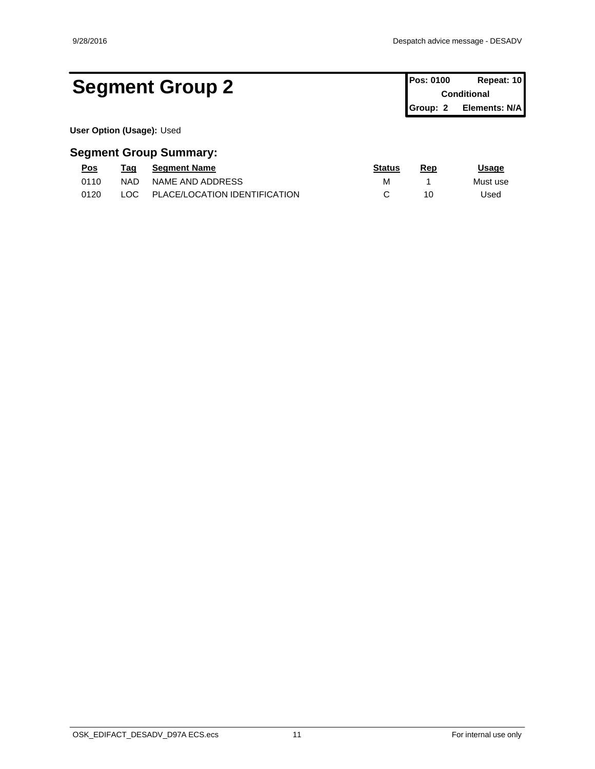### Segment Group 2 **Pos: 0100 Repeat: 10 Conditional**

**Conditional Group: 2 Elements: N/A**

**User Option (Usage):** Used

| Pos  | Taq        | <b>Seament Name</b>           | <u>Status</u> | Rep | Usage    |
|------|------------|-------------------------------|---------------|-----|----------|
| 0110 | <b>NAD</b> | NAME AND ADDRESS              |               |     | Must use |
| 0120 | LOC.       | PLACE/LOCATION IDENTIFICATION |               |     | Used     |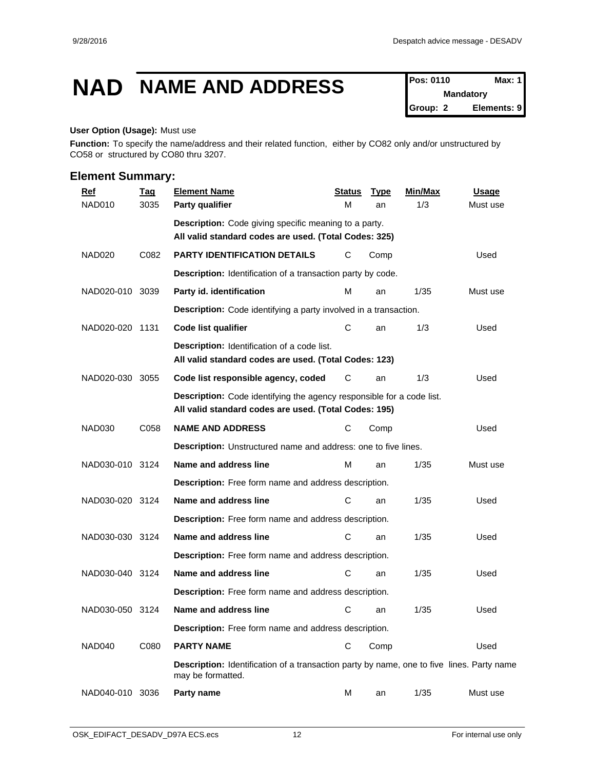# **NAD NAME AND ADDRESS Pos: 0110 Max: 1**

**Mandatory Group: 2 Elements: 9**

#### **User Option (Usage):** Must use

**Function:** To specify the name/address and their related function, either by CO82 only and/or unstructured by CO58 or structured by CO80 thru 3207.

| <b>Ref</b>         | <b>Tag</b> | <b>Element Name</b>                                                                                                            | <b>Status</b> | <b>Type</b> | Min/Max | <b>Usage</b> |
|--------------------|------------|--------------------------------------------------------------------------------------------------------------------------------|---------------|-------------|---------|--------------|
| NAD010             | 3035       | Party qualifier                                                                                                                | M             | an          | 1/3     | Must use     |
|                    |            | Description: Code giving specific meaning to a party.<br>All valid standard codes are used. (Total Codes: 325)                 |               |             |         |              |
| NAD <sub>020</sub> | C082       | <b>PARTY IDENTIFICATION DETAILS</b>                                                                                            | С             | Comp        |         | Used         |
|                    |            | Description: Identification of a transaction party by code.                                                                    |               |             |         |              |
| NAD020-010 3039    |            | Party id. identification                                                                                                       | м             | an          | 1/35    | Must use     |
|                    |            | <b>Description:</b> Code identifying a party involved in a transaction.                                                        |               |             |         |              |
| NAD020-020 1131    |            | Code list qualifier                                                                                                            | С             | an          | 1/3     | Used         |
|                    |            | <b>Description:</b> Identification of a code list.<br>All valid standard codes are used. (Total Codes: 123)                    |               |             |         |              |
| NAD020-030         | 3055       | Code list responsible agency, coded                                                                                            | С             | an          | 1/3     | Used         |
|                    |            | Description: Code identifying the agency responsible for a code list.<br>All valid standard codes are used. (Total Codes: 195) |               |             |         |              |
| <b>NAD030</b>      | C058       | <b>NAME AND ADDRESS</b>                                                                                                        | C             | Comp        |         | Used         |
|                    |            | Description: Unstructured name and address: one to five lines.                                                                 |               |             |         |              |
| NAD030-010 3124    |            | Name and address line                                                                                                          | M             | an          | 1/35    | Must use     |
|                    |            | Description: Free form name and address description.                                                                           |               |             |         |              |
| NAD030-020 3124    |            | Name and address line                                                                                                          | С             | an          | 1/35    | Used         |
|                    |            | Description: Free form name and address description.                                                                           |               |             |         |              |
| NAD030-030 3124    |            | Name and address line                                                                                                          | С             | an          | 1/35    | Used         |
|                    |            | Description: Free form name and address description.                                                                           |               |             |         |              |
| NAD030-040 3124    |            | Name and address line                                                                                                          | С             | an          | 1/35    | Used         |
|                    |            | Description: Free form name and address description.                                                                           |               |             |         |              |
| NAD030-050 3124    |            | Name and address line                                                                                                          | С             | an          | 1/35    | Used         |
|                    |            | Description: Free form name and address description.                                                                           |               |             |         |              |
| NAD040             | C080       | <b>PARTY NAME</b>                                                                                                              | С             | Comp        |         | Used         |
|                    |            | <b>Description:</b> Identification of a transaction party by name, one to five lines. Party name<br>may be formatted.          |               |             |         |              |
| NAD040-010 3036    |            | Party name                                                                                                                     | М             | an          | 1/35    | Must use     |
|                    |            |                                                                                                                                |               |             |         |              |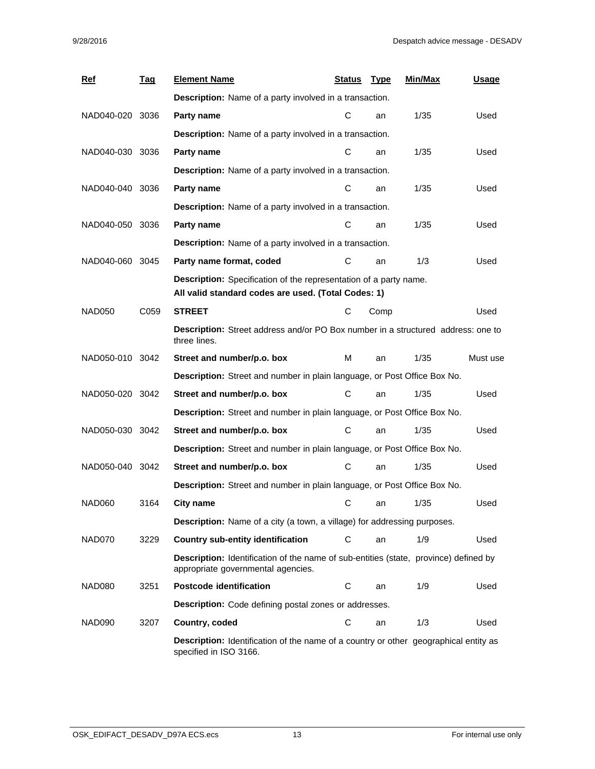| <b>Ref</b>      | <u>Tag</u> | <b>Element Name</b>                                                                                                               | Status | <u>Type</u> | Min/Max | <u>Usage</u> |  |  |  |  |
|-----------------|------------|-----------------------------------------------------------------------------------------------------------------------------------|--------|-------------|---------|--------------|--|--|--|--|
|                 |            | <b>Description:</b> Name of a party involved in a transaction.                                                                    |        |             |         |              |  |  |  |  |
| NAD040-020 3036 |            | Party name                                                                                                                        | С      | an          | 1/35    | Used         |  |  |  |  |
|                 |            | <b>Description:</b> Name of a party involved in a transaction.                                                                    |        |             |         |              |  |  |  |  |
| NAD040-030 3036 |            | Party name                                                                                                                        | С      | an          | 1/35    | Used         |  |  |  |  |
|                 |            | Description: Name of a party involved in a transaction.                                                                           |        |             |         |              |  |  |  |  |
| NAD040-040 3036 |            | Party name                                                                                                                        | С      | an          | 1/35    | Used         |  |  |  |  |
|                 |            | <b>Description:</b> Name of a party involved in a transaction.                                                                    |        |             |         |              |  |  |  |  |
| NAD040-050 3036 |            | Party name                                                                                                                        | С      | an          | 1/35    | Used         |  |  |  |  |
|                 |            | Description: Name of a party involved in a transaction.                                                                           |        |             |         |              |  |  |  |  |
| NAD040-060 3045 |            | Party name format, coded                                                                                                          | C      | an          | 1/3     | Used         |  |  |  |  |
|                 |            | Description: Specification of the representation of a party name.<br>All valid standard codes are used. (Total Codes: 1)          |        |             |         |              |  |  |  |  |
| <b>NAD050</b>   | C059       | <b>STREET</b>                                                                                                                     | С      | Comp        |         | Used         |  |  |  |  |
|                 |            | Description: Street address and/or PO Box number in a structured address: one to<br>three lines.                                  |        |             |         |              |  |  |  |  |
| NAD050-010 3042 |            | Street and number/p.o. box                                                                                                        | M      | an          | 1/35    | Must use     |  |  |  |  |
|                 |            | Description: Street and number in plain language, or Post Office Box No.                                                          |        |             |         |              |  |  |  |  |
| NAD050-020 3042 |            | Street and number/p.o. box                                                                                                        | С      | an          | 1/35    | Used         |  |  |  |  |
|                 |            | Description: Street and number in plain language, or Post Office Box No.                                                          |        |             |         |              |  |  |  |  |
| NAD050-030 3042 |            | Street and number/p.o. box                                                                                                        | С      | an          | 1/35    | Used         |  |  |  |  |
|                 |            | Description: Street and number in plain language, or Post Office Box No.                                                          |        |             |         |              |  |  |  |  |
| NAD050-040 3042 |            | Street and number/p.o. box                                                                                                        | С      | an          | 1/35    | Used         |  |  |  |  |
|                 |            | Description: Street and number in plain language, or Post Office Box No.                                                          |        |             |         |              |  |  |  |  |
| NAD060          | 3164       | <b>City name</b>                                                                                                                  | С      | an          | 1/35    | Used         |  |  |  |  |
|                 |            | <b>Description:</b> Name of a city (a town, a village) for addressing purposes.                                                   |        |             |         |              |  |  |  |  |
| NAD070          | 3229       | <b>Country sub-entity identification</b>                                                                                          | С      | an          | 1/9     | Used         |  |  |  |  |
|                 |            | <b>Description:</b> Identification of the name of sub-entities (state, province) defined by<br>appropriate governmental agencies. |        |             |         |              |  |  |  |  |
| NAD080          | 3251       | Postcode identification                                                                                                           | C      | an          | 1/9     | Used         |  |  |  |  |
|                 |            | Description: Code defining postal zones or addresses.                                                                             |        |             |         |              |  |  |  |  |
| NAD090          | 3207       | Country, coded                                                                                                                    | С      | an          | 1/3     | Used         |  |  |  |  |
|                 |            | <b>Description:</b> Identification of the name of a country or other geographical entity as<br>specified in ISO 3166.             |        |             |         |              |  |  |  |  |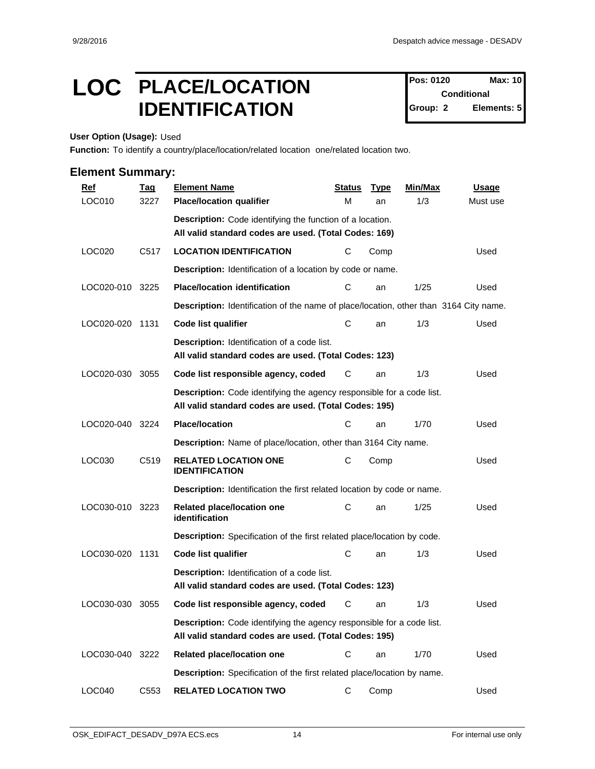### LOC PLACE/LOCATION Pos: 0120 Max: 10 **IDENTIFICATION** Group: 2

**Pos: 0120 Conditional Elements: 5** 

**User Option (Usage):** Used

**Function:** To identify a country/place/location/related location one/related location two.

| $Ref$           | <b>Tag</b>       | <b>Element Name</b>                                                                                                                   | <b>Status</b> | <b>Type</b> | Min/Max | <b>Usage</b> |
|-----------------|------------------|---------------------------------------------------------------------------------------------------------------------------------------|---------------|-------------|---------|--------------|
| LOC010          | 3227             | <b>Place/location qualifier</b>                                                                                                       | М             | an          | 1/3     | Must use     |
|                 |                  | Description: Code identifying the function of a location.                                                                             |               |             |         |              |
|                 |                  | All valid standard codes are used. (Total Codes: 169)                                                                                 |               |             |         |              |
| LOC020          | C <sub>517</sub> | <b>LOCATION IDENTIFICATION</b>                                                                                                        | С             | Comp        |         | Used         |
|                 |                  | Description: Identification of a location by code or name.                                                                            |               |             |         |              |
| LOC020-010 3225 |                  | <b>Place/location identification</b>                                                                                                  | C             | an          | 1/25    | Used         |
|                 |                  | Description: Identification of the name of place/location, other than 3164 City name.                                                 |               |             |         |              |
| LOC020-020 1131 |                  | <b>Code list qualifier</b>                                                                                                            | С             | an          | 1/3     | Used         |
|                 |                  | <b>Description:</b> Identification of a code list.<br>All valid standard codes are used. (Total Codes: 123)                           |               |             |         |              |
| LOC020-030      | 3055             | Code list responsible agency, coded                                                                                                   | C             | an          | 1/3     | Used         |
|                 |                  | <b>Description:</b> Code identifying the agency responsible for a code list.<br>All valid standard codes are used. (Total Codes: 195) |               |             |         |              |
| LOC020-040      | 3224             | <b>Place/location</b>                                                                                                                 | С             | an          | 1/70    | Used         |
|                 |                  | Description: Name of place/location, other than 3164 City name.                                                                       |               |             |         |              |
| LOC030          | C <sub>519</sub> | <b>RELATED LOCATION ONE</b><br><b>IDENTIFICATION</b>                                                                                  | C             | Comp        |         | Used         |
|                 |                  | <b>Description:</b> Identification the first related location by code or name.                                                        |               |             |         |              |
| LOC030-010 3223 |                  | Related place/location one<br>identification                                                                                          | C             | an          | 1/25    | Used         |
|                 |                  | Description: Specification of the first related place/location by code.                                                               |               |             |         |              |
| LOC030-020 1131 |                  | <b>Code list qualifier</b>                                                                                                            | С             | an          | 1/3     | Used         |
|                 |                  | Description: Identification of a code list.<br>All valid standard codes are used. (Total Codes: 123)                                  |               |             |         |              |
| LOC030-030      | 3055             | Code list responsible agency, coded                                                                                                   | С             | an          | 1/3     | Used         |
|                 |                  | Description: Code identifying the agency responsible for a code list.<br>All valid standard codes are used. (Total Codes: 195)        |               |             |         |              |
| LOC030-040 3222 |                  | Related place/location one                                                                                                            | C             | an          | 1/70    | Used         |
|                 |                  | Description: Specification of the first related place/location by name.                                                               |               |             |         |              |
| LOC040          | C553             | <b>RELATED LOCATION TWO</b>                                                                                                           | C             | Comp        |         | Used         |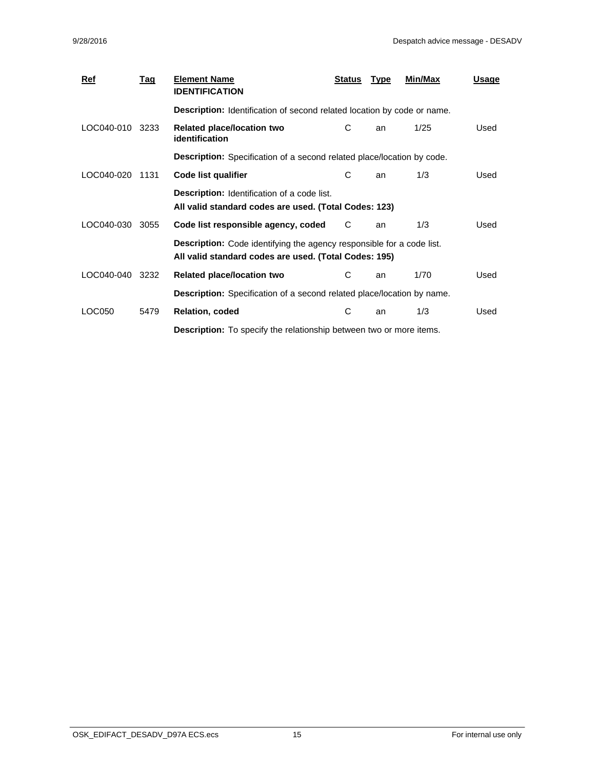| <b>Ref</b> | <u>Tag</u> | <b>Element Name</b><br><b>IDENTIFICATION</b>                                                                                          | <b>Status</b> | <b>Type</b> | Min/Max | <u>Usage</u> |  |
|------------|------------|---------------------------------------------------------------------------------------------------------------------------------------|---------------|-------------|---------|--------------|--|
|            |            | <b>Description:</b> Identification of second related location by code or name.                                                        |               |             |         |              |  |
| LOC040-010 | 3233       | Related place/location two<br><i>identification</i>                                                                                   | C             | an          | 1/25    | Used         |  |
|            |            | <b>Description:</b> Specification of a second related place/location by code.                                                         |               |             |         |              |  |
| LOC040-020 | 1131       | Code list qualifier                                                                                                                   | C             | an          | 1/3     | Used         |  |
|            |            | <b>Description:</b> Identification of a code list.<br>All valid standard codes are used. (Total Codes: 123)                           |               |             |         |              |  |
| LOC040-030 | 3055       | Code list responsible agency, coded                                                                                                   | C             | an          | 1/3     | Used         |  |
|            |            | <b>Description:</b> Code identifying the agency responsible for a code list.<br>All valid standard codes are used. (Total Codes: 195) |               |             |         |              |  |
| LOC040-040 | 3232       | <b>Related place/location two</b>                                                                                                     | C             | an          | 1/70    | Used         |  |
|            |            | <b>Description:</b> Specification of a second related place/location by name.                                                         |               |             |         |              |  |
| LOC050     | 5479       | <b>Relation, coded</b>                                                                                                                | С             | an          | 1/3     | Used         |  |
|            |            | <b>Description:</b> To specify the relationship between two or more items.                                                            |               |             |         |              |  |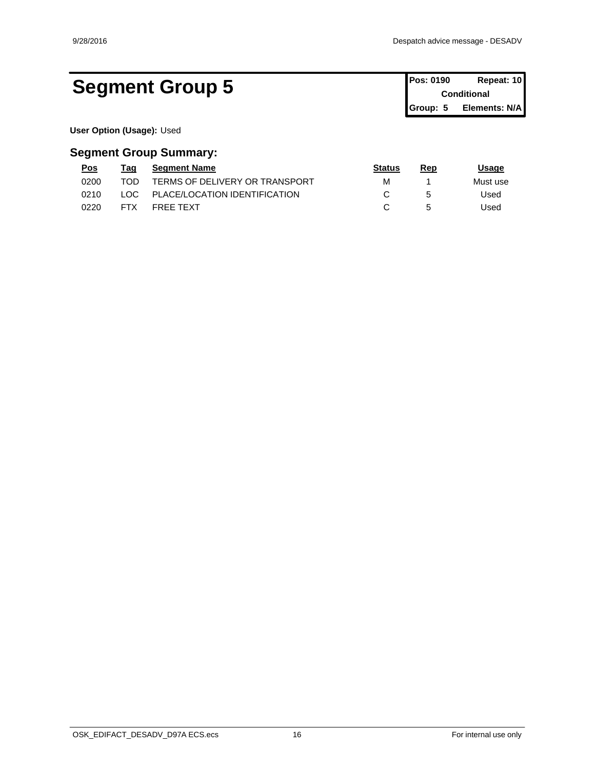### Segment Group 5 **Pos: 0190 Repeat: 10 Conditional**

**Conditional Group: 5 Elements: N/A**

**User Option (Usage):** Used

| <u>Pos</u> | Taq        | <b>Segment Name</b>            | <b>Status</b> | Rep | <u>Usage</u> |  |
|------------|------------|--------------------------------|---------------|-----|--------------|--|
| 0200       | TOD        | TERMS OF DELIVERY OR TRANSPORT | м             |     | Must use     |  |
| 0210       | LOC.       | PLACE/LOCATION IDENTIFICATION  |               |     | Used         |  |
| 0220       | <b>FTX</b> | <b>FREE TEXT</b>               |               |     | Used         |  |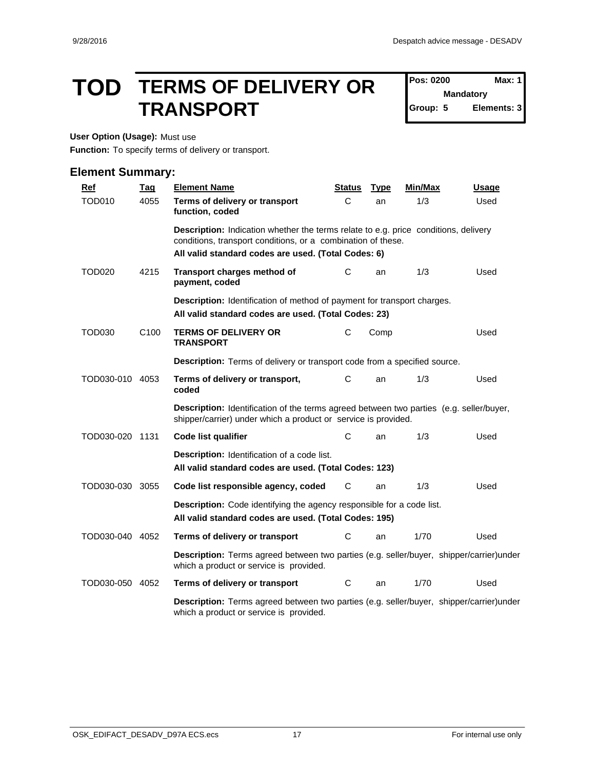### **TOD TERMS OF DELIVERY OR** Pos: 0200 Max: 1 **TRANSPORT**

**Pos: 0200 Mandatory Group: 5 Elements: 3**

**User Option (Usage):** Must use

**Function:** To specify terms of delivery or transport.

| $Ref$           | <b>Tag</b>       | <b>Element Name</b>                                                                                                                                                                                               | <b>Status</b> | <b>Type</b> | Min/Max | <b>Usage</b> |
|-----------------|------------------|-------------------------------------------------------------------------------------------------------------------------------------------------------------------------------------------------------------------|---------------|-------------|---------|--------------|
| <b>TOD010</b>   | 4055             | Terms of delivery or transport<br>function, coded                                                                                                                                                                 | C             | an          | 1/3     | Used         |
|                 |                  | <b>Description:</b> Indication whether the terms relate to e.g. price conditions, delivery<br>conditions, transport conditions, or a combination of these.<br>All valid standard codes are used. (Total Codes: 6) |               |             |         |              |
| <b>TOD020</b>   | 4215             | Transport charges method of<br>payment, coded                                                                                                                                                                     | С             | an          | 1/3     | Used         |
|                 |                  | Description: Identification of method of payment for transport charges.<br>All valid standard codes are used. (Total Codes: 23)                                                                                   |               |             |         |              |
| <b>TOD030</b>   | C <sub>100</sub> | <b>TERMS OF DELIVERY OR</b><br><b>TRANSPORT</b>                                                                                                                                                                   | C             | Comp        |         | Used         |
|                 |                  | Description: Terms of delivery or transport code from a specified source.                                                                                                                                         |               |             |         |              |
| TOD030-010 4053 |                  | Terms of delivery or transport,<br>coded                                                                                                                                                                          | C             | an          | 1/3     | Used         |
|                 |                  | Description: Identification of the terms agreed between two parties (e.g. seller/buyer,<br>shipper/carrier) under which a product or service is provided.                                                         |               |             |         |              |
| TOD030-020 1131 |                  | <b>Code list qualifier</b>                                                                                                                                                                                        | C             | an          | 1/3     | Used         |
|                 |                  | Description: Identification of a code list.<br>All valid standard codes are used. (Total Codes: 123)                                                                                                              |               |             |         |              |
| TOD030-030 3055 |                  | Code list responsible agency, coded                                                                                                                                                                               | C             | an          | 1/3     | Used         |
|                 |                  | <b>Description:</b> Code identifying the agency responsible for a code list.<br>All valid standard codes are used. (Total Codes: 195)                                                                             |               |             |         |              |
| TOD030-040 4052 |                  | Terms of delivery or transport                                                                                                                                                                                    | С             | an          | 1/70    | Used         |
|                 |                  | Description: Terms agreed between two parties (e.g. seller/buyer, shipper/carrier)under<br>which a product or service is provided.                                                                                |               |             |         |              |
| TOD030-050 4052 |                  | Terms of delivery or transport                                                                                                                                                                                    | C             | an          | 1/70    | Used         |
|                 |                  | Description: Terms agreed between two parties (e.g. seller/buyer, shipper/carrier)under<br>which a product or service is provided.                                                                                |               |             |         |              |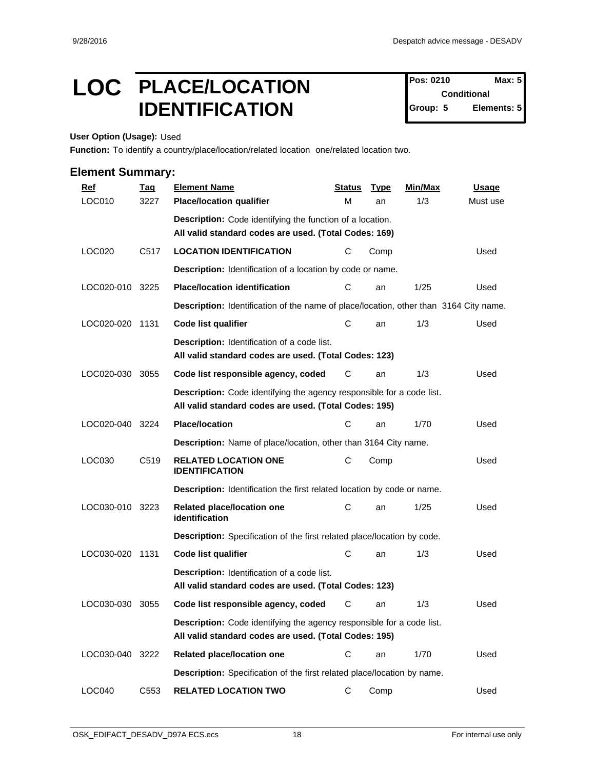### LOC PLACE/LOCATION Pos: 0210 Max: 5 **IDENTIFICATION** Group: 5

**Pos: 0210 Conditional Elements: 5** 

**User Option (Usage):** Used

**Function:** To identify a country/place/location/related location one/related location two.

| $Ref$           | <b>Tag</b>       | <b>Element Name</b>                                                                                                                   | <b>Status</b> | <b>Type</b> | Min/Max | <b>Usage</b> |
|-----------------|------------------|---------------------------------------------------------------------------------------------------------------------------------------|---------------|-------------|---------|--------------|
| LOC010          | 3227             | <b>Place/location qualifier</b>                                                                                                       | М             | an          | 1/3     | Must use     |
|                 |                  | Description: Code identifying the function of a location.                                                                             |               |             |         |              |
|                 |                  | All valid standard codes are used. (Total Codes: 169)                                                                                 |               |             |         |              |
| LOC020          | C <sub>517</sub> | <b>LOCATION IDENTIFICATION</b>                                                                                                        | С             | Comp        |         | Used         |
|                 |                  | Description: Identification of a location by code or name.                                                                            |               |             |         |              |
| LOC020-010 3225 |                  | <b>Place/location identification</b>                                                                                                  | C             | an          | 1/25    | Used         |
|                 |                  | Description: Identification of the name of place/location, other than 3164 City name.                                                 |               |             |         |              |
| LOC020-020 1131 |                  | <b>Code list qualifier</b>                                                                                                            | С             | an          | 1/3     | Used         |
|                 |                  | <b>Description:</b> Identification of a code list.<br>All valid standard codes are used. (Total Codes: 123)                           |               |             |         |              |
| LOC020-030      | 3055             | Code list responsible agency, coded                                                                                                   | C             | an          | 1/3     | Used         |
|                 |                  | <b>Description:</b> Code identifying the agency responsible for a code list.<br>All valid standard codes are used. (Total Codes: 195) |               |             |         |              |
| LOC020-040      | 3224             | <b>Place/location</b>                                                                                                                 | С             | an          | 1/70    | Used         |
|                 |                  | Description: Name of place/location, other than 3164 City name.                                                                       |               |             |         |              |
| LOC030          | C <sub>519</sub> | <b>RELATED LOCATION ONE</b><br><b>IDENTIFICATION</b>                                                                                  | C             | Comp        |         | Used         |
|                 |                  | <b>Description:</b> Identification the first related location by code or name.                                                        |               |             |         |              |
| LOC030-010 3223 |                  | Related place/location one<br>identification                                                                                          | C             | an          | 1/25    | Used         |
|                 |                  | Description: Specification of the first related place/location by code.                                                               |               |             |         |              |
| LOC030-020 1131 |                  | <b>Code list qualifier</b>                                                                                                            | С             | an          | 1/3     | Used         |
|                 |                  | Description: Identification of a code list.<br>All valid standard codes are used. (Total Codes: 123)                                  |               |             |         |              |
| LOC030-030      | 3055             | Code list responsible agency, coded                                                                                                   | С             | an          | 1/3     | Used         |
|                 |                  | Description: Code identifying the agency responsible for a code list.<br>All valid standard codes are used. (Total Codes: 195)        |               |             |         |              |
| LOC030-040 3222 |                  | Related place/location one                                                                                                            | C             | an          | 1/70    | Used         |
|                 |                  | Description: Specification of the first related place/location by name.                                                               |               |             |         |              |
| LOC040          | C553             | <b>RELATED LOCATION TWO</b>                                                                                                           | C             | Comp        |         | Used         |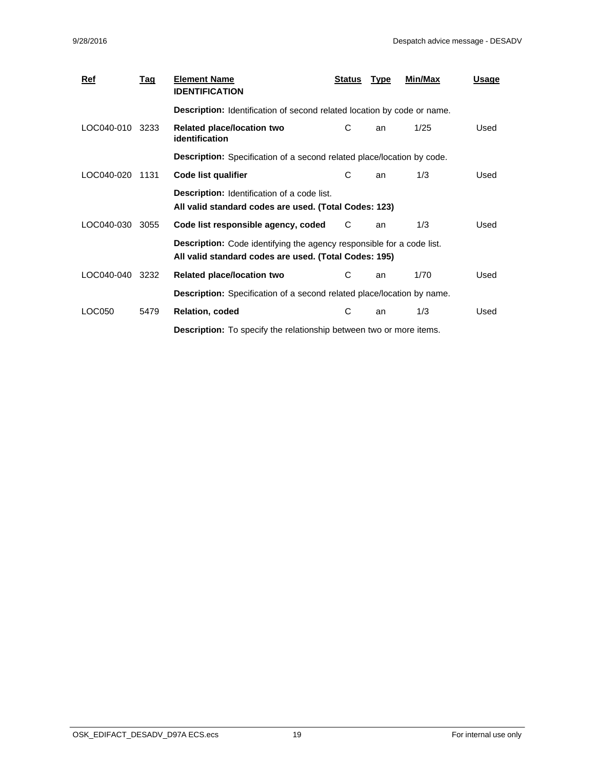| <b>Ref</b> | <u>Tag</u> | <b>Element Name</b><br><b>IDENTIFICATION</b>                                                                                          | <b>Status</b> | <b>Type</b> | Min/Max | <u>Usage</u> |  |
|------------|------------|---------------------------------------------------------------------------------------------------------------------------------------|---------------|-------------|---------|--------------|--|
|            |            | <b>Description:</b> Identification of second related location by code or name.                                                        |               |             |         |              |  |
| LOC040-010 | 3233       | Related place/location two<br><i>identification</i>                                                                                   | C             | an          | 1/25    | Used         |  |
|            |            | <b>Description:</b> Specification of a second related place/location by code.                                                         |               |             |         |              |  |
| LOC040-020 | 1131       | Code list qualifier                                                                                                                   | C             | an          | 1/3     | Used         |  |
|            |            | <b>Description:</b> Identification of a code list.<br>All valid standard codes are used. (Total Codes: 123)                           |               |             |         |              |  |
| LOC040-030 | 3055       | Code list responsible agency, coded                                                                                                   | C             | an          | 1/3     | Used         |  |
|            |            | <b>Description:</b> Code identifying the agency responsible for a code list.<br>All valid standard codes are used. (Total Codes: 195) |               |             |         |              |  |
| LOC040-040 | 3232       | <b>Related place/location two</b>                                                                                                     | C             | an          | 1/70    | Used         |  |
|            |            | <b>Description:</b> Specification of a second related place/location by name.                                                         |               |             |         |              |  |
| LOC050     | 5479       | <b>Relation, coded</b>                                                                                                                | С             | an          | 1/3     | Used         |  |
|            |            | <b>Description:</b> To specify the relationship between two or more items.                                                            |               |             |         |              |  |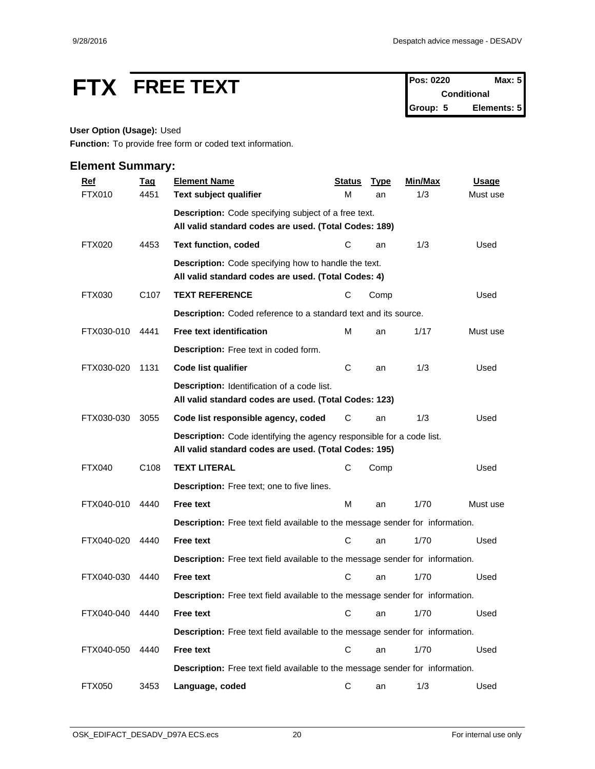# **FTX** FREE TEXT Pos: 0220 Max: 5

**Conditional Group: 5 Elements: 5**

#### **User Option (Usage):** Used

**Function:** To provide free form or coded text information.

| <b>Ref</b>      | <b>Tag</b>       | <b>Element Name</b>                                                                                                            | <b>Status</b> | <b>Type</b> | Min/Max | <b>Usage</b> |
|-----------------|------------------|--------------------------------------------------------------------------------------------------------------------------------|---------------|-------------|---------|--------------|
| <b>FTX010</b>   | 4451             | Text subject qualifier                                                                                                         | M             | an          | 1/3     | Must use     |
|                 |                  | <b>Description:</b> Code specifying subject of a free text.                                                                    |               |             |         |              |
|                 |                  | All valid standard codes are used. (Total Codes: 189)                                                                          |               |             |         |              |
| <b>FTX020</b>   | 4453             | <b>Text function, coded</b>                                                                                                    | С             | an          | 1/3     | Used         |
|                 |                  | <b>Description:</b> Code specifying how to handle the text.<br>All valid standard codes are used. (Total Codes: 4)             |               |             |         |              |
| FTX030          | C <sub>107</sub> | <b>TEXT REFERENCE</b>                                                                                                          | С             | Comp        |         | Used         |
|                 |                  | <b>Description:</b> Coded reference to a standard text and its source.                                                         |               |             |         |              |
| FTX030-010      | 4441             | Free text identification                                                                                                       | М             | an          | 1/17    | Must use     |
|                 |                  | Description: Free text in coded form.                                                                                          |               |             |         |              |
| FTX030-020      | 1131             | <b>Code list qualifier</b>                                                                                                     | C             | an          | 1/3     | Used         |
|                 |                  | Description: Identification of a code list.<br>All valid standard codes are used. (Total Codes: 123)                           |               |             |         |              |
| FTX030-030      | 3055             | Code list responsible agency, coded                                                                                            | С             | an          | 1/3     | Used         |
|                 |                  | Description: Code identifying the agency responsible for a code list.<br>All valid standard codes are used. (Total Codes: 195) |               |             |         |              |
| <b>FTX040</b>   | C <sub>108</sub> | <b>TEXT LITERAL</b>                                                                                                            | С             | Comp        |         | Used         |
|                 |                  | Description: Free text; one to five lines.                                                                                     |               |             |         |              |
| FTX040-010      | 4440             | <b>Free text</b>                                                                                                               | M             | an          | 1/70    | Must use     |
|                 |                  | Description: Free text field available to the message sender for information.                                                  |               |             |         |              |
| FTX040-020      | 4440             | <b>Free text</b>                                                                                                               | С             | an          | 1/70    | Used         |
|                 |                  | Description: Free text field available to the message sender for information.                                                  |               |             |         |              |
| FTX040-030      | 4440             | <b>Free text</b>                                                                                                               | C             | an          | 1/70    | Used         |
|                 |                  | <b>Description:</b> Free text field available to the message sender for information.                                           |               |             |         |              |
| FTX040-040 4440 |                  | <b>Free text</b>                                                                                                               |               | C an        | 1/70    | Used         |
|                 |                  | Description: Free text field available to the message sender for information.                                                  |               |             |         |              |
| FTX040-050      | 4440             | Free text                                                                                                                      | $\mathbf C$   | an          | 1/70    | Used         |
|                 |                  | Description: Free text field available to the message sender for information.                                                  |               |             |         |              |
| <b>FTX050</b>   | 3453             | Language, coded                                                                                                                | C             | an          | 1/3     | Used         |
|                 |                  |                                                                                                                                |               |             |         |              |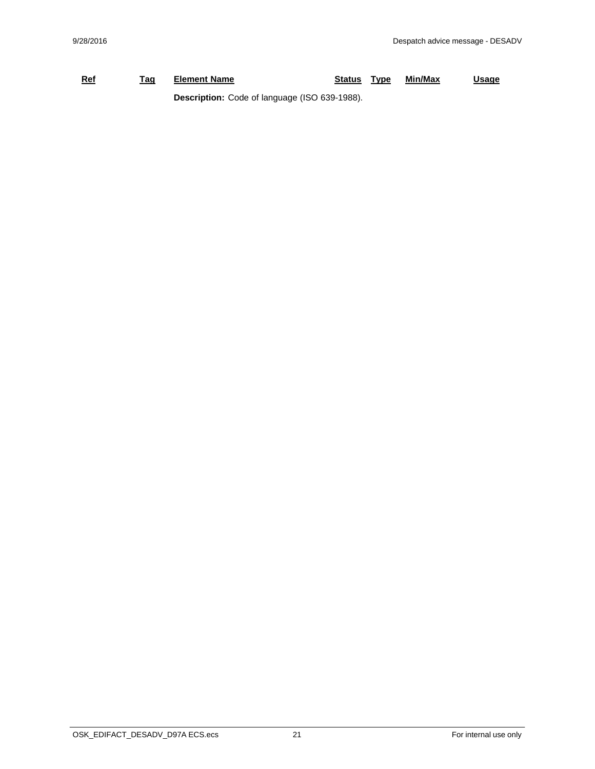#### **Ref Tag Element Name Status Type Min/Max Usage Description:** Code of language (ISO 639-1988).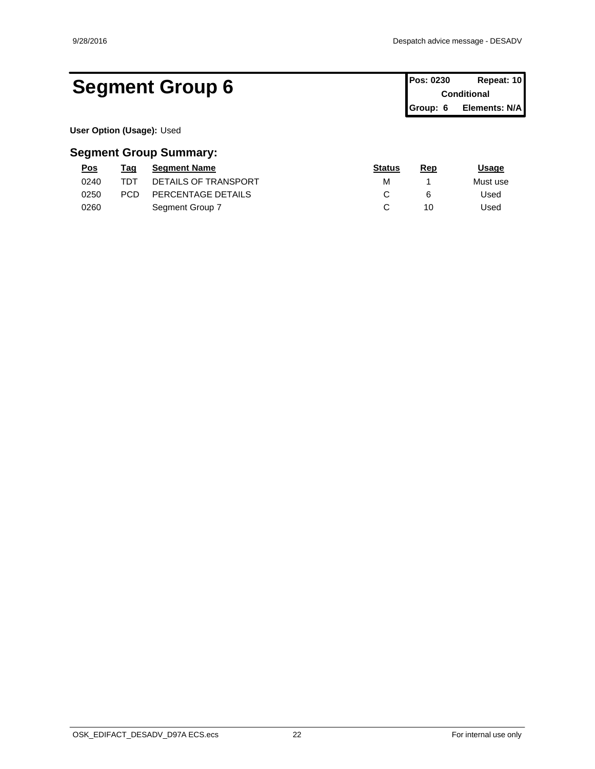### Segment Group 6 **Pos: 0230 Repeat: 10 Conditional**

**Conditional Group: 6 Elements: N/A**

**User Option (Usage):** Used

| <u>Pos</u> | Taq        | <b>Segment Name</b>  | <b>Status</b> | Rep | <u> Jsage</u> |
|------------|------------|----------------------|---------------|-----|---------------|
| 0240       | TDT        | DETAILS OF TRANSPORT | М             |     | Must use      |
| 0250       | <b>PCD</b> | PERCENTAGE DETAILS   |               |     | Jsed          |
| 0260       |            | Segment Group 7      |               | 10  | Jsed          |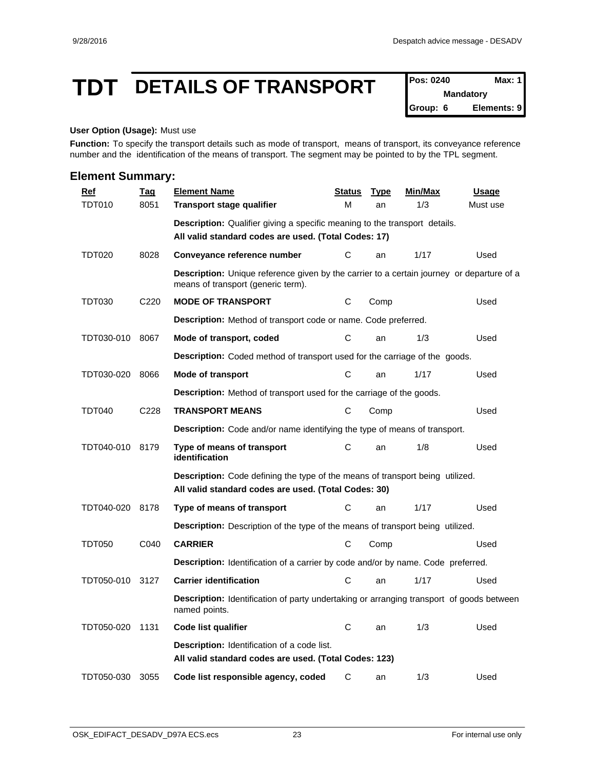### **TDT DETAILS OF TRANSPORT Pos: 0240 Max: 1**

**Mandatory Group: 6 Elements: 9**

#### **User Option (Usage):** Must use

Function: To specify the transport details such as mode of transport, means of transport, its conveyance reference number and the identification of the means of transport. The segment may be pointed to by the TPL segment.

| <b>Element Summary:</b> |                  |                                                                                                                                           |               |             |                |              |
|-------------------------|------------------|-------------------------------------------------------------------------------------------------------------------------------------------|---------------|-------------|----------------|--------------|
| $Ref$                   | <u>Taq</u>       | <b>Element Name</b>                                                                                                                       | <b>Status</b> | <b>Type</b> | <b>Min/Max</b> | <b>Usage</b> |
| <b>TDT010</b>           | 8051             | <b>Transport stage qualifier</b>                                                                                                          | M             | an          | 1/3            | Must use     |
|                         |                  | <b>Description:</b> Qualifier giving a specific meaning to the transport details.<br>All valid standard codes are used. (Total Codes: 17) |               |             |                |              |
| <b>TDT020</b>           | 8028             | Conveyance reference number                                                                                                               | C             | an          | 1/17           | Used         |
|                         |                  | Description: Unique reference given by the carrier to a certain journey or departure of a<br>means of transport (generic term).           |               |             |                |              |
| <b>TDT030</b>           | C220             | <b>MODE OF TRANSPORT</b>                                                                                                                  | C             | Comp        |                | Used         |
|                         |                  | <b>Description:</b> Method of transport code or name. Code preferred.                                                                     |               |             |                |              |
| TDT030-010              | 8067             | Mode of transport, coded                                                                                                                  | C             | an          | 1/3            | Used         |
|                         |                  | Description: Coded method of transport used for the carriage of the goods.                                                                |               |             |                |              |
| TDT030-020              | 8066             | Mode of transport                                                                                                                         | C             | an          | 1/17           | Used         |
|                         |                  | Description: Method of transport used for the carriage of the goods.                                                                      |               |             |                |              |
| <b>TDT040</b>           | C <sub>228</sub> | <b>TRANSPORT MEANS</b>                                                                                                                    | C             | Comp        |                | Used         |
|                         |                  | <b>Description:</b> Code and/or name identifying the type of means of transport.                                                          |               |             |                |              |
| TDT040-010              | 8179             | Type of means of transport<br>identification                                                                                              | C             | an          | 1/8            | Used         |
|                         |                  | Description: Code defining the type of the means of transport being utilized.<br>All valid standard codes are used. (Total Codes: 30)     |               |             |                |              |
| TDT040-020              | 8178             | Type of means of transport                                                                                                                | С             | an          | 1/17           | Used         |
|                         |                  | Description: Description of the type of the means of transport being utilized.                                                            |               |             |                |              |
| <b>TDT050</b>           | C040             | <b>CARRIER</b>                                                                                                                            | С             | Comp        |                | Used         |
|                         |                  | Description: Identification of a carrier by code and/or by name. Code preferred.                                                          |               |             |                |              |
| TDT050-010              | 3127             | <b>Carrier identification</b>                                                                                                             | C             | an          | 1/17           | Used         |
|                         |                  | <b>Description:</b> Identification of party undertaking or arranging transport of goods between<br>named points.                          |               |             |                |              |
| TDT050-020 1131         |                  | Code list qualifier                                                                                                                       | C             | an          | 1/3            | Used         |
|                         |                  | Description: Identification of a code list.<br>All valid standard codes are used. (Total Codes: 123)                                      |               |             |                |              |
| TDT050-030              | 3055             | Code list responsible agency, coded                                                                                                       | C             | an          | 1/3            | Used         |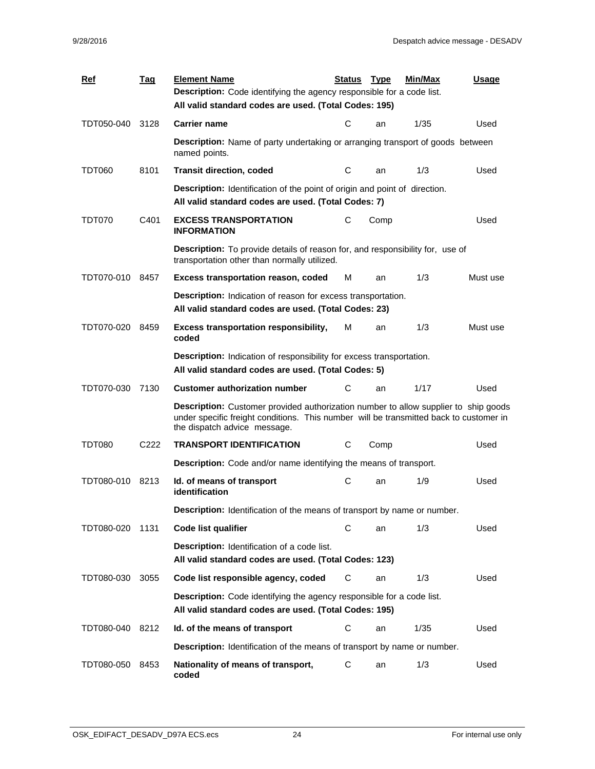| <b>Ref</b>      | <u>Tag</u>       | <b>Element Name</b><br><b>Description:</b> Code identifying the agency responsible for a code list.                                                                                                                  | <b>Status</b> | <b>Type</b> | <b>Min/Max</b> | <b>Usage</b> |  |
|-----------------|------------------|----------------------------------------------------------------------------------------------------------------------------------------------------------------------------------------------------------------------|---------------|-------------|----------------|--------------|--|
|                 |                  | All valid standard codes are used. (Total Codes: 195)                                                                                                                                                                |               |             |                |              |  |
| TDT050-040      | 3128             | <b>Carrier name</b>                                                                                                                                                                                                  | С             | an          | 1/35           | Used         |  |
|                 |                  | <b>Description:</b> Name of party undertaking or arranging transport of goods between<br>named points.                                                                                                               |               |             |                |              |  |
| TDT060          | 8101             | <b>Transit direction, coded</b>                                                                                                                                                                                      | С             | an          | 1/3            | Used         |  |
|                 |                  | <b>Description:</b> Identification of the point of origin and point of direction.<br>All valid standard codes are used. (Total Codes: 7)                                                                             |               |             |                |              |  |
| <b>TDT070</b>   | C401             | <b>EXCESS TRANSPORTATION</b><br><b>INFORMATION</b>                                                                                                                                                                   | C             | Comp        |                | Used         |  |
|                 |                  | <b>Description:</b> To provide details of reason for, and responsibility for, use of<br>transportation other than normally utilized.                                                                                 |               |             |                |              |  |
| TDT070-010 8457 |                  | <b>Excess transportation reason, coded</b>                                                                                                                                                                           | М             | an          | 1/3            | Must use     |  |
|                 |                  | Description: Indication of reason for excess transportation.<br>All valid standard codes are used. (Total Codes: 23)                                                                                                 |               |             |                |              |  |
| TDT070-020      | 8459             | <b>Excess transportation responsibility,</b><br>coded                                                                                                                                                                | м             | an          | 1/3            | Must use     |  |
|                 |                  | <b>Description:</b> Indication of responsibility for excess transportation.<br>All valid standard codes are used. (Total Codes: 5)                                                                                   |               |             |                |              |  |
| TDT070-030      | 7130             | <b>Customer authorization number</b>                                                                                                                                                                                 | С             | an          | 1/17           | Used         |  |
|                 |                  | <b>Description:</b> Customer provided authorization number to allow supplier to ship goods<br>under specific freight conditions. This number will be transmitted back to customer in<br>the dispatch advice message. |               |             |                |              |  |
| TDT080          | C <sub>222</sub> | <b>TRANSPORT IDENTIFICATION</b>                                                                                                                                                                                      | С             | Comp        |                | Used         |  |
|                 |                  | Description: Code and/or name identifying the means of transport.                                                                                                                                                    |               |             |                |              |  |
| TDT080-010      | 8213             | Id. of means of transport<br>identification                                                                                                                                                                          | С             | an          | 1/9            | Used         |  |
|                 |                  | Description: Identification of the means of transport by name or number.                                                                                                                                             |               |             |                |              |  |
| TDT080-020      | 1131             | Code list qualifier                                                                                                                                                                                                  | С             | an          | 1/3            | Used         |  |
|                 |                  | Description: Identification of a code list.<br>All valid standard codes are used. (Total Codes: 123)                                                                                                                 |               |             |                |              |  |
| TDT080-030      | 3055             | Code list responsible agency, coded                                                                                                                                                                                  | C             | an          | 1/3            | Used         |  |
|                 |                  | Description: Code identifying the agency responsible for a code list.<br>All valid standard codes are used. (Total Codes: 195)                                                                                       |               |             |                |              |  |
| TDT080-040      | 8212             | Id. of the means of transport                                                                                                                                                                                        | C             | an          | 1/35           | Used         |  |
|                 |                  | Description: Identification of the means of transport by name or number.                                                                                                                                             |               |             |                |              |  |
| TDT080-050      | 8453             | Nationality of means of transport,<br>coded                                                                                                                                                                          | C             | an          | 1/3            | Used         |  |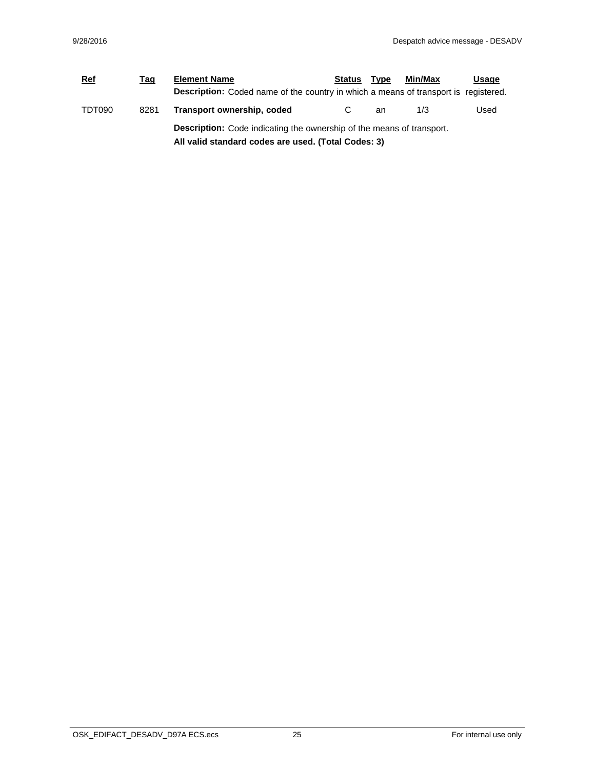| <b>Ref</b> | Tag  | <b>Element Name</b>                                                                                                                 | <b>Status</b> | <b>Type</b> | Min/Max | Usage |
|------------|------|-------------------------------------------------------------------------------------------------------------------------------------|---------------|-------------|---------|-------|
|            |      | <b>Description:</b> Coded name of the country in which a means of transport is registered.                                          |               |             |         |       |
| TDT090     | 8281 | Transport ownership, coded                                                                                                          |               | an          | 1/3     | Used  |
|            |      | <b>Description:</b> Code indicating the ownership of the means of transport.<br>All valid standard codes are used. (Total Codes: 3) |               |             |         |       |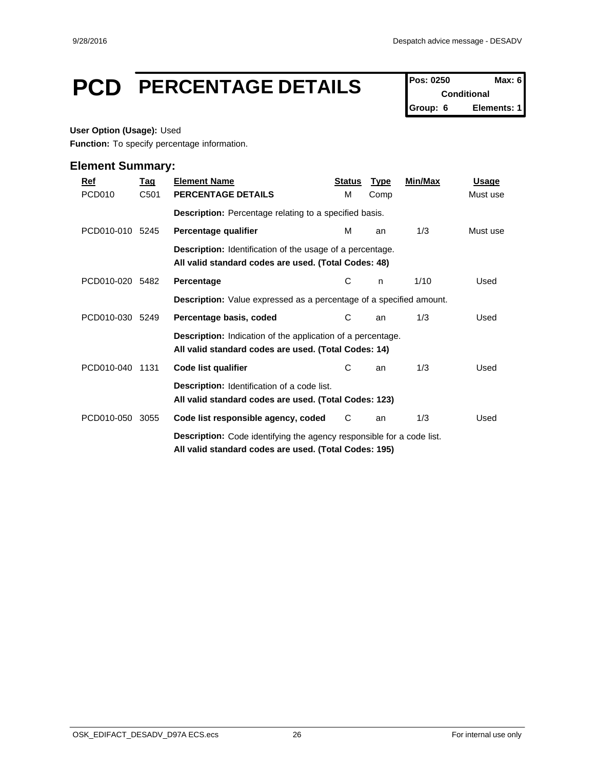## **PCD** PERCENTAGE DETAILS Pos: 0250 Max: 6

**Conditional Group: 6 Elements: 1**

#### **User Option (Usage):** Used

**Function:** To specify percentage information.

| $Ref$<br>PCD <sub>010</sub> | <u>Tag</u><br>C501 | <b>Element Name</b><br>PERCENTAGE DETAILS                                                                                             | <b>Status</b><br>м | <b>Type</b><br>Comp | Min/Max | <b>Usage</b><br>Must use |
|-----------------------------|--------------------|---------------------------------------------------------------------------------------------------------------------------------------|--------------------|---------------------|---------|--------------------------|
|                             |                    | <b>Description:</b> Percentage relating to a specified basis.                                                                         |                    |                     |         |                          |
| PCD010-010 5245             |                    | Percentage qualifier                                                                                                                  | М                  | an                  | 1/3     | Must use                 |
|                             |                    | <b>Description:</b> Identification of the usage of a percentage.<br>All valid standard codes are used. (Total Codes: 48)              |                    |                     |         |                          |
| PCD010-020 5482             |                    | Percentage                                                                                                                            | С                  | n                   | 1/10    | Used                     |
|                             |                    | Description: Value expressed as a percentage of a specified amount.                                                                   |                    |                     |         |                          |
| PCD010-030 5249             |                    | Percentage basis, coded                                                                                                               | С                  | an                  | 1/3     | Used                     |
|                             |                    | <b>Description:</b> Indication of the application of a percentage.<br>All valid standard codes are used. (Total Codes: 14)            |                    |                     |         |                          |
| PCD010-040                  | 1131               | Code list qualifier                                                                                                                   | С                  | an                  | 1/3     | Used                     |
|                             |                    | Description: Identification of a code list.<br>All valid standard codes are used. (Total Codes: 123)                                  |                    |                     |         |                          |
| PCD010-050 3055             |                    | Code list responsible agency, coded                                                                                                   | C                  | an                  | 1/3     | Used                     |
|                             |                    | <b>Description:</b> Code identifying the agency responsible for a code list.<br>All valid standard codes are used. (Total Codes: 195) |                    |                     |         |                          |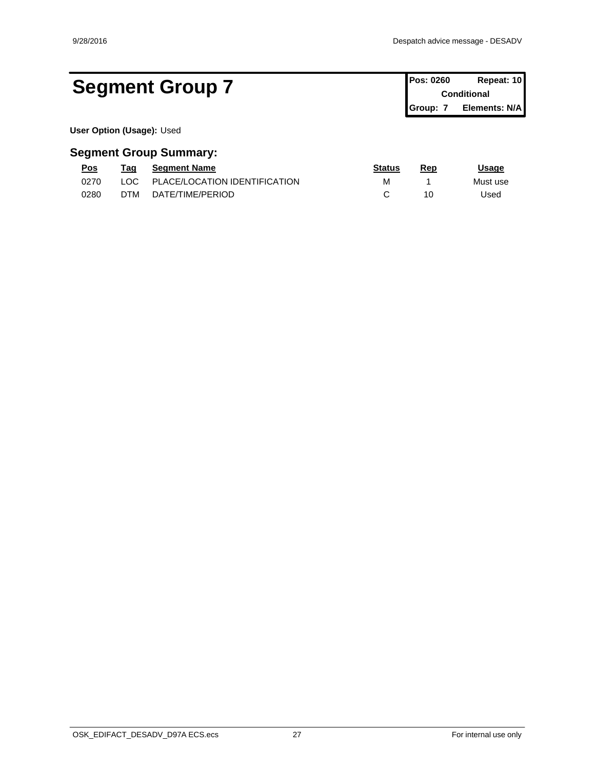### Segment Group 7 **Pos: 0260 Repeat: 10 Pos: 0260 Repeat: 10**

**Conditional Group: 7 Elements: N/A**

**User Option (Usage):** Used

| <u>Pos</u> | Taq  | <b>Seament Name</b>           | <u>Status</u> | Rep | <u>Usage</u> |
|------------|------|-------------------------------|---------------|-----|--------------|
| 0270       | LOC. | PLACE/LOCATION IDENTIFICATION | М             |     | Must use     |
| 0280       | DTM  | DATE/TIME/PERIOD              |               | 10  | Jsed         |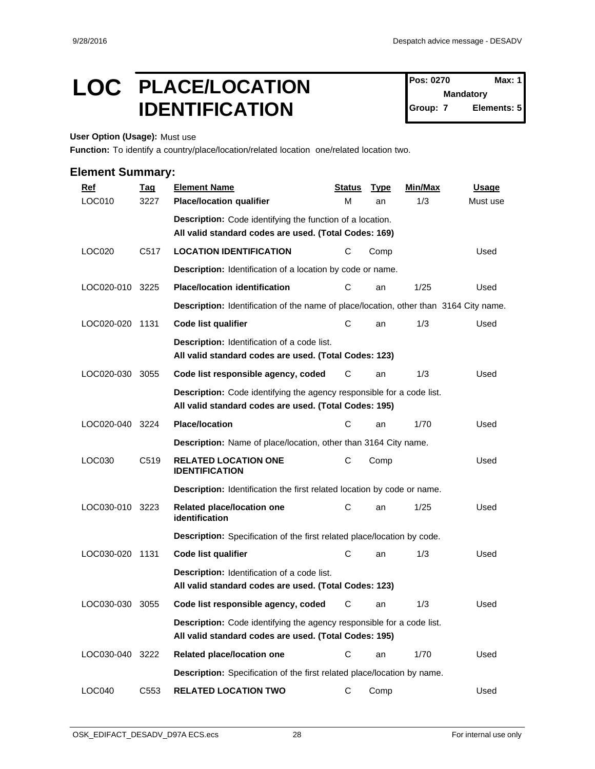### LOC PLACE/LOCATION Pos: 0270 Max: 1 **IDENTIFICATION** STORES

**Pos: 0270 Mandatory Elements: 5** 

**User Option (Usage):** Must use

**Function:** To identify a country/place/location/related location one/related location two.

| $Ref$           | <b>Tag</b>       | <b>Element Name</b>                                                                                                                   | <b>Status</b> | <b>Type</b> | Min/Max | <b>Usage</b> |
|-----------------|------------------|---------------------------------------------------------------------------------------------------------------------------------------|---------------|-------------|---------|--------------|
| LOC010          | 3227             | <b>Place/location qualifier</b>                                                                                                       | М             | an          | 1/3     | Must use     |
|                 |                  | Description: Code identifying the function of a location.                                                                             |               |             |         |              |
|                 |                  | All valid standard codes are used. (Total Codes: 169)                                                                                 |               |             |         |              |
| LOC020          | C <sub>517</sub> | <b>LOCATION IDENTIFICATION</b>                                                                                                        | С             | Comp        |         | Used         |
|                 |                  | Description: Identification of a location by code or name.                                                                            |               |             |         |              |
| LOC020-010 3225 |                  | <b>Place/location identification</b>                                                                                                  | C             | an          | 1/25    | Used         |
|                 |                  | Description: Identification of the name of place/location, other than 3164 City name.                                                 |               |             |         |              |
| LOC020-020 1131 |                  | <b>Code list qualifier</b>                                                                                                            | С             | an          | 1/3     | Used         |
|                 |                  | <b>Description:</b> Identification of a code list.<br>All valid standard codes are used. (Total Codes: 123)                           |               |             |         |              |
| LOC020-030      | 3055             | Code list responsible agency, coded                                                                                                   | C             | an          | 1/3     | Used         |
|                 |                  | <b>Description:</b> Code identifying the agency responsible for a code list.<br>All valid standard codes are used. (Total Codes: 195) |               |             |         |              |
| LOC020-040      | 3224             | <b>Place/location</b>                                                                                                                 | С             | an          | 1/70    | Used         |
|                 |                  | Description: Name of place/location, other than 3164 City name.                                                                       |               |             |         |              |
| LOC030          | C <sub>519</sub> | <b>RELATED LOCATION ONE</b><br><b>IDENTIFICATION</b>                                                                                  | C             | Comp        |         | Used         |
|                 |                  | <b>Description:</b> Identification the first related location by code or name.                                                        |               |             |         |              |
| LOC030-010 3223 |                  | Related place/location one<br>identification                                                                                          | C             | an          | 1/25    | Used         |
|                 |                  | Description: Specification of the first related place/location by code.                                                               |               |             |         |              |
| LOC030-020 1131 |                  | <b>Code list qualifier</b>                                                                                                            | С             | an          | 1/3     | Used         |
|                 |                  | Description: Identification of a code list.<br>All valid standard codes are used. (Total Codes: 123)                                  |               |             |         |              |
| LOC030-030      | 3055             | Code list responsible agency, coded                                                                                                   | С             | an          | 1/3     | Used         |
|                 |                  | Description: Code identifying the agency responsible for a code list.<br>All valid standard codes are used. (Total Codes: 195)        |               |             |         |              |
| LOC030-040 3222 |                  | Related place/location one                                                                                                            | C             | an          | 1/70    | Used         |
|                 |                  | Description: Specification of the first related place/location by name.                                                               |               |             |         |              |
| LOC040          | C553             | <b>RELATED LOCATION TWO</b>                                                                                                           | C             | Comp        |         | Used         |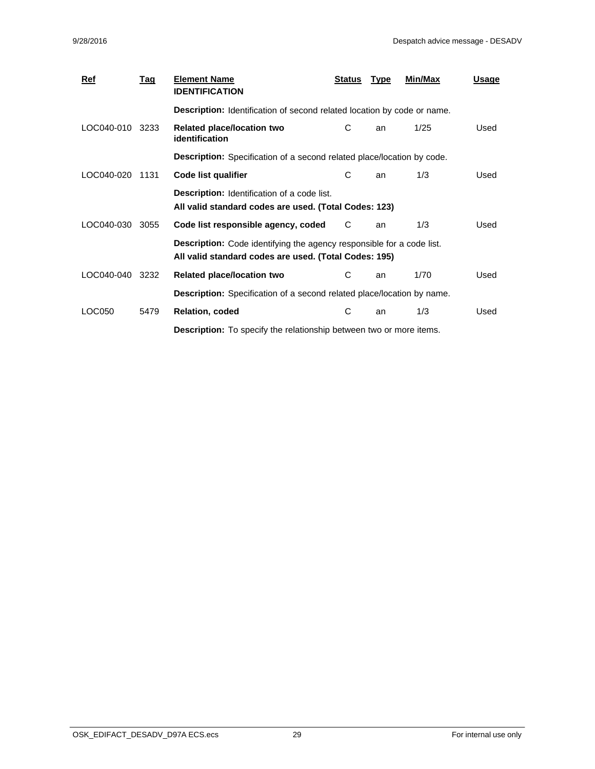| $Ref$      | Tag  | <b>Element Name</b><br><b>IDENTIFICATION</b>                                                                                   | <b>Status</b> | <b>Type</b> | Min/Max | <u>Usage</u> |  |
|------------|------|--------------------------------------------------------------------------------------------------------------------------------|---------------|-------------|---------|--------------|--|
|            |      | Description: Identification of second related location by code or name.                                                        |               |             |         |              |  |
| LOC040-010 | 3233 | Related place/location two<br><i>identification</i>                                                                            | С             | an          | 1/25    | Used         |  |
|            |      | <b>Description:</b> Specification of a second related place/location by code.                                                  |               |             |         |              |  |
| LOC040-020 | 1131 | Code list qualifier                                                                                                            | C             | an          | 1/3     | Used         |  |
|            |      | <b>Description:</b> Identification of a code list.<br>All valid standard codes are used. (Total Codes: 123)                    |               |             |         |              |  |
| LOC040-030 | 3055 | Code list responsible agency, coded                                                                                            | C             | an          | 1/3     | Used         |  |
|            |      | Description: Code identifying the agency responsible for a code list.<br>All valid standard codes are used. (Total Codes: 195) |               |             |         |              |  |
| LOC040-040 | 3232 | <b>Related place/location two</b>                                                                                              | C             | an          | 1/70    | Used         |  |
|            |      | <b>Description:</b> Specification of a second related place/location by name.                                                  |               |             |         |              |  |
| LOC050     | 5479 | Relation, coded                                                                                                                | С             | an          | 1/3     | Used         |  |
|            |      | <b>Description:</b> To specify the relationship between two or more items.                                                     |               |             |         |              |  |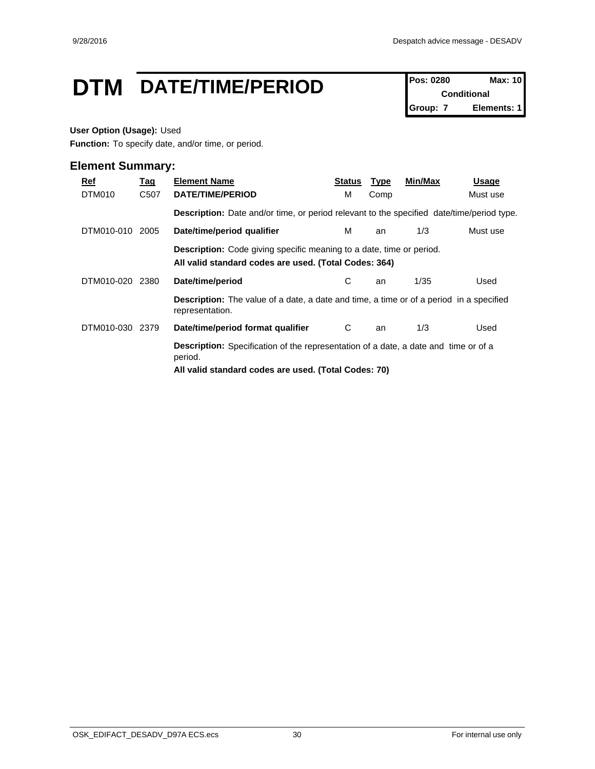### **DTM** DATE/TIME/PERIOD **Pos: 0280** Max: 10

**Conditional Group: 7 Elements: 1**

#### **User Option (Usage):** Used

**Function:** To specify date, and/or time, or period.

| Ref<br>DTM010 | <u>Tag</u><br>C507 | <b>Element Name</b><br>DATE/TIME/PERIOD                                                                                                                       | Status<br>м | <b>Type</b><br>Comp | Min/Max | Usage<br>Must use |  |
|---------------|--------------------|---------------------------------------------------------------------------------------------------------------------------------------------------------------|-------------|---------------------|---------|-------------------|--|
|               |                    | <b>Description:</b> Date and/or time, or period relevant to the specified date/time/period type.                                                              |             |                     |         |                   |  |
| DTM010-010    | 2005               | Date/time/period qualifier                                                                                                                                    | м           | an                  | 1/3     | Must use          |  |
|               |                    | <b>Description:</b> Code giving specific meaning to a date, time or period.<br>All valid standard codes are used. (Total Codes: 364)                          |             |                     |         |                   |  |
| DTM010-020    | 2380               | Date/time/period                                                                                                                                              | С           | an                  | 1/35    | Used              |  |
|               |                    | <b>Description:</b> The value of a date, a date and time, a time or of a period in a specified<br>representation.                                             |             |                     |         |                   |  |
| DTM010-030    | 2379               | Date/time/period format qualifier                                                                                                                             | C           | an                  | 1/3     | Used              |  |
|               |                    | <b>Description:</b> Specification of the representation of a date, a date and time or of a<br>period.<br>All valid standard codes are used. (Total Codes: 70) |             |                     |         |                   |  |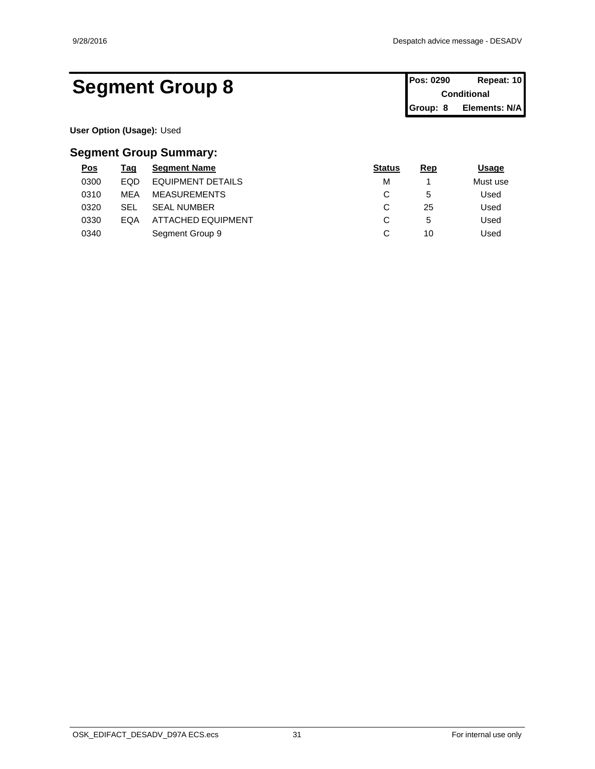### Segment Group 8 **Pos: 0290 Repeat: 10 Pos: 0290 Repeat: 10**

**Conditional Group: 8 Elements: N/A**

**User Option (Usage):** Used

| <u>Pos</u> | <u>Tag</u> | <b>Segment Name</b>       | <b>Status</b> | Rep          | <u>Usage</u> |
|------------|------------|---------------------------|---------------|--------------|--------------|
| 0300       | <b>EQD</b> | EQUIPMENT DETAILS         | M             |              | Must use     |
| 0310       | <b>MEA</b> | <b>MEASUREMENTS</b>       | ັ             | 5            | Used         |
| 0320       | SEL        | <b>SEAL NUMBER</b>        | $\sim$<br>ັ   | 25           | Used         |
| 0330       | EQA        | <b>ATTACHED EQUIPMENT</b> | ັ             | $\mathbf{D}$ | Used         |
| 0340       |            | Segment Group 9           | ັ             | 10           | Used         |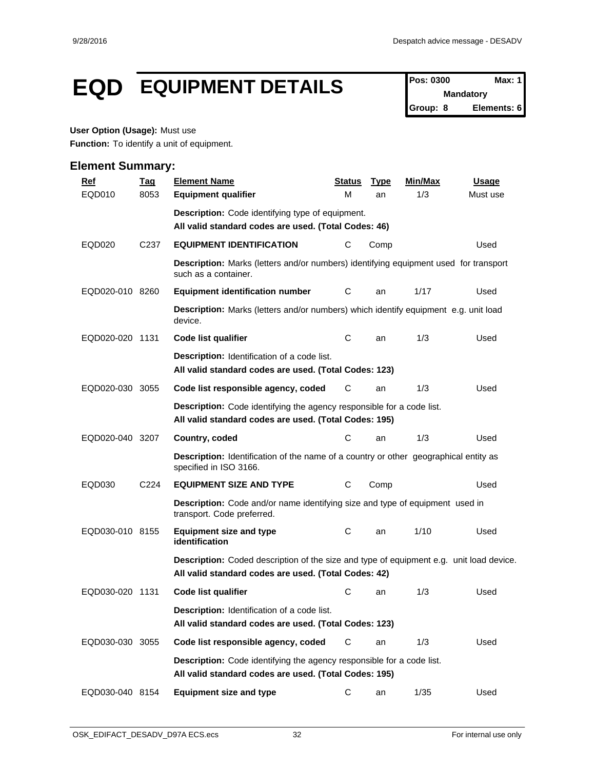### **EQD EQUIPMENT DETAILS Pos: 0300 Max: 1**

**Mandatory Group: 8 Elements: 6**

#### **User Option (Usage):** Must use

**Function:** To identify a unit of equipment.

| <b>Ref</b>      | <u>Tag</u>       | <b>Element Name</b>                                                                                                                             | Status | <b>Type</b> | Min/Max | <b>Usage</b> |
|-----------------|------------------|-------------------------------------------------------------------------------------------------------------------------------------------------|--------|-------------|---------|--------------|
| EQD010          | 8053             | <b>Equipment qualifier</b>                                                                                                                      | М      | an          | 1/3     | Must use     |
|                 |                  | <b>Description:</b> Code identifying type of equipment.<br>All valid standard codes are used. (Total Codes: 46)                                 |        |             |         |              |
| EQD020          | C <sub>237</sub> | <b>EQUIPMENT IDENTIFICATION</b>                                                                                                                 | С      | Comp        |         | Used         |
|                 |                  | <b>Description:</b> Marks (letters and/or numbers) identifying equipment used for transport<br>such as a container.                             |        |             |         |              |
| EQD020-010 8260 |                  | <b>Equipment identification number</b>                                                                                                          | С      | an          | 1/17    | Used         |
|                 |                  | Description: Marks (letters and/or numbers) which identify equipment e.g. unit load<br>device.                                                  |        |             |         |              |
| EQD020-020 1131 |                  | Code list qualifier                                                                                                                             | С      | an          | 1/3     | Used         |
|                 |                  | <b>Description:</b> Identification of a code list.<br>All valid standard codes are used. (Total Codes: 123)                                     |        |             |         |              |
| EQD020-030 3055 |                  | Code list responsible agency, coded                                                                                                             | С      | an          | 1/3     | Used         |
|                 |                  | <b>Description:</b> Code identifying the agency responsible for a code list.<br>All valid standard codes are used. (Total Codes: 195)           |        |             |         |              |
| EQD020-040 3207 |                  | Country, coded                                                                                                                                  | С      | an          | 1/3     | Used         |
|                 |                  | <b>Description:</b> Identification of the name of a country or other geographical entity as<br>specified in ISO 3166.                           |        |             |         |              |
| EQD030          | C224             | <b>EQUIPMENT SIZE AND TYPE</b>                                                                                                                  | С      | Comp        |         | Used         |
|                 |                  | <b>Description:</b> Code and/or name identifying size and type of equipment used in<br>transport. Code preferred.                               |        |             |         |              |
| EQD030-010 8155 |                  | <b>Equipment size and type</b><br>identification                                                                                                | C      | an          | 1/10    | Used         |
|                 |                  | Description: Coded description of the size and type of equipment e.g. unit load device.<br>All valid standard codes are used. (Total Codes: 42) |        |             |         |              |
| EQD030-020 1131 |                  | Code list qualifier                                                                                                                             | С      | an          | 1/3     | Used         |
|                 |                  | <b>Description:</b> Identification of a code list.<br>All valid standard codes are used. (Total Codes: 123)                                     |        |             |         |              |
| EQD030-030 3055 |                  | Code list responsible agency, coded                                                                                                             | C      | an          | 1/3     | Used         |
|                 |                  | Description: Code identifying the agency responsible for a code list.<br>All valid standard codes are used. (Total Codes: 195)                  |        |             |         |              |
| EQD030-040 8154 |                  | <b>Equipment size and type</b>                                                                                                                  | С      | an          | 1/35    | Used         |
|                 |                  |                                                                                                                                                 |        |             |         |              |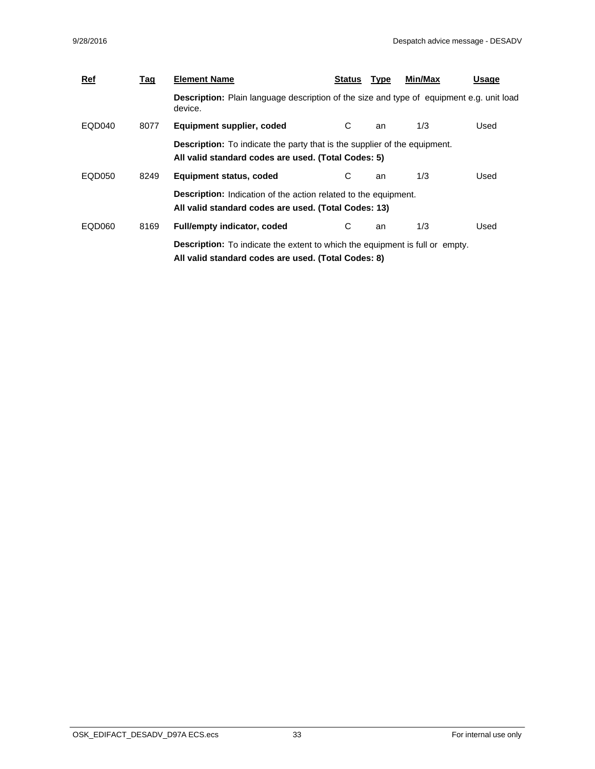| Ref    | <u>Tag</u> | <b>Element Name</b>                                                                                                                        | Status | Type | Min/Max | Usage |
|--------|------------|--------------------------------------------------------------------------------------------------------------------------------------------|--------|------|---------|-------|
|        |            | <b>Description:</b> Plain language description of the size and type of equipment e.g. unit load<br>device.                                 |        |      |         |       |
| EQD040 | 8077       | Equipment supplier, coded                                                                                                                  | C.     | an   | 1/3     | Used  |
|        |            | <b>Description:</b> To indicate the party that is the supplier of the equipment.<br>All valid standard codes are used. (Total Codes: 5)    |        |      |         |       |
| EQD050 | 8249       | Equipment status, coded                                                                                                                    | С      | an   | 1/3     | Used  |
|        |            | <b>Description:</b> Indication of the action related to the equipment.<br>All valid standard codes are used. (Total Codes: 13)             |        |      |         |       |
| EQD060 | 8169       | <b>Full/empty indicator, coded</b>                                                                                                         | C      | an   | 1/3     | Used  |
|        |            | <b>Description:</b> To indicate the extent to which the equipment is full or empty.<br>All valid standard codes are used. (Total Codes: 8) |        |      |         |       |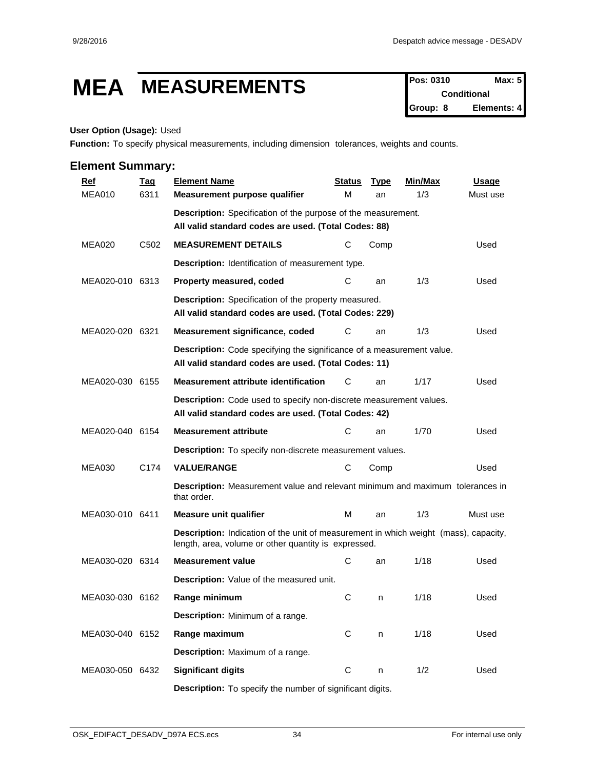# **MEA MEASUREMENTS Pos: 0310 Max: 5**

**Conditional Group: 8 Elements: 4**

#### **User Option (Usage):** Used

**Function:** To specify physical measurements, including dimension tolerances, weights and counts.

| <b>Ref</b>      | <u>Tag</u>       | <b>Element Name</b>                                                                                                                          | <b>Status</b> | <b>Type</b> | <b>Min/Max</b> | <b>Usage</b> |  |  |  |
|-----------------|------------------|----------------------------------------------------------------------------------------------------------------------------------------------|---------------|-------------|----------------|--------------|--|--|--|
| <b>MEA010</b>   | 6311             | Measurement purpose qualifier                                                                                                                | м             | an          | 1/3            | Must use     |  |  |  |
|                 |                  | <b>Description:</b> Specification of the purpose of the measurement.                                                                         |               |             |                |              |  |  |  |
|                 |                  | All valid standard codes are used. (Total Codes: 88)                                                                                         |               |             |                |              |  |  |  |
| <b>MEA020</b>   | C <sub>502</sub> | <b>MEASUREMENT DETAILS</b>                                                                                                                   | С             | Comp        |                | Used         |  |  |  |
|                 |                  | Description: Identification of measurement type.                                                                                             |               |             |                |              |  |  |  |
| MEA020-010 6313 |                  | Property measured, coded                                                                                                                     | С             | an          | 1/3            | Used         |  |  |  |
|                 |                  | Description: Specification of the property measured.<br>All valid standard codes are used. (Total Codes: 229)                                |               |             |                |              |  |  |  |
| MEA020-020 6321 |                  | Measurement significance, coded                                                                                                              | С             | an          | 1/3            | Used         |  |  |  |
|                 |                  | Description: Code specifying the significance of a measurement value.<br>All valid standard codes are used. (Total Codes: 11)                |               |             |                |              |  |  |  |
| MEA020-030 6155 |                  | <b>Measurement attribute identification</b>                                                                                                  | С             | an          | 1/17           | Used         |  |  |  |
|                 |                  | Description: Code used to specify non-discrete measurement values.<br>All valid standard codes are used. (Total Codes: 42)                   |               |             |                |              |  |  |  |
| MEA020-040 6154 |                  | <b>Measurement attribute</b>                                                                                                                 | С             | an          | 1/70           | Used         |  |  |  |
|                 |                  | Description: To specify non-discrete measurement values.                                                                                     |               |             |                |              |  |  |  |
| <b>MEA030</b>   | C174             | <b>VALUE/RANGE</b>                                                                                                                           | С             | Comp        |                | Used         |  |  |  |
|                 |                  | <b>Description:</b> Measurement value and relevant minimum and maximum tolerances in<br>that order.                                          |               |             |                |              |  |  |  |
| MEA030-010 6411 |                  | <b>Measure unit qualifier</b>                                                                                                                | м             | an          | 1/3            | Must use     |  |  |  |
|                 |                  | Description: Indication of the unit of measurement in which weight (mass), capacity,<br>length, area, volume or other quantity is expressed. |               |             |                |              |  |  |  |
| MEA030-020 6314 |                  | <b>Measurement value</b>                                                                                                                     | С             | an          | 1/18           | Used         |  |  |  |
|                 |                  | Description: Value of the measured unit.                                                                                                     |               |             |                |              |  |  |  |
| MEA030-030 6162 |                  | Range minimum                                                                                                                                | C             | n           | 1/18           | Used         |  |  |  |
|                 |                  | Description: Minimum of a range.                                                                                                             |               |             |                |              |  |  |  |
| MEA030-040 6152 |                  | Range maximum                                                                                                                                | C             | n           | 1/18           | Used         |  |  |  |
|                 |                  | Description: Maximum of a range.                                                                                                             |               |             |                |              |  |  |  |
| MEA030-050 6432 |                  | <b>Significant digits</b>                                                                                                                    | $\mathbf C$   | n           | 1/2            | Used         |  |  |  |
|                 |                  | Description: To specify the number of significant digits.                                                                                    |               |             |                |              |  |  |  |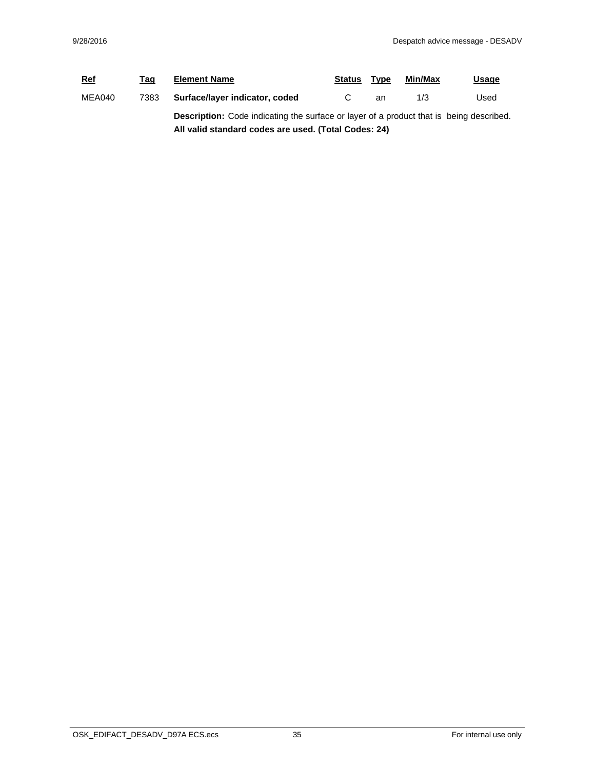| <b>Ref</b> | Tag  | <b>Element Name</b>                                                                            | <b>Status</b> | Type | Min/Max | <u>Usage</u> |  |
|------------|------|------------------------------------------------------------------------------------------------|---------------|------|---------|--------------|--|
| MEA040     | 7383 | Surface/layer indicator, coded                                                                 |               | an   | 1/3     | Used         |  |
|            |      | <b>Description:</b> Code indicating the surface or layer of a product that is being described. |               |      |         |              |  |
|            |      | All valid standard codes are used. (Total Codes: 24)                                           |               |      |         |              |  |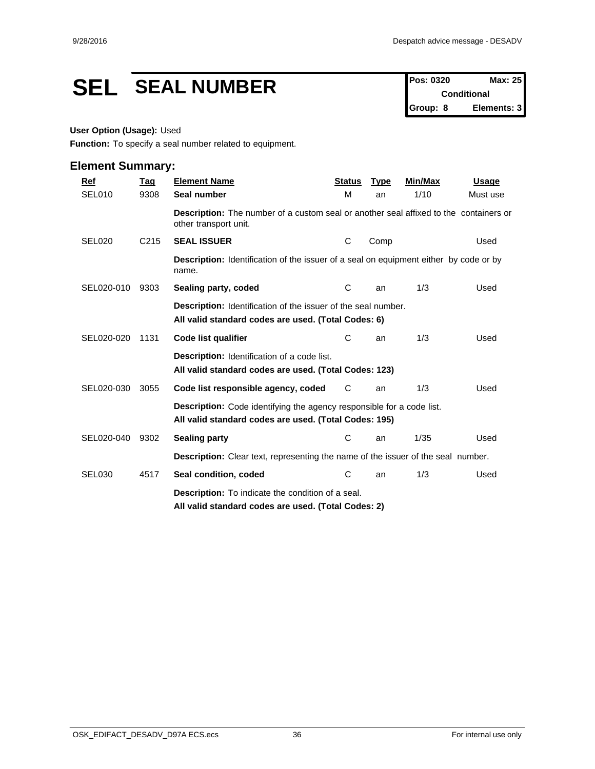# **SEL SEAL NUMBER Pos: 0320 Max: 25**

**Conditional Group: 8 Elements: 3**

#### **User Option (Usage):** Used

**Function:** To specify a seal number related to equipment.

| Ref                | <b>Tag</b>       | <b>Element Name</b>                                                                                                            | <b>Status</b> | <b>Type</b> | Min/Max | <b>Usage</b> |  |  |
|--------------------|------------------|--------------------------------------------------------------------------------------------------------------------------------|---------------|-------------|---------|--------------|--|--|
| SEL010             | 9308             | Seal number                                                                                                                    | M             | an          | 1/10    | Must use     |  |  |
|                    |                  | <b>Description:</b> The number of a custom seal or another seal affixed to the containers or<br>other transport unit.          |               |             |         |              |  |  |
| <b>SEL020</b>      | C <sub>215</sub> | <b>SEAL ISSUER</b>                                                                                                             | C             | Comp        |         | Used         |  |  |
|                    |                  | <b>Description:</b> Identification of the issuer of a seal on equipment either by code or by<br>name.                          |               |             |         |              |  |  |
| SEL020-010         | 9303             | Sealing party, coded                                                                                                           | C             | an          | 1/3     | Used         |  |  |
|                    |                  | Description: Identification of the issuer of the seal number.<br>All valid standard codes are used. (Total Codes: 6)           |               |             |         |              |  |  |
| SEL020-020         | 1131             | Code list qualifier                                                                                                            | С             | an          | 1/3     | Used         |  |  |
|                    |                  | <b>Description:</b> Identification of a code list.<br>All valid standard codes are used. (Total Codes: 123)                    |               |             |         |              |  |  |
| SEL020-030         | 3055             | Code list responsible agency, coded                                                                                            | C             | an          | 1/3     | Used         |  |  |
|                    |                  | Description: Code identifying the agency responsible for a code list.<br>All valid standard codes are used. (Total Codes: 195) |               |             |         |              |  |  |
| SEL020-040         | 9302             | <b>Sealing party</b>                                                                                                           | С             | an          | 1/35    | Used         |  |  |
|                    |                  | <b>Description:</b> Clear text, representing the name of the issuer of the seal number.                                        |               |             |         |              |  |  |
| SEL <sub>030</sub> | 4517             | Seal condition, coded                                                                                                          | С             | an          | 1/3     | Used         |  |  |
|                    |                  | <b>Description:</b> To indicate the condition of a seal.<br>All valid standard codes are used. (Total Codes: 2)                |               |             |         |              |  |  |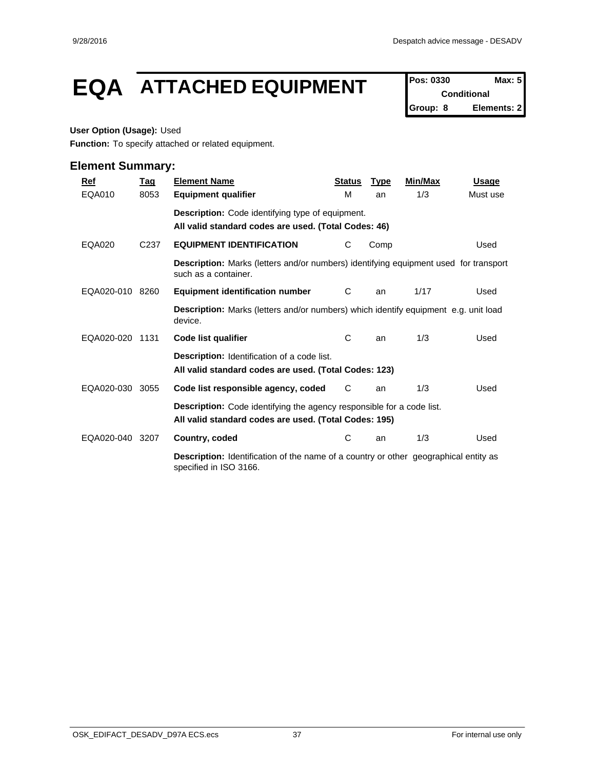# **EQA ATTACHED EQUIPMENT Pos: 0330 Max: 5**

**Conditional Group: 8 Elements: 2**

#### **User Option (Usage):** Used

**Function:** To specify attached or related equipment.

| $Ref$         | Tag              | <b>Element Name</b>                                                                                                                   | <b>Status</b> | <b>Type</b> | Min/Max | <b>Usage</b> |
|---------------|------------------|---------------------------------------------------------------------------------------------------------------------------------------|---------------|-------------|---------|--------------|
| EQA010        | 8053             | <b>Equipment qualifier</b>                                                                                                            | м             | an          | 1/3     | Must use     |
|               |                  | Description: Code identifying type of equipment.<br>All valid standard codes are used. (Total Codes: 46)                              |               |             |         |              |
| <b>EQA020</b> | C <sub>237</sub> | <b>EQUIPMENT IDENTIFICATION</b>                                                                                                       | C             | Comp        |         | Used         |
|               |                  | <b>Description:</b> Marks (letters and/or numbers) identifying equipment used for transport<br>such as a container.                   |               |             |         |              |
| EQA020-010    | 8260             | <b>Equipment identification number</b>                                                                                                | C             | an          | 1/17    | Used         |
|               |                  | <b>Description:</b> Marks (letters and/or numbers) which identify equipment e.g. unit load<br>device.                                 |               |             |         |              |
| EQA020-020    | 1131             | Code list qualifier                                                                                                                   | C             | an          | 1/3     | Used         |
|               |                  | <b>Description:</b> Identification of a code list.<br>All valid standard codes are used. (Total Codes: 123)                           |               |             |         |              |
| EQA020-030    | 3055             | Code list responsible agency, coded                                                                                                   | C             | an          | 1/3     | Used         |
|               |                  | <b>Description:</b> Code identifying the agency responsible for a code list.<br>All valid standard codes are used. (Total Codes: 195) |               |             |         |              |
| EQA020-040    | 3207             | Country, coded                                                                                                                        | С             | an          | 1/3     | Used         |
|               |                  | <b>Description:</b> Identification of the name of a country or other geographical entity as<br>specified in ISO 3166.                 |               |             |         |              |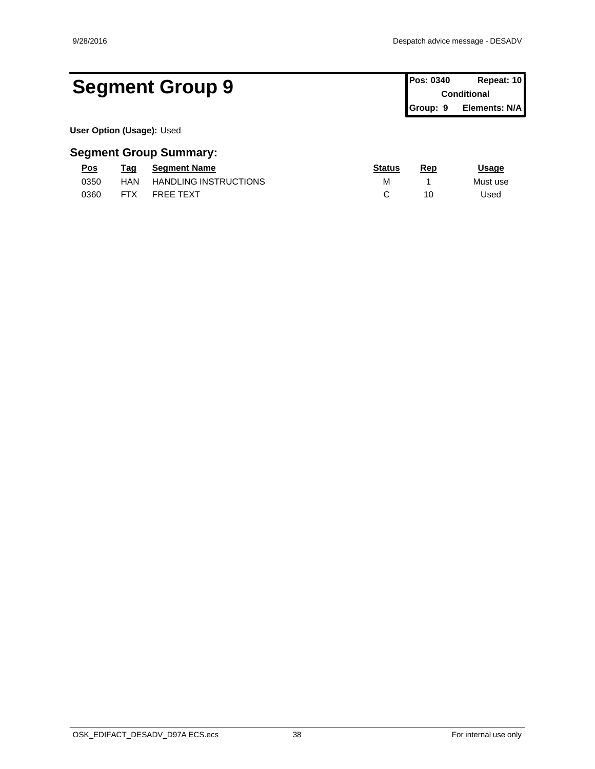# Segment Group 9 **Pos: 0340 Repeat: 10 Conditional**

**Conditional Group: 9 Elements: N/A**

**User Option (Usage):** Used

| Pos  | Taq        | <b>Segment Name</b>          | <b>Status</b> | Rep | <u>Usage</u> |
|------|------------|------------------------------|---------------|-----|--------------|
| 0350 | HAN        | <b>HANDLING INSTRUCTIONS</b> | Μ             |     | Must use     |
| 0360 | <b>FTX</b> | <b>FREE TEXT</b>             |               | 10  | Jsed         |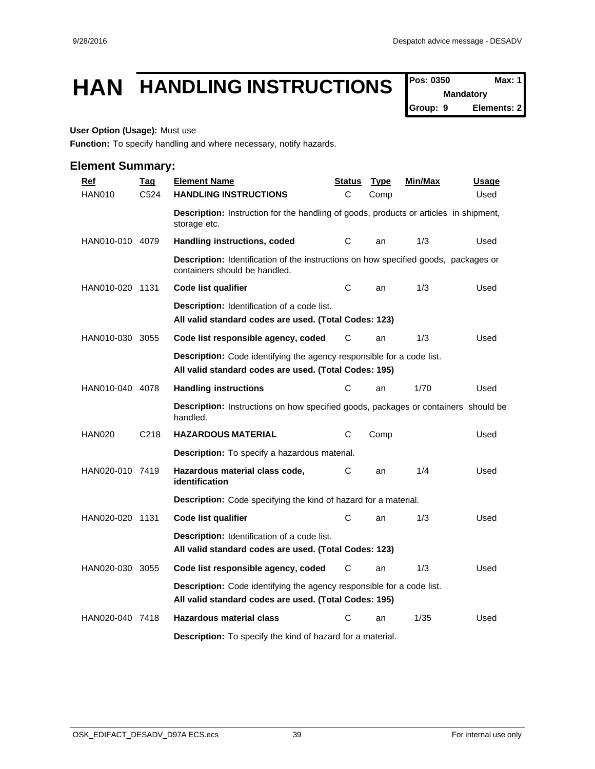# **HAN HANDLING INSTRUCTIONS**  $\int_{\text{Pois: 0350}}^{\text{Pos: 0350}}$  Max: 1

**Mandatory**

**Group: 9 Elements: 2**

### **User Option (Usage):** Must use

**Function:** To specify handling and where necessary, notify hazards.

| <b>Ref</b>      | <b>Tag</b> | <b>Element Name</b>                                                                                                                   | <u>Status</u> | <b>Type</b> | <u>Min/Max</u> | <u>Usage</u> |
|-----------------|------------|---------------------------------------------------------------------------------------------------------------------------------------|---------------|-------------|----------------|--------------|
| <b>HAN010</b>   | C524       | <b>HANDLING INSTRUCTIONS</b>                                                                                                          | C             | Comp        |                | Used         |
|                 |            | <b>Description:</b> Instruction for the handling of goods, products or articles in shipment,<br>storage etc.                          |               |             |                |              |
| HAN010-010 4079 |            | Handling instructions, coded                                                                                                          | С             | an          | 1/3            | Used         |
|                 |            | Description: Identification of the instructions on how specified goods, packages or<br>containers should be handled.                  |               |             |                |              |
| HAN010-020 1131 |            | Code list qualifier                                                                                                                   | С             | an          | 1/3            | Used         |
|                 |            | <b>Description:</b> Identification of a code list.<br>All valid standard codes are used. (Total Codes: 123)                           |               |             |                |              |
| HAN010-030 3055 |            | Code list responsible agency, coded                                                                                                   | С             | an          | 1/3            | Used         |
|                 |            | <b>Description:</b> Code identifying the agency responsible for a code list.<br>All valid standard codes are used. (Total Codes: 195) |               |             |                |              |
| HAN010-040 4078 |            | <b>Handling instructions</b>                                                                                                          | С             | an          | 1/70           | Used         |
|                 |            | <b>Description:</b> Instructions on how specified goods, packages or containers should be<br>handled.                                 |               |             |                |              |
| <b>HAN020</b>   | C218       | <b>HAZARDOUS MATERIAL</b>                                                                                                             | С             | Comp        |                | Used         |
|                 |            | <b>Description:</b> To specify a hazardous material.                                                                                  |               |             |                |              |
| HAN020-010 7419 |            | Hazardous material class code,<br>identification                                                                                      | С             | an          | 1/4            | Used         |
|                 |            | <b>Description:</b> Code specifying the kind of hazard for a material.                                                                |               |             |                |              |
| HAN020-020 1131 |            | Code list qualifier                                                                                                                   | C             | an          | 1/3            | Used         |
|                 |            | <b>Description:</b> Identification of a code list.<br>All valid standard codes are used. (Total Codes: 123)                           |               |             |                |              |
| HAN020-030 3055 |            | Code list responsible agency, coded                                                                                                   | C             | an          | 1/3            | Used         |
|                 |            | Description: Code identifying the agency responsible for a code list.<br>All valid standard codes are used. (Total Codes: 195)        |               |             |                |              |
| HAN020-040 7418 |            | <b>Hazardous material class</b>                                                                                                       | C             | an          | 1/35           | Used         |
|                 |            | <b>Description:</b> To specify the kind of hazard for a material.                                                                     |               |             |                |              |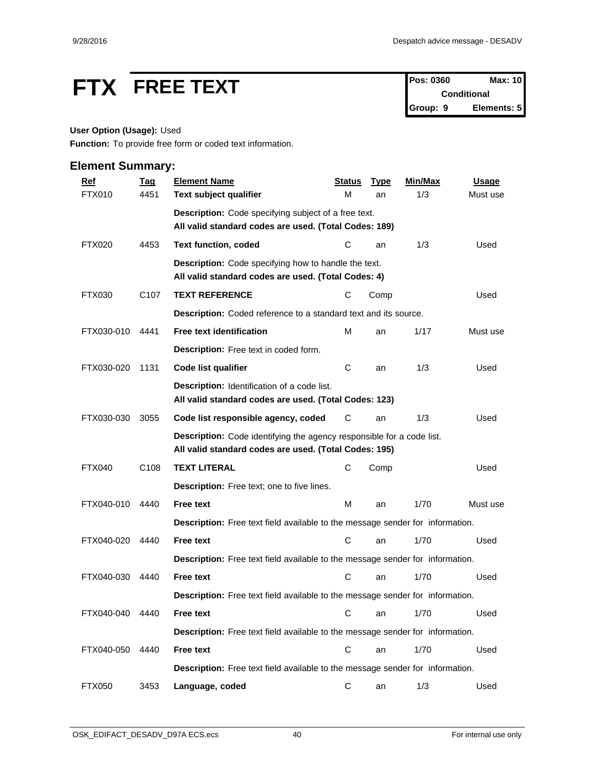# **FTX FREE TEXT Pos: 0360 Max: 10**<br>Conditional

**Conditional Group: 9 Elements: 5**

## **User Option (Usage):** Used

**Function:** To provide free form or coded text information.

| <b>Ref</b>    | <b>Tag</b>       | <b>Element Name</b>                                                                                                            | <b>Status</b> | <b>Type</b> | Min/Max | <b>Usage</b> |
|---------------|------------------|--------------------------------------------------------------------------------------------------------------------------------|---------------|-------------|---------|--------------|
| <b>FTX010</b> | 4451             | Text subject qualifier                                                                                                         | М             | an          | 1/3     | Must use     |
|               |                  | Description: Code specifying subject of a free text.                                                                           |               |             |         |              |
|               |                  | All valid standard codes are used. (Total Codes: 189)                                                                          |               |             |         |              |
| <b>FTX020</b> | 4453             | <b>Text function, coded</b>                                                                                                    | C             | an          | 1/3     | Used         |
|               |                  | <b>Description:</b> Code specifying how to handle the text.<br>All valid standard codes are used. (Total Codes: 4)             |               |             |         |              |
| FTX030        | C <sub>107</sub> | <b>TEXT REFERENCE</b>                                                                                                          | С             | Comp        |         | Used         |
|               |                  | Description: Coded reference to a standard text and its source.                                                                |               |             |         |              |
| FTX030-010    | 4441             | <b>Free text identification</b>                                                                                                | м             | an          | 1/17    | Must use     |
|               |                  | Description: Free text in coded form.                                                                                          |               |             |         |              |
| FTX030-020    | 1131             | Code list qualifier                                                                                                            | C             | an          | 1/3     | Used         |
|               |                  | Description: Identification of a code list.<br>All valid standard codes are used. (Total Codes: 123)                           |               |             |         |              |
| FTX030-030    | 3055             | Code list responsible agency, coded                                                                                            | С             | an          | 1/3     | Used         |
|               |                  | Description: Code identifying the agency responsible for a code list.<br>All valid standard codes are used. (Total Codes: 195) |               |             |         |              |
| <b>FTX040</b> | C <sub>108</sub> | <b>TEXT LITERAL</b>                                                                                                            | C             | Comp        |         | Used         |
|               |                  | Description: Free text; one to five lines.                                                                                     |               |             |         |              |
| FTX040-010    | 4440             | Free text                                                                                                                      | M             | an          | 1/70    | Must use     |
|               |                  | Description: Free text field available to the message sender for information.                                                  |               |             |         |              |
| FTX040-020    | 4440             | Free text                                                                                                                      | С             | an          | 1/70    | Used         |
|               |                  | Description: Free text field available to the message sender for information.                                                  |               |             |         |              |
| FTX040-030    | 4440             | <b>Free text</b>                                                                                                               | C             | an          | 1/70    | Used         |
|               |                  | Description: Free text field available to the message sender for information.                                                  |               |             |         |              |
| FTX040-040    | 4440             | <b>Free text</b>                                                                                                               |               | C an        | 1/70    | Used         |
|               |                  | Description: Free text field available to the message sender for information.                                                  |               |             |         |              |
| FTX040-050    | 4440             | Free text                                                                                                                      | $\mathbf C$   | an          | 1/70    | Used         |
|               |                  | Description: Free text field available to the message sender for information.                                                  |               |             |         |              |
| <b>FTX050</b> | 3453             | Language, coded                                                                                                                | C             | an          | 1/3     | Used         |
|               |                  |                                                                                                                                |               |             |         |              |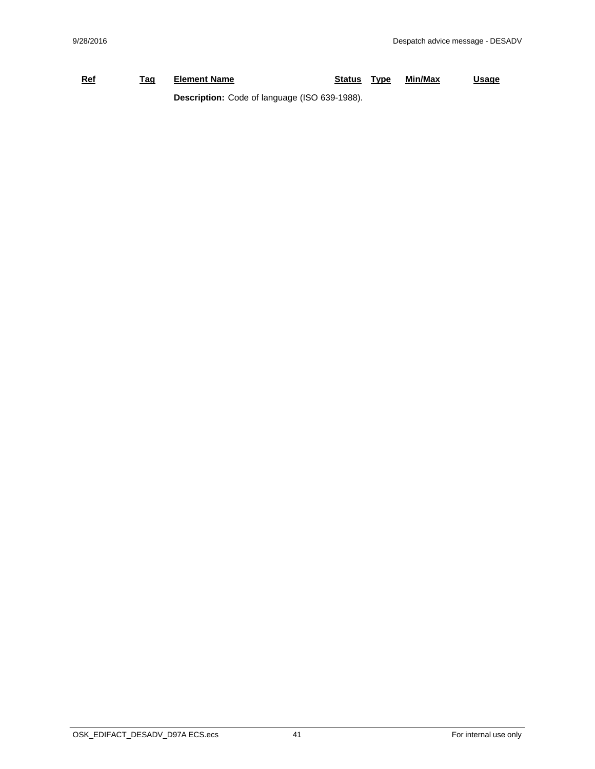## **Ref Tag Element Name Status Type Min/Max Usage Description:** Code of language (ISO 639-1988).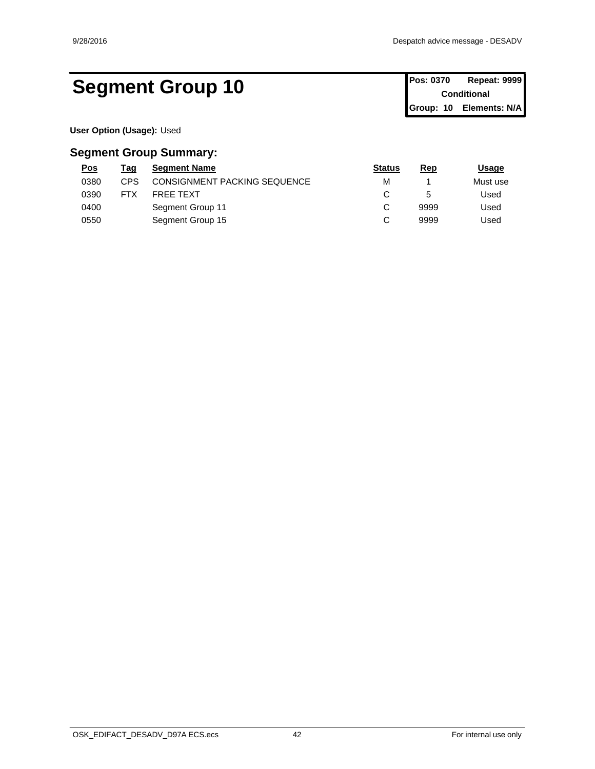# Segment Group 10 **Pos: 0370** Repeat: 9999

**Conditional Group: 10 Elements: N/A**

**User Option (Usage):** Used

| <u>Pos</u> | Tag        | <b>Segment Name</b>                 | <b>Status</b> | Rep  | <u>Usage</u> |
|------------|------------|-------------------------------------|---------------|------|--------------|
| 0380       | CPS        | <b>CONSIGNMENT PACKING SEQUENCE</b> | М             |      | Must use     |
| 0390       | <b>FTX</b> | FREE TEXT                           |               |      | Used         |
| 0400       |            | Segment Group 11                    |               | 9999 | Used         |
| 0550       |            | Segment Group 15                    |               | 9999 | Used         |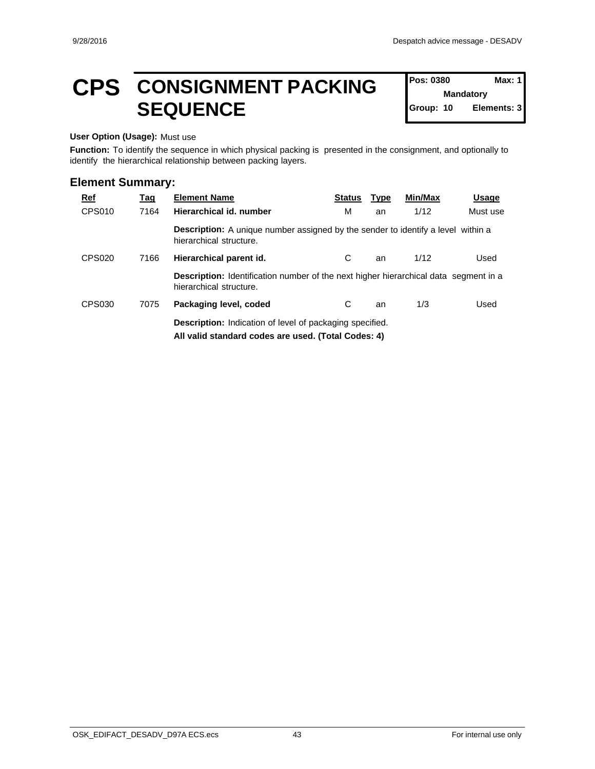**Mandatory**

Elements: 3

**Pos: 0380** 

# **CPS** CONSIGNMENT PACKING Pos: 0380 Max: 1 **SEQUENCE**

#### **User Option (Usage):** Must use

**Function:** To identify the sequence in which physical packing is presented in the consignment, and optionally to identify the hierarchical relationship between packing layers.

| <u>Ref</u>    | <u>Taq</u> | <b>Element Name</b>                                                                                                    | <b>Status</b> | <b>Type</b> | Min/Max | <u>Usage</u> |
|---------------|------------|------------------------------------------------------------------------------------------------------------------------|---------------|-------------|---------|--------------|
| CPS010        | 7164       | Hierarchical id. number                                                                                                | м             | an          | 1/12    | Must use     |
|               |            | <b>Description:</b> A unique number assigned by the sender to identify a level within a<br>hierarchical structure.     |               |             |         |              |
| <b>CPS020</b> | 7166       | Hierarchical parent id.                                                                                                | С             | an          | 1/12    | Used         |
|               |            | <b>Description:</b> Identification number of the next higher hierarchical data segment in a<br>hierarchical structure. |               |             |         |              |
| CPS030        | 7075       | Packaging level, coded                                                                                                 | С             | an          | 1/3     | Used         |
|               |            | <b>Description:</b> Indication of level of packaging specified.                                                        |               |             |         |              |
|               |            | All valid standard codes are used. (Total Codes: 4)                                                                    |               |             |         |              |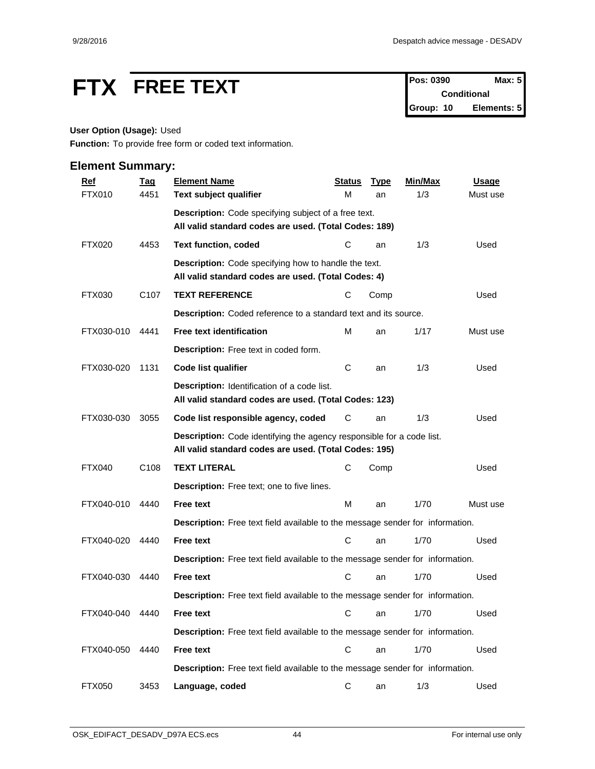# **FTX** FREE TEXT Pos: 0390 Max: 5

**Conditional Group: 10 Elements: 5**

#### **User Option (Usage):** Used

**Function:** To provide free form or coded text information.

| <b>Ref</b>    | <b>Tag</b>       | <b>Element Name</b>                                                                                                                   | <b>Status</b> | <b>Type</b> | Min/Max | <b>Usage</b> |
|---------------|------------------|---------------------------------------------------------------------------------------------------------------------------------------|---------------|-------------|---------|--------------|
| <b>FTX010</b> | 4451             | Text subject qualifier                                                                                                                | M             | an          | 1/3     | Must use     |
|               |                  | Description: Code specifying subject of a free text.                                                                                  |               |             |         |              |
|               |                  | All valid standard codes are used. (Total Codes: 189)                                                                                 |               |             |         |              |
| <b>FTX020</b> | 4453             | <b>Text function, coded</b>                                                                                                           | С             | an          | 1/3     | Used         |
|               |                  | <b>Description:</b> Code specifying how to handle the text.<br>All valid standard codes are used. (Total Codes: 4)                    |               |             |         |              |
| FTX030        | C <sub>107</sub> | <b>TEXT REFERENCE</b>                                                                                                                 | С             | Comp        |         | Used         |
|               |                  | Description: Coded reference to a standard text and its source.                                                                       |               |             |         |              |
| FTX030-010    | 4441             | <b>Free text identification</b>                                                                                                       | M             | an          | 1/17    | Must use     |
|               |                  | Description: Free text in coded form.                                                                                                 |               |             |         |              |
| FTX030-020    | 1131             | Code list qualifier                                                                                                                   | C             | an          | 1/3     | Used         |
|               |                  | Description: Identification of a code list.<br>All valid standard codes are used. (Total Codes: 123)                                  |               |             |         |              |
| FTX030-030    | 3055             | Code list responsible agency, coded                                                                                                   | С             | an          | 1/3     | Used         |
|               |                  | <b>Description:</b> Code identifying the agency responsible for a code list.<br>All valid standard codes are used. (Total Codes: 195) |               |             |         |              |
| <b>FTX040</b> | C <sub>108</sub> | <b>TEXT LITERAL</b>                                                                                                                   | С             | Comp        |         | Used         |
|               |                  | Description: Free text; one to five lines.                                                                                            |               |             |         |              |
| FTX040-010    | 4440             | <b>Free text</b>                                                                                                                      | M             | an          | 1/70    | Must use     |
|               |                  | Description: Free text field available to the message sender for information.                                                         |               |             |         |              |
| FTX040-020    | 4440             | <b>Free text</b>                                                                                                                      | C             | an          | 1/70    | Used         |
|               |                  | Description: Free text field available to the message sender for information.                                                         |               |             |         |              |
| FTX040-030    | 4440             | <b>Free text</b>                                                                                                                      | C             | an          | 1/70    | Used         |
|               |                  | Description: Free text field available to the message sender for information.                                                         |               |             |         |              |
| FTX040-040    | 4440             | <b>Free text</b>                                                                                                                      |               | C an        | 1/70    | Used         |
|               |                  | Description: Free text field available to the message sender for information.                                                         |               |             |         |              |
| FTX040-050    | 4440             | Free text                                                                                                                             | $\mathbf C$   | an          | 1/70    | Used         |
|               |                  | Description: Free text field available to the message sender for information.                                                         |               |             |         |              |
| <b>FTX050</b> | 3453             | Language, coded                                                                                                                       | C             | an          | 1/3     | Used         |
|               |                  |                                                                                                                                       |               |             |         |              |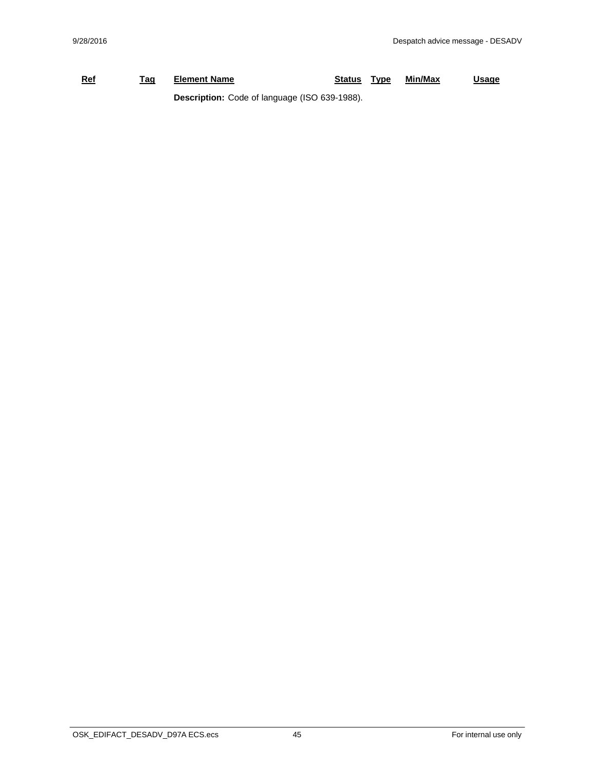## **Ref Tag Element Name Status Type Min/Max Usage Description:** Code of language (ISO 639-1988).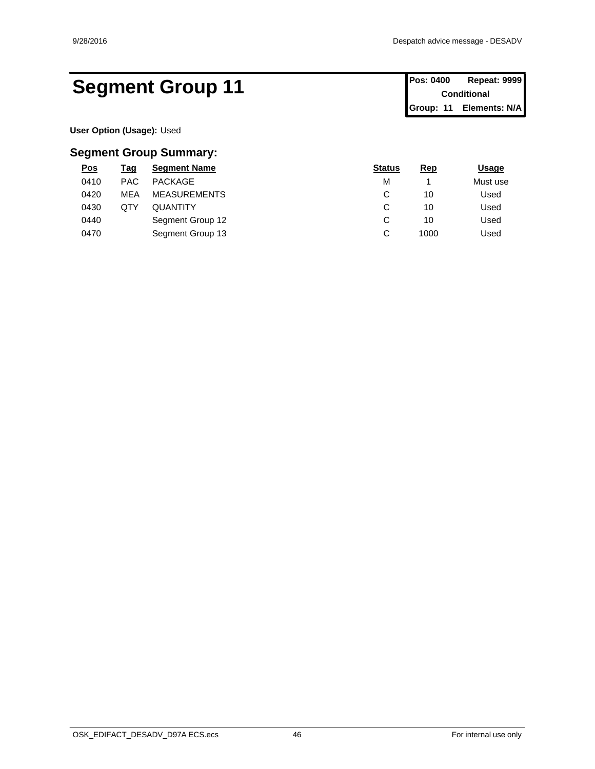# Segment Group 11 **Pos: 0400 Repeat: 9999**

**User Option (Usage):** Used

| <u>Pos</u> | <u>Tag</u> | <b>Segment Name</b> | <b>Status</b> | <b>Rep</b> | <b>Usage</b> |
|------------|------------|---------------------|---------------|------------|--------------|
| 0410       | <b>PAC</b> | PACKAGE             | M             |            | Must use     |
| 0420       | <b>MEA</b> | <b>MEASUREMENTS</b> | ⌒<br>ັ        | 10         | Used         |
| 0430       | QTY        | <b>QUANTITY</b>     | ⌒<br>ັ        | 10         | Used         |
| 0440       |            | Segment Group 12    | ⌒<br>ັ        | 10         | Used         |
| 0470       |            | Segment Group 13    | ⌒<br>ັ        | 1000       | Used         |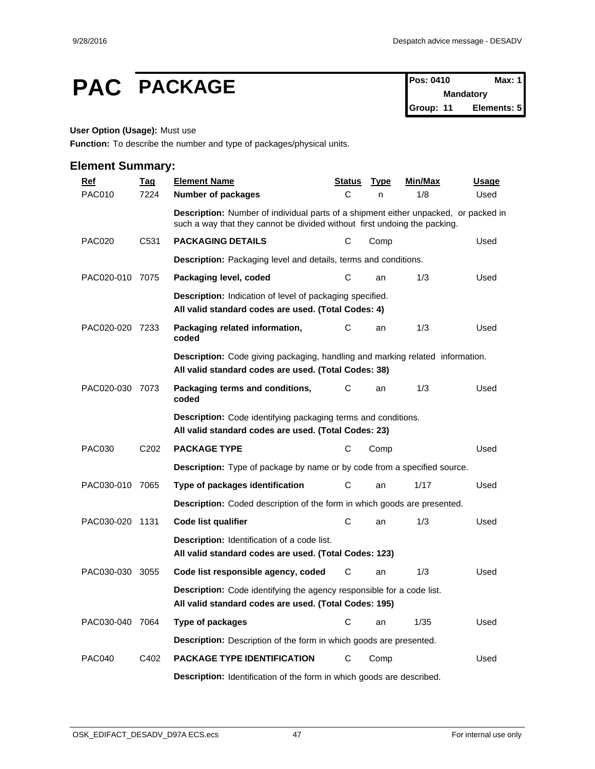# **PAC PACKAGE PACKAGE PACKAGE Pos: 0410 Max: 1**

**Mandatory Group: 11 Elements: 5**

#### **User Option (Usage):** Must use

**Function:** To describe the number and type of packages/physical units.

| <b>Element Summary:</b> |                  |                                                                                                                                                                  |        |             |                |       |
|-------------------------|------------------|------------------------------------------------------------------------------------------------------------------------------------------------------------------|--------|-------------|----------------|-------|
| Ref                     | <b>Tag</b>       | <b>Element Name</b>                                                                                                                                              | Status | <b>Type</b> | <b>Min/Max</b> | Usage |
| <b>PAC010</b>           | 7224             | Number of packages                                                                                                                                               | C      | n           | 1/8            | Used  |
|                         |                  | Description: Number of individual parts of a shipment either unpacked, or packed in<br>such a way that they cannot be divided without first undoing the packing. |        |             |                |       |
| <b>PAC020</b>           | C531             | <b>PACKAGING DETAILS</b>                                                                                                                                         | C      | Comp        |                | Used  |
|                         |                  | Description: Packaging level and details, terms and conditions.                                                                                                  |        |             |                |       |
| PAC020-010 7075         |                  | Packaging level, coded                                                                                                                                           | C      | an          | 1/3            | Used  |
|                         |                  | Description: Indication of level of packaging specified.<br>All valid standard codes are used. (Total Codes: 4)                                                  |        |             |                |       |
| PAC020-020 7233         |                  | Packaging related information,<br>coded                                                                                                                          | C      | an          | 1/3            | Used  |
|                         |                  | <b>Description:</b> Code giving packaging, handling and marking related information.<br>All valid standard codes are used. (Total Codes: 38)                     |        |             |                |       |
| PAC020-030 7073         |                  | Packaging terms and conditions,<br>coded                                                                                                                         | C      | an          | 1/3            | Used  |
|                         |                  | <b>Description:</b> Code identifying packaging terms and conditions.<br>All valid standard codes are used. (Total Codes: 23)                                     |        |             |                |       |
| <b>PAC030</b>           | C <sub>202</sub> | <b>PACKAGE TYPE</b>                                                                                                                                              | C      | Comp        |                | Used  |
|                         |                  | <b>Description:</b> Type of package by name or by code from a specified source.                                                                                  |        |             |                |       |
| PAC030-010 7065         |                  | Type of packages identification                                                                                                                                  | C      | an          | 1/17           | Used  |
|                         |                  | Description: Coded description of the form in which goods are presented.                                                                                         |        |             |                |       |
| PAC030-020 1131         |                  | Code list qualifier                                                                                                                                              | С      | an          | 1/3            | Used  |
|                         |                  | <b>Description:</b> Identification of a code list.<br>All valid standard codes are used. (Total Codes: 123)                                                      |        |             |                |       |
| PAC030-030 3055         |                  | Code list responsible agency, coded                                                                                                                              | C      | an          | 1/3            | Used  |
|                         |                  | <b>Description:</b> Code identifying the agency responsible for a code list.<br>All valid standard codes are used. (Total Codes: 195)                            |        |             |                |       |
| PAC030-040              | 7064             | Type of packages                                                                                                                                                 | C      | an          | 1/35           | Used  |
|                         |                  | Description: Description of the form in which goods are presented.                                                                                               |        |             |                |       |
| <b>PAC040</b>           | C402             | PACKAGE TYPE IDENTIFICATION                                                                                                                                      | C      | Comp        |                | Used  |
|                         |                  | Description: Identification of the form in which goods are described.                                                                                            |        |             |                |       |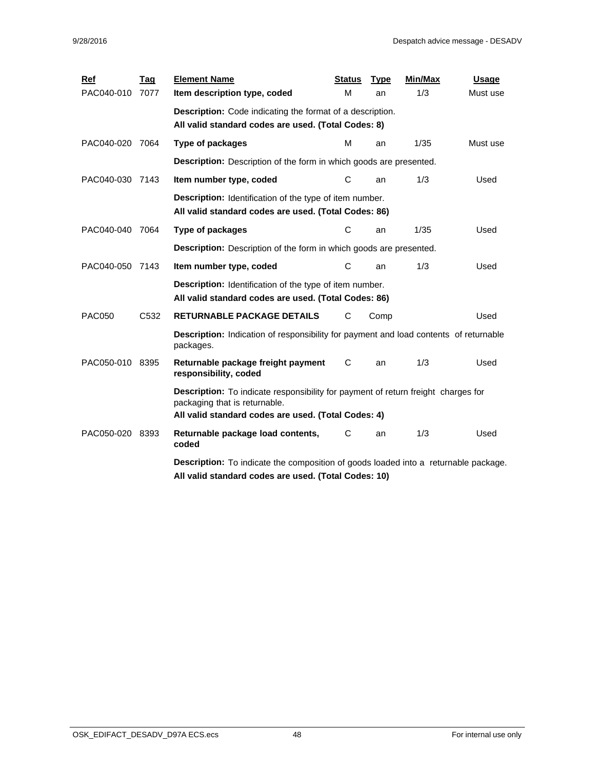| <b>Ref</b>      | <b>Tag</b> | <b>Element Name</b>                                                                                                                                                       | <b>Status</b> | <b>Type</b> | Min/Max | <b>Usage</b> |  |  |  |  |  |
|-----------------|------------|---------------------------------------------------------------------------------------------------------------------------------------------------------------------------|---------------|-------------|---------|--------------|--|--|--|--|--|
| PAC040-010 7077 |            | Item description type, coded                                                                                                                                              | M             | an          | 1/3     | Must use     |  |  |  |  |  |
|                 |            | <b>Description:</b> Code indicating the format of a description.                                                                                                          |               |             |         |              |  |  |  |  |  |
|                 |            | All valid standard codes are used. (Total Codes: 8)                                                                                                                       |               |             |         |              |  |  |  |  |  |
| PAC040-020      | 7064       | <b>Type of packages</b>                                                                                                                                                   | м             | an          | 1/35    | Must use     |  |  |  |  |  |
|                 |            | <b>Description:</b> Description of the form in which goods are presented.                                                                                                 |               |             |         |              |  |  |  |  |  |
| PAC040-030 7143 |            | Item number type, coded                                                                                                                                                   | C             | an          | 1/3     | Used         |  |  |  |  |  |
|                 |            | Description: Identification of the type of item number.<br>All valid standard codes are used. (Total Codes: 86)                                                           |               |             |         |              |  |  |  |  |  |
| PAC040-040      | 7064       | Type of packages                                                                                                                                                          | C             | an          | 1/35    | Used         |  |  |  |  |  |
|                 |            | <b>Description:</b> Description of the form in which goods are presented.                                                                                                 |               |             |         |              |  |  |  |  |  |
| PAC040-050 7143 |            | Item number type, coded                                                                                                                                                   | C             | an          | 1/3     | Used         |  |  |  |  |  |
|                 |            | Description: Identification of the type of item number.<br>All valid standard codes are used. (Total Codes: 86)                                                           |               |             |         |              |  |  |  |  |  |
| <b>PAC050</b>   | C532       | RETURNABLE PACKAGE DETAILS                                                                                                                                                | С             | Comp        |         | Used         |  |  |  |  |  |
|                 |            | <b>Description:</b> Indication of responsibility for payment and load contents of returnable<br>packages.                                                                 |               |             |         |              |  |  |  |  |  |
| PAC050-010 8395 |            | Returnable package freight payment<br>responsibility, coded                                                                                                               | C             | an          | 1/3     | Used         |  |  |  |  |  |
|                 |            | Description: To indicate responsibility for payment of return freight charges for<br>packaging that is returnable.<br>All valid standard codes are used. (Total Codes: 4) |               |             |         |              |  |  |  |  |  |
| PAC050-020      | 8393       | Returnable package load contents,<br>coded                                                                                                                                | С             | an          | 1/3     | Used         |  |  |  |  |  |
|                 |            | <b>Description:</b> To indicate the composition of goods loaded into a returnable package.<br>All valid standard codes are used. (Total Codes: 10)                        |               |             |         |              |  |  |  |  |  |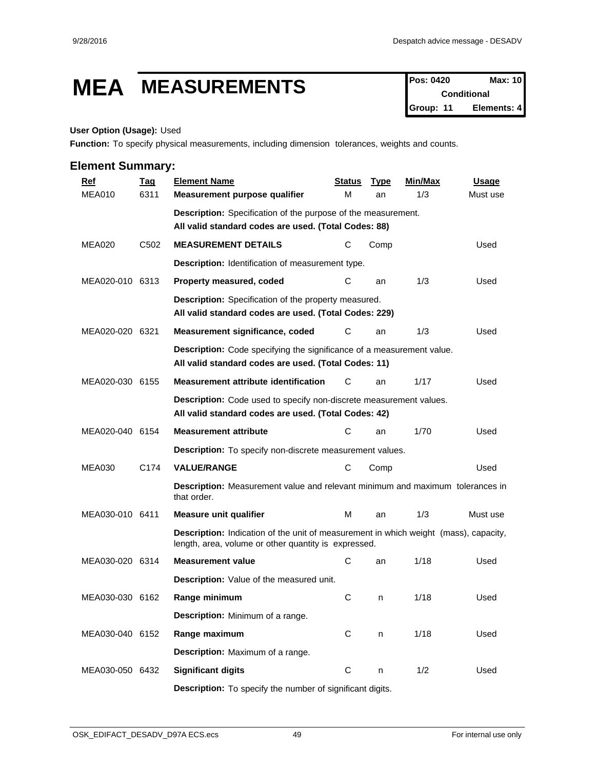# **MEA MEASUREMENTS Pos: 0420 Max: 10**

**Conditional Group: 11 Elements: 4**

#### **User Option (Usage):** Used

**Function:** To specify physical measurements, including dimension tolerances, weights and counts.

| <b>Ref</b>      | <u>Tag</u>       | <b>Element Name</b>                                                                                                                          | <b>Status</b> | <b>Type</b> | <b>Min/Max</b> | <b>Usage</b> |  |  |  |  |  |
|-----------------|------------------|----------------------------------------------------------------------------------------------------------------------------------------------|---------------|-------------|----------------|--------------|--|--|--|--|--|
| <b>MEA010</b>   | 6311             | Measurement purpose qualifier                                                                                                                | м             | an          | 1/3            | Must use     |  |  |  |  |  |
|                 |                  | <b>Description:</b> Specification of the purpose of the measurement.                                                                         |               |             |                |              |  |  |  |  |  |
|                 |                  | All valid standard codes are used. (Total Codes: 88)                                                                                         |               |             |                |              |  |  |  |  |  |
| <b>MEA020</b>   | C <sub>502</sub> | <b>MEASUREMENT DETAILS</b>                                                                                                                   | С             | Comp        |                | Used         |  |  |  |  |  |
|                 |                  | Description: Identification of measurement type.                                                                                             |               |             |                |              |  |  |  |  |  |
| MEA020-010 6313 |                  | Property measured, coded                                                                                                                     | С             | an          | 1/3            | Used         |  |  |  |  |  |
|                 |                  | Description: Specification of the property measured.<br>All valid standard codes are used. (Total Codes: 229)                                |               |             |                |              |  |  |  |  |  |
| MEA020-020 6321 |                  | Measurement significance, coded                                                                                                              | С             | an          | 1/3            | Used         |  |  |  |  |  |
|                 |                  | Description: Code specifying the significance of a measurement value.<br>All valid standard codes are used. (Total Codes: 11)                |               |             |                |              |  |  |  |  |  |
| MEA020-030 6155 |                  | <b>Measurement attribute identification</b>                                                                                                  | С             | an          | 1/17           | Used         |  |  |  |  |  |
|                 |                  | Description: Code used to specify non-discrete measurement values.<br>All valid standard codes are used. (Total Codes: 42)                   |               |             |                |              |  |  |  |  |  |
| MEA020-040 6154 |                  | <b>Measurement attribute</b>                                                                                                                 | С             | an          | 1/70           | Used         |  |  |  |  |  |
|                 |                  | Description: To specify non-discrete measurement values.                                                                                     |               |             |                |              |  |  |  |  |  |
| <b>MEA030</b>   | C174             | <b>VALUE/RANGE</b>                                                                                                                           | С             | Comp        |                | Used         |  |  |  |  |  |
|                 |                  | <b>Description:</b> Measurement value and relevant minimum and maximum tolerances in<br>that order.                                          |               |             |                |              |  |  |  |  |  |
| MEA030-010 6411 |                  | <b>Measure unit qualifier</b>                                                                                                                | м             | an          | 1/3            | Must use     |  |  |  |  |  |
|                 |                  | Description: Indication of the unit of measurement in which weight (mass), capacity,<br>length, area, volume or other quantity is expressed. |               |             |                |              |  |  |  |  |  |
| MEA030-020 6314 |                  | <b>Measurement value</b>                                                                                                                     | С             | an          | 1/18           | Used         |  |  |  |  |  |
|                 |                  | Description: Value of the measured unit.                                                                                                     |               |             |                |              |  |  |  |  |  |
| MEA030-030 6162 |                  | Range minimum                                                                                                                                | C             | n           | 1/18           | Used         |  |  |  |  |  |
|                 |                  | Description: Minimum of a range.                                                                                                             |               |             |                |              |  |  |  |  |  |
| MEA030-040 6152 |                  | Range maximum                                                                                                                                | C             | n           | 1/18           | Used         |  |  |  |  |  |
|                 |                  | Description: Maximum of a range.                                                                                                             |               |             |                |              |  |  |  |  |  |
| MEA030-050 6432 |                  | <b>Significant digits</b>                                                                                                                    | $\mathbf C$   | n           | 1/2            | Used         |  |  |  |  |  |
|                 |                  | Description: To specify the number of significant digits.                                                                                    |               |             |                |              |  |  |  |  |  |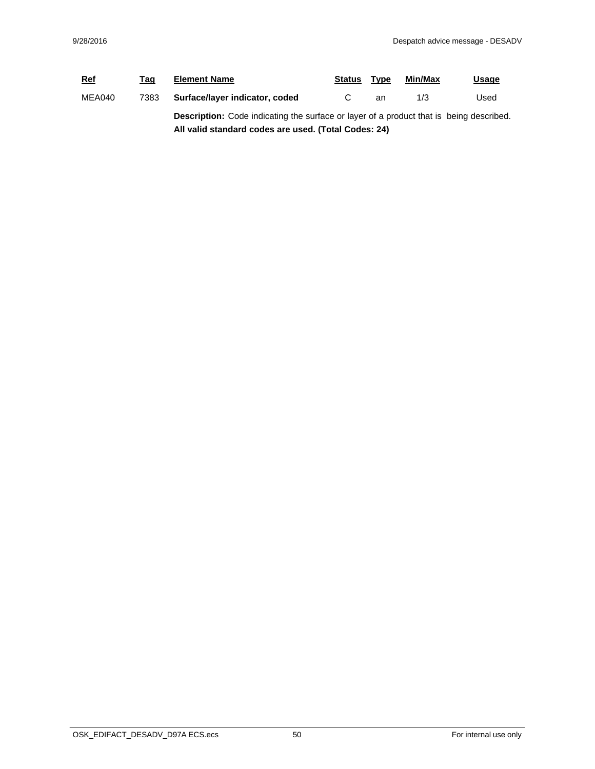| <b>Ref</b> | Tag  | <b>Element Name</b>                                                                            | <b>Status</b> | Type | Min/Max | <u>Usage</u> |  |  |
|------------|------|------------------------------------------------------------------------------------------------|---------------|------|---------|--------------|--|--|
| MEA040     | 7383 | Surface/layer indicator, coded                                                                 |               | an   | 1/3     | Used         |  |  |
|            |      | <b>Description:</b> Code indicating the surface or layer of a product that is being described. |               |      |         |              |  |  |
|            |      | All valid standard codes are used. (Total Codes: 24)                                           |               |      |         |              |  |  |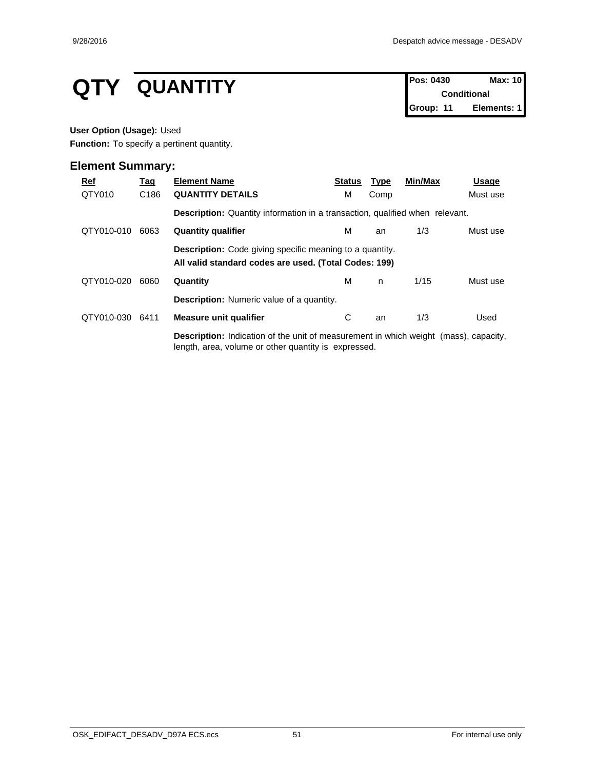# **QTY QUANTITY Pos: 0430 Max: 10**<br>Conditional

**Conditional Group: 11 Elements: 1**

#### **User Option (Usage):** Used

**Function:** To specify a pertinent quantity.

| $Ref$      | <u>Tag</u>       | <b>Element Name</b>                                                                                                                                 | <b>Status</b> | <b>Type</b> | Min/Max | Usage    |  |  |  |
|------------|------------------|-----------------------------------------------------------------------------------------------------------------------------------------------------|---------------|-------------|---------|----------|--|--|--|
| QTY010     | C <sub>186</sub> | <b>QUANTITY DETAILS</b>                                                                                                                             | М             | Comp        |         | Must use |  |  |  |
|            |                  | <b>Description:</b> Quantity information in a transaction, qualified when relevant.                                                                 |               |             |         |          |  |  |  |
| QTY010-010 | 6063             | <b>Quantity qualifier</b>                                                                                                                           | м             | an          | 1/3     | Must use |  |  |  |
|            |                  | <b>Description:</b> Code giving specific meaning to a quantity.<br>All valid standard codes are used. (Total Codes: 199)                            |               |             |         |          |  |  |  |
| QTY010-020 | 6060             | Quantity                                                                                                                                            | м             | n.          | 1/15    | Must use |  |  |  |
|            |                  | <b>Description:</b> Numeric value of a quantity.                                                                                                    |               |             |         |          |  |  |  |
| QTY010-030 | 6411             | Measure unit qualifier                                                                                                                              | С             | an          | 1/3     | Used     |  |  |  |
|            |                  | <b>Description:</b> Indication of the unit of measurement in which weight (mass), capacity,<br>length, area, volume or other quantity is expressed. |               |             |         |          |  |  |  |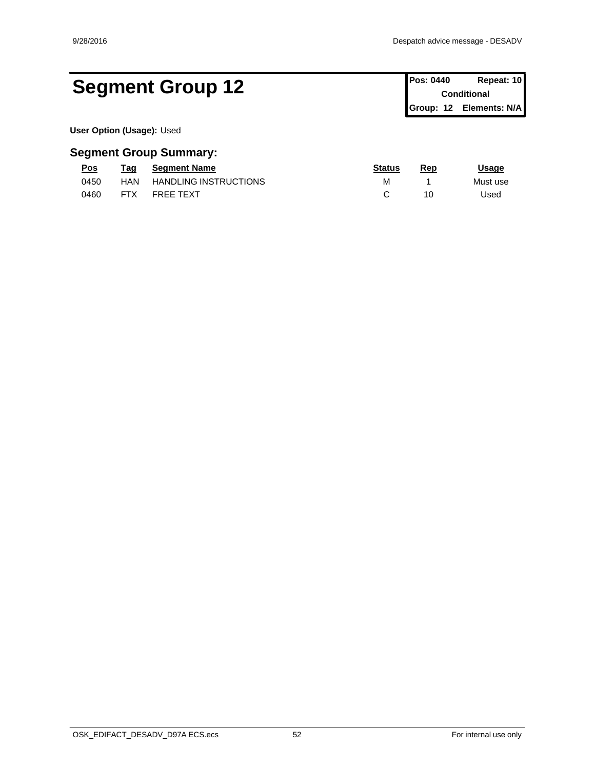# Segment Group 12 **Pos: 0440 Repeat: 10 Conditional**

**Conditional Group: 12 Elements: N/A**

**User Option (Usage):** Used

| Pos  | Taq        | <b>Seament Name</b>          | <b>Status</b> | Rep        | Jsage    |
|------|------------|------------------------------|---------------|------------|----------|
| 0450 | HAN        | <b>HANDLING INSTRUCTIONS</b> |               |            | Must use |
| 0460 | <b>FTX</b> | <b>FREE TEXT</b>             |               | 1 C<br>. U | Jsed     |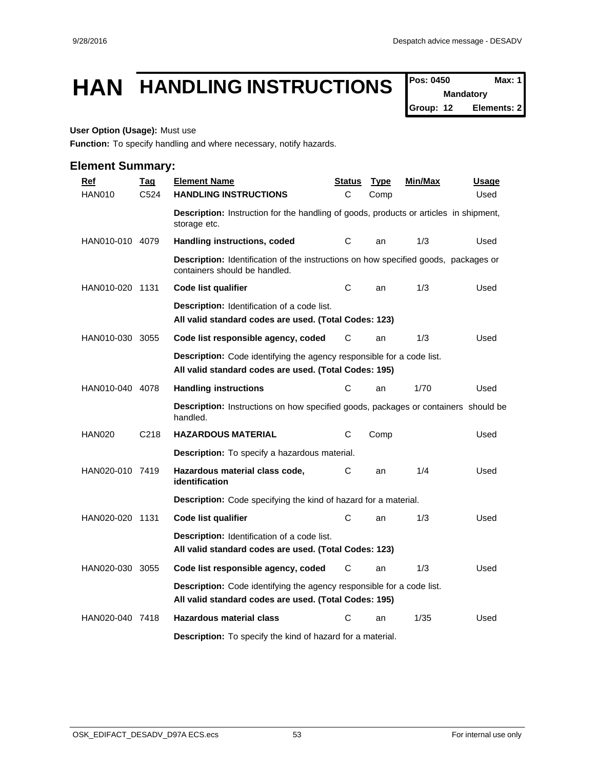# **HAN HANDLING INSTRUCTIONS**  $\int_{\text{Pois: 0450}}^{\text{Pos: 0450}}$  Max: 1

**Mandatory**

**Group: 12 Elements: 2**

### **User Option (Usage):** Must use

**Function:** To specify handling and where necessary, notify hazards.

| <b>Ref</b>      | <b>Tag</b>        | <b>Element Name</b>                                                                                                                   | <u>Status</u> | <b>Type</b> | <u>Min/Max</u> | <u>Usage</u> |
|-----------------|-------------------|---------------------------------------------------------------------------------------------------------------------------------------|---------------|-------------|----------------|--------------|
| <b>HAN010</b>   | C <sub>524</sub>  | <b>HANDLING INSTRUCTIONS</b>                                                                                                          | C             | Comp        |                | Used         |
|                 |                   | <b>Description:</b> Instruction for the handling of goods, products or articles in shipment,<br>storage etc.                          |               |             |                |              |
| HAN010-010 4079 |                   | Handling instructions, coded                                                                                                          | С             | an          | 1/3            | Used         |
|                 |                   | Description: Identification of the instructions on how specified goods, packages or<br>containers should be handled.                  |               |             |                |              |
| HAN010-020 1131 |                   | <b>Code list qualifier</b>                                                                                                            | С             | an          | 1/3            | Used         |
|                 |                   | <b>Description:</b> Identification of a code list.<br>All valid standard codes are used. (Total Codes: 123)                           |               |             |                |              |
| HAN010-030 3055 |                   | Code list responsible agency, coded                                                                                                   | С             | an          | 1/3            | Used         |
|                 |                   | <b>Description:</b> Code identifying the agency responsible for a code list.<br>All valid standard codes are used. (Total Codes: 195) |               |             |                |              |
| HAN010-040 4078 |                   | <b>Handling instructions</b>                                                                                                          | С             | an          | 1/70           | Used         |
|                 |                   | <b>Description:</b> Instructions on how specified goods, packages or containers should be<br>handled.                                 |               |             |                |              |
| <b>HAN020</b>   | C <sub>2</sub> 18 | <b>HAZARDOUS MATERIAL</b>                                                                                                             | С             | Comp        |                | Used         |
|                 |                   | <b>Description:</b> To specify a hazardous material.                                                                                  |               |             |                |              |
| HAN020-010 7419 |                   | Hazardous material class code,<br>identification                                                                                      | С             | an          | 1/4            | Used         |
|                 |                   | Description: Code specifying the kind of hazard for a material.                                                                       |               |             |                |              |
| HAN020-020 1131 |                   | <b>Code list qualifier</b>                                                                                                            | C             | an          | 1/3            | Used         |
|                 |                   | <b>Description:</b> Identification of a code list.<br>All valid standard codes are used. (Total Codes: 123)                           |               |             |                |              |
| HAN020-030 3055 |                   | Code list responsible agency, coded                                                                                                   | С             | an          | 1/3            | Used         |
|                 |                   | Description: Code identifying the agency responsible for a code list.<br>All valid standard codes are used. (Total Codes: 195)        |               |             |                |              |
| HAN020-040 7418 |                   | <b>Hazardous material class</b>                                                                                                       | С             | an          | 1/35           | Used         |
|                 |                   | <b>Description:</b> To specify the kind of hazard for a material.                                                                     |               |             |                |              |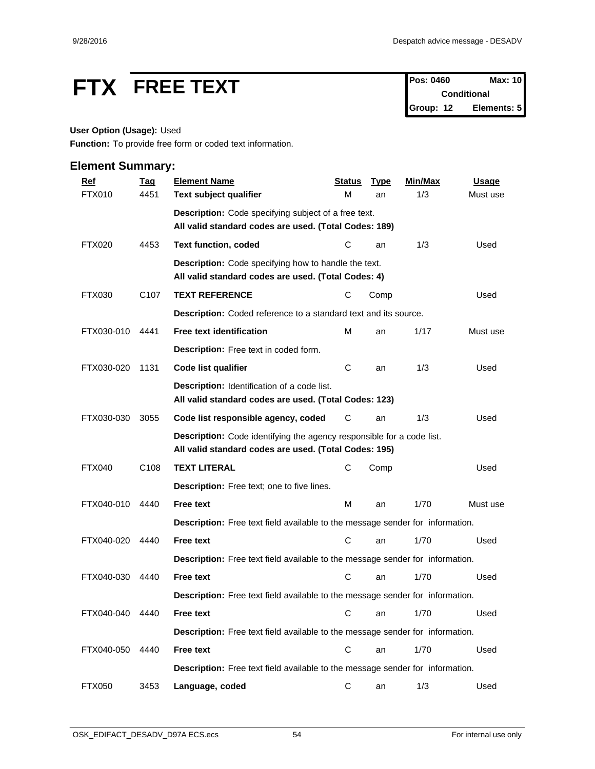# **FTX FREE TEXT Pos: 0460 Max: 10**<br>Conditional

**Conditional Group: 12 Elements: 5**

#### **User Option (Usage):** Used

**Function:** To provide free form or coded text information.

| <b>Ref</b>    | <b>Tag</b>       | <b>Element Name</b>                                                                                                                   | <b>Status</b> | <b>Type</b> | Min/Max | <b>Usage</b> |
|---------------|------------------|---------------------------------------------------------------------------------------------------------------------------------------|---------------|-------------|---------|--------------|
| <b>FTX010</b> | 4451             | Text subject qualifier                                                                                                                | M             | an          | 1/3     | Must use     |
|               |                  | Description: Code specifying subject of a free text.                                                                                  |               |             |         |              |
|               |                  | All valid standard codes are used. (Total Codes: 189)                                                                                 |               |             |         |              |
| <b>FTX020</b> | 4453             | <b>Text function, coded</b>                                                                                                           | С             | an          | 1/3     | Used         |
|               |                  | <b>Description:</b> Code specifying how to handle the text.<br>All valid standard codes are used. (Total Codes: 4)                    |               |             |         |              |
| FTX030        | C <sub>107</sub> | <b>TEXT REFERENCE</b>                                                                                                                 | С             | Comp        |         | Used         |
|               |                  | Description: Coded reference to a standard text and its source.                                                                       |               |             |         |              |
| FTX030-010    | 4441             | <b>Free text identification</b>                                                                                                       | M             | an          | 1/17    | Must use     |
|               |                  | Description: Free text in coded form.                                                                                                 |               |             |         |              |
| FTX030-020    | 1131             | Code list qualifier                                                                                                                   | C             | an          | 1/3     | Used         |
|               |                  | Description: Identification of a code list.<br>All valid standard codes are used. (Total Codes: 123)                                  |               |             |         |              |
| FTX030-030    | 3055             | Code list responsible agency, coded                                                                                                   | С             | an          | 1/3     | Used         |
|               |                  | <b>Description:</b> Code identifying the agency responsible for a code list.<br>All valid standard codes are used. (Total Codes: 195) |               |             |         |              |
| <b>FTX040</b> | C <sub>108</sub> | <b>TEXT LITERAL</b>                                                                                                                   | С             | Comp        |         | Used         |
|               |                  | Description: Free text; one to five lines.                                                                                            |               |             |         |              |
| FTX040-010    | 4440             | <b>Free text</b>                                                                                                                      | M             | an          | 1/70    | Must use     |
|               |                  | Description: Free text field available to the message sender for information.                                                         |               |             |         |              |
| FTX040-020    | 4440             | <b>Free text</b>                                                                                                                      | C             | an          | 1/70    | Used         |
|               |                  | Description: Free text field available to the message sender for information.                                                         |               |             |         |              |
| FTX040-030    | 4440             | <b>Free text</b>                                                                                                                      | C             | an          | 1/70    | Used         |
|               |                  | Description: Free text field available to the message sender for information.                                                         |               |             |         |              |
| FTX040-040    | 4440             | <b>Free text</b>                                                                                                                      |               | C an        | 1/70    | Used         |
|               |                  | Description: Free text field available to the message sender for information.                                                         |               |             |         |              |
| FTX040-050    | 4440             | Free text                                                                                                                             | $\mathbf C$   | an          | 1/70    | Used         |
|               |                  | Description: Free text field available to the message sender for information.                                                         |               |             |         |              |
| <b>FTX050</b> | 3453             | Language, coded                                                                                                                       | C             | an          | 1/3     | Used         |
|               |                  |                                                                                                                                       |               |             |         |              |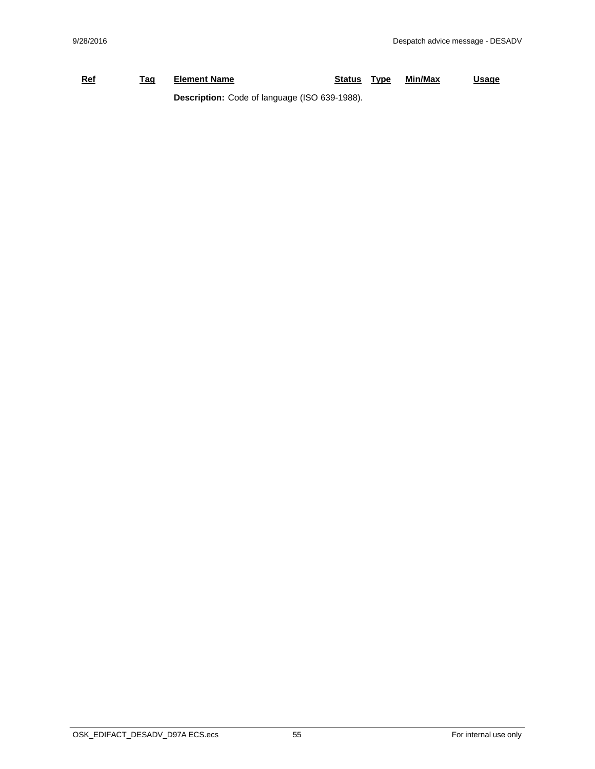## **Ref Tag Element Name Status Type Min/Max Usage Description:** Code of language (ISO 639-1988).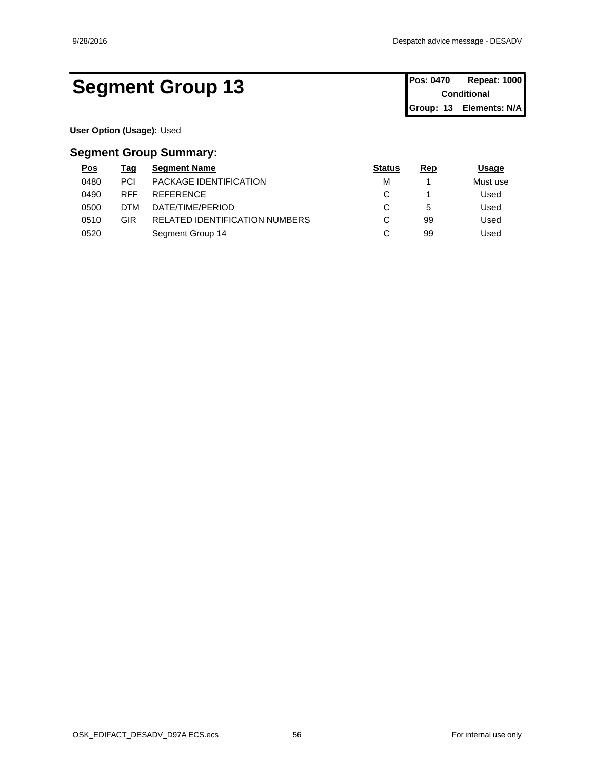# **Segment Group 13** Pos: 0470 Repeat: 1000

**Conditional Group: 13 Elements: N/A**

**User Option (Usage):** Used

| <u>Pos</u> | Tag        | <b>Segment Name</b>                   | <b>Status</b> | Rep | Usage    |
|------------|------------|---------------------------------------|---------------|-----|----------|
| 0480       | <b>PCI</b> | <b>PACKAGE IDENTIFICATION</b>         | М             |     | Must use |
| 0490       | <b>RFF</b> | REFERENCE                             | ັ             |     | Used     |
| 0500       | DTM        | DATE/TIME/PERIOD                      | ັ             | 5   | Used     |
| 0510       | GIR        | <b>RELATED IDENTIFICATION NUMBERS</b> | ັ             | 99  | Used     |
| 0520       |            | Segment Group 14                      | ັ             | 99  | Used     |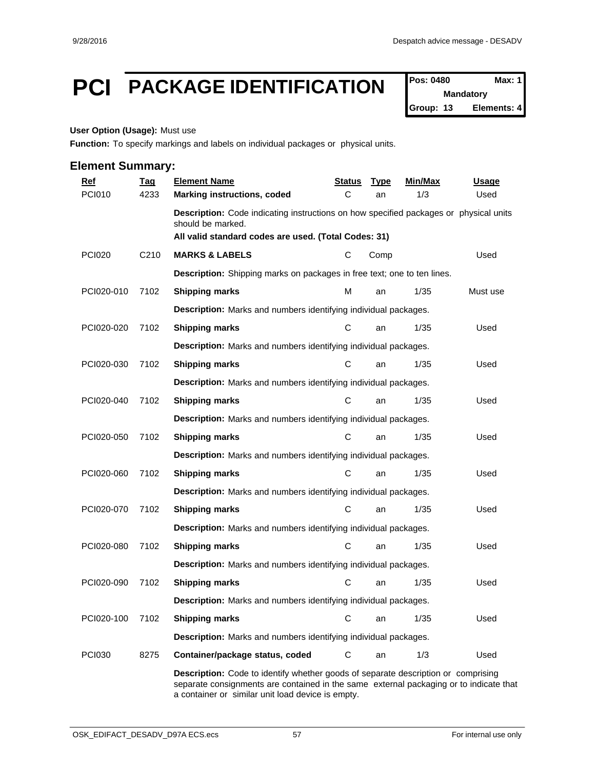# **PCI PACKAGE IDENTIFICATION Pos: 0480 Max: 1**

**Mandatory Group: 13 Elements: 4**

#### **User Option (Usage):** Must use

**Function:** To specify markings and labels on individual packages or physical units.

### **Element Summary:**

| <u>Ref</u>    | <b>Tag</b>        | <b>Element Name</b>                                                                                                                                                | <u>Status</u> | <b>Type</b> | Min/Max | <u>Usage</u> |  |  |  |
|---------------|-------------------|--------------------------------------------------------------------------------------------------------------------------------------------------------------------|---------------|-------------|---------|--------------|--|--|--|
| <b>PCI010</b> | 4233              | <b>Marking instructions, coded</b>                                                                                                                                 | C             | an          | 1/3     | Used         |  |  |  |
|               |                   | Description: Code indicating instructions on how specified packages or physical units<br>should be marked.<br>All valid standard codes are used. (Total Codes: 31) |               |             |         |              |  |  |  |
| <b>PCI020</b> | C <sub>2</sub> 10 | <b>MARKS &amp; LABELS</b>                                                                                                                                          | С             | Comp        |         | Used         |  |  |  |
|               |                   | Description: Shipping marks on packages in free text; one to ten lines.                                                                                            |               |             |         |              |  |  |  |
| PCI020-010    | 7102              | <b>Shipping marks</b>                                                                                                                                              | м             | an          | 1/35    | Must use     |  |  |  |
|               |                   | Description: Marks and numbers identifying individual packages.                                                                                                    |               |             |         |              |  |  |  |
| PCI020-020    | 7102              | <b>Shipping marks</b>                                                                                                                                              | С             | an          | 1/35    | Used         |  |  |  |
|               |                   | Description: Marks and numbers identifying individual packages.                                                                                                    |               |             |         |              |  |  |  |
| PCI020-030    | 7102              | <b>Shipping marks</b>                                                                                                                                              | С             | an          | 1/35    | Used         |  |  |  |
|               |                   | Description: Marks and numbers identifying individual packages.                                                                                                    |               |             |         |              |  |  |  |
| PCI020-040    | 7102              | <b>Shipping marks</b>                                                                                                                                              | C             | an          | 1/35    | Used         |  |  |  |
|               |                   | Description: Marks and numbers identifying individual packages.                                                                                                    |               |             |         |              |  |  |  |
| PCI020-050    | 7102              | <b>Shipping marks</b>                                                                                                                                              | $\mathbf C$   | an          | 1/35    | Used         |  |  |  |
|               |                   | Description: Marks and numbers identifying individual packages.                                                                                                    |               |             |         |              |  |  |  |
| PCI020-060    | 7102              | <b>Shipping marks</b>                                                                                                                                              | $\mathbf C$   | an          | 1/35    | Used         |  |  |  |
|               |                   | Description: Marks and numbers identifying individual packages.                                                                                                    |               |             |         |              |  |  |  |
| PCI020-070    | 7102              | <b>Shipping marks</b>                                                                                                                                              | C             | an          | 1/35    | Used         |  |  |  |
|               |                   | Description: Marks and numbers identifying individual packages.                                                                                                    |               |             |         |              |  |  |  |
| PCI020-080    | 7102              | <b>Shipping marks</b>                                                                                                                                              | C             | an          | 1/35    | Used         |  |  |  |
|               |                   | Description: Marks and numbers identifying individual packages.                                                                                                    |               |             |         |              |  |  |  |
| PCI020-090    | 7102              | <b>Shipping marks</b>                                                                                                                                              | С             | an          | 1/35    | Used         |  |  |  |
|               |                   | Description: Marks and numbers identifying individual packages.                                                                                                    |               |             |         |              |  |  |  |
| PCI020-100    | 7102              | <b>Shipping marks</b>                                                                                                                                              | $\mathbf C$   | an          | 1/35    | Used         |  |  |  |
|               |                   | Description: Marks and numbers identifying individual packages.                                                                                                    |               |             |         |              |  |  |  |
| <b>PCI030</b> | 8275              | Container/package status, coded                                                                                                                                    | С             | an          | 1/3     | Used         |  |  |  |
|               |                   | <b>Description:</b> Code to identify whether goods of separate description or comprising                                                                           |               |             |         |              |  |  |  |

separate consignments are contained in the same external packaging or to indicate that a container or similar unit load device is empty.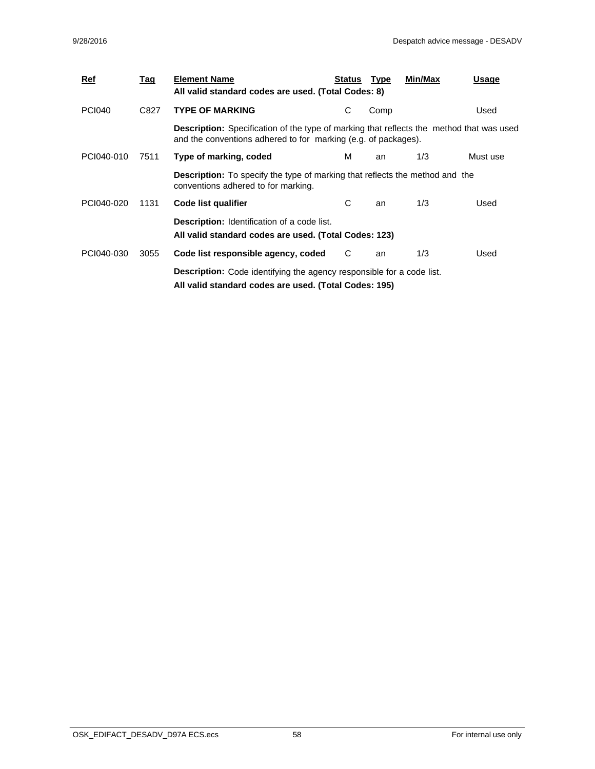| <u>Ref</u>    | Tag  | <b>Element Name</b><br>All valid standard codes are used. (Total Codes: 8)                                                                                        | Status | Type | Min/Max | Usage    |  |  |  |  |
|---------------|------|-------------------------------------------------------------------------------------------------------------------------------------------------------------------|--------|------|---------|----------|--|--|--|--|
| <b>PCI040</b> | C827 | <b>TYPE OF MARKING</b>                                                                                                                                            | С      | Comp |         | Used     |  |  |  |  |
|               |      | <b>Description:</b> Specification of the type of marking that reflects the method that was used<br>and the conventions adhered to for marking (e.g. of packages). |        |      |         |          |  |  |  |  |
| PCI040-010    | 7511 | Type of marking, coded                                                                                                                                            | м      | an   | 1/3     | Must use |  |  |  |  |
|               |      | <b>Description:</b> To specify the type of marking that reflects the method and the<br>conventions adhered to for marking.                                        |        |      |         |          |  |  |  |  |
| PCI040-020    | 1131 | Code list qualifier                                                                                                                                               | С      | an   | 1/3     | Used     |  |  |  |  |
|               |      | <b>Description:</b> Identification of a code list.<br>All valid standard codes are used. (Total Codes: 123)                                                       |        |      |         |          |  |  |  |  |
| PCI040-030    | 3055 | Code list responsible agency, coded                                                                                                                               | C      | an   | 1/3     | Used     |  |  |  |  |
|               |      | <b>Description:</b> Code identifying the agency responsible for a code list.<br>All valid standard codes are used. (Total Codes: 195)                             |        |      |         |          |  |  |  |  |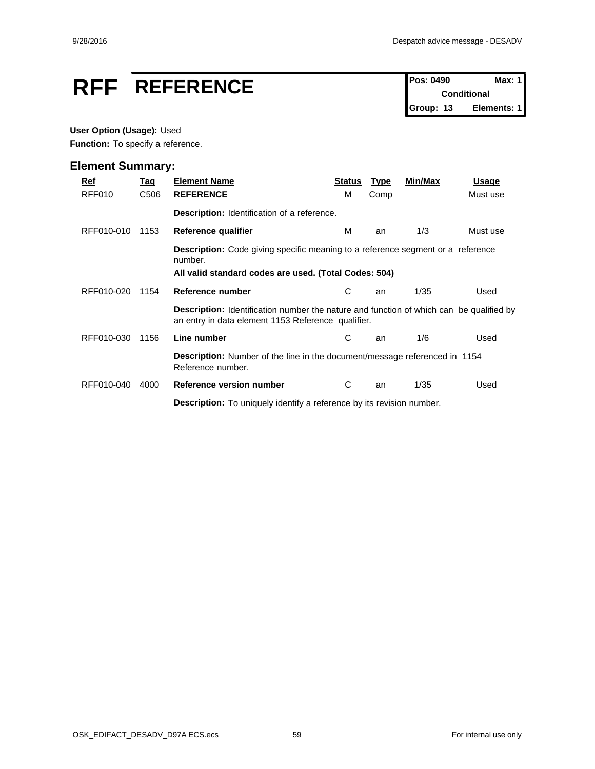# **RFF** REFERENCE Pos: 0490 Max: 1

**Conditional Group: 13 Elements: 1**

#### **User Option (Usage):** Used

Function: To specify a reference.

| Ref<br>RFF010 | Tag<br>C <sub>506</sub> | <b>Element Name</b><br><b>REFERENCE</b>                                                                                                                    | <b>Status</b><br>м | <b>Type</b><br>Comp | Min/Max | Usage<br>Must use |  |
|---------------|-------------------------|------------------------------------------------------------------------------------------------------------------------------------------------------------|--------------------|---------------------|---------|-------------------|--|
|               |                         | Description: Identification of a reference.                                                                                                                |                    |                     |         |                   |  |
| RFF010-010    | 1153                    | Reference qualifier                                                                                                                                        | м                  | an                  | 1/3     | Must use          |  |
|               |                         | <b>Description:</b> Code giving specific meaning to a reference segment or a reference<br>number.<br>All valid standard codes are used. (Total Codes: 504) |                    |                     |         |                   |  |
| RFF010-020    | 1154                    | Reference number                                                                                                                                           | С                  | an                  | 1/35    | Used              |  |
|               |                         | <b>Description:</b> Identification number the nature and function of which can be qualified by<br>an entry in data element 1153 Reference qualifier.       |                    |                     |         |                   |  |
| RFF010-030    | 1156                    | Line number                                                                                                                                                | С                  | an                  | 1/6     | Used              |  |
|               |                         | <b>Description:</b> Number of the line in the document/message referenced in 1154<br>Reference number.                                                     |                    |                     |         |                   |  |
| RFF010-040    | 4000                    | Reference version number                                                                                                                                   | С                  | an                  | 1/35    | Used              |  |
|               |                         | <b>Description:</b> To uniquely identify a reference by its revision number.                                                                               |                    |                     |         |                   |  |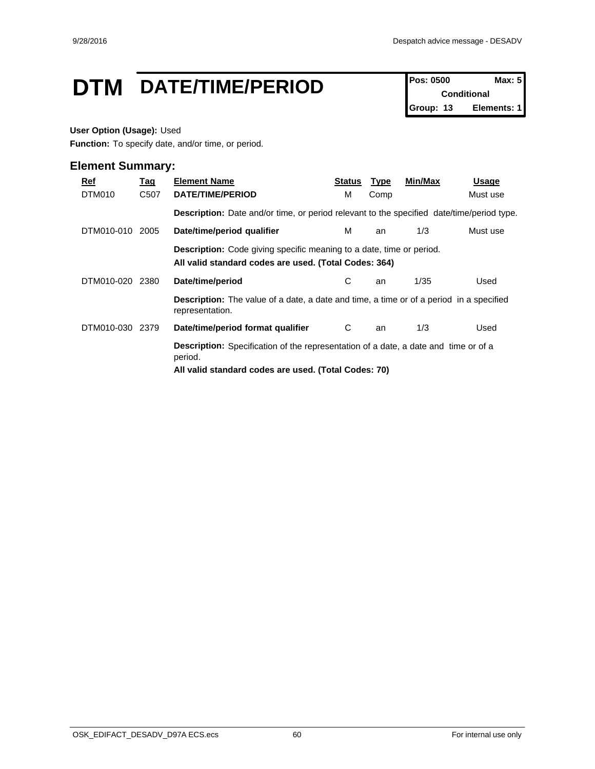# **DTM** DATE/TIME/PERIOD **Pos: 0500 Max: 5**

**Conditional Group: 13 Elements: 1**

#### **User Option (Usage):** Used

**Function:** To specify date, and/or time, or period.

| Ref<br>DTM010   | <u>Tag</u><br>C507 | <b>Element Name</b><br><b>DATE/TIME/PERIOD</b>                                                                                                                | Status<br>м | <b>Type</b><br>Comp | Min/Max | Usage<br>Must use |  |  |  |
|-----------------|--------------------|---------------------------------------------------------------------------------------------------------------------------------------------------------------|-------------|---------------------|---------|-------------------|--|--|--|
|                 |                    | <b>Description:</b> Date and/or time, or period relevant to the specified date/time/period type.                                                              |             |                     |         |                   |  |  |  |
| DTM010-010 2005 |                    | Date/time/period qualifier                                                                                                                                    | м           | an                  | 1/3     | Must use          |  |  |  |
|                 |                    | <b>Description:</b> Code giving specific meaning to a date, time or period.<br>All valid standard codes are used. (Total Codes: 364)                          |             |                     |         |                   |  |  |  |
| DTM010-020      | 2380               | Date/time/period                                                                                                                                              | C.          | an                  | 1/35    | Used              |  |  |  |
|                 |                    | <b>Description:</b> The value of a date, a date and time, a time or of a period in a specified<br>representation.                                             |             |                     |         |                   |  |  |  |
| DTM010-030 2379 |                    | Date/time/period format qualifier                                                                                                                             | C           | an                  | 1/3     | Used              |  |  |  |
|                 |                    | <b>Description:</b> Specification of the representation of a date, a date and time or of a<br>period.<br>All valid standard codes are used. (Total Codes: 70) |             |                     |         |                   |  |  |  |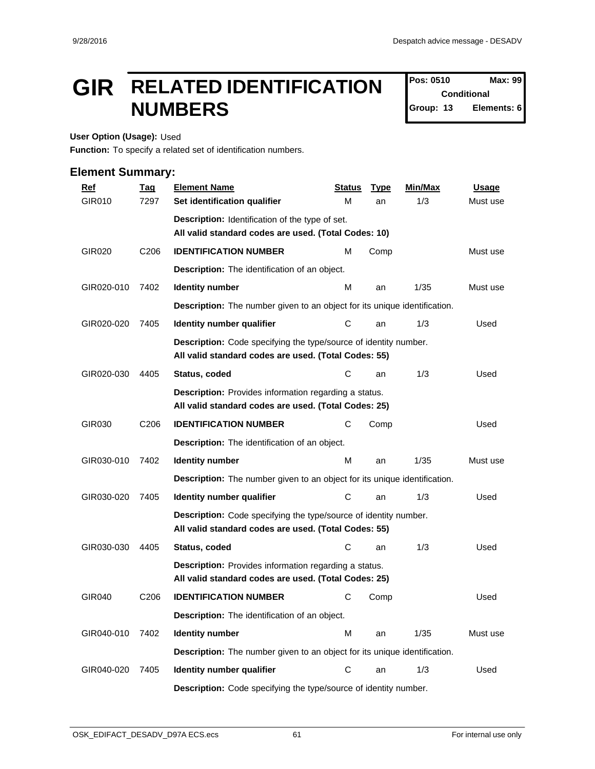# **GIR** RELATED IDENTIFICATION  $\int_{\text{Conditional}}^{\text{Pos: 0510}}$ **NUMBERS Example 13 Crown:** 13

**Pos: 0510 Conditional Elements: 6** 

**User Option (Usage):** Used

**Function:** To specify a related set of identification numbers.

| <u>Ref</u> | <b>Tag</b>       | <b>Element Name</b>                                                                                                      | <b>Status</b> | <b>Type</b> | Min/Max | <b>Usage</b> |
|------------|------------------|--------------------------------------------------------------------------------------------------------------------------|---------------|-------------|---------|--------------|
| GIR010     | 7297             | Set identification qualifier                                                                                             | М             | an          | 1/3     | Must use     |
|            |                  | Description: Identification of the type of set.                                                                          |               |             |         |              |
|            |                  | All valid standard codes are used. (Total Codes: 10)                                                                     |               |             |         |              |
| GIR020     | C <sub>206</sub> | <b>IDENTIFICATION NUMBER</b>                                                                                             | м             | Comp        |         | Must use     |
|            |                  | Description: The identification of an object.                                                                            |               |             |         |              |
| GIR020-010 | 7402             | <b>Identity number</b>                                                                                                   | м             | an          | 1/35    | Must use     |
|            |                  | <b>Description:</b> The number given to an object for its unique identification.                                         |               |             |         |              |
| GIR020-020 | 7405             | Identity number qualifier                                                                                                | С             | an          | 1/3     | Used         |
|            |                  | Description: Code specifying the type/source of identity number.<br>All valid standard codes are used. (Total Codes: 55) |               |             |         |              |
| GIR020-030 | 4405             | Status, coded                                                                                                            | C             | an          | 1/3     | Used         |
|            |                  | Description: Provides information regarding a status.<br>All valid standard codes are used. (Total Codes: 25)            |               |             |         |              |
| GIR030     | C <sub>206</sub> | <b>IDENTIFICATION NUMBER</b>                                                                                             | С             | Comp        |         | Used         |
|            |                  | Description: The identification of an object.                                                                            |               |             |         |              |
| GIR030-010 | 7402             | <b>Identity number</b>                                                                                                   | м             | an          | 1/35    | Must use     |
|            |                  | <b>Description:</b> The number given to an object for its unique identification.                                         |               |             |         |              |
| GIR030-020 | 7405             | Identity number qualifier                                                                                                | С             | an          | 1/3     | Used         |
|            |                  | Description: Code specifying the type/source of identity number.<br>All valid standard codes are used. (Total Codes: 55) |               |             |         |              |
| GIR030-030 | 4405             | Status, coded                                                                                                            | С             | an          | 1/3     | Used         |
|            |                  | Description: Provides information regarding a status.<br>All valid standard codes are used. (Total Codes: 25)            |               |             |         |              |
| GIR040     | C <sub>206</sub> | <b>IDENTIFICATION NUMBER</b>                                                                                             | С             | Comp        |         | Used         |
|            |                  | Description: The identification of an object.                                                                            |               |             |         |              |
| GIR040-010 | 7402             | <b>Identity number</b>                                                                                                   | М             | an          | 1/35    | Must use     |
|            |                  | <b>Description:</b> The number given to an object for its unique identification.                                         |               |             |         |              |
| GIR040-020 | 7405             | Identity number qualifier                                                                                                | ${\bf C}$     | an          | 1/3     | Used         |
|            |                  | Description: Code specifying the type/source of identity number.                                                         |               |             |         |              |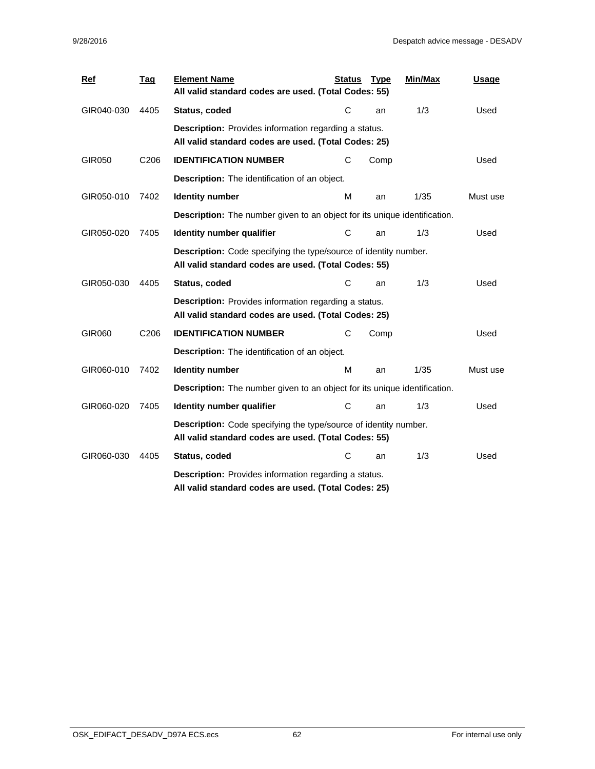| Ref        | <b>Tag</b>       | <b>Element Name</b><br>All valid standard codes are used. (Total Codes: 55)                                              | <b>Status</b> | <b>Type</b> | Min/Max | Usage    |  |
|------------|------------------|--------------------------------------------------------------------------------------------------------------------------|---------------|-------------|---------|----------|--|
| GIR040-030 | 4405             | Status, coded                                                                                                            | С             | an          | 1/3     | Used     |  |
|            |                  | Description: Provides information regarding a status.<br>All valid standard codes are used. (Total Codes: 25)            |               |             |         |          |  |
| GIR050     | C206             | <b>IDENTIFICATION NUMBER</b>                                                                                             | С             | Comp        |         | Used     |  |
|            |                  | <b>Description:</b> The identification of an object.                                                                     |               |             |         |          |  |
| GIR050-010 | 7402             | <b>Identity number</b>                                                                                                   | м             | an          | 1/35    | Must use |  |
|            |                  | Description: The number given to an object for its unique identification.                                                |               |             |         |          |  |
| GIR050-020 | 7405             | Identity number qualifier                                                                                                | C             | an          | 1/3     | Used     |  |
|            |                  | Description: Code specifying the type/source of identity number.<br>All valid standard codes are used. (Total Codes: 55) |               |             |         |          |  |
| GIR050-030 | 4405             | Status, coded                                                                                                            | С             | an          | 1/3     | Used     |  |
|            |                  | <b>Description:</b> Provides information regarding a status.<br>All valid standard codes are used. (Total Codes: 25)     |               |             |         |          |  |
| GIR060     | C <sub>206</sub> | <b>IDENTIFICATION NUMBER</b>                                                                                             | С             | Comp        |         | Used     |  |
|            |                  | Description: The identification of an object.                                                                            |               |             |         |          |  |
| GIR060-010 | 7402             | <b>Identity number</b>                                                                                                   | м             | an          | 1/35    | Must use |  |
|            |                  | <b>Description:</b> The number given to an object for its unique identification.                                         |               |             |         |          |  |
| GIR060-020 | 7405             | Identity number qualifier                                                                                                | С             | an          | 1/3     | Used     |  |
|            |                  | Description: Code specifying the type/source of identity number.<br>All valid standard codes are used. (Total Codes: 55) |               |             |         |          |  |
| GIR060-030 | 4405             | Status, coded                                                                                                            | С             | an          | 1/3     | Used     |  |
|            |                  | <b>Description:</b> Provides information regarding a status.<br>All valid standard codes are used. (Total Codes: 25)     |               |             |         |          |  |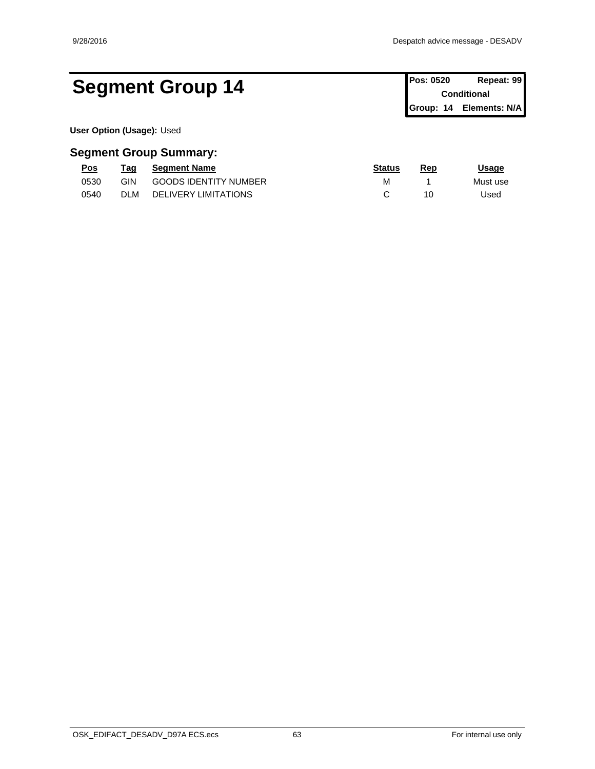# Segment Group 14 **Pos: 0520 Repeat: 99 Conditional**

**Conditional Group: 14 Elements: N/A**

**User Option (Usage):** Used

| Pos  | rag        | <b>Seament Name</b>          | <b>Status</b> | Rep | Jsaqe    |
|------|------------|------------------------------|---------------|-----|----------|
| 0530 | GIN        | <b>GOODS IDENTITY NUMBER</b> | M             |     | Must use |
| 0540 | <b>DLM</b> | DELIVERY LIMITATIONS         |               | 10  | Jsed     |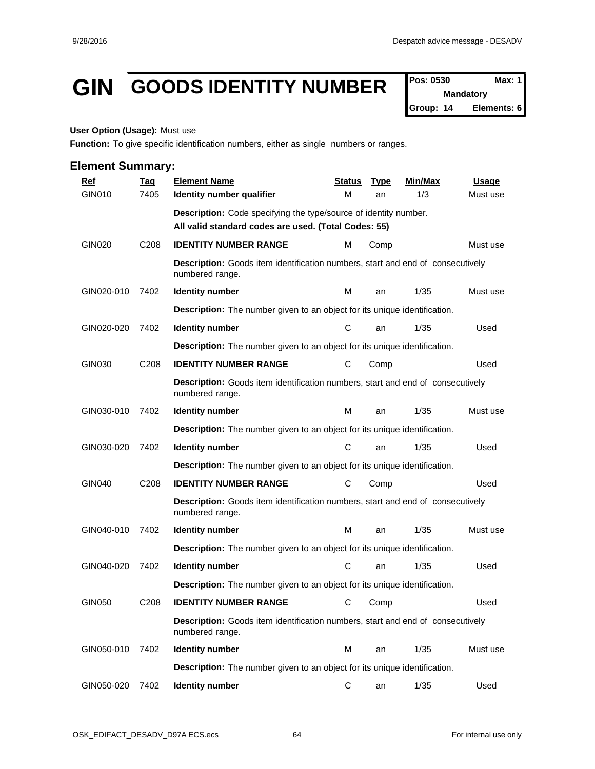# **GIN GOODS IDENTITY NUMBER**  $\int_{\text{Nandatory}}^{\text{Pos: 0530}}$

**Mandatory Group: 14 Elements: 6**

#### **User Option (Usage):** Must use

**Function:** To give specific identification numbers, either as single numbers or ranges.

| <b>Ref</b>    | <u>Tag</u>       | <b>Element Name</b>                                                                                      | <b>Status</b> | <b>Type</b> | Min/Max | <b>Usage</b> |
|---------------|------------------|----------------------------------------------------------------------------------------------------------|---------------|-------------|---------|--------------|
| GIN010        | 7405             | Identity number qualifier                                                                                | м             | an          | 1/3     | Must use     |
|               |                  | Description: Code specifying the type/source of identity number.                                         |               |             |         |              |
|               |                  | All valid standard codes are used. (Total Codes: 55)                                                     |               |             |         |              |
| <b>GIN020</b> | C <sub>208</sub> | <b>IDENTITY NUMBER RANGE</b>                                                                             | м             | Comp        |         | Must use     |
|               |                  | Description: Goods item identification numbers, start and end of consecutively<br>numbered range.        |               |             |         |              |
| GIN020-010    | 7402             | <b>Identity number</b>                                                                                   | м             | an          | 1/35    | Must use     |
|               |                  | <b>Description:</b> The number given to an object for its unique identification.                         |               |             |         |              |
| GIN020-020    | 7402             | <b>Identity number</b>                                                                                   | C             | an          | 1/35    | Used         |
|               |                  | <b>Description:</b> The number given to an object for its unique identification.                         |               |             |         |              |
| GIN030        | C208             | <b>IDENTITY NUMBER RANGE</b>                                                                             | С             | Comp        |         | Used         |
|               |                  | <b>Description:</b> Goods item identification numbers, start and end of consecutively<br>numbered range. |               |             |         |              |
| GIN030-010    | 7402             | <b>Identity number</b>                                                                                   | м             | an          | 1/35    | Must use     |
|               |                  | <b>Description:</b> The number given to an object for its unique identification.                         |               |             |         |              |
| GIN030-020    | 7402             | <b>Identity number</b>                                                                                   | С             | an          | 1/35    | Used         |
|               |                  | <b>Description:</b> The number given to an object for its unique identification.                         |               |             |         |              |
| <b>GIN040</b> | C208             | <b>IDENTITY NUMBER RANGE</b>                                                                             | С             | Comp        |         | Used         |
|               |                  | <b>Description:</b> Goods item identification numbers, start and end of consecutively<br>numbered range. |               |             |         |              |
| GIN040-010    | 7402             | <b>Identity number</b>                                                                                   | м             | an          | 1/35    | Must use     |
|               |                  | <b>Description:</b> The number given to an object for its unique identification.                         |               |             |         |              |
| GIN040-020    | 7402             | <b>Identity number</b>                                                                                   | C             | an          | 1/35    | Used         |
|               |                  | <b>Description:</b> The number given to an object for its unique identification.                         |               |             |         |              |
| GIN050        | C <sub>208</sub> | <b>IDENTITY NUMBER RANGE</b>                                                                             | С             | Comp        |         | Used         |
|               |                  | Description: Goods item identification numbers, start and end of consecutively<br>numbered range.        |               |             |         |              |
| GIN050-010    | 7402             | <b>Identity number</b>                                                                                   | M             | an          | 1/35    | Must use     |
|               |                  | <b>Description:</b> The number given to an object for its unique identification.                         |               |             |         |              |
| GIN050-020    | 7402             | <b>Identity number</b>                                                                                   | С             | an          | 1/35    | Used         |
|               |                  |                                                                                                          |               |             |         |              |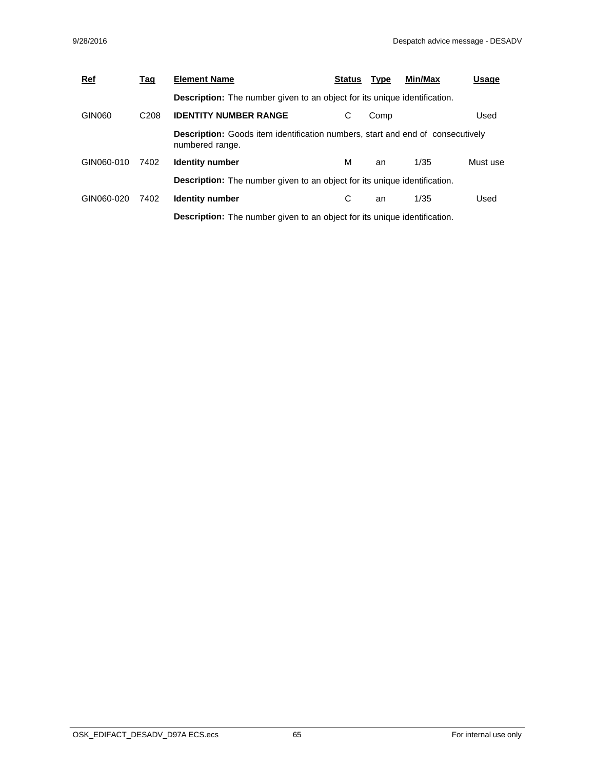| <b>Ref</b> | <u>Tag</u>       | <b>Element Name</b>                                                                                      | <b>Status</b> | <b>Type</b> | Min/Max | Usage    |
|------------|------------------|----------------------------------------------------------------------------------------------------------|---------------|-------------|---------|----------|
|            |                  | <b>Description:</b> The number given to an object for its unique identification.                         |               |             |         |          |
| GIN060     | C <sub>208</sub> | <b>IDENTITY NUMBER RANGE</b>                                                                             | С             | Comp        |         | Used     |
|            |                  | <b>Description:</b> Goods item identification numbers, start and end of consecutively<br>numbered range. |               |             |         |          |
| GIN060-010 | 7402             | <b>Identity number</b>                                                                                   | м             | an          | 1/35    | Must use |
|            |                  | <b>Description:</b> The number given to an object for its unique identification.                         |               |             |         |          |
| GIN060-020 | 7402             | <b>Identity number</b>                                                                                   | С             | an          | 1/35    | Used     |
|            |                  | <b>Description:</b> The number given to an object for its unique identification.                         |               |             |         |          |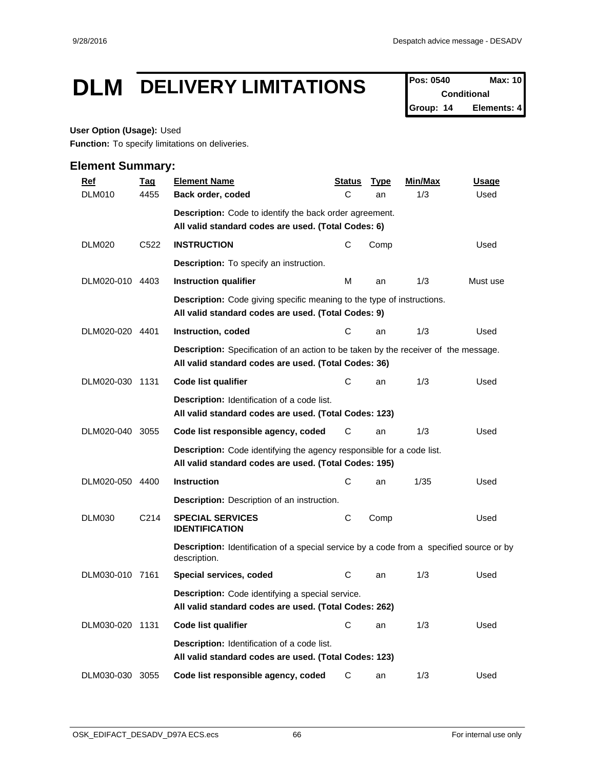# **DLM** DELIVERY LIMITATIONS Pos: 0540 Max: 10

**Conditional Group: 14 Elements: 4**

#### **User Option (Usage):** Used

**Function:** To specify limitations on deliveries.

| <b>Ref</b>      | <b>Tag</b>        | <b>Element Name</b>                                                                                                                         | <u>Status</u> | <b>Type</b> | Min/Max | <b>Usage</b> |
|-----------------|-------------------|---------------------------------------------------------------------------------------------------------------------------------------------|---------------|-------------|---------|--------------|
| <b>DLM010</b>   | 4455              | Back order, coded                                                                                                                           | C             | an          | 1/3     | Used         |
|                 |                   | <b>Description:</b> Code to identify the back order agreement.                                                                              |               |             |         |              |
|                 |                   | All valid standard codes are used. (Total Codes: 6)                                                                                         |               |             |         |              |
| <b>DLM020</b>   | C522              | <b>INSTRUCTION</b>                                                                                                                          | С             | Comp        |         | Used         |
|                 |                   | <b>Description:</b> To specify an instruction.                                                                                              |               |             |         |              |
| DLM020-010 4403 |                   | Instruction qualifier                                                                                                                       | М             | an          | 1/3     | Must use     |
|                 |                   | <b>Description:</b> Code giving specific meaning to the type of instructions.<br>All valid standard codes are used. (Total Codes: 9)        |               |             |         |              |
| DLM020-020 4401 |                   | Instruction, coded                                                                                                                          | С             | an          | 1/3     | Used         |
|                 |                   | Description: Specification of an action to be taken by the receiver of the message.<br>All valid standard codes are used. (Total Codes: 36) |               |             |         |              |
| DLM020-030 1131 |                   | Code list qualifier                                                                                                                         | С             | an          | 1/3     | Used         |
|                 |                   | <b>Description:</b> Identification of a code list.<br>All valid standard codes are used. (Total Codes: 123)                                 |               |             |         |              |
| DLM020-040 3055 |                   | Code list responsible agency, coded                                                                                                         | С             | an          | 1/3     | Used         |
|                 |                   | Description: Code identifying the agency responsible for a code list.<br>All valid standard codes are used. (Total Codes: 195)              |               |             |         |              |
| DLM020-050 4400 |                   | <b>Instruction</b>                                                                                                                          | С             | an          | 1/35    | Used         |
|                 |                   | <b>Description:</b> Description of an instruction.                                                                                          |               |             |         |              |
| <b>DLM030</b>   | C <sub>2</sub> 14 | <b>SPECIAL SERVICES</b><br><b>IDENTIFICATION</b>                                                                                            | C             | Comp        |         | Used         |
|                 |                   | <b>Description:</b> Identification of a special service by a code from a specified source or by<br>description.                             |               |             |         |              |
| DLM030-010 7161 |                   | Special services, coded                                                                                                                     | С             | an          | 1/3     | Used         |
|                 |                   | Description: Code identifying a special service.<br>All valid standard codes are used. (Total Codes: 262)                                   |               |             |         |              |
| DLM030-020 1131 |                   | Code list qualifier                                                                                                                         | С             | an          | 1/3     | Used         |
|                 |                   | <b>Description:</b> Identification of a code list.<br>All valid standard codes are used. (Total Codes: 123)                                 |               |             |         |              |
| DLM030-030 3055 |                   | Code list responsible agency, coded                                                                                                         | С             | an          | 1/3     | Used         |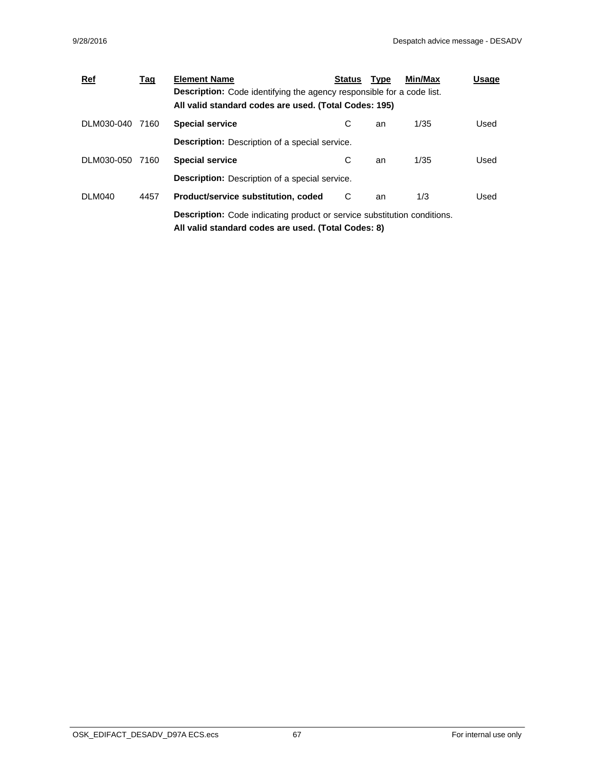| $Ref$           | <u>Tag</u> | <b>Element Name</b>                                                             | <b>Status</b> | <b>Type</b> | Min/Max | Usage |
|-----------------|------------|---------------------------------------------------------------------------------|---------------|-------------|---------|-------|
|                 |            | <b>Description:</b> Code identifying the agency responsible for a code list.    |               |             |         |       |
|                 |            | All valid standard codes are used. (Total Codes: 195)                           |               |             |         |       |
| DLM030-040 7160 |            | <b>Special service</b>                                                          | С             | an          | 1/35    | Used  |
|                 |            | <b>Description:</b> Description of a special service.                           |               |             |         |       |
| DLM030-050 7160 |            | <b>Special service</b>                                                          | С             | an          | 1/35    | Used  |
|                 |            | <b>Description:</b> Description of a special service.                           |               |             |         |       |
| DLM040          | 4457       | Product/service substitution, coded                                             | C             | an          | 1/3     | Used  |
|                 |            | <b>Description:</b> Code indicating product or service substitution conditions. |               |             |         |       |
|                 |            | All valid standard codes are used. (Total Codes: 8)                             |               |             |         |       |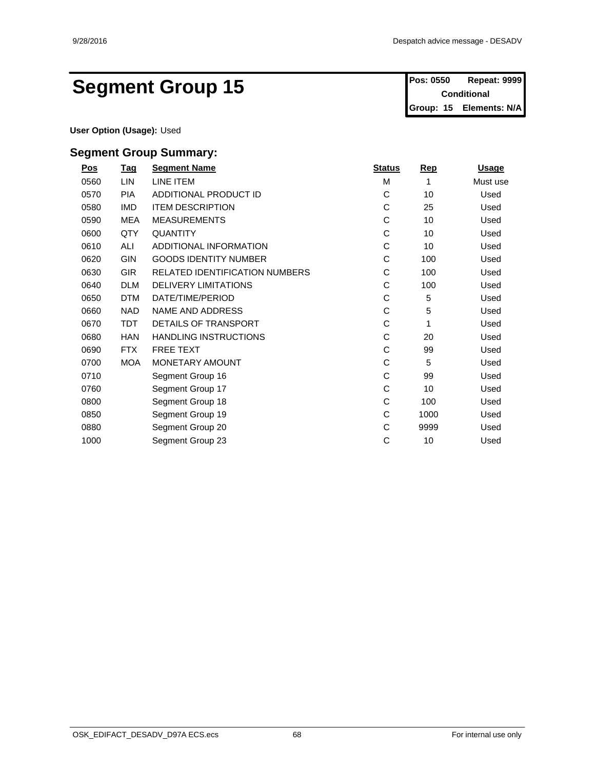# Segment Group 15 **Pos: 0550 Repeat: 9999**

**Conditional Group: 15 Elements: N/A**

**User Option (Usage):** Used

| $\underline{\mathsf{Pos}}$ | <b>Tag</b> | <b>Segment Name</b>                   | <b>Status</b> | <b>Rep</b> | <b>Usage</b> |  |
|----------------------------|------------|---------------------------------------|---------------|------------|--------------|--|
| 0560                       | LIN        | LINE ITEM                             | M             |            | Must use     |  |
| 0570                       | <b>PIA</b> | ADDITIONAL PRODUCT ID                 | С             | 10         | Used         |  |
| 0580                       | IMD        | <b>ITEM DESCRIPTION</b>               | С             | 25         | Used         |  |
| 0590                       | MEA        | <b>MEASUREMENTS</b>                   | С             | 10         | Used         |  |
| 0600                       | QTY        | <b>QUANTITY</b>                       | С             | 10         | Used         |  |
| 0610                       | ALI        | ADDITIONAL INFORMATION                | С             | 10         | Used         |  |
| 0620                       | GIN        | <b>GOODS IDENTITY NUMBER</b>          | С             | 100        | Used         |  |
| 0630                       | GIR        | <b>RELATED IDENTIFICATION NUMBERS</b> | C             | 100        | Used         |  |
| 0640                       | <b>DLM</b> | <b>DELIVERY LIMITATIONS</b>           | С             | 100        | Used         |  |
| 0650                       | <b>DTM</b> | DATE/TIME/PERIOD                      | С             | 5          | Used         |  |
| 0660                       | <b>NAD</b> | NAME AND ADDRESS                      | С             | 5          | Used         |  |
| 0670                       | <b>TDT</b> | <b>DETAILS OF TRANSPORT</b>           | С             |            | Used         |  |
| 0680                       | <b>HAN</b> | HANDLING INSTRUCTIONS                 | С             | 20         | Used         |  |
| 0690                       | <b>FTX</b> | FREE TEXT                             | С             | 99         | Used         |  |
| 0700                       | <b>MOA</b> | MONETARY AMOUNT                       | С             | 5          | Used         |  |
| 0710                       |            | Segment Group 16                      | С             | 99         | Used         |  |
| 0760                       |            | Segment Group 17                      | С             | 10         | Used         |  |
| 0800                       |            | Segment Group 18                      | С             | 100        | Used         |  |
| 0850                       |            | Segment Group 19                      | С             | 1000       | Used         |  |
| 0880                       |            | Segment Group 20                      | С             | 9999       | Used         |  |
| 1000                       |            | Segment Group 23                      | С             | 10         | Used         |  |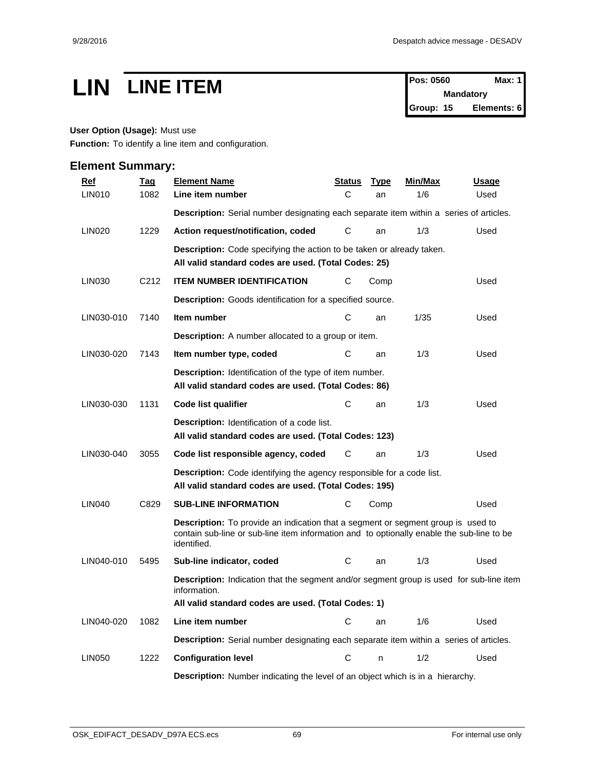# **LIN LINE ITEM Pos: 0560 Max: 1**

**Mandatory Group: 15 Elements: 6**

## **User Option (Usage):** Must use

**Function:** To identify a line item and configuration.

| <b>Ref</b>    | <b>Tag</b>        | <b>Element Name</b>                                                                                                                                                                                 | <u>Status</u> | <u>Type</u> | <u>Min/Max</u> | <u>Usage</u> |
|---------------|-------------------|-----------------------------------------------------------------------------------------------------------------------------------------------------------------------------------------------------|---------------|-------------|----------------|--------------|
| <b>LIN010</b> | 1082              | Line item number                                                                                                                                                                                    | C             | an          | 1/6            | Used         |
|               |                   | Description: Serial number designating each separate item within a series of articles.                                                                                                              |               |             |                |              |
| LIN020        | 1229              | Action request/notification, coded                                                                                                                                                                  | C             | an          | 1/3            | Used         |
|               |                   | Description: Code specifying the action to be taken or already taken.                                                                                                                               |               |             |                |              |
|               |                   | All valid standard codes are used. (Total Codes: 25)                                                                                                                                                |               |             |                |              |
| LIN030        | C <sub>2</sub> 12 | <b>ITEM NUMBER IDENTIFICATION</b>                                                                                                                                                                   | С             | Comp        |                | Used         |
|               |                   | <b>Description:</b> Goods identification for a specified source.                                                                                                                                    |               |             |                |              |
| LIN030-010    | 7140              | Item number                                                                                                                                                                                         | C             | an          | 1/35           | Used         |
|               |                   | <b>Description:</b> A number allocated to a group or item.                                                                                                                                          |               |             |                |              |
| LIN030-020    | 7143              | Item number type, coded                                                                                                                                                                             | C             | an          | 1/3            | Used         |
|               |                   | <b>Description:</b> Identification of the type of item number.<br>All valid standard codes are used. (Total Codes: 86)                                                                              |               |             |                |              |
| LIN030-030    | 1131              | Code list qualifier                                                                                                                                                                                 | C             | an          | 1/3            | Used         |
|               |                   | <b>Description:</b> Identification of a code list.<br>All valid standard codes are used. (Total Codes: 123)                                                                                         |               |             |                |              |
| LIN030-040    | 3055              | Code list responsible agency, coded                                                                                                                                                                 | C             | an          | 1/3            | Used         |
|               |                   | <b>Description:</b> Code identifying the agency responsible for a code list.<br>All valid standard codes are used. (Total Codes: 195)                                                               |               |             |                |              |
| <b>LIN040</b> | C829              | <b>SUB-LINE INFORMATION</b>                                                                                                                                                                         | С             | Comp        |                | Used         |
|               |                   | <b>Description:</b> To provide an indication that a segment or segment group is used to<br>contain sub-line or sub-line item information and to optionally enable the sub-line to be<br>identified. |               |             |                |              |
| LIN040-010    | 5495              | Sub-line indicator, coded                                                                                                                                                                           | C             | an          | 1/3            | Used         |
|               |                   | <b>Description:</b> Indication that the segment and/or segment group is used for sub-line item<br>information.<br>All valid standard codes are used. (Total Codes: 1)                               |               |             |                |              |
| LIN040-020    | 1082              | Line item number                                                                                                                                                                                    | С             | an          | 1/6            | Used         |
|               |                   | Description: Serial number designating each separate item within a series of articles.                                                                                                              |               |             |                |              |
| <b>LIN050</b> | 1222              | <b>Configuration level</b>                                                                                                                                                                          | C             |             | 1/2            | Used         |
|               |                   | <b>Description:</b> Number indicating the level of an object which is in a hierarchy.                                                                                                               |               |             |                |              |
|               |                   |                                                                                                                                                                                                     |               |             |                |              |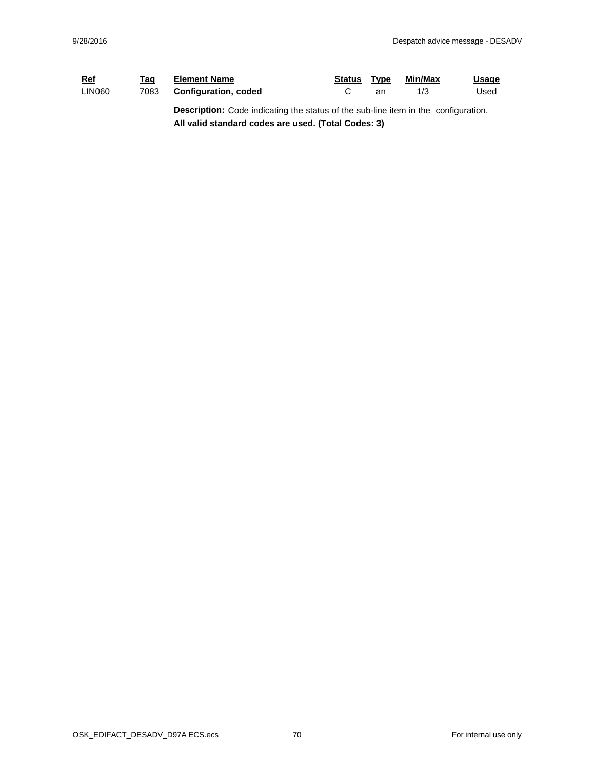| <u>Ref</u> | Taq  | <b>Element Name</b>                                                                       | Status | Type | Min/Max | <u>Usage</u> |
|------------|------|-------------------------------------------------------------------------------------------|--------|------|---------|--------------|
| LIN060     | 7083 | <b>Configuration, coded</b>                                                               |        | an   | 1/3     | Used         |
|            |      | <b>Description:</b> Code indicating the status of the sub-line item in the configuration. |        |      |         |              |

**All valid standard codes are used. (Total Codes: 3)**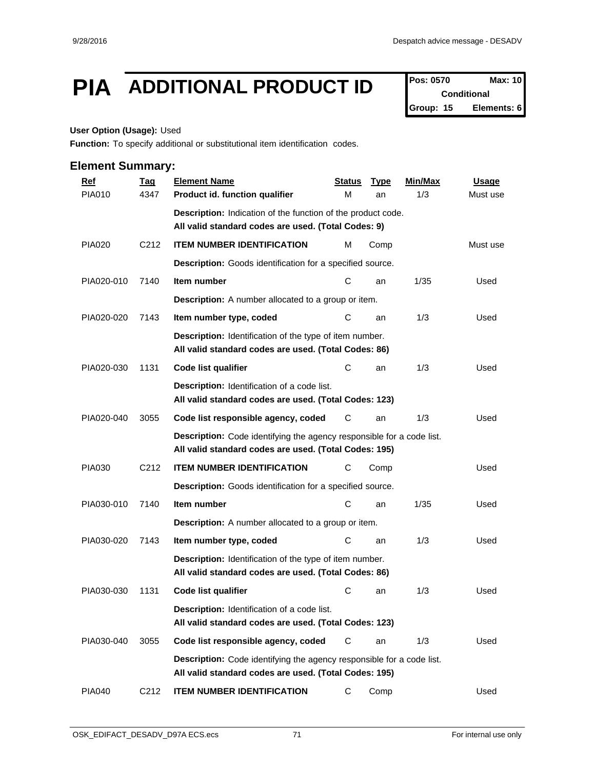## **PIA** ADDITIONAL PRODUCT ID **Pos: 0570** Max: 10

**Conditional Group: 15 Elements: 6**

#### **User Option (Usage):** Used

**Function:** To specify additional or substitutional item identification codes.

| <b>Ref</b>    | <b>Tag</b>        | <b>Element Name</b>                                                                                                            | <b>Status</b> | <b>Type</b> | Min/Max | <b>Usage</b> |
|---------------|-------------------|--------------------------------------------------------------------------------------------------------------------------------|---------------|-------------|---------|--------------|
| <b>PIA010</b> | 4347              | Product id. function qualifier                                                                                                 | М             | an          | 1/3     | Must use     |
|               |                   | Description: Indication of the function of the product code.                                                                   |               |             |         |              |
|               |                   | All valid standard codes are used. (Total Codes: 9)                                                                            |               |             |         |              |
| <b>PIA020</b> | C <sub>2</sub> 12 | <b>ITEM NUMBER IDENTIFICATION</b>                                                                                              | м             | Comp        |         | Must use     |
|               |                   | Description: Goods identification for a specified source.                                                                      |               |             |         |              |
| PIA020-010    | 7140              | Item number                                                                                                                    | С             | an          | 1/35    | Used         |
|               |                   | <b>Description:</b> A number allocated to a group or item.                                                                     |               |             |         |              |
| PIA020-020    | 7143              | Item number type, coded                                                                                                        | С             | an          | 1/3     | Used         |
|               |                   | Description: Identification of the type of item number.<br>All valid standard codes are used. (Total Codes: 86)                |               |             |         |              |
| PIA020-030    | 1131              | <b>Code list qualifier</b>                                                                                                     | С             | an          | 1/3     | Used         |
|               |                   | Description: Identification of a code list.<br>All valid standard codes are used. (Total Codes: 123)                           |               |             |         |              |
| PIA020-040    | 3055              | Code list responsible agency, coded                                                                                            | С             | an          | 1/3     | Used         |
|               |                   | Description: Code identifying the agency responsible for a code list.<br>All valid standard codes are used. (Total Codes: 195) |               |             |         |              |
| <b>PIA030</b> | C <sub>2</sub> 12 | <b>ITEM NUMBER IDENTIFICATION</b>                                                                                              | С             | Comp        |         | Used         |
|               |                   | Description: Goods identification for a specified source.                                                                      |               |             |         |              |
| PIA030-010    | 7140              | Item number                                                                                                                    | С             | an          | 1/35    | Used         |
|               |                   | Description: A number allocated to a group or item.                                                                            |               |             |         |              |
| PIA030-020    | 7143              | Item number type, coded                                                                                                        | C             | an          | 1/3     | Used         |
|               |                   | Description: Identification of the type of item number.<br>All valid standard codes are used. (Total Codes: 86)                |               |             |         |              |
| PIA030-030    | 1131              | Code list qualifier                                                                                                            | C             | an          | 1/3     | Used         |
|               |                   | Description: Identification of a code list.<br>All valid standard codes are used. (Total Codes: 123)                           |               |             |         |              |
| PIA030-040    | 3055              | Code list responsible agency, coded                                                                                            | C             | an          | 1/3     | Used         |
|               |                   | Description: Code identifying the agency responsible for a code list.<br>All valid standard codes are used. (Total Codes: 195) |               |             |         |              |
| <b>PIA040</b> | C <sub>2</sub> 12 | <b>ITEM NUMBER IDENTIFICATION</b>                                                                                              | C             | Comp        |         | Used         |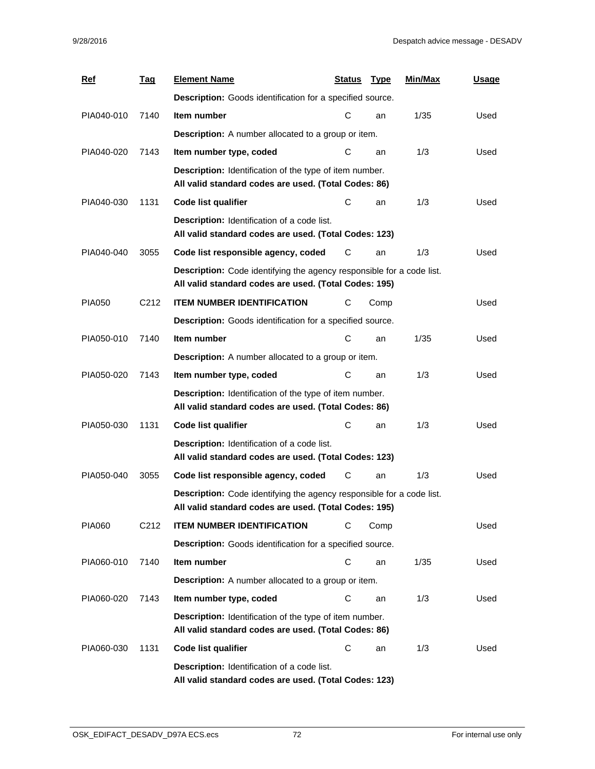| <b>Ref</b>    | <u>Tag</u>        | <b>Element Name</b>                                                                                                                   | <u>Status</u> | <b>Type</b> | Min/Max | Usage |
|---------------|-------------------|---------------------------------------------------------------------------------------------------------------------------------------|---------------|-------------|---------|-------|
|               |                   | Description: Goods identification for a specified source.                                                                             |               |             |         |       |
| PIA040-010    | 7140              | Item number                                                                                                                           | С             | an          | 1/35    | Used  |
|               |                   | <b>Description:</b> A number allocated to a group or item.                                                                            |               |             |         |       |
| PIA040-020    | 7143              | Item number type, coded                                                                                                               | С             | an          | 1/3     | Used  |
|               |                   | Description: Identification of the type of item number.<br>All valid standard codes are used. (Total Codes: 86)                       |               |             |         |       |
| PIA040-030    | 1131              | <b>Code list qualifier</b>                                                                                                            | С             | an          | 1/3     | Used  |
|               |                   | Description: Identification of a code list.<br>All valid standard codes are used. (Total Codes: 123)                                  |               |             |         |       |
| PIA040-040    | 3055              | Code list responsible agency, coded                                                                                                   | C             | an          | 1/3     | Used  |
|               |                   | <b>Description:</b> Code identifying the agency responsible for a code list.<br>All valid standard codes are used. (Total Codes: 195) |               |             |         |       |
| <b>PIA050</b> | C <sub>2</sub> 12 | <b>ITEM NUMBER IDENTIFICATION</b>                                                                                                     | С             | Comp        |         | Used  |
|               |                   | Description: Goods identification for a specified source.                                                                             |               |             |         |       |
| PIA050-010    | 7140              | Item number                                                                                                                           | С             | an          | 1/35    | Used  |
|               |                   | <b>Description:</b> A number allocated to a group or item.                                                                            |               |             |         |       |
| PIA050-020    | 7143              | Item number type, coded                                                                                                               | С             | an          | 1/3     | Used  |
|               |                   | Description: Identification of the type of item number.<br>All valid standard codes are used. (Total Codes: 86)                       |               |             |         |       |
| PIA050-030    | 1131              | Code list qualifier                                                                                                                   | С             | an          | 1/3     | Used  |
|               |                   | Description: Identification of a code list.<br>All valid standard codes are used. (Total Codes: 123)                                  |               |             |         |       |
| PIA050-040    | 3055              | Code list responsible agency, coded                                                                                                   | С             | an          | 1/3     | Used  |
|               |                   | <b>Description:</b> Code identifying the agency responsible for a code list.<br>All valid standard codes are used. (Total Codes: 195) |               |             |         |       |
| <b>PIA060</b> | C <sub>2</sub> 12 | <b>ITEM NUMBER IDENTIFICATION</b>                                                                                                     | С             | Comp        |         | Used  |
|               |                   | Description: Goods identification for a specified source.                                                                             |               |             |         |       |
| PIA060-010    | 7140              | Item number                                                                                                                           | C             | an          | 1/35    | Used  |
|               |                   | <b>Description:</b> A number allocated to a group or item.                                                                            |               |             |         |       |
| PIA060-020    | 7143              | Item number type, coded                                                                                                               | С             | an          | 1/3     | Used  |
|               |                   | Description: Identification of the type of item number.<br>All valid standard codes are used. (Total Codes: 86)                       |               |             |         |       |
| PIA060-030    | 1131              | Code list qualifier                                                                                                                   | С             | an          | 1/3     | Used  |
|               |                   | Description: Identification of a code list.<br>All valid standard codes are used. (Total Codes: 123)                                  |               |             |         |       |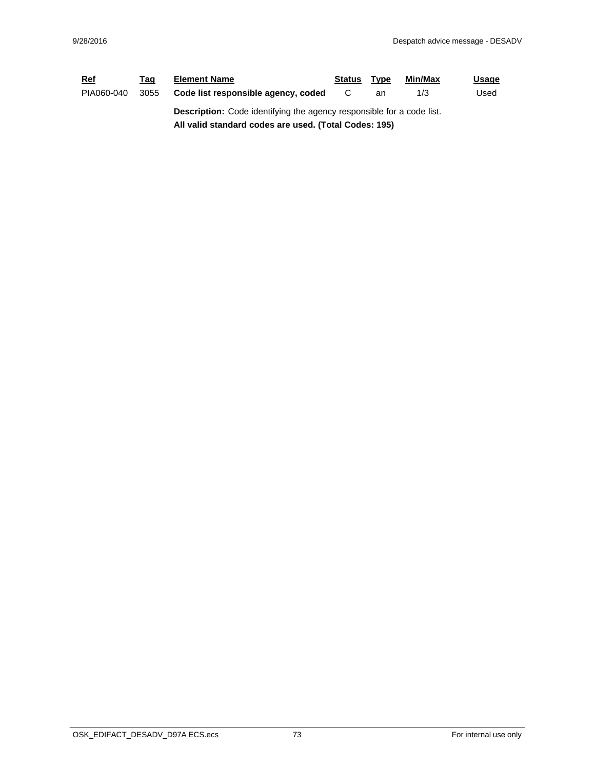| <u>Ref</u> | Taq  | <b>Element Name</b>                                                          | Status | Type | Min/Max | <u>Usage</u> |  |  |  |
|------------|------|------------------------------------------------------------------------------|--------|------|---------|--------------|--|--|--|
| PIA060-040 | 3055 | Code list responsible agency, coded                                          |        | an   | 1/3     | Used         |  |  |  |
|            |      | <b>Description:</b> Code identifying the agency responsible for a code list. |        |      |         |              |  |  |  |
|            |      | All valid standard codes are used. (Total Codes: 195)                        |        |      |         |              |  |  |  |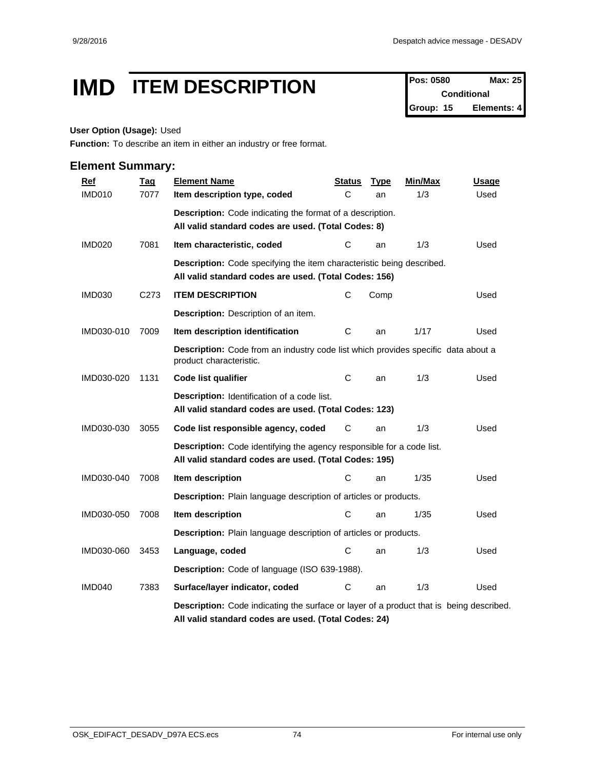## **IMD ITEM DESCRIPTION Pos: 0580 Max: 25**<br>Conditional

**Conditional Group: 15 Elements: 4**

### **User Option (Usage):** Used

**Function:** To describe an item in either an industry or free format.

| <b>Ref</b>    | <b>Tag</b>       | <b>Element Name</b>                                                                                                                             | Status | <b>Type</b> | Min/Max | Usage |
|---------------|------------------|-------------------------------------------------------------------------------------------------------------------------------------------------|--------|-------------|---------|-------|
| <b>IMD010</b> | 7077             | Item description type, coded                                                                                                                    | C      | an          | 1/3     | Used  |
|               |                  | Description: Code indicating the format of a description.<br>All valid standard codes are used. (Total Codes: 8)                                |        |             |         |       |
| <b>IMD020</b> | 7081             | Item characteristic, coded                                                                                                                      | С      | an          | 1/3     | Used  |
|               |                  | <b>Description:</b> Code specifying the item characteristic being described.<br>All valid standard codes are used. (Total Codes: 156)           |        |             |         |       |
| <b>IMD030</b> | C <sub>273</sub> | <b>ITEM DESCRIPTION</b>                                                                                                                         | C      | Comp        |         | Used  |
|               |                  | Description: Description of an item.                                                                                                            |        |             |         |       |
| IMD030-010    | 7009             | Item description identification                                                                                                                 | С      | an          | 1/17    | Used  |
|               |                  | Description: Code from an industry code list which provides specific data about a<br>product characteristic.                                    |        |             |         |       |
| IMD030-020    | 1131             | <b>Code list qualifier</b>                                                                                                                      | С      | an          | 1/3     | Used  |
|               |                  | Description: Identification of a code list.<br>All valid standard codes are used. (Total Codes: 123)                                            |        |             |         |       |
| IMD030-030    | 3055             | Code list responsible agency, coded                                                                                                             | С      | an          | 1/3     | Used  |
|               |                  | <b>Description:</b> Code identifying the agency responsible for a code list.<br>All valid standard codes are used. (Total Codes: 195)           |        |             |         |       |
| IMD030-040    | 7008             | Item description                                                                                                                                | C      | an          | 1/35    | Used  |
|               |                  | Description: Plain language description of articles or products.                                                                                |        |             |         |       |
| IMD030-050    | 7008             | Item description                                                                                                                                | C      | an          | 1/35    | Used  |
|               |                  | Description: Plain language description of articles or products.                                                                                |        |             |         |       |
| IMD030-060    | 3453             | Language, coded                                                                                                                                 | С      | an          | 1/3     | Used  |
|               |                  | Description: Code of language (ISO 639-1988).                                                                                                   |        |             |         |       |
| IMD040        | 7383             | Surface/layer indicator, coded                                                                                                                  | С      | an          | 1/3     | Used  |
|               |                  | Description: Code indicating the surface or layer of a product that is being described.<br>All valid standard codes are used. (Total Codes: 24) |        |             |         |       |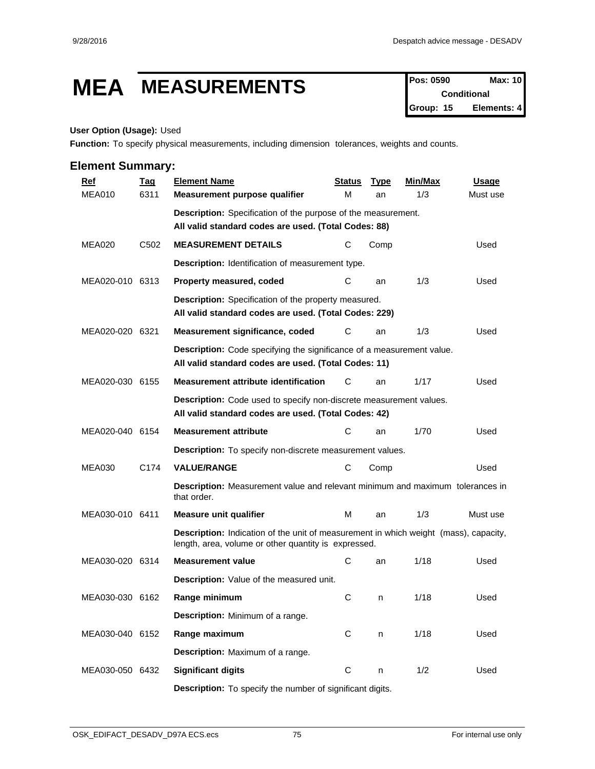## **MEA MEASUREMENTS Pos: 0590 Max: 10**

**Conditional Group: 15 Elements: 4**

#### **User Option (Usage):** Used

**Function:** To specify physical measurements, including dimension tolerances, weights and counts.

| <b>Ref</b>      | <u>Tag</u>       | <b>Element Name</b>                                                                                                                          | <b>Status</b> | <b>Type</b> | <b>Min/Max</b> | Usage    |  |  |  |  |  |
|-----------------|------------------|----------------------------------------------------------------------------------------------------------------------------------------------|---------------|-------------|----------------|----------|--|--|--|--|--|
| <b>MEA010</b>   | 6311             | Measurement purpose qualifier                                                                                                                | м             | an          | 1/3            | Must use |  |  |  |  |  |
|                 |                  | <b>Description:</b> Specification of the purpose of the measurement.                                                                         |               |             |                |          |  |  |  |  |  |
|                 |                  | All valid standard codes are used. (Total Codes: 88)                                                                                         |               |             |                |          |  |  |  |  |  |
| <b>MEA020</b>   | C <sub>502</sub> | <b>MEASUREMENT DETAILS</b>                                                                                                                   | С             | Comp        |                | Used     |  |  |  |  |  |
|                 |                  | Description: Identification of measurement type.                                                                                             |               |             |                |          |  |  |  |  |  |
| MEA020-010 6313 |                  | Property measured, coded                                                                                                                     | С             | an          | 1/3            | Used     |  |  |  |  |  |
|                 |                  | Description: Specification of the property measured.<br>All valid standard codes are used. (Total Codes: 229)                                |               |             |                |          |  |  |  |  |  |
| MEA020-020 6321 |                  | Measurement significance, coded                                                                                                              | С             | an          | 1/3            | Used     |  |  |  |  |  |
|                 |                  | Description: Code specifying the significance of a measurement value.<br>All valid standard codes are used. (Total Codes: 11)                |               |             |                |          |  |  |  |  |  |
| MEA020-030 6155 |                  | <b>Measurement attribute identification</b>                                                                                                  | С             | an          | 1/17           | Used     |  |  |  |  |  |
|                 |                  | Description: Code used to specify non-discrete measurement values.<br>All valid standard codes are used. (Total Codes: 42)                   |               |             |                |          |  |  |  |  |  |
| MEA020-040 6154 |                  | <b>Measurement attribute</b>                                                                                                                 | С             | an          | 1/70           | Used     |  |  |  |  |  |
|                 |                  | Description: To specify non-discrete measurement values.                                                                                     |               |             |                |          |  |  |  |  |  |
| <b>MEA030</b>   | C174             | <b>VALUE/RANGE</b>                                                                                                                           | С             | Comp        |                | Used     |  |  |  |  |  |
|                 |                  | <b>Description:</b> Measurement value and relevant minimum and maximum tolerances in<br>that order.                                          |               |             |                |          |  |  |  |  |  |
| MEA030-010 6411 |                  | <b>Measure unit qualifier</b>                                                                                                                | м             | an          | 1/3            | Must use |  |  |  |  |  |
|                 |                  | Description: Indication of the unit of measurement in which weight (mass), capacity,<br>length, area, volume or other quantity is expressed. |               |             |                |          |  |  |  |  |  |
| MEA030-020 6314 |                  | <b>Measurement value</b>                                                                                                                     | С             | an          | 1/18           | Used     |  |  |  |  |  |
|                 |                  | Description: Value of the measured unit.                                                                                                     |               |             |                |          |  |  |  |  |  |
| MEA030-030 6162 |                  | Range minimum                                                                                                                                | C             | n           | 1/18           | Used     |  |  |  |  |  |
|                 |                  | Description: Minimum of a range.                                                                                                             |               |             |                |          |  |  |  |  |  |
| MEA030-040 6152 |                  | Range maximum                                                                                                                                | C             | n           | 1/18           | Used     |  |  |  |  |  |
|                 |                  | Description: Maximum of a range.                                                                                                             |               |             |                |          |  |  |  |  |  |
| MEA030-050 6432 |                  | <b>Significant digits</b>                                                                                                                    | $\mathbf C$   | n           | 1/2            | Used     |  |  |  |  |  |
|                 |                  | Description: To specify the number of significant digits.                                                                                    |               |             |                |          |  |  |  |  |  |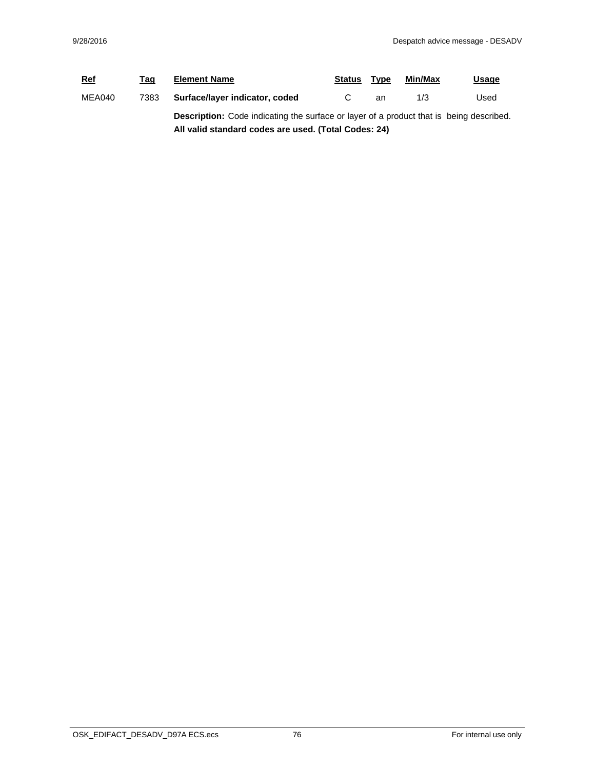| <b>Ref</b> | Tag  | <b>Element Name</b>                                                                            | <b>Status</b> | Type | Min/Max | <u>Usage</u> |  |
|------------|------|------------------------------------------------------------------------------------------------|---------------|------|---------|--------------|--|
| MEA040     | 7383 | Surface/layer indicator, coded                                                                 |               | an   | 1/3     | Used         |  |
|            |      | <b>Description:</b> Code indicating the surface or layer of a product that is being described. |               |      |         |              |  |
|            |      | All valid standard codes are used. (Total Codes: 24)                                           |               |      |         |              |  |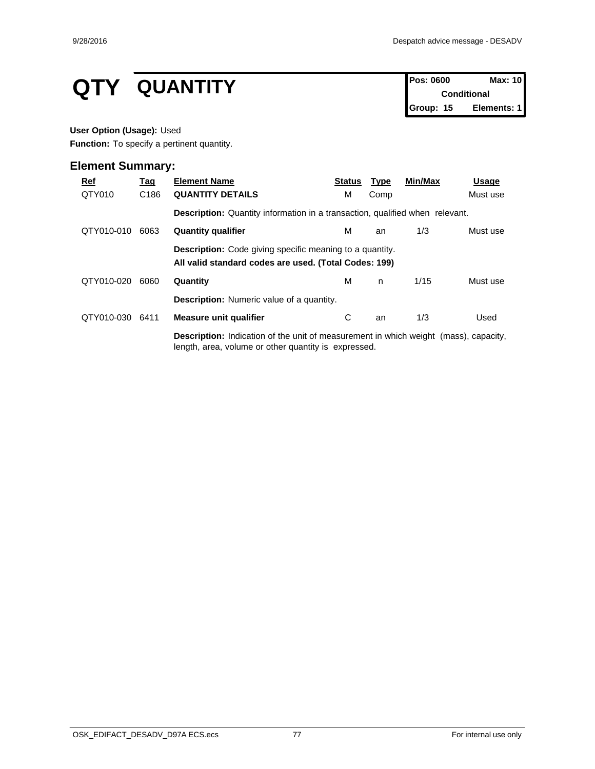# **QTY QUANTITY Pos: 0600 Max: 10**<br>Conditional

**Conditional Group: 15 Elements: 1**

### **User Option (Usage):** Used

**Function:** To specify a pertinent quantity.

| <u>Ref</u> | <u>Tag</u>       | <b>Element Name</b>                                                                                                                                 | <b>Status</b> | <u>Type</u> | Min/Max | Usage    |
|------------|------------------|-----------------------------------------------------------------------------------------------------------------------------------------------------|---------------|-------------|---------|----------|
| QTY010     | C <sub>186</sub> | <b>QUANTITY DETAILS</b>                                                                                                                             | м             | Comp        |         | Must use |
|            |                  | <b>Description:</b> Quantity information in a transaction, qualified when relevant.                                                                 |               |             |         |          |
| QTY010-010 | 6063             | <b>Quantity qualifier</b>                                                                                                                           | м             | an          | 1/3     | Must use |
|            |                  | <b>Description:</b> Code giving specific meaning to a quantity.<br>All valid standard codes are used. (Total Codes: 199)                            |               |             |         |          |
| QTY010-020 | 6060             | Quantity                                                                                                                                            | М             | n.          | 1/15    | Must use |
|            |                  | <b>Description:</b> Numeric value of a quantity.                                                                                                    |               |             |         |          |
| QTY010-030 | 6411             | <b>Measure unit qualifier</b>                                                                                                                       | С             | an          | 1/3     | Used     |
|            |                  | <b>Description:</b> Indication of the unit of measurement in which weight (mass), capacity,<br>length, area, volume or other quantity is expressed. |               |             |         |          |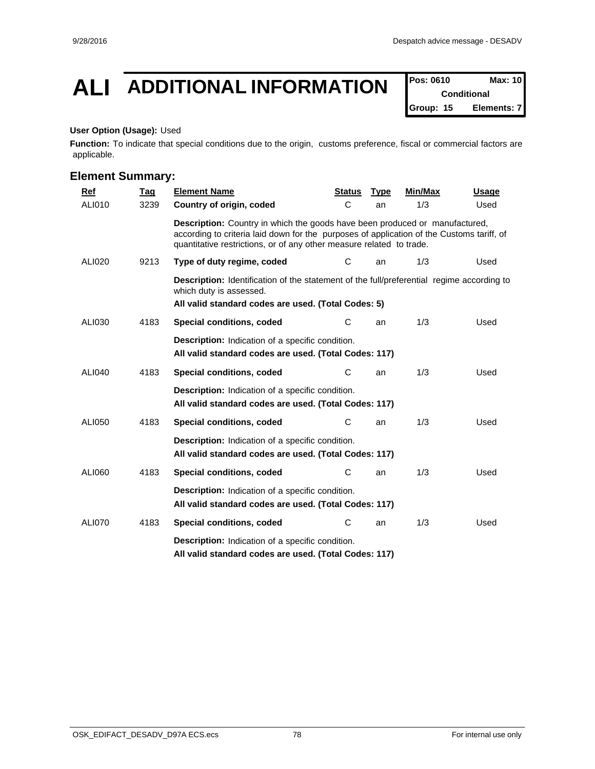## **ALI ADDITIONAL INFORMATION Pos: 0610 Max: 10**

**Conditional Group: 15 Elements: 7**

### **User Option (Usage):** Used

**Function:** To indicate that special conditions due to the origin, customs preference, fiscal or commercial factors are applicable.

| <b>Ref</b>    | <u>Tag</u> | <b>Element Name</b>                                                                                                                                                                                                                                     | <b>Status</b> | <b>Type</b> | Min/Max | Usage |  |  |  |  |
|---------------|------------|---------------------------------------------------------------------------------------------------------------------------------------------------------------------------------------------------------------------------------------------------------|---------------|-------------|---------|-------|--|--|--|--|
| ALI010        | 3239       | Country of origin, coded                                                                                                                                                                                                                                | C             | an          | 1/3     | Used  |  |  |  |  |
|               |            | <b>Description:</b> Country in which the goods have been produced or manufactured,<br>according to criteria laid down for the purposes of application of the Customs tariff, of<br>quantitative restrictions, or of any other measure related to trade. |               |             |         |       |  |  |  |  |
| <b>ALI020</b> | 9213       | Type of duty regime, coded                                                                                                                                                                                                                              | C             | an          | 1/3     | Used  |  |  |  |  |
|               |            | Description: Identification of the statement of the full/preferential regime according to<br>which duty is assessed.<br>All valid standard codes are used. (Total Codes: 5)                                                                             |               |             |         |       |  |  |  |  |
| ALI030        | 4183       | Special conditions, coded                                                                                                                                                                                                                               | С             | an          | 1/3     | Used  |  |  |  |  |
|               |            | <b>Description:</b> Indication of a specific condition.<br>All valid standard codes are used. (Total Codes: 117)                                                                                                                                        |               |             |         |       |  |  |  |  |
| <b>ALI040</b> | 4183       | Special conditions, coded                                                                                                                                                                                                                               | С             | an          | 1/3     | Used  |  |  |  |  |
|               |            | <b>Description:</b> Indication of a specific condition.<br>All valid standard codes are used. (Total Codes: 117)                                                                                                                                        |               |             |         |       |  |  |  |  |
| <b>ALI050</b> | 4183       | Special conditions, coded                                                                                                                                                                                                                               | С             | an          | 1/3     | Used  |  |  |  |  |
|               |            | <b>Description:</b> Indication of a specific condition.<br>All valid standard codes are used. (Total Codes: 117)                                                                                                                                        |               |             |         |       |  |  |  |  |
| ALI060        | 4183       | Special conditions, coded                                                                                                                                                                                                                               | С             | an          | 1/3     | Used  |  |  |  |  |
|               |            | <b>Description:</b> Indication of a specific condition.<br>All valid standard codes are used. (Total Codes: 117)                                                                                                                                        |               |             |         |       |  |  |  |  |
| <b>ALI070</b> | 4183       | Special conditions, coded                                                                                                                                                                                                                               | С             | an          | 1/3     | Used  |  |  |  |  |
|               |            | <b>Description:</b> Indication of a specific condition.<br>All valid standard codes are used. (Total Codes: 117)                                                                                                                                        |               |             |         |       |  |  |  |  |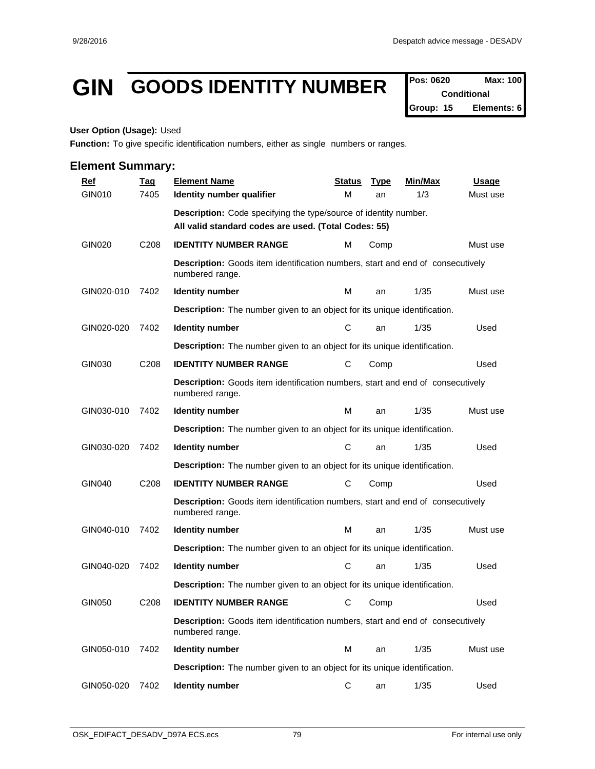## GIN GOODS IDENTITY NUMBER  $\int_{\text{Conditional}}^{\text{Pos: 0620}}$  Max: 100

**Conditional Group: 15 Elements: 6**

#### **User Option (Usage):** Used

**Function:** To give specific identification numbers, either as single numbers or ranges.

| <b>Ref</b>    | <u>Tag</u>       | <b>Element Name</b>                                                                                      | <b>Status</b> | <b>Type</b> | <b>Min/Max</b> | <b>Usage</b> |  |  |  |  |  |
|---------------|------------------|----------------------------------------------------------------------------------------------------------|---------------|-------------|----------------|--------------|--|--|--|--|--|
| GIN010        | 7405             | Identity number qualifier                                                                                | м             | an          | 1/3            | Must use     |  |  |  |  |  |
|               |                  | Description: Code specifying the type/source of identity number.                                         |               |             |                |              |  |  |  |  |  |
|               |                  | All valid standard codes are used. (Total Codes: 55)                                                     |               |             |                |              |  |  |  |  |  |
| <b>GIN020</b> | C <sub>208</sub> | <b>IDENTITY NUMBER RANGE</b>                                                                             | м             | Comp        |                | Must use     |  |  |  |  |  |
|               |                  | Description: Goods item identification numbers, start and end of consecutively<br>numbered range.        |               |             |                |              |  |  |  |  |  |
| GIN020-010    | 7402             | <b>Identity number</b>                                                                                   | м             | an          | 1/35           | Must use     |  |  |  |  |  |
|               |                  | <b>Description:</b> The number given to an object for its unique identification.                         |               |             |                |              |  |  |  |  |  |
| GIN020-020    | 7402             | <b>Identity number</b>                                                                                   | C             | an          | 1/35           | Used         |  |  |  |  |  |
|               |                  | <b>Description:</b> The number given to an object for its unique identification.                         |               |             |                |              |  |  |  |  |  |
| GIN030        | C208             | <b>IDENTITY NUMBER RANGE</b>                                                                             | С             | Comp        |                | Used         |  |  |  |  |  |
|               |                  | <b>Description:</b> Goods item identification numbers, start and end of consecutively<br>numbered range. |               |             |                |              |  |  |  |  |  |
| GIN030-010    | 7402             | <b>Identity number</b>                                                                                   | м             | an          | 1/35           | Must use     |  |  |  |  |  |
|               |                  | <b>Description:</b> The number given to an object for its unique identification.                         |               |             |                |              |  |  |  |  |  |
| GIN030-020    | 7402             | <b>Identity number</b>                                                                                   | С             | an          | 1/35           | Used         |  |  |  |  |  |
|               |                  | <b>Description:</b> The number given to an object for its unique identification.                         |               |             |                |              |  |  |  |  |  |
| <b>GIN040</b> | C208             | <b>IDENTITY NUMBER RANGE</b>                                                                             | С             | Comp        |                | Used         |  |  |  |  |  |
|               |                  | <b>Description:</b> Goods item identification numbers, start and end of consecutively<br>numbered range. |               |             |                |              |  |  |  |  |  |
| GIN040-010    | 7402             | <b>Identity number</b>                                                                                   | м             | an          | 1/35           | Must use     |  |  |  |  |  |
|               |                  | <b>Description:</b> The number given to an object for its unique identification.                         |               |             |                |              |  |  |  |  |  |
| GIN040-020    | 7402             | <b>Identity number</b>                                                                                   | C             | an          | 1/35           | Used         |  |  |  |  |  |
|               |                  | <b>Description:</b> The number given to an object for its unique identification.                         |               |             |                |              |  |  |  |  |  |
| GIN050        | C <sub>208</sub> | <b>IDENTITY NUMBER RANGE</b>                                                                             | С             | Comp        |                | Used         |  |  |  |  |  |
|               |                  | Description: Goods item identification numbers, start and end of consecutively<br>numbered range.        |               |             |                |              |  |  |  |  |  |
| GIN050-010    | 7402             | <b>Identity number</b>                                                                                   | M             | an          | 1/35           | Must use     |  |  |  |  |  |
|               |                  | <b>Description:</b> The number given to an object for its unique identification.                         |               |             |                |              |  |  |  |  |  |
| GIN050-020    | 7402             | <b>Identity number</b>                                                                                   | С             | an          | 1/35           | Used         |  |  |  |  |  |
|               |                  |                                                                                                          |               |             |                |              |  |  |  |  |  |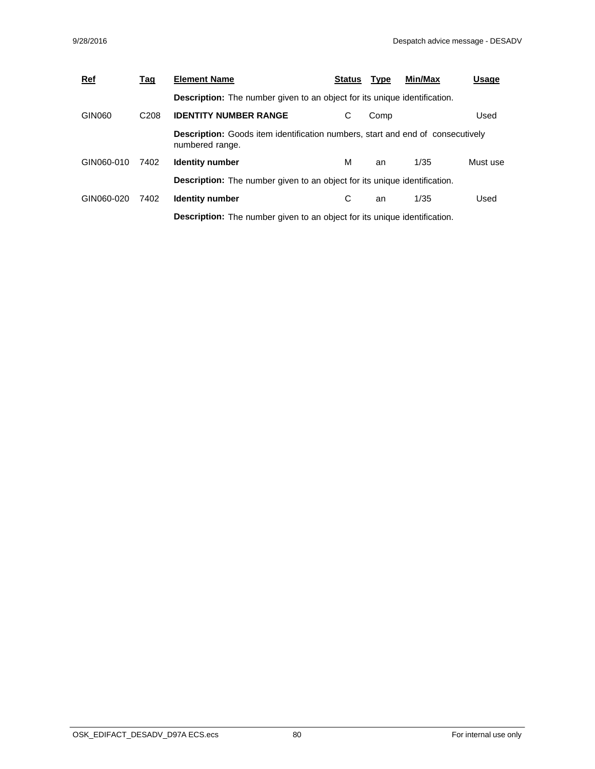| <b>Ref</b> | <u>Tag</u>       | <b>Element Name</b>                                                                                      | <b>Status</b> | <b>Type</b> | Min/Max | Usage    |
|------------|------------------|----------------------------------------------------------------------------------------------------------|---------------|-------------|---------|----------|
|            |                  | <b>Description:</b> The number given to an object for its unique identification.                         |               |             |         |          |
| GIN060     | C <sub>208</sub> | <b>IDENTITY NUMBER RANGE</b>                                                                             | С             | Comp        |         | Used     |
|            |                  | <b>Description:</b> Goods item identification numbers, start and end of consecutively<br>numbered range. |               |             |         |          |
| GIN060-010 | 7402             | <b>Identity number</b>                                                                                   | м             | an          | 1/35    | Must use |
|            |                  | <b>Description:</b> The number given to an object for its unique identification.                         |               |             |         |          |
| GIN060-020 | 7402             | <b>Identity number</b>                                                                                   | С             | an          | 1/35    | Used     |
|            |                  | <b>Description:</b> The number given to an object for its unique identification.                         |               |             |         |          |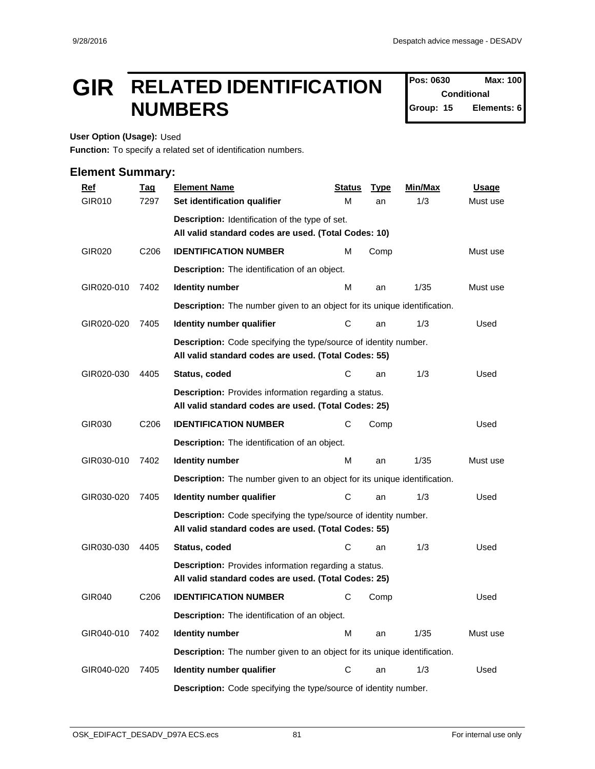## **GIR** RELATED IDENTIFICATION  $\int_{\text{Conditional}}^{\text{Pos: 1630}}$ **NUMBERS and Service SCI (Scoup: 15)**

**Pos: 0630 Conditional Elements: 6** 

**User Option (Usage):** Used

**Function:** To specify a related set of identification numbers.

| <u>Ref</u>    | <b>Tag</b>       | <b>Element Name</b>                                                                                                      | <b>Status</b> | <b>Type</b> | Min/Max | <b>Usage</b> |
|---------------|------------------|--------------------------------------------------------------------------------------------------------------------------|---------------|-------------|---------|--------------|
| <b>GIR010</b> | 7297             | Set identification qualifier                                                                                             | М             | an          | 1/3     | Must use     |
|               |                  | Description: Identification of the type of set.                                                                          |               |             |         |              |
|               |                  | All valid standard codes are used. (Total Codes: 10)                                                                     |               |             |         |              |
| GIR020        | C <sub>206</sub> | <b>IDENTIFICATION NUMBER</b>                                                                                             | м             | Comp        |         | Must use     |
|               |                  | Description: The identification of an object.                                                                            |               |             |         |              |
| GIR020-010    | 7402             | <b>Identity number</b>                                                                                                   | м             | an          | 1/35    | Must use     |
|               |                  | <b>Description:</b> The number given to an object for its unique identification.                                         |               |             |         |              |
| GIR020-020    | 7405             | Identity number qualifier                                                                                                | С             | an          | 1/3     | Used         |
|               |                  | Description: Code specifying the type/source of identity number.<br>All valid standard codes are used. (Total Codes: 55) |               |             |         |              |
| GIR020-030    | 4405             | Status, coded                                                                                                            | C             | an          | 1/3     | Used         |
|               |                  | Description: Provides information regarding a status.<br>All valid standard codes are used. (Total Codes: 25)            |               |             |         |              |
| GIR030        | C <sub>206</sub> | <b>IDENTIFICATION NUMBER</b>                                                                                             | С             | Comp        |         | Used         |
|               |                  | Description: The identification of an object.                                                                            |               |             |         |              |
| GIR030-010    | 7402             | <b>Identity number</b>                                                                                                   | м             | an          | 1/35    | Must use     |
|               |                  | <b>Description:</b> The number given to an object for its unique identification.                                         |               |             |         |              |
| GIR030-020    | 7405             | Identity number qualifier                                                                                                | С             | an          | 1/3     | Used         |
|               |                  | Description: Code specifying the type/source of identity number.<br>All valid standard codes are used. (Total Codes: 55) |               |             |         |              |
| GIR030-030    | 4405             | Status, coded                                                                                                            | С             | an          | 1/3     | Used         |
|               |                  | Description: Provides information regarding a status.<br>All valid standard codes are used. (Total Codes: 25)            |               |             |         |              |
| GIR040        | C <sub>206</sub> | <b>IDENTIFICATION NUMBER</b>                                                                                             | С             | Comp        |         | Used         |
|               |                  | Description: The identification of an object.                                                                            |               |             |         |              |
| GIR040-010    | 7402             | <b>Identity number</b>                                                                                                   | M             | an          | 1/35    | Must use     |
|               |                  | <b>Description:</b> The number given to an object for its unique identification.                                         |               |             |         |              |
| GIR040-020    | 7405             | Identity number qualifier                                                                                                | ${\bf C}$     | an          | 1/3     | Used         |
|               |                  | Description: Code specifying the type/source of identity number.                                                         |               |             |         |              |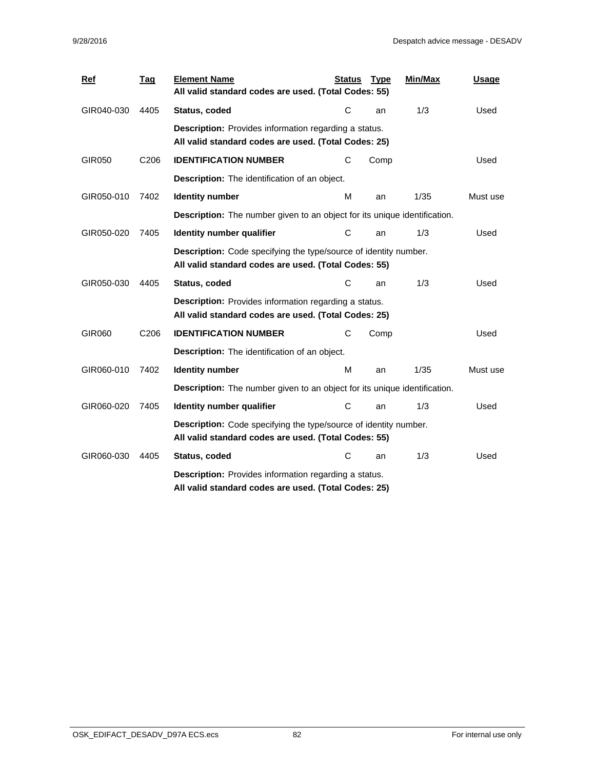| Ref        | <b>Tag</b>       | <b>Element Name</b><br>All valid standard codes are used. (Total Codes: 55)                                              | <b>Status</b> | <b>Type</b> | Min/Max | Usage    |  |  |  |  |
|------------|------------------|--------------------------------------------------------------------------------------------------------------------------|---------------|-------------|---------|----------|--|--|--|--|
| GIR040-030 | 4405             | Status, coded                                                                                                            | С             | an          | 1/3     | Used     |  |  |  |  |
|            |                  | Description: Provides information regarding a status.<br>All valid standard codes are used. (Total Codes: 25)            |               |             |         |          |  |  |  |  |
| GIR050     | C206             | <b>IDENTIFICATION NUMBER</b>                                                                                             | С             | Comp        |         | Used     |  |  |  |  |
|            |                  | <b>Description:</b> The identification of an object.                                                                     |               |             |         |          |  |  |  |  |
| GIR050-010 | 7402             | <b>Identity number</b>                                                                                                   | м             | an          | 1/35    | Must use |  |  |  |  |
|            |                  | Description: The number given to an object for its unique identification.                                                |               |             |         |          |  |  |  |  |
| GIR050-020 | 7405             | Identity number qualifier                                                                                                | C             | an          | 1/3     | Used     |  |  |  |  |
|            |                  | Description: Code specifying the type/source of identity number.<br>All valid standard codes are used. (Total Codes: 55) |               |             |         |          |  |  |  |  |
| GIR050-030 | 4405             | Status, coded                                                                                                            | С             | an          | 1/3     | Used     |  |  |  |  |
|            |                  | <b>Description:</b> Provides information regarding a status.<br>All valid standard codes are used. (Total Codes: 25)     |               |             |         |          |  |  |  |  |
| GIR060     | C <sub>206</sub> | <b>IDENTIFICATION NUMBER</b>                                                                                             | С             | Comp        |         | Used     |  |  |  |  |
|            |                  | Description: The identification of an object.                                                                            |               |             |         |          |  |  |  |  |
| GIR060-010 | 7402             | <b>Identity number</b>                                                                                                   | м             | an          | 1/35    | Must use |  |  |  |  |
|            |                  | <b>Description:</b> The number given to an object for its unique identification.                                         |               |             |         |          |  |  |  |  |
| GIR060-020 | 7405             | Identity number qualifier                                                                                                | С             | an          | 1/3     | Used     |  |  |  |  |
|            |                  | Description: Code specifying the type/source of identity number.<br>All valid standard codes are used. (Total Codes: 55) |               |             |         |          |  |  |  |  |
| GIR060-030 | 4405             | Status, coded                                                                                                            | С             | an          | 1/3     | Used     |  |  |  |  |
|            |                  | <b>Description:</b> Provides information regarding a status.<br>All valid standard codes are used. (Total Codes: 25)     |               |             |         |          |  |  |  |  |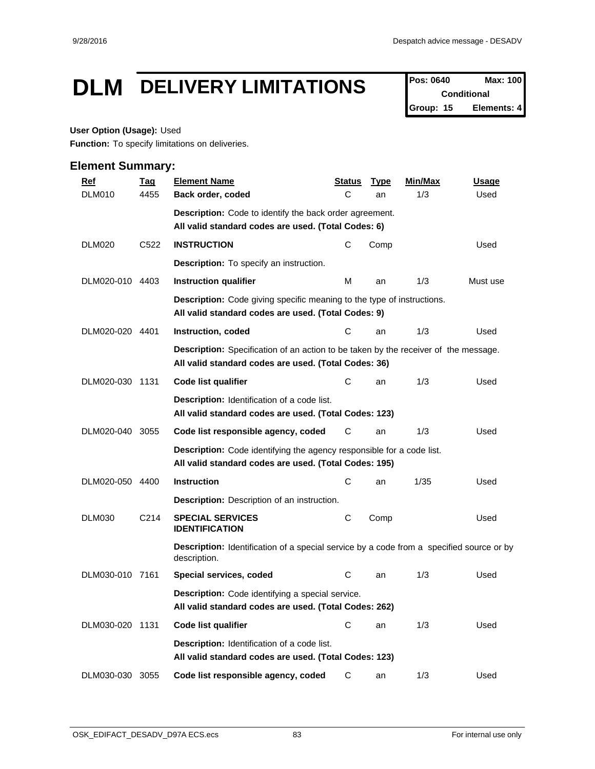## **DLM DELIVERY LIMITATIONS Pos: 0640 Max: 100**

**Conditional Group: 15 Elements: 4**

### **User Option (Usage):** Used

**Function:** To specify limitations on deliveries.

| <b>Ref</b>      | <b>Tag</b>        | <b>Element Name</b>                                                                                                                         | <u>Status</u> | <b>Type</b> | Min/Max | <b>Usage</b> |  |  |  |  |
|-----------------|-------------------|---------------------------------------------------------------------------------------------------------------------------------------------|---------------|-------------|---------|--------------|--|--|--|--|
| <b>DLM010</b>   | 4455              | Back order, coded                                                                                                                           | C             | an          | 1/3     | Used         |  |  |  |  |
|                 |                   | <b>Description:</b> Code to identify the back order agreement.                                                                              |               |             |         |              |  |  |  |  |
|                 |                   | All valid standard codes are used. (Total Codes: 6)                                                                                         |               |             |         |              |  |  |  |  |
| <b>DLM020</b>   | C522              | <b>INSTRUCTION</b>                                                                                                                          | C             | Comp        |         | Used         |  |  |  |  |
|                 |                   | <b>Description:</b> To specify an instruction.                                                                                              |               |             |         |              |  |  |  |  |
| DLM020-010 4403 |                   | 1/3<br>Instruction qualifier<br>м<br>Must use<br>an                                                                                         |               |             |         |              |  |  |  |  |
|                 |                   | <b>Description:</b> Code giving specific meaning to the type of instructions.<br>All valid standard codes are used. (Total Codes: 9)        |               |             |         |              |  |  |  |  |
| DLM020-020 4401 |                   | Instruction, coded                                                                                                                          | C             | an          | 1/3     | Used         |  |  |  |  |
|                 |                   | Description: Specification of an action to be taken by the receiver of the message.<br>All valid standard codes are used. (Total Codes: 36) |               |             |         |              |  |  |  |  |
| DLM020-030 1131 |                   | Code list qualifier                                                                                                                         | С             | an          | 1/3     | Used         |  |  |  |  |
|                 |                   | <b>Description:</b> Identification of a code list.<br>All valid standard codes are used. (Total Codes: 123)                                 |               |             |         |              |  |  |  |  |
| DLM020-040 3055 |                   | Code list responsible agency, coded                                                                                                         | С             | an          | 1/3     | Used         |  |  |  |  |
|                 |                   | Description: Code identifying the agency responsible for a code list.<br>All valid standard codes are used. (Total Codes: 195)              |               |             |         |              |  |  |  |  |
| DLM020-050 4400 |                   | <b>Instruction</b>                                                                                                                          | C             | an          | 1/35    | Used         |  |  |  |  |
|                 |                   | <b>Description:</b> Description of an instruction.                                                                                          |               |             |         |              |  |  |  |  |
| <b>DLM030</b>   | C <sub>2</sub> 14 | <b>SPECIAL SERVICES</b><br><b>IDENTIFICATION</b>                                                                                            | С             | Comp        |         | Used         |  |  |  |  |
|                 |                   | <b>Description:</b> Identification of a special service by a code from a specified source or by<br>description.                             |               |             |         |              |  |  |  |  |
| DLM030-010 7161 |                   | Special services, coded                                                                                                                     | C             | an          | 1/3     | Used         |  |  |  |  |
|                 |                   | <b>Description:</b> Code identifying a special service.<br>All valid standard codes are used. (Total Codes: 262)                            |               |             |         |              |  |  |  |  |
| DLM030-020 1131 |                   | Code list qualifier                                                                                                                         | С             | an          | 1/3     | Used         |  |  |  |  |
|                 |                   | <b>Description:</b> Identification of a code list.<br>All valid standard codes are used. (Total Codes: 123)                                 |               |             |         |              |  |  |  |  |
| DLM030-030 3055 |                   | Code list responsible agency, coded                                                                                                         | С             | an          | 1/3     | Used         |  |  |  |  |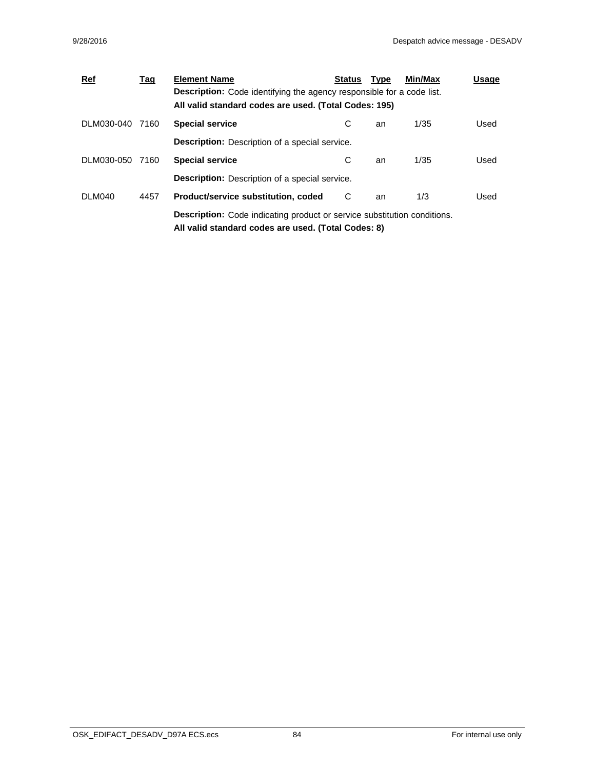| <u>Ref</u>      | <u>Tag</u> | <b>Element Name</b>                                                             | <b>Status</b> | <b>Type</b> | Min/Max | Usage |  |  |  |  |
|-----------------|------------|---------------------------------------------------------------------------------|---------------|-------------|---------|-------|--|--|--|--|
|                 |            | <b>Description:</b> Code identifying the agency responsible for a code list.    |               |             |         |       |  |  |  |  |
|                 |            | All valid standard codes are used. (Total Codes: 195)                           |               |             |         |       |  |  |  |  |
| DLM030-040      | 7160       | <b>Special service</b>                                                          | С             | an          | 1/35    | Used  |  |  |  |  |
|                 |            | <b>Description:</b> Description of a special service.                           |               |             |         |       |  |  |  |  |
| DLM030-050 7160 |            | <b>Special service</b>                                                          | С             | an          | 1/35    | Used  |  |  |  |  |
|                 |            | <b>Description:</b> Description of a special service.                           |               |             |         |       |  |  |  |  |
| DLM040          | 4457       | Product/service substitution, coded                                             | C             | an          | 1/3     | Used  |  |  |  |  |
|                 |            | <b>Description:</b> Code indicating product or service substitution conditions. |               |             |         |       |  |  |  |  |
|                 |            | All valid standard codes are used. (Total Codes: 8)                             |               |             |         |       |  |  |  |  |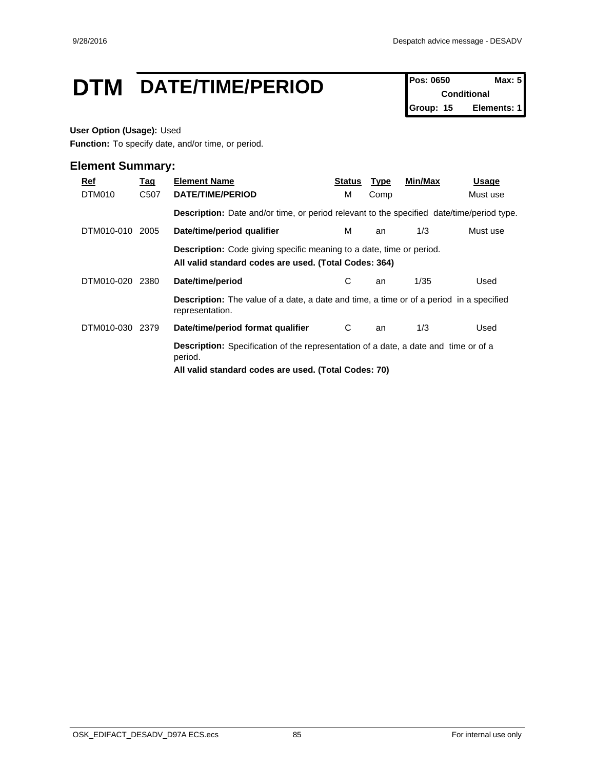## **DTM** DATE/TIME/PERIOD **Pos: 0650 Max: 5**

**Conditional Group: 15 Elements: 1**

### **User Option (Usage):** Used

**Function:** To specify date, and/or time, or period.

| Ref<br>DTM010 | <u>Tag</u><br>C <sub>50</sub> 7 | <b>Element Name</b><br>DATE/TIME/PERIOD                                                                                                                       | <b>Status</b><br>м | <b>Type</b><br>Comp | Min/Max | Usage<br>Must use |  |  |  |  |
|---------------|---------------------------------|---------------------------------------------------------------------------------------------------------------------------------------------------------------|--------------------|---------------------|---------|-------------------|--|--|--|--|
|               |                                 | <b>Description:</b> Date and/or time, or period relevant to the specified date/time/period type.                                                              |                    |                     |         |                   |  |  |  |  |
| DTM010-010    | 2005                            | Date/time/period qualifier                                                                                                                                    | м                  | an                  | 1/3     | Must use          |  |  |  |  |
|               |                                 | <b>Description:</b> Code giving specific meaning to a date, time or period.<br>All valid standard codes are used. (Total Codes: 364)                          |                    |                     |         |                   |  |  |  |  |
| DTM010-020    | 2380                            | Date/time/period                                                                                                                                              | С                  | an                  | 1/35    | Used              |  |  |  |  |
|               |                                 | <b>Description:</b> The value of a date, a date and time, a time or of a period in a specified<br>representation.                                             |                    |                     |         |                   |  |  |  |  |
| DTM010-030    | 2379                            | Date/time/period format qualifier                                                                                                                             | C                  | an                  | 1/3     | Used              |  |  |  |  |
|               |                                 | <b>Description:</b> Specification of the representation of a date, a date and time or of a<br>period.<br>All valid standard codes are used. (Total Codes: 70) |                    |                     |         |                   |  |  |  |  |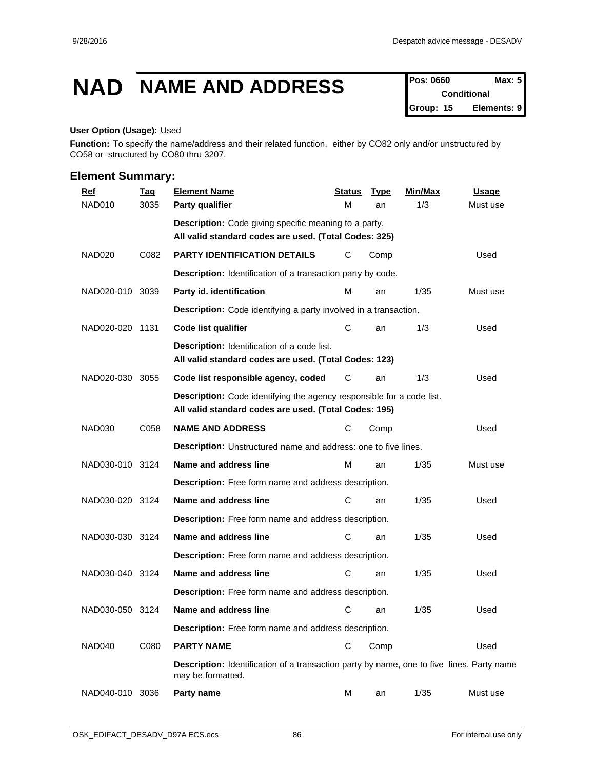## **NAD NAME AND ADDRESS Pos: 0660 Max: 5**

**Conditional Group: 15 Elements: 9**

#### **User Option (Usage):** Used

**Function:** To specify the name/address and their related function, either by CO82 only and/or unstructured by CO58 or structured by CO80 thru 3207.

| <b>Ref</b>      | <u>Tag</u> | <b>Element Name</b>                                                                                                            | <b>Status</b> | <b>Type</b> | Min/Max | Usage    |  |  |  |  |
|-----------------|------------|--------------------------------------------------------------------------------------------------------------------------------|---------------|-------------|---------|----------|--|--|--|--|
| NAD010          | 3035       | Party qualifier                                                                                                                | M             | an          | 1/3     | Must use |  |  |  |  |
|                 |            | <b>Description:</b> Code giving specific meaning to a party.<br>All valid standard codes are used. (Total Codes: 325)          |               |             |         |          |  |  |  |  |
| NAD020          | C082       | PARTY IDENTIFICATION DETAILS                                                                                                   | С             | Comp        |         | Used     |  |  |  |  |
|                 |            | Description: Identification of a transaction party by code.                                                                    |               |             |         |          |  |  |  |  |
| NAD020-010 3039 |            | Party id. identification                                                                                                       | м             | an          | 1/35    | Must use |  |  |  |  |
|                 |            | <b>Description:</b> Code identifying a party involved in a transaction.                                                        |               |             |         |          |  |  |  |  |
| NAD020-020 1131 |            | Code list qualifier                                                                                                            | С             | an          | 1/3     | Used     |  |  |  |  |
|                 |            | <b>Description:</b> Identification of a code list.<br>All valid standard codes are used. (Total Codes: 123)                    |               |             |         |          |  |  |  |  |
| NAD020-030      | 3055       | Code list responsible agency, coded                                                                                            | С             | an          | 1/3     | Used     |  |  |  |  |
|                 |            | Description: Code identifying the agency responsible for a code list.<br>All valid standard codes are used. (Total Codes: 195) |               |             |         |          |  |  |  |  |
| NAD030          | C058       | <b>NAME AND ADDRESS</b>                                                                                                        | С             | Comp        |         | Used     |  |  |  |  |
|                 |            | <b>Description:</b> Unstructured name and address: one to five lines.                                                          |               |             |         |          |  |  |  |  |
| NAD030-010 3124 |            | Name and address line                                                                                                          | M             | an          | 1/35    | Must use |  |  |  |  |
|                 |            | Description: Free form name and address description.                                                                           |               |             |         |          |  |  |  |  |
| NAD030-020 3124 |            | Name and address line                                                                                                          | С             | an          | 1/35    | Used     |  |  |  |  |
|                 |            | Description: Free form name and address description.                                                                           |               |             |         |          |  |  |  |  |
| NAD030-030 3124 |            | Name and address line                                                                                                          | C             | an          | 1/35    | Used     |  |  |  |  |
|                 |            | Description: Free form name and address description.                                                                           |               |             |         |          |  |  |  |  |
| NAD030-040 3124 |            | Name and address line                                                                                                          | С             | an          | 1/35    | Used     |  |  |  |  |
|                 |            | <b>Description:</b> Free form name and address description.                                                                    |               |             |         |          |  |  |  |  |
| NAD030-050 3124 |            | Name and address line                                                                                                          | С             | an          | 1/35    | Used     |  |  |  |  |
|                 |            | Description: Free form name and address description.                                                                           |               |             |         |          |  |  |  |  |
| NAD040          | C080       | <b>PARTY NAME</b>                                                                                                              | С             | Comp        |         | Used     |  |  |  |  |
|                 |            | <b>Description:</b> Identification of a transaction party by name, one to five lines. Party name<br>may be formatted.          |               |             |         |          |  |  |  |  |
| NAD040-010 3036 |            | Party name                                                                                                                     | м             | an          | 1/35    | Must use |  |  |  |  |
|                 |            |                                                                                                                                |               |             |         |          |  |  |  |  |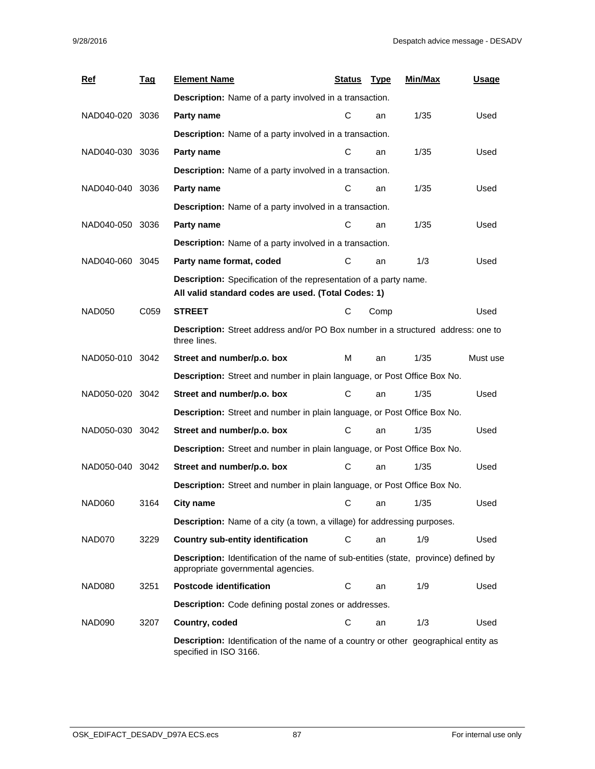| <b>Ref</b>      | <u>Tag</u> | <b>Element Name</b>                                                                                                               | Status | <u>Type</u> | Min/Max | <b>Usage</b> |  |  |  |  |  |
|-----------------|------------|-----------------------------------------------------------------------------------------------------------------------------------|--------|-------------|---------|--------------|--|--|--|--|--|
|                 |            | <b>Description:</b> Name of a party involved in a transaction.                                                                    |        |             |         |              |  |  |  |  |  |
| NAD040-020 3036 |            | Party name                                                                                                                        | С      | an          | 1/35    | Used         |  |  |  |  |  |
|                 |            | <b>Description:</b> Name of a party involved in a transaction.                                                                    |        |             |         |              |  |  |  |  |  |
| NAD040-030 3036 |            | Party name                                                                                                                        | С      | an          | 1/35    | Used         |  |  |  |  |  |
|                 |            | Description: Name of a party involved in a transaction.                                                                           |        |             |         |              |  |  |  |  |  |
| NAD040-040 3036 |            | Party name                                                                                                                        | C      | an          | 1/35    | Used         |  |  |  |  |  |
|                 |            | Description: Name of a party involved in a transaction.                                                                           |        |             |         |              |  |  |  |  |  |
| NAD040-050 3036 |            | Party name                                                                                                                        | C      | an          | 1/35    | Used         |  |  |  |  |  |
|                 |            | Description: Name of a party involved in a transaction.                                                                           |        |             |         |              |  |  |  |  |  |
| NAD040-060 3045 |            | Party name format, coded                                                                                                          | С      | an          | 1/3     | Used         |  |  |  |  |  |
|                 |            | Description: Specification of the representation of a party name.<br>All valid standard codes are used. (Total Codes: 1)          |        |             |         |              |  |  |  |  |  |
| <b>NAD050</b>   | C059       | <b>STREET</b>                                                                                                                     | С      | Comp        |         | Used         |  |  |  |  |  |
|                 |            | Description: Street address and/or PO Box number in a structured address: one to<br>three lines.                                  |        |             |         |              |  |  |  |  |  |
| NAD050-010 3042 |            | Street and number/p.o. box                                                                                                        | M      | an          | 1/35    | Must use     |  |  |  |  |  |
|                 |            | Description: Street and number in plain language, or Post Office Box No.                                                          |        |             |         |              |  |  |  |  |  |
| NAD050-020 3042 |            | Street and number/p.o. box                                                                                                        | С      | an          | 1/35    | Used         |  |  |  |  |  |
|                 |            | Description: Street and number in plain language, or Post Office Box No.                                                          |        |             |         |              |  |  |  |  |  |
| NAD050-030 3042 |            | Street and number/p.o. box                                                                                                        | С      | an          | 1/35    | Used         |  |  |  |  |  |
|                 |            | Description: Street and number in plain language, or Post Office Box No.                                                          |        |             |         |              |  |  |  |  |  |
| NAD050-040 3042 |            | Street and number/p.o. box                                                                                                        | С      | an          | 1/35    | Used         |  |  |  |  |  |
|                 |            | Description: Street and number in plain language, or Post Office Box No.                                                          |        |             |         |              |  |  |  |  |  |
| NAD060          | 3164       | <b>City name</b>                                                                                                                  | С      | an          | 1/35    | Used         |  |  |  |  |  |
|                 |            | <b>Description:</b> Name of a city (a town, a village) for addressing purposes.                                                   |        |             |         |              |  |  |  |  |  |
| NAD070          | 3229       | <b>Country sub-entity identification</b>                                                                                          | С      | an          | 1/9     | Used         |  |  |  |  |  |
|                 |            | <b>Description:</b> Identification of the name of sub-entities (state, province) defined by<br>appropriate governmental agencies. |        |             |         |              |  |  |  |  |  |
| NAD080          | 3251       | <b>Postcode identification</b>                                                                                                    | C      | an          | 1/9     | Used         |  |  |  |  |  |
|                 |            | Description: Code defining postal zones or addresses.                                                                             |        |             |         |              |  |  |  |  |  |
| NAD090          | 3207       | Country, coded                                                                                                                    | C      | an          | 1/3     | Used         |  |  |  |  |  |
|                 |            | <b>Description:</b> Identification of the name of a country or other geographical entity as<br>specified in ISO 3166.             |        |             |         |              |  |  |  |  |  |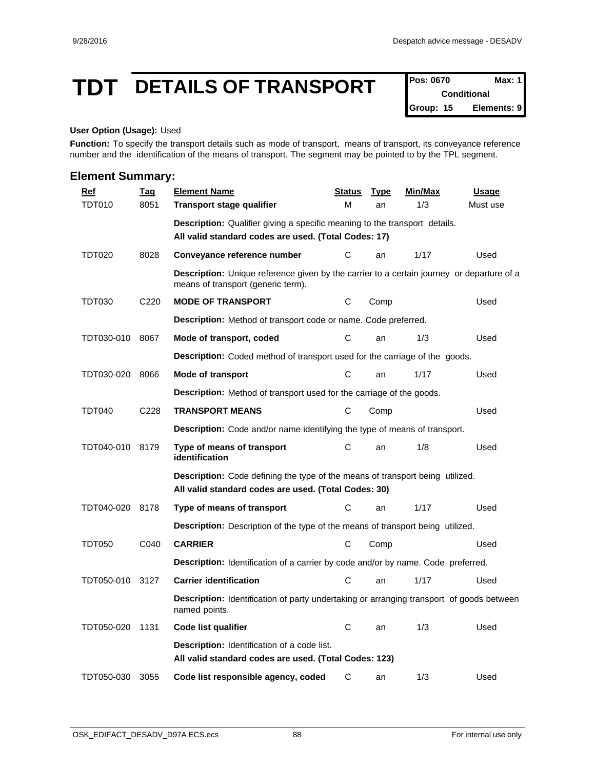## **TDT DETAILS OF TRANSPORT Pos: 0670 Max: 1**

**Conditional Group: 15 Elements: 9**

#### **User Option (Usage):** Used

Function: To specify the transport details such as mode of transport, means of transport, its conveyance reference number and the identification of the means of transport. The segment may be pointed to by the TPL segment.

| <b>Element Summary:</b> |                  |                                                                                                                                           |               |             |                |          |  |  |  |  |  |
|-------------------------|------------------|-------------------------------------------------------------------------------------------------------------------------------------------|---------------|-------------|----------------|----------|--|--|--|--|--|
| $Ref$                   | <u>Taq</u>       | <b>Element Name</b>                                                                                                                       | <b>Status</b> | <b>Type</b> | <b>Min/Max</b> | Usage    |  |  |  |  |  |
| <b>TDT010</b>           | 8051             | <b>Transport stage qualifier</b>                                                                                                          | M             | an          | 1/3            | Must use |  |  |  |  |  |
|                         |                  | <b>Description:</b> Qualifier giving a specific meaning to the transport details.<br>All valid standard codes are used. (Total Codes: 17) |               |             |                |          |  |  |  |  |  |
| <b>TDT020</b>           | 8028             | Conveyance reference number                                                                                                               | C             | an          | 1/17           | Used     |  |  |  |  |  |
|                         |                  | Description: Unique reference given by the carrier to a certain journey or departure of a<br>means of transport (generic term).           |               |             |                |          |  |  |  |  |  |
| <b>TDT030</b>           | C220             | <b>MODE OF TRANSPORT</b>                                                                                                                  | C             | Comp        |                | Used     |  |  |  |  |  |
|                         |                  | <b>Description:</b> Method of transport code or name. Code preferred.                                                                     |               |             |                |          |  |  |  |  |  |
| TDT030-010              | 8067             | Mode of transport, coded                                                                                                                  | C             | an          | 1/3            | Used     |  |  |  |  |  |
|                         |                  | Description: Coded method of transport used for the carriage of the goods.                                                                |               |             |                |          |  |  |  |  |  |
| TDT030-020              | 8066             | Mode of transport                                                                                                                         | C             | an          | 1/17           | Used     |  |  |  |  |  |
|                         |                  | <b>Description:</b> Method of transport used for the carriage of the goods.                                                               |               |             |                |          |  |  |  |  |  |
| <b>TDT040</b>           | C <sub>228</sub> | <b>TRANSPORT MEANS</b>                                                                                                                    | C             | Comp        |                | Used     |  |  |  |  |  |
|                         |                  | <b>Description:</b> Code and/or name identifying the type of means of transport.                                                          |               |             |                |          |  |  |  |  |  |
| TDT040-010              | 8179             | Type of means of transport<br>identification                                                                                              | C             | an          | 1/8            | Used     |  |  |  |  |  |
|                         |                  | Description: Code defining the type of the means of transport being utilized.<br>All valid standard codes are used. (Total Codes: 30)     |               |             |                |          |  |  |  |  |  |
| TDT040-020              | 8178             | Type of means of transport                                                                                                                | С             | an          | 1/17           | Used     |  |  |  |  |  |
|                         |                  | Description: Description of the type of the means of transport being utilized.                                                            |               |             |                |          |  |  |  |  |  |
| <b>TDT050</b>           | C040             | <b>CARRIER</b>                                                                                                                            | С             | Comp        |                | Used     |  |  |  |  |  |
|                         |                  | Description: Identification of a carrier by code and/or by name. Code preferred.                                                          |               |             |                |          |  |  |  |  |  |
| TDT050-010              | 3127             | <b>Carrier identification</b>                                                                                                             | C             | an          | 1/17           | Used     |  |  |  |  |  |
|                         |                  | <b>Description:</b> Identification of party undertaking or arranging transport of goods between<br>named points.                          |               |             |                |          |  |  |  |  |  |
| TDT050-020 1131         |                  | Code list qualifier                                                                                                                       | C             | an          | 1/3            | Used     |  |  |  |  |  |
|                         |                  | Description: Identification of a code list.<br>All valid standard codes are used. (Total Codes: 123)                                      |               |             |                |          |  |  |  |  |  |
| TDT050-030              | 3055             | Code list responsible agency, coded                                                                                                       | C             | an          | 1/3            | Used     |  |  |  |  |  |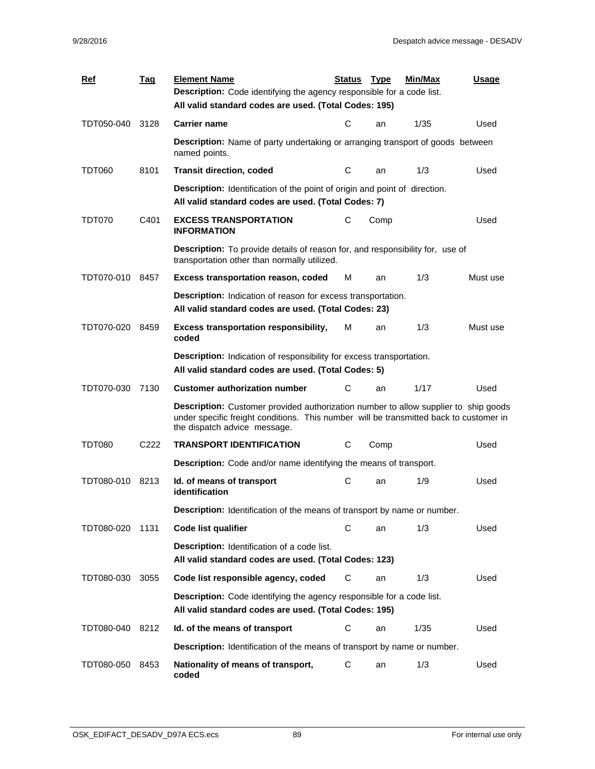| <b>Ref</b>      | <u>Tag</u>       | <b>Element Name</b><br><b>Description:</b> Code identifying the agency responsible for a code list.                                                                                                                  | <b>Status</b> | <b>Type</b> | Min/Max | <b>Usage</b> |  |
|-----------------|------------------|----------------------------------------------------------------------------------------------------------------------------------------------------------------------------------------------------------------------|---------------|-------------|---------|--------------|--|
|                 |                  | All valid standard codes are used. (Total Codes: 195)                                                                                                                                                                |               |             |         |              |  |
| TDT050-040      | 3128             | <b>Carrier name</b>                                                                                                                                                                                                  | С             | an          | 1/35    | Used         |  |
|                 |                  | <b>Description:</b> Name of party undertaking or arranging transport of goods between<br>named points.                                                                                                               |               |             |         |              |  |
| TDT060          | 8101             | <b>Transit direction, coded</b>                                                                                                                                                                                      | С             | an          | 1/3     | Used         |  |
|                 |                  | <b>Description:</b> Identification of the point of origin and point of direction.<br>All valid standard codes are used. (Total Codes: 7)                                                                             |               |             |         |              |  |
| <b>TDT070</b>   | C401             | <b>EXCESS TRANSPORTATION</b><br><b>INFORMATION</b>                                                                                                                                                                   | C             | Comp        |         | Used         |  |
|                 |                  | <b>Description:</b> To provide details of reason for, and responsibility for, use of<br>transportation other than normally utilized.                                                                                 |               |             |         |              |  |
| TDT070-010 8457 |                  | <b>Excess transportation reason, coded</b>                                                                                                                                                                           | М             | an          | 1/3     | Must use     |  |
|                 |                  | Description: Indication of reason for excess transportation.<br>All valid standard codes are used. (Total Codes: 23)                                                                                                 |               |             |         |              |  |
| TDT070-020      | 8459             | <b>Excess transportation responsibility,</b><br>coded                                                                                                                                                                | м             | an          | 1/3     | Must use     |  |
|                 |                  | <b>Description:</b> Indication of responsibility for excess transportation.<br>All valid standard codes are used. (Total Codes: 5)                                                                                   |               |             |         |              |  |
| TDT070-030      | 7130             | <b>Customer authorization number</b>                                                                                                                                                                                 | С             | an          | 1/17    | Used         |  |
|                 |                  | <b>Description:</b> Customer provided authorization number to allow supplier to ship goods<br>under specific freight conditions. This number will be transmitted back to customer in<br>the dispatch advice message. |               |             |         |              |  |
| TDT080          | C <sub>222</sub> | <b>TRANSPORT IDENTIFICATION</b>                                                                                                                                                                                      | С             | Comp        |         | Used         |  |
|                 |                  | Description: Code and/or name identifying the means of transport.                                                                                                                                                    |               |             |         |              |  |
| TDT080-010      | 8213             | Id. of means of transport<br>identification                                                                                                                                                                          | С             | an          | 1/9     | Used         |  |
|                 |                  | Description: Identification of the means of transport by name or number.                                                                                                                                             |               |             |         |              |  |
| TDT080-020      | 1131             | Code list qualifier                                                                                                                                                                                                  | С             | an          | 1/3     | Used         |  |
|                 |                  | Description: Identification of a code list.<br>All valid standard codes are used. (Total Codes: 123)                                                                                                                 |               |             |         |              |  |
| TDT080-030      | 3055             | Code list responsible agency, coded                                                                                                                                                                                  | C             | an          | 1/3     | Used         |  |
|                 |                  | Description: Code identifying the agency responsible for a code list.<br>All valid standard codes are used. (Total Codes: 195)                                                                                       |               |             |         |              |  |
| TDT080-040      | 8212             | Id. of the means of transport                                                                                                                                                                                        | C             | an          | 1/35    | Used         |  |
|                 |                  | Description: Identification of the means of transport by name or number.                                                                                                                                             |               |             |         |              |  |
| TDT080-050      | 8453             | Nationality of means of transport,<br>coded                                                                                                                                                                          | C             | an          | 1/3     | Used         |  |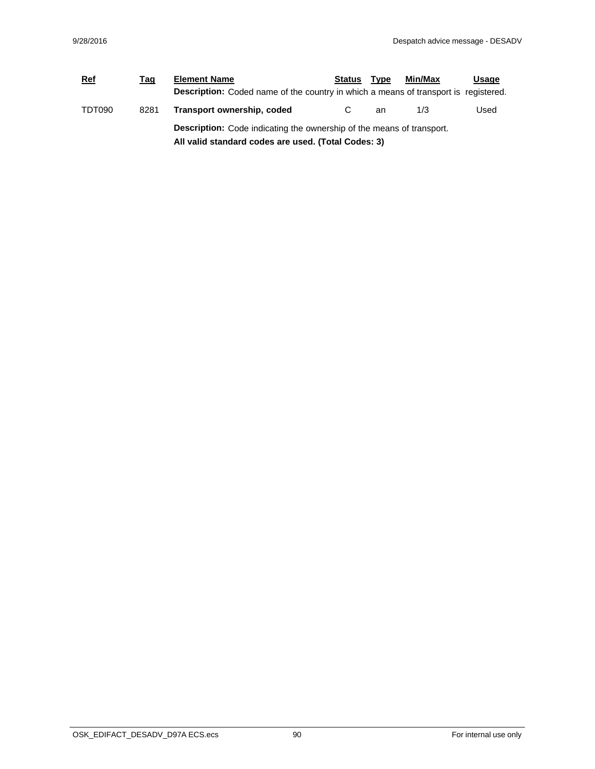| <b>Ref</b> | Tag  | <b>Element Name</b>                                                                                                                 | Status | <b>Type</b> | Min/Max | Usage |  |
|------------|------|-------------------------------------------------------------------------------------------------------------------------------------|--------|-------------|---------|-------|--|
|            |      | <b>Description:</b> Coded name of the country in which a means of transport is registered.                                          |        |             |         |       |  |
| TDT090     | 8281 | Transport ownership, coded                                                                                                          |        | an          | 1/3     | Used  |  |
|            |      | <b>Description:</b> Code indicating the ownership of the means of transport.<br>All valid standard codes are used. (Total Codes: 3) |        |             |         |       |  |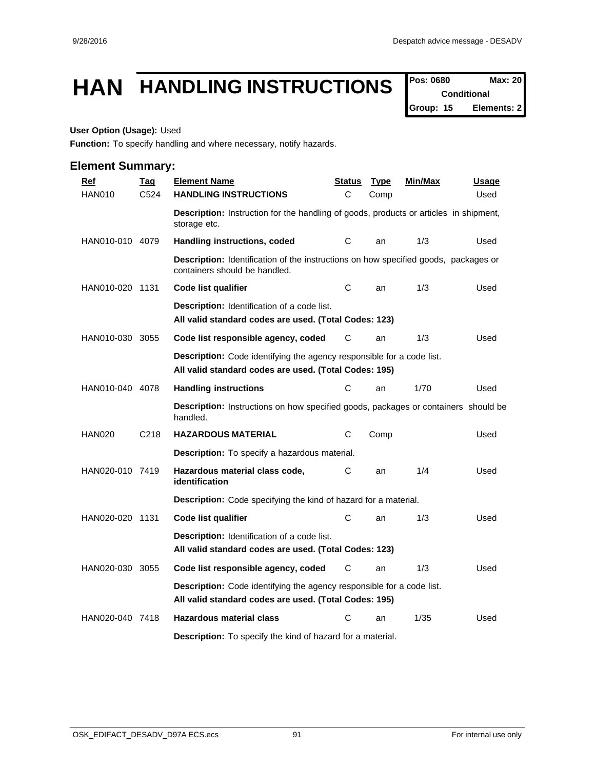## HAN **HANDLING INSTRUCTIONS** Pos: 0680 Max: 20

**Conditional Group: 15 Elements: 2**

#### **User Option (Usage):** Used

**Function:** To specify handling and where necessary, notify hazards.

| <b>Ref</b>      | <b>Tag</b>        | <b>Element Name</b>                                                                                                                   | <u>Status</u> | <b>Type</b> | <u>Min/Max</u> | <u>Usage</u> |  |  |  |  |
|-----------------|-------------------|---------------------------------------------------------------------------------------------------------------------------------------|---------------|-------------|----------------|--------------|--|--|--|--|
| <b>HAN010</b>   | C <sub>524</sub>  | <b>HANDLING INSTRUCTIONS</b>                                                                                                          | C             | Comp        |                | Used         |  |  |  |  |
|                 |                   | <b>Description:</b> Instruction for the handling of goods, products or articles in shipment,<br>storage etc.                          |               |             |                |              |  |  |  |  |
| HAN010-010 4079 |                   | Handling instructions, coded                                                                                                          | С             | an          | 1/3            | Used         |  |  |  |  |
|                 |                   | Description: Identification of the instructions on how specified goods, packages or<br>containers should be handled.                  |               |             |                |              |  |  |  |  |
| HAN010-020 1131 |                   | <b>Code list qualifier</b>                                                                                                            | С             | an          | 1/3            | Used         |  |  |  |  |
|                 |                   | <b>Description:</b> Identification of a code list.<br>All valid standard codes are used. (Total Codes: 123)                           |               |             |                |              |  |  |  |  |
| HAN010-030 3055 |                   | Code list responsible agency, coded                                                                                                   | С             | an          | 1/3            | Used         |  |  |  |  |
|                 |                   | <b>Description:</b> Code identifying the agency responsible for a code list.<br>All valid standard codes are used. (Total Codes: 195) |               |             |                |              |  |  |  |  |
| HAN010-040 4078 |                   | <b>Handling instructions</b>                                                                                                          | С             | an          | 1/70           | Used         |  |  |  |  |
|                 |                   | <b>Description:</b> Instructions on how specified goods, packages or containers should be<br>handled.                                 |               |             |                |              |  |  |  |  |
| <b>HAN020</b>   | C <sub>2</sub> 18 | <b>HAZARDOUS MATERIAL</b>                                                                                                             | С             | Comp        |                | Used         |  |  |  |  |
|                 |                   | <b>Description:</b> To specify a hazardous material.                                                                                  |               |             |                |              |  |  |  |  |
| HAN020-010 7419 |                   | Hazardous material class code,<br>identification                                                                                      | С             | an          | 1/4            | Used         |  |  |  |  |
|                 |                   | Description: Code specifying the kind of hazard for a material.                                                                       |               |             |                |              |  |  |  |  |
| HAN020-020 1131 |                   | <b>Code list qualifier</b>                                                                                                            | C             | an          | 1/3            | Used         |  |  |  |  |
|                 |                   | <b>Description:</b> Identification of a code list.<br>All valid standard codes are used. (Total Codes: 123)                           |               |             |                |              |  |  |  |  |
| HAN020-030 3055 |                   | Code list responsible agency, coded                                                                                                   | С             | an          | 1/3            | Used         |  |  |  |  |
|                 |                   | Description: Code identifying the agency responsible for a code list.<br>All valid standard codes are used. (Total Codes: 195)        |               |             |                |              |  |  |  |  |
| HAN020-040 7418 |                   | <b>Hazardous material class</b>                                                                                                       | С             | an          | 1/35           | Used         |  |  |  |  |
|                 |                   | <b>Description:</b> To specify the kind of hazard for a material.                                                                     |               |             |                |              |  |  |  |  |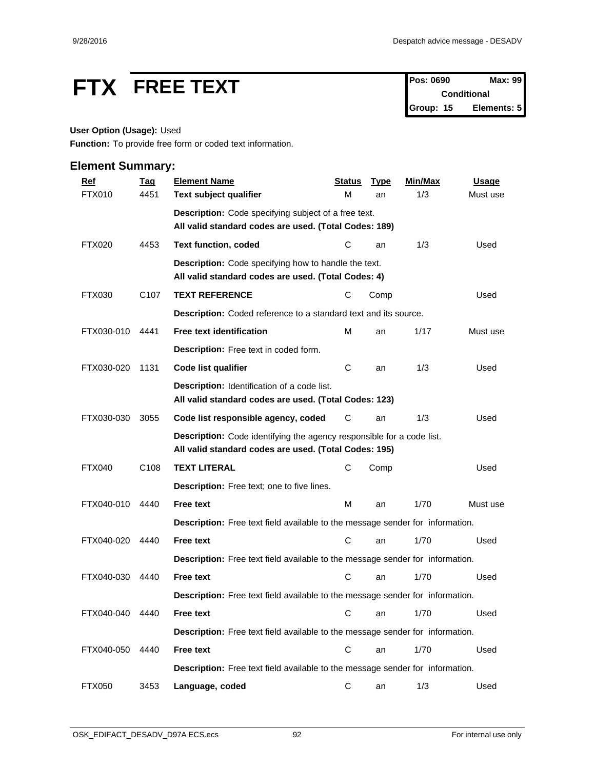# **FTX FREE TEXT Pos: 0690 Max: 99**

**Conditional Group: 15 Elements: 5**

## **User Option (Usage):** Used

**Function:** To provide free form or coded text information.

| <b>Ref</b>    | <b>Tag</b>       | <b>Element Name</b>                                                                                                                   | <b>Status</b> | <b>Type</b> | Min/Max | <b>Usage</b> |
|---------------|------------------|---------------------------------------------------------------------------------------------------------------------------------------|---------------|-------------|---------|--------------|
| FTX010        | 4451             | Text subject qualifier                                                                                                                | М             | an          | 1/3     | Must use     |
|               |                  | Description: Code specifying subject of a free text.                                                                                  |               |             |         |              |
|               |                  | All valid standard codes are used. (Total Codes: 189)                                                                                 |               |             |         |              |
| <b>FTX020</b> | 4453             | <b>Text function, coded</b>                                                                                                           | С             | an          | 1/3     | Used         |
|               |                  | <b>Description:</b> Code specifying how to handle the text.<br>All valid standard codes are used. (Total Codes: 4)                    |               |             |         |              |
| FTX030        | C <sub>107</sub> | <b>TEXT REFERENCE</b>                                                                                                                 | С             | Comp        |         | Used         |
|               |                  | Description: Coded reference to a standard text and its source.                                                                       |               |             |         |              |
| FTX030-010    | 4441             | <b>Free text identification</b>                                                                                                       | M             | an          | 1/17    | Must use     |
|               |                  | Description: Free text in coded form.                                                                                                 |               |             |         |              |
| FTX030-020    | 1131             | Code list qualifier                                                                                                                   | C             | an          | 1/3     | Used         |
|               |                  | Description: Identification of a code list.<br>All valid standard codes are used. (Total Codes: 123)                                  |               |             |         |              |
| FTX030-030    | 3055             | Code list responsible agency, coded                                                                                                   | С             | an          | 1/3     | Used         |
|               |                  | <b>Description:</b> Code identifying the agency responsible for a code list.<br>All valid standard codes are used. (Total Codes: 195) |               |             |         |              |
| <b>FTX040</b> | C <sub>108</sub> | <b>TEXT LITERAL</b>                                                                                                                   | С             | Comp        |         | Used         |
|               |                  | Description: Free text; one to five lines.                                                                                            |               |             |         |              |
| FTX040-010    | 4440             | <b>Free text</b>                                                                                                                      | M             | an          | 1/70    | Must use     |
|               |                  | Description: Free text field available to the message sender for information.                                                         |               |             |         |              |
| FTX040-020    | 4440             | <b>Free text</b>                                                                                                                      | C             | an          | 1/70    | Used         |
|               |                  | Description: Free text field available to the message sender for information.                                                         |               |             |         |              |
| FTX040-030    | 4440             | <b>Free text</b>                                                                                                                      | C             | an          | 1/70    | Used         |
|               |                  | <b>Description:</b> Free text field available to the message sender for information.                                                  |               |             |         |              |
| FTX040-040    | 4440             | <b>Free text</b>                                                                                                                      |               | C an        | 1/70    | Used         |
|               |                  | Description: Free text field available to the message sender for information.                                                         |               |             |         |              |
| FTX040-050    | 4440             | Free text                                                                                                                             | $\mathbf C$   | an          | 1/70    | Used         |
|               |                  | Description: Free text field available to the message sender for information.                                                         |               |             |         |              |
| <b>FTX050</b> | 3453             | Language, coded                                                                                                                       | C             | an          | 1/3     | Used         |
|               |                  |                                                                                                                                       |               |             |         |              |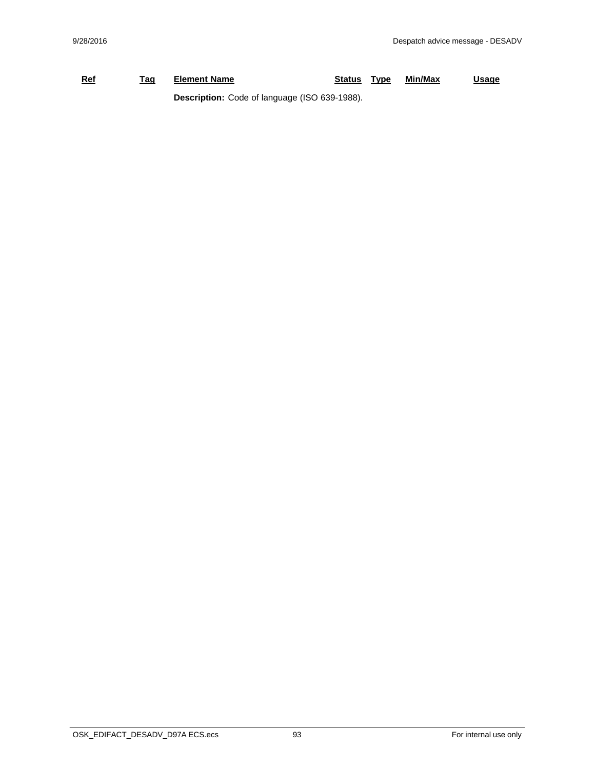## **Ref Tag Element Name Status Type Min/Max Usage Description:** Code of language (ISO 639-1988).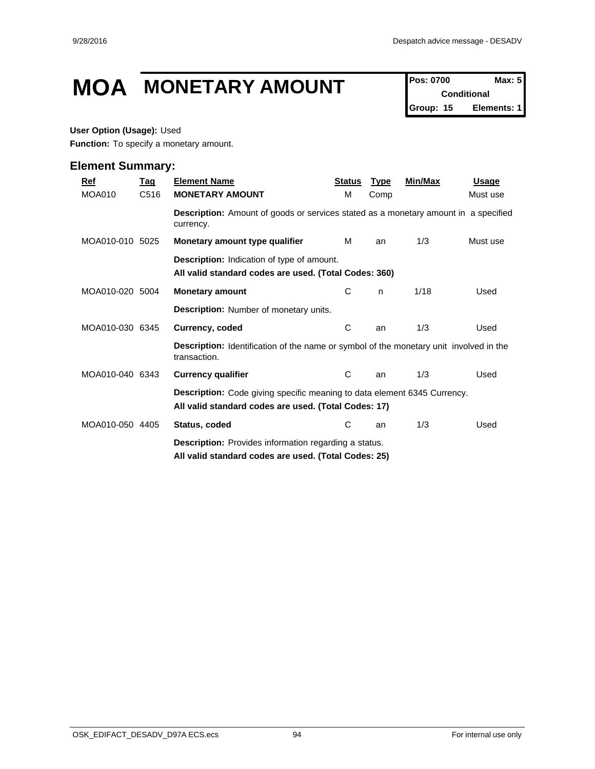## **MOA MONETARY AMOUNT** Pos: 0700 **Max: 5**

**Conditional Group: 15 Elements: 1**

### **User Option (Usage):** Used

**Function:** To specify a monetary amount.

| <u>Ref</u>      | <u>Tag</u> | <b>Element Name</b>                                                                                                              | <b>Status</b> | <b>Type</b> | Min/Max | <u>Usage</u> |
|-----------------|------------|----------------------------------------------------------------------------------------------------------------------------------|---------------|-------------|---------|--------------|
| MOA010          | C516       | <b>MONETARY AMOUNT</b>                                                                                                           | м             | Comp        |         | Must use     |
|                 |            | <b>Description:</b> Amount of goods or services stated as a monetary amount in a specified<br>currency.                          |               |             |         |              |
| MOA010-010 5025 |            | Monetary amount type qualifier                                                                                                   | м             | an          | 1/3     | Must use     |
|                 |            | <b>Description:</b> Indication of type of amount.<br>All valid standard codes are used. (Total Codes: 360)                       |               |             |         |              |
| MOA010-020 5004 |            | <b>Monetary amount</b>                                                                                                           | С             | n.          | 1/18    | Used         |
|                 |            | Description: Number of monetary units.                                                                                           |               |             |         |              |
| MOA010-030 6345 |            | Currency, coded                                                                                                                  | C             | an          | 1/3     | Used         |
|                 |            | <b>Description:</b> Identification of the name or symbol of the monetary unit involved in the<br>transaction.                    |               |             |         |              |
| MOA010-040 6343 |            | <b>Currency qualifier</b>                                                                                                        | C             | an          | 1/3     | Used         |
|                 |            | Description: Code giving specific meaning to data element 6345 Currency.<br>All valid standard codes are used. (Total Codes: 17) |               |             |         |              |
| MOA010-050 4405 |            | Status, coded                                                                                                                    | C             | an          | 1/3     | Used         |
|                 |            | <b>Description:</b> Provides information regarding a status.<br>All valid standard codes are used. (Total Codes: 25)             |               |             |         |              |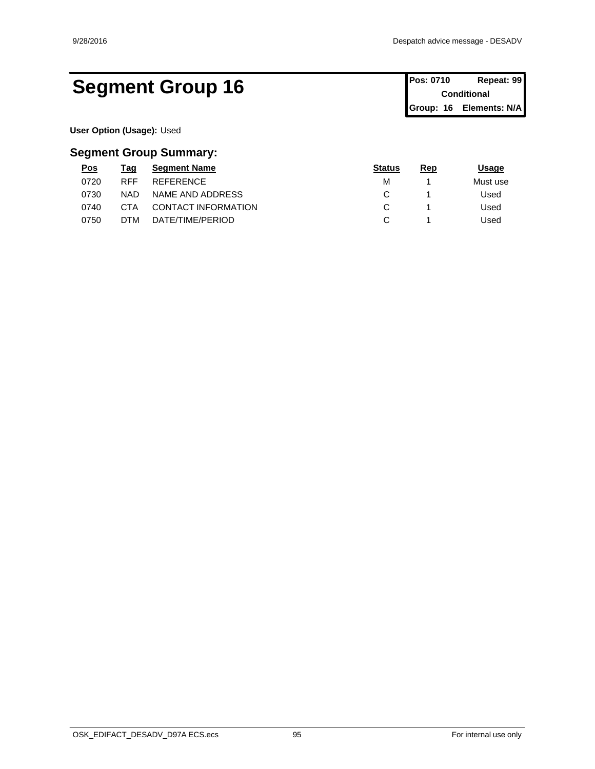## Segment Group 16 **Pos: 0710 Repeat: 99 Conditional**

**Conditional Group: 16 Elements: N/A**

**User Option (Usage):** Used

## **Segment Group Summary:**

| <u>Pos</u> | Tag        | <b>Segment Name</b> | <b>Status</b> | <u>Rep</u> | <u> Jsage</u> |
|------------|------------|---------------------|---------------|------------|---------------|
| 0720       | <b>RFF</b> | REFERENCE           | М             |            | Must use      |
| 0730       | <b>NAD</b> | NAME AND ADDRESS    |               |            | Used          |
| 0740       | СТА        | CONTACT INFORMATION |               |            | Used          |
| 0750       | DTM        | DATE/TIME/PERIOD    |               |            | Used          |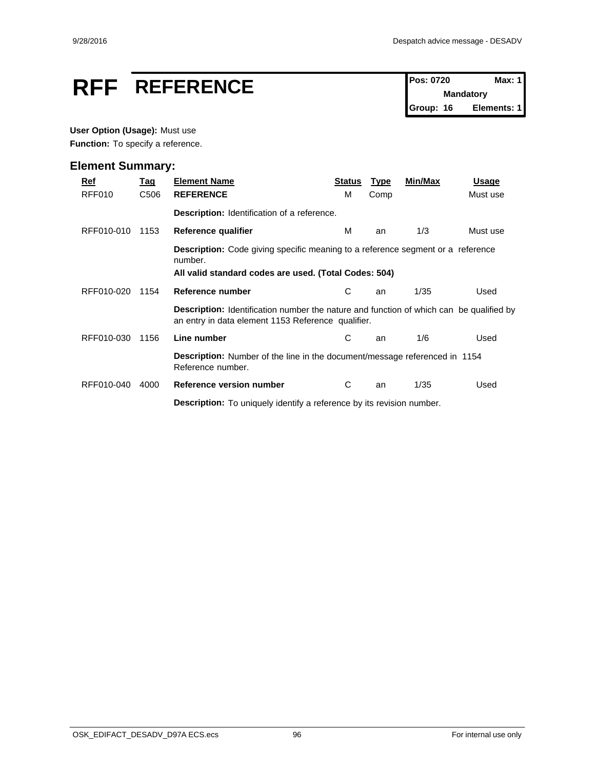# **RFF** REFERENCE Pos: 0720 Max: 1

**Mandatory Group: 16 Elements: 1**

## **User Option (Usage):** Must use

Function: To specify a reference.

| Ref        | <u>Tag</u>                                                                                                                                                 | <b>Element Name</b>                                                                                                                                  | <b>Status</b> | <b>Type</b> | Min/Max | <b>Usage</b> |  |  |  |  |  |
|------------|------------------------------------------------------------------------------------------------------------------------------------------------------------|------------------------------------------------------------------------------------------------------------------------------------------------------|---------------|-------------|---------|--------------|--|--|--|--|--|
| RFF010     | C <sub>506</sub>                                                                                                                                           | <b>REFERENCE</b>                                                                                                                                     | м             | Comp        |         | Must use     |  |  |  |  |  |
|            |                                                                                                                                                            | <b>Description:</b> Identification of a reference.                                                                                                   |               |             |         |              |  |  |  |  |  |
| RFF010-010 | 1153                                                                                                                                                       | Reference qualifier                                                                                                                                  | м             | an          | 1/3     | Must use     |  |  |  |  |  |
|            | <b>Description:</b> Code giving specific meaning to a reference segment or a reference<br>number.<br>All valid standard codes are used. (Total Codes: 504) |                                                                                                                                                      |               |             |         |              |  |  |  |  |  |
| RFF010-020 | 1154                                                                                                                                                       | Reference number                                                                                                                                     | C             | an          | 1/35    | Used         |  |  |  |  |  |
|            |                                                                                                                                                            | <b>Description:</b> Identification number the nature and function of which can be qualified by<br>an entry in data element 1153 Reference qualifier. |               |             |         |              |  |  |  |  |  |
| RFF010-030 | 1156                                                                                                                                                       | Line number                                                                                                                                          | С             | an          | 1/6     | Used         |  |  |  |  |  |
|            |                                                                                                                                                            | <b>Description:</b> Number of the line in the document/message referenced in 1154<br>Reference number.                                               |               |             |         |              |  |  |  |  |  |
| RFF010-040 | 4000                                                                                                                                                       | Reference version number                                                                                                                             | C             | an          | 1/35    | Used         |  |  |  |  |  |
|            |                                                                                                                                                            | <b>Description:</b> To uniquely identify a reference by its revision number.                                                                         |               |             |         |              |  |  |  |  |  |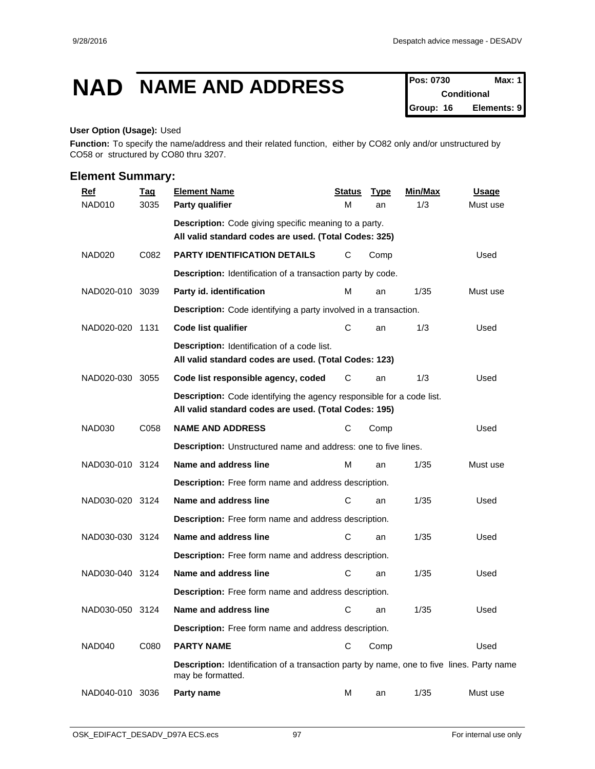## **NAD NAME AND ADDRESS Pos: 0730 Max: 1**

**Conditional Group: 16 Elements: 9**

#### **User Option (Usage):** Used

**Function:** To specify the name/address and their related function, either by CO82 only and/or unstructured by CO58 or structured by CO80 thru 3207.

| <b>Ref</b>         | <b>Tag</b> | <b>Element Name</b>                                                                                                            | <b>Status</b> | <b>Type</b> | Min/Max | <b>Usage</b> |
|--------------------|------------|--------------------------------------------------------------------------------------------------------------------------------|---------------|-------------|---------|--------------|
| NAD010             | 3035       | Party qualifier                                                                                                                | M             | an          | 1/3     | Must use     |
|                    |            | Description: Code giving specific meaning to a party.<br>All valid standard codes are used. (Total Codes: 325)                 |               |             |         |              |
| NAD <sub>020</sub> | C082       | <b>PARTY IDENTIFICATION DETAILS</b>                                                                                            | С             | Comp        |         | Used         |
|                    |            | Description: Identification of a transaction party by code.                                                                    |               |             |         |              |
| NAD020-010 3039    |            | Party id. identification                                                                                                       | м             | an          | 1/35    | Must use     |
|                    |            | <b>Description:</b> Code identifying a party involved in a transaction.                                                        |               |             |         |              |
| NAD020-020 1131    |            | Code list qualifier                                                                                                            | С             | an          | 1/3     | Used         |
|                    |            | <b>Description:</b> Identification of a code list.<br>All valid standard codes are used. (Total Codes: 123)                    |               |             |         |              |
| NAD020-030         | 3055       | Code list responsible agency, coded                                                                                            | С             | an          | 1/3     | Used         |
|                    |            | Description: Code identifying the agency responsible for a code list.<br>All valid standard codes are used. (Total Codes: 195) |               |             |         |              |
| <b>NAD030</b>      | C058       | <b>NAME AND ADDRESS</b>                                                                                                        | С             | Comp        |         | Used         |
|                    |            | Description: Unstructured name and address: one to five lines.                                                                 |               |             |         |              |
| NAD030-010 3124    |            | Name and address line                                                                                                          | M             | an          | 1/35    | Must use     |
|                    |            | Description: Free form name and address description.                                                                           |               |             |         |              |
| NAD030-020 3124    |            | Name and address line                                                                                                          | С             | an          | 1/35    | Used         |
|                    |            | Description: Free form name and address description.                                                                           |               |             |         |              |
| NAD030-030 3124    |            | Name and address line                                                                                                          | С             | an          | 1/35    | Used         |
|                    |            | Description: Free form name and address description.                                                                           |               |             |         |              |
| NAD030-040 3124    |            | Name and address line                                                                                                          | С             | an          | 1/35    | Used         |
|                    |            | Description: Free form name and address description.                                                                           |               |             |         |              |
| NAD030-050 3124    |            | Name and address line                                                                                                          | С             | an          | 1/35    | Used         |
|                    |            | Description: Free form name and address description.                                                                           |               |             |         |              |
| NAD040             | C080       | <b>PARTY NAME</b>                                                                                                              | С             | Comp        |         | Used         |
|                    |            | <b>Description:</b> Identification of a transaction party by name, one to five lines. Party name<br>may be formatted.          |               |             |         |              |
| NAD040-010 3036    |            | Party name                                                                                                                     | М             | an          | 1/35    | Must use     |
|                    |            |                                                                                                                                |               |             |         |              |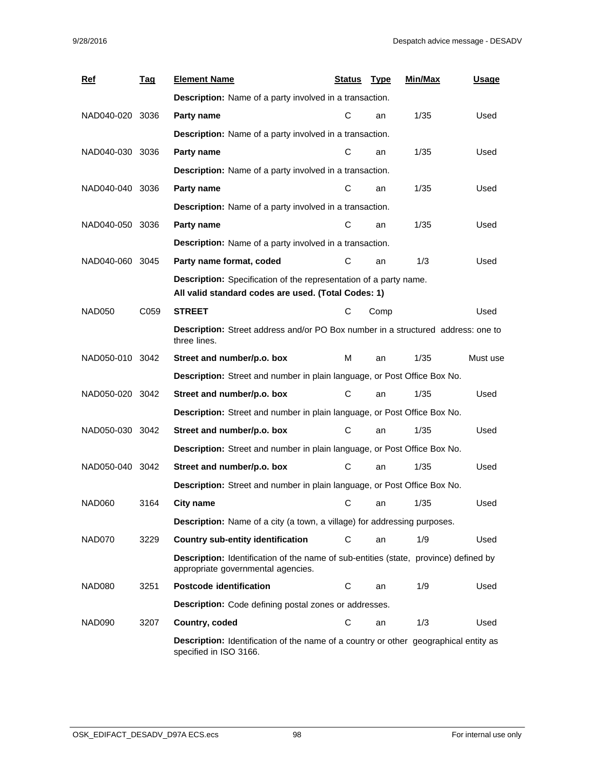| <b>Ref</b>      | <u>Tag</u> | <b>Element Name</b>                                                                                                               | Status | <u>Type</u> | Min/Max | <b>Usage</b> |
|-----------------|------------|-----------------------------------------------------------------------------------------------------------------------------------|--------|-------------|---------|--------------|
|                 |            | <b>Description:</b> Name of a party involved in a transaction.                                                                    |        |             |         |              |
| NAD040-020 3036 |            | Party name                                                                                                                        | С      | an          | 1/35    | Used         |
|                 |            | <b>Description:</b> Name of a party involved in a transaction.                                                                    |        |             |         |              |
| NAD040-030 3036 |            | Party name                                                                                                                        | С      | an          | 1/35    | Used         |
|                 |            | Description: Name of a party involved in a transaction.                                                                           |        |             |         |              |
| NAD040-040 3036 |            | Party name                                                                                                                        | C      | an          | 1/35    | Used         |
|                 |            | Description: Name of a party involved in a transaction.                                                                           |        |             |         |              |
| NAD040-050 3036 |            | Party name                                                                                                                        | C      | an          | 1/35    | Used         |
|                 |            | Description: Name of a party involved in a transaction.                                                                           |        |             |         |              |
| NAD040-060 3045 |            | Party name format, coded                                                                                                          | С      | an          | 1/3     | Used         |
|                 |            | Description: Specification of the representation of a party name.<br>All valid standard codes are used. (Total Codes: 1)          |        |             |         |              |
| <b>NAD050</b>   | C059       | <b>STREET</b>                                                                                                                     | С      | Comp        |         | Used         |
|                 |            | Description: Street address and/or PO Box number in a structured address: one to<br>three lines.                                  |        |             |         |              |
| NAD050-010 3042 |            | Street and number/p.o. box                                                                                                        | M      | an          | 1/35    | Must use     |
|                 |            | Description: Street and number in plain language, or Post Office Box No.                                                          |        |             |         |              |
| NAD050-020 3042 |            | Street and number/p.o. box                                                                                                        | С      | an          | 1/35    | Used         |
|                 |            | Description: Street and number in plain language, or Post Office Box No.                                                          |        |             |         |              |
| NAD050-030 3042 |            | Street and number/p.o. box                                                                                                        | С      | an          | 1/35    | Used         |
|                 |            | Description: Street and number in plain language, or Post Office Box No.                                                          |        |             |         |              |
| NAD050-040 3042 |            | Street and number/p.o. box                                                                                                        | С      | an          | 1/35    | Used         |
|                 |            | Description: Street and number in plain language, or Post Office Box No.                                                          |        |             |         |              |
| NAD060          | 3164       | <b>City name</b>                                                                                                                  | С      | an          | 1/35    | Used         |
|                 |            | <b>Description:</b> Name of a city (a town, a village) for addressing purposes.                                                   |        |             |         |              |
| NAD070          | 3229       | <b>Country sub-entity identification</b>                                                                                          | С      | an          | 1/9     | Used         |
|                 |            | <b>Description:</b> Identification of the name of sub-entities (state, province) defined by<br>appropriate governmental agencies. |        |             |         |              |
| NAD080          | 3251       | <b>Postcode identification</b>                                                                                                    | C      | an          | 1/9     | Used         |
|                 |            | Description: Code defining postal zones or addresses.                                                                             |        |             |         |              |
| NAD090          | 3207       | Country, coded                                                                                                                    | C      | an          | 1/3     | Used         |
|                 |            | <b>Description:</b> Identification of the name of a country or other geographical entity as<br>specified in ISO 3166.             |        |             |         |              |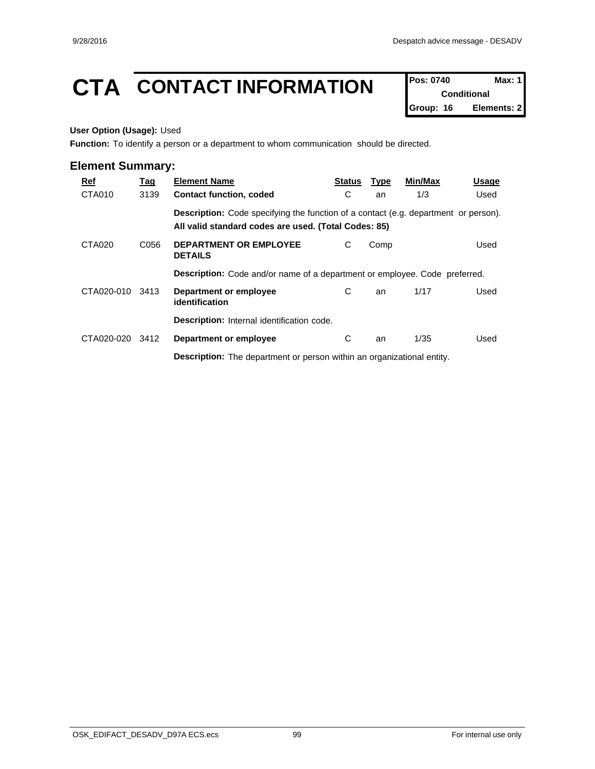## **CTA** CONTACT INFORMATION **Pos: 0740** Max: 1

**Conditional Group: 16 Elements: 2**

### **User Option (Usage):** Used

**Function:** To identify a person or a department to whom communication should be directed.

| Ref        | <u>Tag</u>                                                                                 | <b>Element Name</b>                                                               | <b>Status</b> | <b>Type</b> | Min/Max | Usage |  |  |  |
|------------|--------------------------------------------------------------------------------------------|-----------------------------------------------------------------------------------|---------------|-------------|---------|-------|--|--|--|
| CTA010     | 3139                                                                                       | <b>Contact function, coded</b>                                                    | С             | an          | 1/3     | Used  |  |  |  |
|            | <b>Description:</b> Code specifying the function of a contact (e.g. department or person). |                                                                                   |               |             |         |       |  |  |  |
|            |                                                                                            | All valid standard codes are used. (Total Codes: 85)                              |               |             |         |       |  |  |  |
| CTA020     | C056                                                                                       | <b>DEPARTMENT OR EMPLOYEE</b><br><b>DETAILS</b>                                   | С             | Comp        |         | Used  |  |  |  |
|            |                                                                                            | <b>Description:</b> Code and/or name of a department or employee. Code preferred. |               |             |         |       |  |  |  |
| CTA020-010 | 3413                                                                                       | Department or employee<br>identification                                          | C             | an          | 1/17    | Used  |  |  |  |
|            |                                                                                            | <b>Description:</b> Internal identification code.                                 |               |             |         |       |  |  |  |
| CTA020-020 | 3412                                                                                       | Department or employee                                                            | С             | an          | 1/35    | Used  |  |  |  |
|            |                                                                                            | <b>Description:</b> The department or person within an organizational entity.     |               |             |         |       |  |  |  |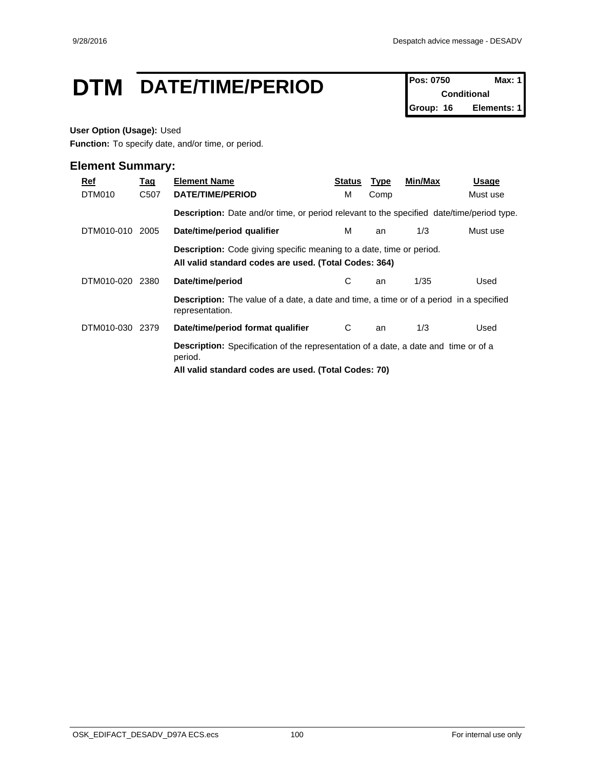## **DTM** DATE/TIME/PERIOD **Pos: 0750** Max: 1

**Conditional Group: 16 Elements: 1**

### **User Option (Usage):** Used

**Function:** To specify date, and/or time, or period.

| Ref<br>DTM010 | <u>Tag</u><br>C507 | <b>Element Name</b><br>DATE/TIME/PERIOD                                                                                                                       | Status<br>M | <b>Type</b><br>Comp | Min/Max | Usage<br>Must use |  |  |  |  |
|---------------|--------------------|---------------------------------------------------------------------------------------------------------------------------------------------------------------|-------------|---------------------|---------|-------------------|--|--|--|--|
|               |                    | <b>Description:</b> Date and/or time, or period relevant to the specified date/time/period type.                                                              |             |                     |         |                   |  |  |  |  |
| DTM010-010    | 2005               | Date/time/period qualifier                                                                                                                                    | м           | an                  | 1/3     | Must use          |  |  |  |  |
|               |                    | <b>Description:</b> Code giving specific meaning to a date, time or period.<br>All valid standard codes are used. (Total Codes: 364)                          |             |                     |         |                   |  |  |  |  |
| DTM010-020    | 2380               | Date/time/period                                                                                                                                              | С           | an                  | 1/35    | Used              |  |  |  |  |
|               |                    | <b>Description:</b> The value of a date, a date and time, a time or of a period in a specified<br>representation.                                             |             |                     |         |                   |  |  |  |  |
| DTM010-030    | 2379               | Date/time/period format qualifier                                                                                                                             | C           | an                  | 1/3     | Used              |  |  |  |  |
|               |                    | <b>Description:</b> Specification of the representation of a date, a date and time or of a<br>period.<br>All valid standard codes are used. (Total Codes: 70) |             |                     |         |                   |  |  |  |  |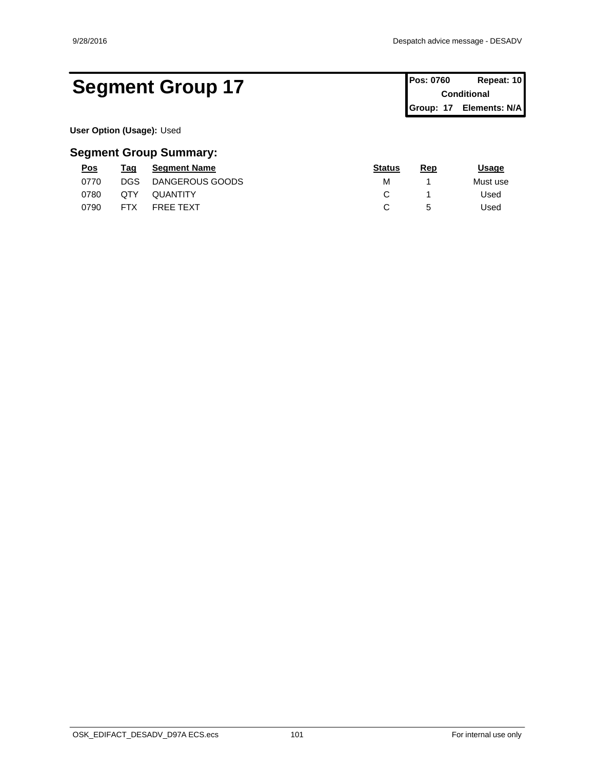## Segment Group 17 **Pos: 0760 Repeat: 10 Conditional**

**Conditional Group: 17 Elements: N/A**

**User Option (Usage):** Used

## **Segment Group Summary:**

| Pos  | Taq        | <b>Segment Name</b> | <b>Status</b> | <b>Rep</b> | <u> Jsage</u> |
|------|------------|---------------------|---------------|------------|---------------|
| 0770 | DGS        | DANGEROUS GOODS     | М             |            | Must use      |
| 0780 | QTY        | <b>QUANTITY</b>     |               |            | Used          |
| 0790 | <b>FTX</b> | <b>FREE TEXT</b>    |               |            | Used          |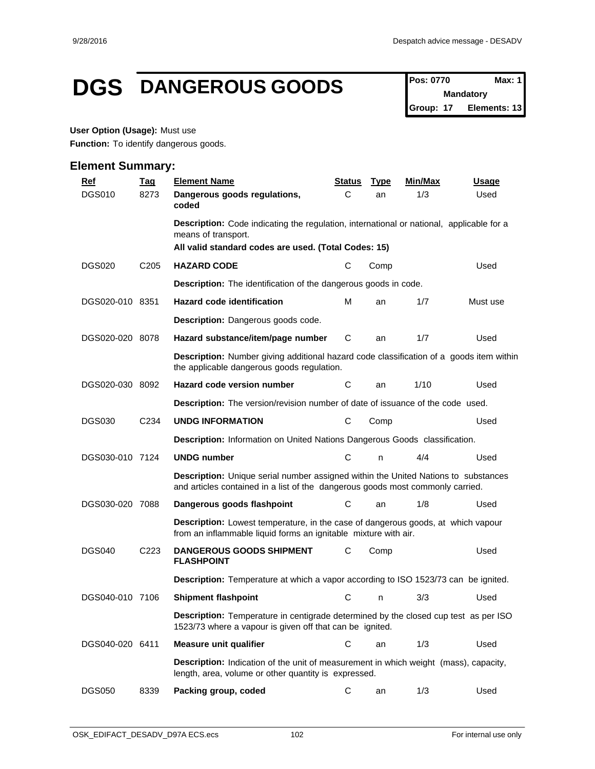## **DGS DANGEROUS GOODS Pos: 0770 Max: 1**

**Mandatory Group: 17 Elements: 13**

### **User Option (Usage):** Must use

**Function:** To identify dangerous goods.

| <u>Ref</u>      | <b>Tag</b>       | <b>Element Name</b>                                                                                                                                                         | <b>Status</b> | <b>Type</b> | Min/Max | <u>Usage</u> |  |
|-----------------|------------------|-----------------------------------------------------------------------------------------------------------------------------------------------------------------------------|---------------|-------------|---------|--------------|--|
| <b>DGS010</b>   | 8273             | Dangerous goods regulations,<br>coded                                                                                                                                       | С             | an          | 1/3     | Used         |  |
|                 |                  | <b>Description:</b> Code indicating the regulation, international or national, applicable for a<br>means of transport.                                                      |               |             |         |              |  |
|                 |                  | All valid standard codes are used. (Total Codes: 15)                                                                                                                        |               |             |         |              |  |
| <b>DGS020</b>   | C <sub>205</sub> | <b>HAZARD CODE</b>                                                                                                                                                          | С             | Comp        |         | Used         |  |
|                 |                  | Description: The identification of the dangerous goods in code.                                                                                                             |               |             |         |              |  |
| DGS020-010 8351 |                  | Hazard code identification                                                                                                                                                  | м             | an          | 1/7     | Must use     |  |
|                 |                  | Description: Dangerous goods code.                                                                                                                                          |               |             |         |              |  |
| DGS020-020 8078 |                  | Hazard substance/item/page number                                                                                                                                           | C             | an          | 1/7     | Used         |  |
|                 |                  | <b>Description:</b> Number giving additional hazard code classification of a goods item within<br>the applicable dangerous goods regulation.                                |               |             |         |              |  |
| DGS020-030 8092 |                  | Hazard code version number                                                                                                                                                  | С             | an          | 1/10    | Used         |  |
|                 |                  | <b>Description:</b> The version/revision number of date of issuance of the code used.                                                                                       |               |             |         |              |  |
| <b>DGS030</b>   | C234             | <b>UNDG INFORMATION</b>                                                                                                                                                     | С             | Comp        |         | Used         |  |
|                 |                  | Description: Information on United Nations Dangerous Goods classification.                                                                                                  |               |             |         |              |  |
| DGS030-010 7124 |                  | <b>UNDG</b> number                                                                                                                                                          | C             | n           | 4/4     | Used         |  |
|                 |                  | <b>Description:</b> Unique serial number assigned within the United Nations to substances<br>and articles contained in a list of the dangerous goods most commonly carried. |               |             |         |              |  |
| DGS030-020 7088 |                  | Dangerous goods flashpoint                                                                                                                                                  | C             | an          | 1/8     | Used         |  |
|                 |                  | <b>Description:</b> Lowest temperature, in the case of dangerous goods, at which vapour<br>from an inflammable liquid forms an ignitable mixture with air.                  |               |             |         |              |  |
| <b>DGS040</b>   | C <sub>223</sub> | <b>DANGEROUS GOODS SHIPMENT</b><br><b>FLASHPOINT</b>                                                                                                                        | С             | Comp        |         | Used         |  |
|                 |                  | Description: Temperature at which a vapor according to ISO 1523/73 can be ignited.                                                                                          |               |             |         |              |  |
| DGS040-010 7106 |                  | <b>Shipment flashpoint</b>                                                                                                                                                  | С             | n           | 3/3     | Used         |  |
|                 |                  | Description: Temperature in centigrade determined by the closed cup test as per ISO<br>1523/73 where a vapour is given off that can be ignited.                             |               |             |         |              |  |
| DGS040-020 6411 |                  | Measure unit qualifier                                                                                                                                                      | $\mathsf C$   | an          | 1/3     | Used         |  |
|                 |                  | <b>Description:</b> Indication of the unit of measurement in which weight (mass), capacity,<br>length, area, volume or other quantity is expressed.                         |               |             |         |              |  |
| <b>DGS050</b>   | 8339             | Packing group, coded                                                                                                                                                        | C             | an          | 1/3     | Used         |  |
|                 |                  |                                                                                                                                                                             |               |             |         |              |  |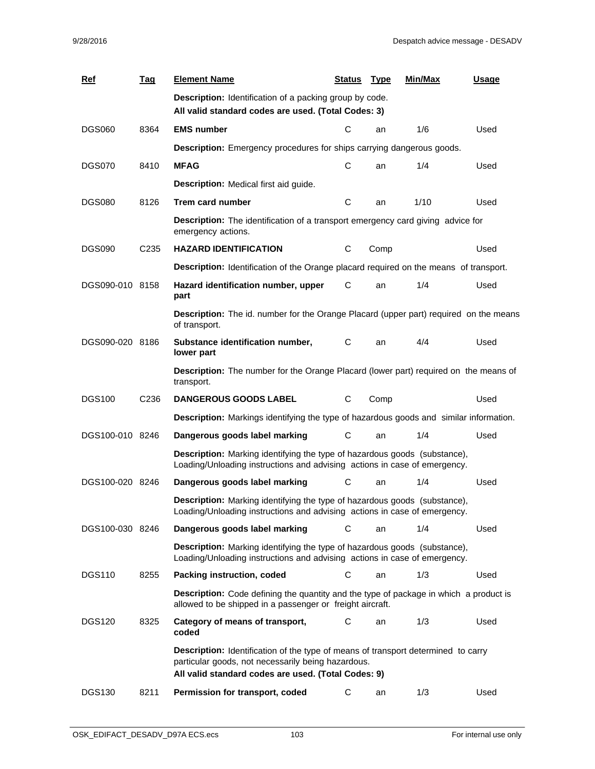| Ref             | <u>Taq</u>       | <b>Element Name</b>                                                                                                                                           | <b>Status</b> | <b>Type</b> | Min/Max | Usage |
|-----------------|------------------|---------------------------------------------------------------------------------------------------------------------------------------------------------------|---------------|-------------|---------|-------|
|                 |                  | Description: Identification of a packing group by code.<br>All valid standard codes are used. (Total Codes: 3)                                                |               |             |         |       |
| <b>DGS060</b>   | 8364             | <b>EMS number</b>                                                                                                                                             | C             | an          | 1/6     | Used  |
|                 |                  | <b>Description:</b> Emergency procedures for ships carrying dangerous goods.                                                                                  |               |             |         |       |
| <b>DGS070</b>   | 8410             | <b>MFAG</b>                                                                                                                                                   | С             | an          | 1/4     | Used  |
|                 |                  | <b>Description:</b> Medical first aid guide.                                                                                                                  |               |             |         |       |
| <b>DGS080</b>   | 8126             | Trem card number                                                                                                                                              | C             | an          | 1/10    | Used  |
|                 |                  | <b>Description:</b> The identification of a transport emergency card giving advice for<br>emergency actions.                                                  |               |             |         |       |
| <b>DGS090</b>   | C <sub>235</sub> | <b>HAZARD IDENTIFICATION</b>                                                                                                                                  | C             | Comp        |         | Used  |
|                 |                  | <b>Description:</b> Identification of the Orange placard required on the means of transport.                                                                  |               |             |         |       |
| DGS090-010 8158 |                  | Hazard identification number, upper<br>part                                                                                                                   | С             | an          | 1/4     | Used  |
|                 |                  | Description: The id. number for the Orange Placard (upper part) required on the means<br>of transport.                                                        |               |             |         |       |
| DGS090-020 8186 |                  | Substance identification number,<br>lower part                                                                                                                | C             | an          | 4/4     | Used  |
|                 |                  | Description: The number for the Orange Placard (lower part) required on the means of<br>transport.                                                            |               |             |         |       |
| <b>DGS100</b>   | C236             | <b>DANGEROUS GOODS LABEL</b>                                                                                                                                  | C             | Comp        |         | Used  |
|                 |                  | Description: Markings identifying the type of hazardous goods and similar information.                                                                        |               |             |         |       |
| DGS100-010 8246 |                  | Dangerous goods label marking                                                                                                                                 | C             | an          | 1/4     | Used  |
|                 |                  | Description: Marking identifying the type of hazardous goods (substance),<br>Loading/Unloading instructions and advising actions in case of emergency.        |               |             |         |       |
| DGS100-020 8246 |                  | Dangerous goods label marking                                                                                                                                 | C             | an          | 1/4     | Used  |
|                 |                  | <b>Description:</b> Marking identifying the type of hazardous goods (substance),<br>Loading/Unloading instructions and advising actions in case of emergency. |               |             |         |       |
| DGS100-030 8246 |                  | Dangerous goods label marking                                                                                                                                 | С             | an          | 1/4     | Used  |
|                 |                  | <b>Description:</b> Marking identifying the type of hazardous goods (substance),<br>Loading/Unloading instructions and advising actions in case of emergency. |               |             |         |       |
| <b>DGS110</b>   | 8255             | Packing instruction, coded                                                                                                                                    | C             | an          | 1/3     | Used  |
|                 |                  | <b>Description:</b> Code defining the quantity and the type of package in which a product is<br>allowed to be shipped in a passenger or freight aircraft.     |               |             |         |       |
| <b>DGS120</b>   | 8325             | Category of means of transport,<br>coded                                                                                                                      | C             | an          | 1/3     | Used  |
|                 |                  | Description: Identification of the type of means of transport determined to carry<br>particular goods, not necessarily being hazardous.                       |               |             |         |       |
|                 |                  | All valid standard codes are used. (Total Codes: 9)                                                                                                           |               |             |         |       |
| <b>DGS130</b>   | 8211             | Permission for transport, coded                                                                                                                               | C             | an          | 1/3     | Used  |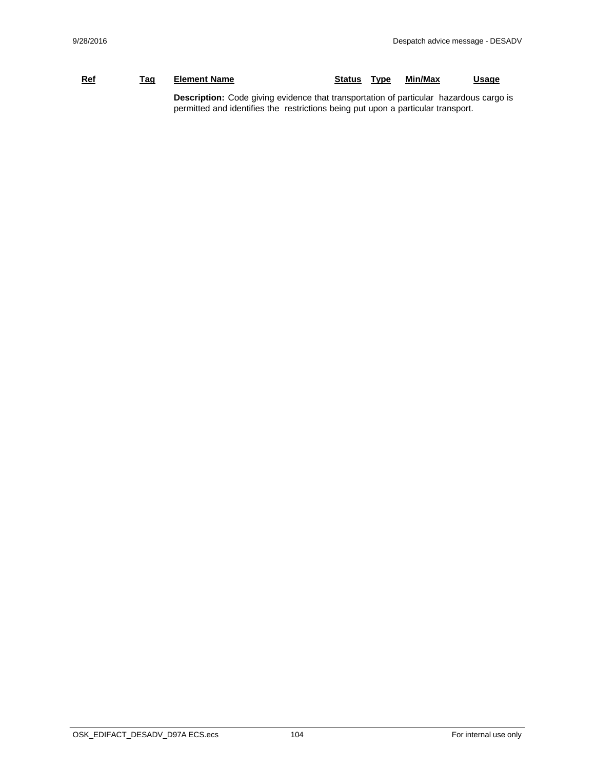## **Ref Tag Element Name Status Type Min/Max Usage Description:** Code giving evidence that transportation of particular hazardous cargo is permitted and identifies the restrictions being put upon a particular transport.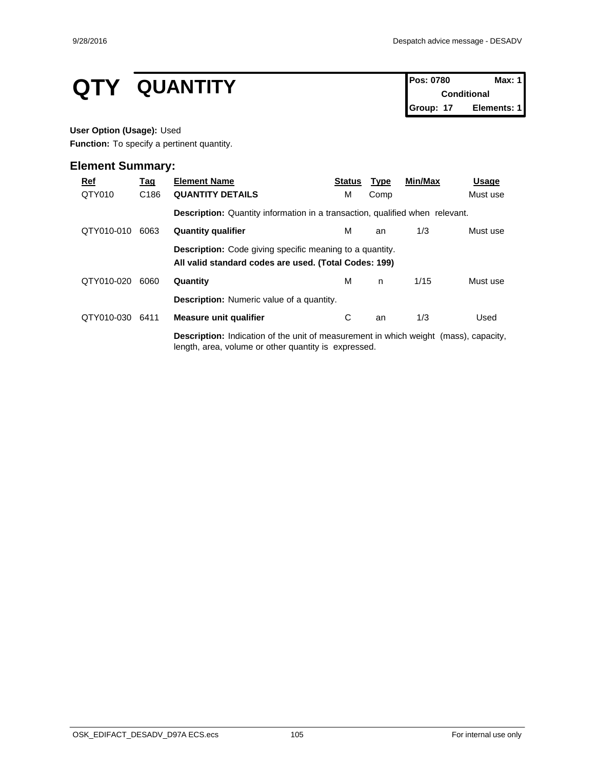# **QTY QUANTITY Pos:** 0780 **Max:** 1

**Conditional Group: 17 Elements: 1**

### **User Option (Usage):** Used

**Function:** To specify a pertinent quantity.

| <u>Ref</u> | <u>Tag</u>       | <b>Element Name</b>                                                                                                                                 | <b>Status</b> | <u>Type</u> | Min/Max | Usage    |  |  |  |
|------------|------------------|-----------------------------------------------------------------------------------------------------------------------------------------------------|---------------|-------------|---------|----------|--|--|--|
| QTY010     | C <sub>186</sub> | <b>QUANTITY DETAILS</b>                                                                                                                             | м             | Comp        |         | Must use |  |  |  |
|            |                  | <b>Description:</b> Quantity information in a transaction, qualified when relevant.                                                                 |               |             |         |          |  |  |  |
| QTY010-010 | 6063             | <b>Quantity qualifier</b>                                                                                                                           | м             | an          | 1/3     | Must use |  |  |  |
|            |                  | <b>Description:</b> Code giving specific meaning to a quantity.<br>All valid standard codes are used. (Total Codes: 199)                            |               |             |         |          |  |  |  |
| QTY010-020 | 6060             | Quantity                                                                                                                                            | М             | n.          | 1/15    | Must use |  |  |  |
|            |                  | <b>Description:</b> Numeric value of a quantity.                                                                                                    |               |             |         |          |  |  |  |
| QTY010-030 | 6411             | <b>Measure unit qualifier</b>                                                                                                                       | С             | an          | 1/3     | Used     |  |  |  |
|            |                  | <b>Description:</b> Indication of the unit of measurement in which weight (mass), capacity,<br>length, area, volume or other quantity is expressed. |               |             |         |          |  |  |  |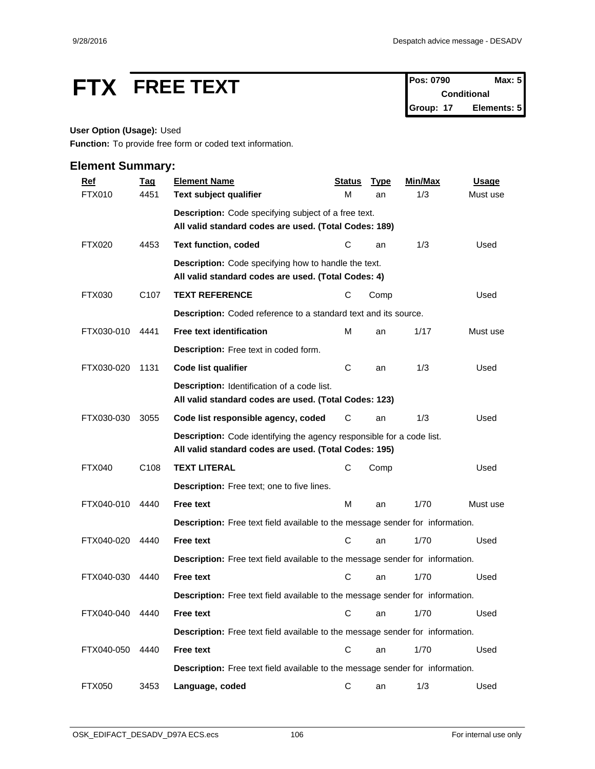# **FTX** FREE TEXT Pos: 0790 Max: 5

**Conditional Group: 17 Elements: 5**

## **User Option (Usage):** Used

**Function:** To provide free form or coded text information.

| <b>Ref</b>    | <b>Tag</b>       | <b>Element Name</b>                                                                                                            | <b>Status</b> | <b>Type</b> | Min/Max | <b>Usage</b> |
|---------------|------------------|--------------------------------------------------------------------------------------------------------------------------------|---------------|-------------|---------|--------------|
| <b>FTX010</b> | 4451             | Text subject qualifier                                                                                                         | М             | an          | 1/3     | Must use     |
|               |                  | Description: Code specifying subject of a free text.                                                                           |               |             |         |              |
|               |                  | All valid standard codes are used. (Total Codes: 189)                                                                          |               |             |         |              |
| <b>FTX020</b> | 4453             | <b>Text function, coded</b>                                                                                                    | C             | an          | 1/3     | Used         |
|               |                  | <b>Description:</b> Code specifying how to handle the text.<br>All valid standard codes are used. (Total Codes: 4)             |               |             |         |              |
| FTX030        | C <sub>107</sub> | <b>TEXT REFERENCE</b>                                                                                                          | С             | Comp        |         | Used         |
|               |                  | Description: Coded reference to a standard text and its source.                                                                |               |             |         |              |
| FTX030-010    | 4441             | <b>Free text identification</b>                                                                                                | м             | an          | 1/17    | Must use     |
|               |                  | Description: Free text in coded form.                                                                                          |               |             |         |              |
| FTX030-020    | 1131             | Code list qualifier                                                                                                            | C             | an          | 1/3     | Used         |
|               |                  | Description: Identification of a code list.<br>All valid standard codes are used. (Total Codes: 123)                           |               |             |         |              |
| FTX030-030    | 3055             | Code list responsible agency, coded                                                                                            | С             | an          | 1/3     | Used         |
|               |                  | Description: Code identifying the agency responsible for a code list.<br>All valid standard codes are used. (Total Codes: 195) |               |             |         |              |
| <b>FTX040</b> | C <sub>108</sub> | <b>TEXT LITERAL</b>                                                                                                            | C             | Comp        |         | Used         |
|               |                  | Description: Free text; one to five lines.                                                                                     |               |             |         |              |
| FTX040-010    | 4440             | Free text                                                                                                                      | M             | an          | 1/70    | Must use     |
|               |                  | Description: Free text field available to the message sender for information.                                                  |               |             |         |              |
| FTX040-020    | 4440             | Free text                                                                                                                      | С             | an          | 1/70    | Used         |
|               |                  | Description: Free text field available to the message sender for information.                                                  |               |             |         |              |
| FTX040-030    | 4440             | <b>Free text</b>                                                                                                               | C             | an          | 1/70    | Used         |
|               |                  | Description: Free text field available to the message sender for information.                                                  |               |             |         |              |
| FTX040-040    | 4440             | <b>Free text</b>                                                                                                               |               | C an        | 1/70    | Used         |
|               |                  | Description: Free text field available to the message sender for information.                                                  |               |             |         |              |
| FTX040-050    | 4440             | Free text                                                                                                                      | $\mathbf C$   | an          | 1/70    | Used         |
|               |                  | Description: Free text field available to the message sender for information.                                                  |               |             |         |              |
| <b>FTX050</b> | 3453             | Language, coded                                                                                                                | C             | an          | 1/3     | Used         |
|               |                  |                                                                                                                                |               |             |         |              |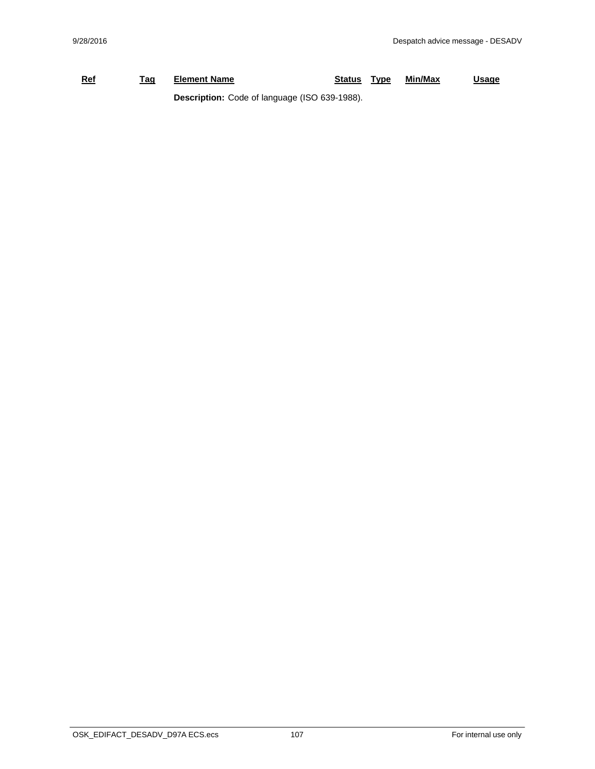## **Ref Tag Element Name Status Type Min/Max Usage Description:** Code of language (ISO 639-1988).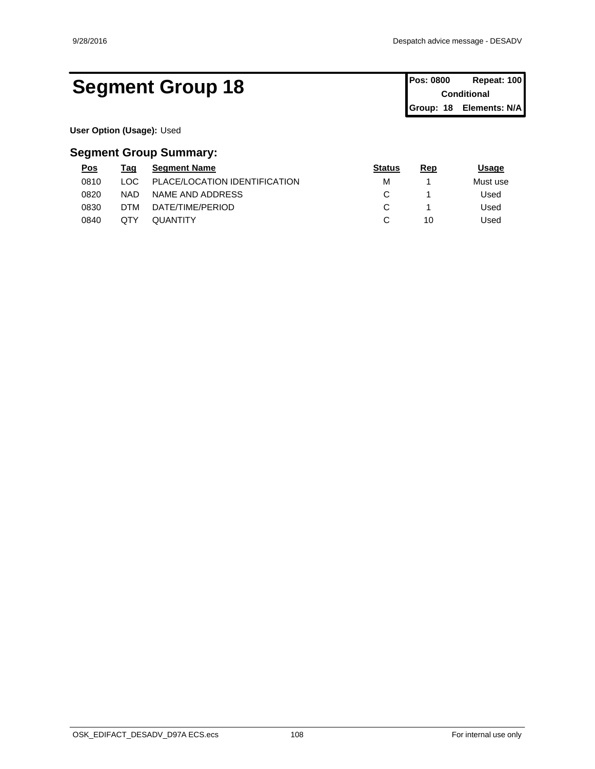## Segment Group 18 Pos: 0800 Repeat: 100

**Conditional Group: 18 Elements: N/A**

**User Option (Usage):** Used

| <u>Pos</u> | Tag        | <b>Seament Name</b>           | <b>Status</b> | Rep | Usage    |  |
|------------|------------|-------------------------------|---------------|-----|----------|--|
| 0810       | ∟OC∶       | PLACE/LOCATION IDENTIFICATION | M             |     | Must use |  |
| 0820       | <b>NAD</b> | NAME AND ADDRESS              |               |     | Used     |  |
| 0830       | DTM        | DATE/TIME/PERIOD              |               |     | Used     |  |
| 0840       | QTY        | QUANTITY                      |               | 10  | Used     |  |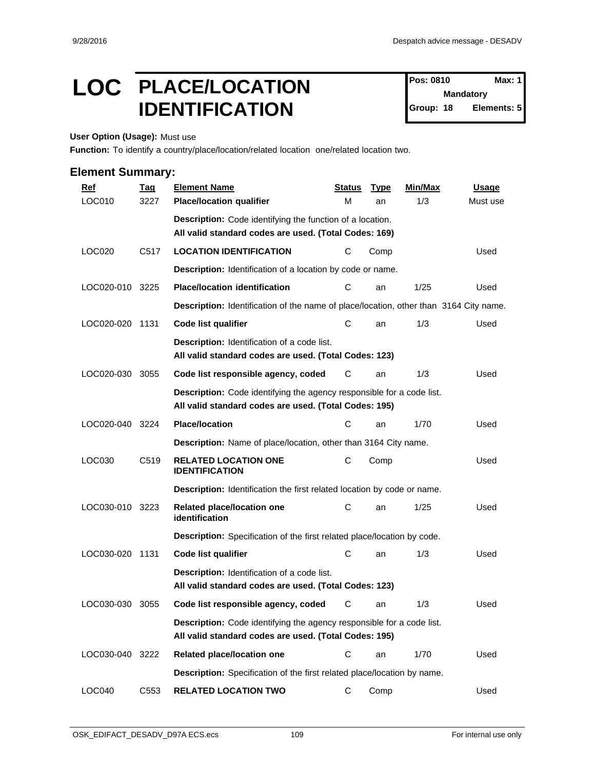## LOC PLACE/LOCATION Pos: 0810 Max: 1 **IDENTIFICATION** Group: 18

**Pos: 0810 Mandatory Elements: 5** 

**User Option (Usage):** Must use

**Function:** To identify a country/place/location/related location one/related location two.

| <b>Ref</b>      | <b>Tag</b>       | <b>Element Name</b>                                                                                                                   | <b>Status</b> | <b>Type</b> | <b>Min/Max</b> | <b>Usage</b> |
|-----------------|------------------|---------------------------------------------------------------------------------------------------------------------------------------|---------------|-------------|----------------|--------------|
| LOC010          | 3227             | <b>Place/location qualifier</b>                                                                                                       | М             | an          | 1/3            | Must use     |
|                 |                  | Description: Code identifying the function of a location.                                                                             |               |             |                |              |
|                 |                  | All valid standard codes are used. (Total Codes: 169)                                                                                 |               |             |                |              |
| LOC020          | C517             | <b>LOCATION IDENTIFICATION</b>                                                                                                        | C             | Comp        |                | Used         |
|                 |                  | Description: Identification of a location by code or name.                                                                            |               |             |                |              |
| LOC020-010 3225 |                  | <b>Place/location identification</b>                                                                                                  | С             | an          | 1/25           | Used         |
|                 |                  | Description: Identification of the name of place/location, other than 3164 City name.                                                 |               |             |                |              |
| LOC020-020 1131 |                  | <b>Code list qualifier</b>                                                                                                            | С             | an          | 1/3            | Used         |
|                 |                  | <b>Description:</b> Identification of a code list.<br>All valid standard codes are used. (Total Codes: 123)                           |               |             |                |              |
| LOC020-030      | 3055             | Code list responsible agency, coded                                                                                                   | C             | an          | 1/3            | Used         |
|                 |                  | Description: Code identifying the agency responsible for a code list.<br>All valid standard codes are used. (Total Codes: 195)        |               |             |                |              |
| LOC020-040      | 3224             | <b>Place/location</b>                                                                                                                 | С             | an          | 1/70           | Used         |
|                 |                  | Description: Name of place/location, other than 3164 City name.                                                                       |               |             |                |              |
| LOC030          | C <sub>519</sub> | <b>RELATED LOCATION ONE</b><br><b>IDENTIFICATION</b>                                                                                  | С             | Comp        |                | Used         |
|                 |                  | <b>Description:</b> Identification the first related location by code or name.                                                        |               |             |                |              |
| LOC030-010 3223 |                  | Related place/location one<br>identification                                                                                          | C             | an          | 1/25           | Used         |
|                 |                  | Description: Specification of the first related place/location by code.                                                               |               |             |                |              |
| LOC030-020 1131 |                  | <b>Code list qualifier</b>                                                                                                            | С             | an          | 1/3            | Used         |
|                 |                  | <b>Description:</b> Identification of a code list.<br>All valid standard codes are used. (Total Codes: 123)                           |               |             |                |              |
| LOC030-030      | 3055             | Code list responsible agency, coded                                                                                                   | С             | an          | 1/3            | Used         |
|                 |                  | <b>Description:</b> Code identifying the agency responsible for a code list.<br>All valid standard codes are used. (Total Codes: 195) |               |             |                |              |
| LOC030-040 3222 |                  | Related place/location one                                                                                                            | C             | an          | 1/70           | Used         |
|                 |                  | Description: Specification of the first related place/location by name.                                                               |               |             |                |              |
| LOC040          | C553             | <b>RELATED LOCATION TWO</b>                                                                                                           | C             | Comp        |                | Used         |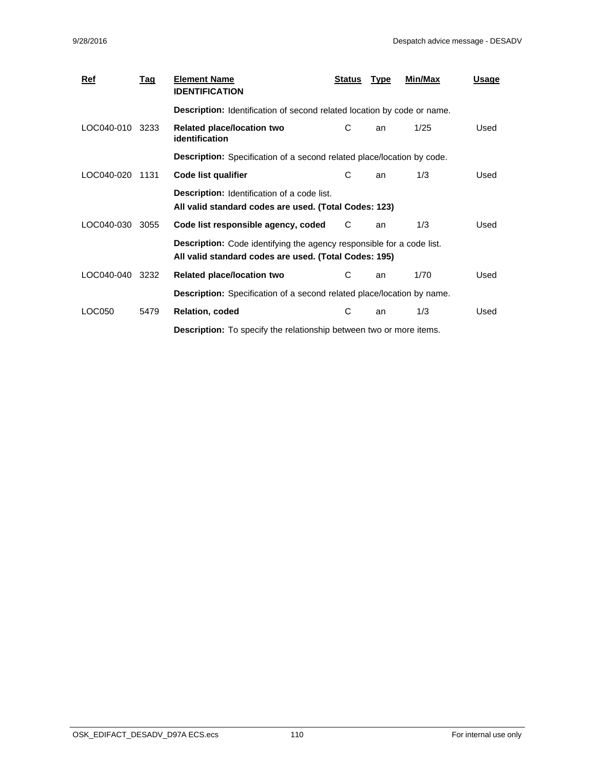| $Ref$      | Tag  | <b>Element Name</b><br><b>IDENTIFICATION</b>                                                                                   | <b>Status</b> | <b>Type</b> | Min/Max | <u>Usage</u> |  |
|------------|------|--------------------------------------------------------------------------------------------------------------------------------|---------------|-------------|---------|--------------|--|
|            |      | Description: Identification of second related location by code or name.                                                        |               |             |         |              |  |
| LOC040-010 | 3233 | Related place/location two<br><i>identification</i>                                                                            | С             | an          | 1/25    | Used         |  |
|            |      | <b>Description:</b> Specification of a second related place/location by code.                                                  |               |             |         |              |  |
| LOC040-020 | 1131 | Code list qualifier                                                                                                            | C             | an          | 1/3     | Used         |  |
|            |      | <b>Description:</b> Identification of a code list.<br>All valid standard codes are used. (Total Codes: 123)                    |               |             |         |              |  |
| LOC040-030 | 3055 | Code list responsible agency, coded                                                                                            | C             | an          | 1/3     | Used         |  |
|            |      | Description: Code identifying the agency responsible for a code list.<br>All valid standard codes are used. (Total Codes: 195) |               |             |         |              |  |
| LOC040-040 | 3232 | <b>Related place/location two</b>                                                                                              | C             | an          | 1/70    | Used         |  |
|            |      | <b>Description:</b> Specification of a second related place/location by name.                                                  |               |             |         |              |  |
| LOC050     | 5479 | Relation, coded                                                                                                                | С             | an          | 1/3     | Used         |  |
|            |      | <b>Description:</b> To specify the relationship between two or more items.                                                     |               |             |         |              |  |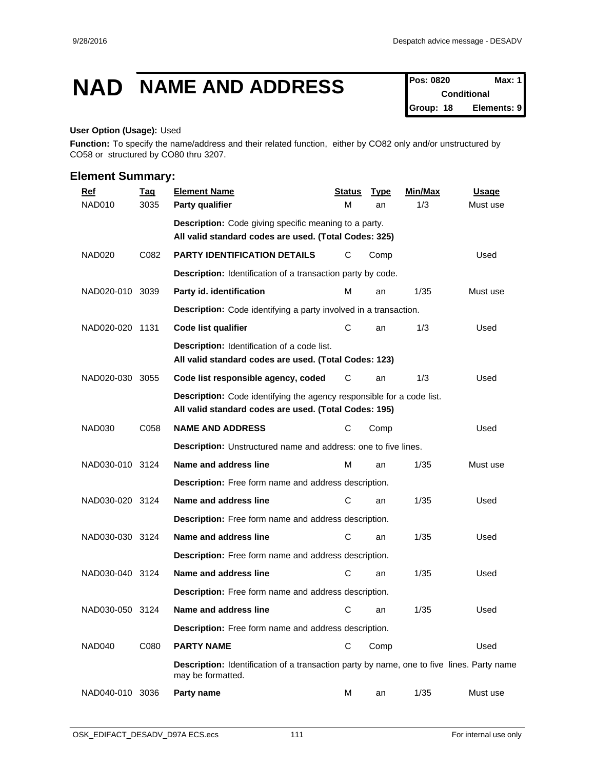## **NAD NAME AND ADDRESS Pos: 0820 Max: 1**

**Conditional Group: 18 Elements: 9**

#### **User Option (Usage):** Used

**Function:** To specify the name/address and their related function, either by CO82 only and/or unstructured by CO58 or structured by CO80 thru 3207.

| <b>Ref</b>         | <b>Tag</b> | <b>Element Name</b>                                                                                                            | <b>Status</b> | <b>Type</b> | Min/Max | Usage    |
|--------------------|------------|--------------------------------------------------------------------------------------------------------------------------------|---------------|-------------|---------|----------|
| NAD010             | 3035       | Party qualifier                                                                                                                | M             | an          | 1/3     | Must use |
|                    |            | Description: Code giving specific meaning to a party.<br>All valid standard codes are used. (Total Codes: 325)                 |               |             |         |          |
| NAD <sub>020</sub> | C082       | PARTY IDENTIFICATION DETAILS                                                                                                   | С             | Comp        |         | Used     |
|                    |            | Description: Identification of a transaction party by code.                                                                    |               |             |         |          |
| NAD020-010 3039    |            | Party id. identification                                                                                                       | м             | an          | 1/35    | Must use |
|                    |            | <b>Description:</b> Code identifying a party involved in a transaction.                                                        |               |             |         |          |
| NAD020-020 1131    |            | Code list qualifier                                                                                                            | С             | an          | 1/3     | Used     |
|                    |            | <b>Description:</b> Identification of a code list.<br>All valid standard codes are used. (Total Codes: 123)                    |               |             |         |          |
| NAD020-030         | 3055       | Code list responsible agency, coded                                                                                            | С             | an          | 1/3     | Used     |
|                    |            | Description: Code identifying the agency responsible for a code list.<br>All valid standard codes are used. (Total Codes: 195) |               |             |         |          |
| <b>NAD030</b>      | C058       | <b>NAME AND ADDRESS</b>                                                                                                        | С             | Comp        |         | Used     |
|                    |            | Description: Unstructured name and address: one to five lines.                                                                 |               |             |         |          |
| NAD030-010 3124    |            | Name and address line                                                                                                          | M             | an          | 1/35    | Must use |
|                    |            | Description: Free form name and address description.                                                                           |               |             |         |          |
| NAD030-020 3124    |            | Name and address line                                                                                                          | С             | an          | 1/35    | Used     |
|                    |            | Description: Free form name and address description.                                                                           |               |             |         |          |
| NAD030-030 3124    |            | Name and address line                                                                                                          | С             | an          | 1/35    | Used     |
|                    |            | Description: Free form name and address description.                                                                           |               |             |         |          |
| NAD030-040 3124    |            | Name and address line                                                                                                          | С             | an          | 1/35    | Used     |
|                    |            | Description: Free form name and address description.                                                                           |               |             |         |          |
| NAD030-050 3124    |            | Name and address line                                                                                                          | С             | an          | 1/35    | Used     |
|                    |            | Description: Free form name and address description.                                                                           |               |             |         |          |
| NAD040             | C080       | <b>PARTY NAME</b>                                                                                                              | С             | Comp        |         | Used     |
|                    |            | <b>Description:</b> Identification of a transaction party by name, one to five lines. Party name<br>may be formatted.          |               |             |         |          |
| NAD040-010 3036    |            | Party name                                                                                                                     | м             | an          | 1/35    | Must use |
|                    |            |                                                                                                                                |               |             |         |          |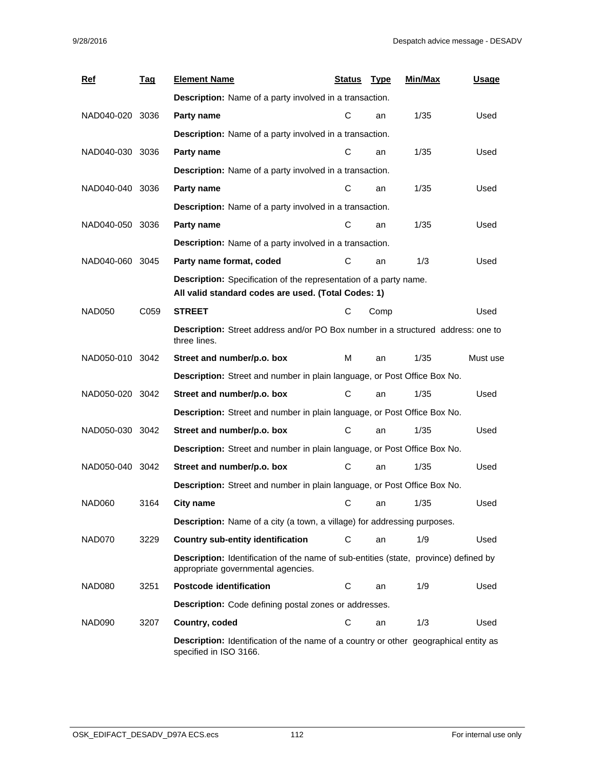| <b>Ref</b>      | <u>Tag</u> | <b>Element Name</b>                                                                                                               | Status | <u>Type</u> | <b>Min/Max</b> | Usage    |  |  |  |  |
|-----------------|------------|-----------------------------------------------------------------------------------------------------------------------------------|--------|-------------|----------------|----------|--|--|--|--|
|                 |            | <b>Description:</b> Name of a party involved in a transaction.                                                                    |        |             |                |          |  |  |  |  |
| NAD040-020 3036 |            | Party name                                                                                                                        | С      | an          | 1/35           | Used     |  |  |  |  |
|                 |            | <b>Description:</b> Name of a party involved in a transaction.                                                                    |        |             |                |          |  |  |  |  |
| NAD040-030 3036 |            | Party name                                                                                                                        | С      | an          | 1/35           | Used     |  |  |  |  |
|                 |            | Description: Name of a party involved in a transaction.                                                                           |        |             |                |          |  |  |  |  |
| NAD040-040 3036 |            | Party name                                                                                                                        | C      | an          | 1/35           | Used     |  |  |  |  |
|                 |            | Description: Name of a party involved in a transaction.                                                                           |        |             |                |          |  |  |  |  |
| NAD040-050 3036 |            | Party name                                                                                                                        | C      | an          | 1/35           | Used     |  |  |  |  |
|                 |            | Description: Name of a party involved in a transaction.                                                                           |        |             |                |          |  |  |  |  |
| NAD040-060 3045 |            | Party name format, coded                                                                                                          | С      | an          | 1/3            | Used     |  |  |  |  |
|                 |            | Description: Specification of the representation of a party name.<br>All valid standard codes are used. (Total Codes: 1)          |        |             |                |          |  |  |  |  |
| <b>NAD050</b>   | C059       | <b>STREET</b>                                                                                                                     | С      | Comp        |                | Used     |  |  |  |  |
|                 |            | Description: Street address and/or PO Box number in a structured address: one to<br>three lines.                                  |        |             |                |          |  |  |  |  |
| NAD050-010 3042 |            | Street and number/p.o. box                                                                                                        | M      | an          | 1/35           | Must use |  |  |  |  |
|                 |            | Description: Street and number in plain language, or Post Office Box No.                                                          |        |             |                |          |  |  |  |  |
| NAD050-020 3042 |            | Street and number/p.o. box                                                                                                        | С      | an          | 1/35           | Used     |  |  |  |  |
|                 |            | Description: Street and number in plain language, or Post Office Box No.                                                          |        |             |                |          |  |  |  |  |
| NAD050-030 3042 |            | Street and number/p.o. box                                                                                                        | С      | an          | 1/35           | Used     |  |  |  |  |
|                 |            | Description: Street and number in plain language, or Post Office Box No.                                                          |        |             |                |          |  |  |  |  |
| NAD050-040 3042 |            | Street and number/p.o. box                                                                                                        | С      | an          | 1/35           | Used     |  |  |  |  |
|                 |            | Description: Street and number in plain language, or Post Office Box No.                                                          |        |             |                |          |  |  |  |  |
| NAD060          | 3164       | <b>City name</b>                                                                                                                  | С      | an          | 1/35           | Used     |  |  |  |  |
|                 |            | <b>Description:</b> Name of a city (a town, a village) for addressing purposes.                                                   |        |             |                |          |  |  |  |  |
| NAD070          | 3229       | <b>Country sub-entity identification</b>                                                                                          | С      | an          | 1/9            | Used     |  |  |  |  |
|                 |            | <b>Description:</b> Identification of the name of sub-entities (state, province) defined by<br>appropriate governmental agencies. |        |             |                |          |  |  |  |  |
| NAD080          | 3251       | <b>Postcode identification</b>                                                                                                    | C      | an          | 1/9            | Used     |  |  |  |  |
|                 |            | Description: Code defining postal zones or addresses.                                                                             |        |             |                |          |  |  |  |  |
| NAD090          | 3207       | Country, coded                                                                                                                    | C      | an          | 1/3            | Used     |  |  |  |  |
|                 |            | <b>Description:</b> Identification of the name of a country or other geographical entity as<br>specified in ISO 3166.             |        |             |                |          |  |  |  |  |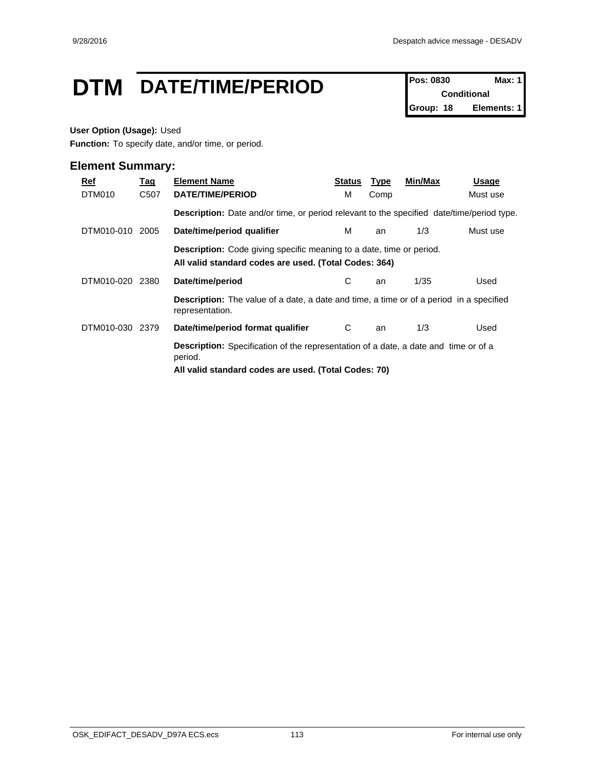## **DTM** DATE/TIME/PERIOD **Pos: 0830 Max: 1**

**Conditional Group: 18 Elements: 1**

#### **User Option (Usage):** Used

**Function:** To specify date, and/or time, or period.

| Ref<br>DTM010 | <u>Tag</u><br>C507 | <b>Element Name</b><br>DATE/TIME/PERIOD                                                                                                                       | Status<br>м | <b>Type</b><br>Comp | Min/Max | Usage<br>Must use |  |
|---------------|--------------------|---------------------------------------------------------------------------------------------------------------------------------------------------------------|-------------|---------------------|---------|-------------------|--|
|               |                    | <b>Description:</b> Date and/or time, or period relevant to the specified date/time/period type.                                                              |             |                     |         |                   |  |
| DTM010-010    | 2005               | Date/time/period qualifier                                                                                                                                    | м           | an                  | 1/3     | Must use          |  |
|               |                    | <b>Description:</b> Code giving specific meaning to a date, time or period.<br>All valid standard codes are used. (Total Codes: 364)                          |             |                     |         |                   |  |
| DTM010-020    | 2380               | Date/time/period                                                                                                                                              | С           | an                  | 1/35    | Used              |  |
|               |                    | <b>Description:</b> The value of a date, a date and time, a time or of a period in a specified<br>representation.                                             |             |                     |         |                   |  |
| DTM010-030    | 2379               | Date/time/period format qualifier                                                                                                                             | C           | an                  | 1/3     | Used              |  |
|               |                    | <b>Description:</b> Specification of the representation of a date, a date and time or of a<br>period.<br>All valid standard codes are used. (Total Codes: 70) |             |                     |         |                   |  |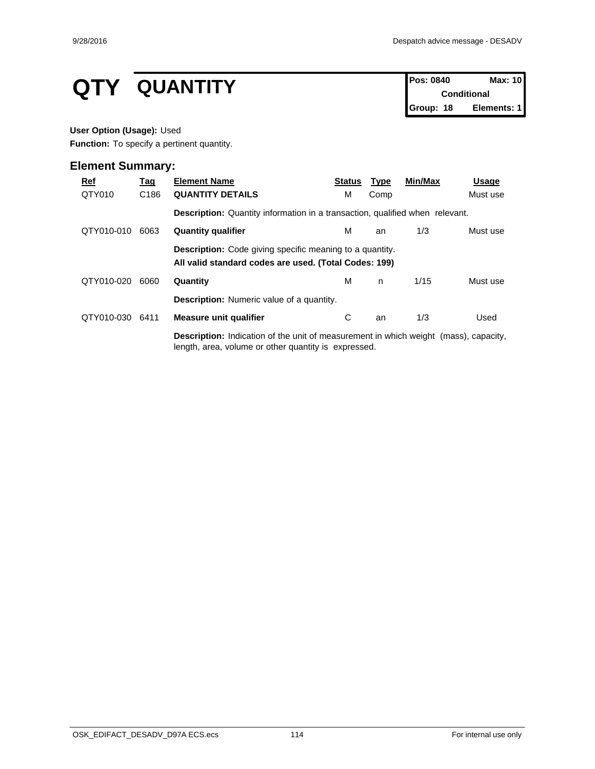# **QTY QUANTITY Pos: 0840 Max: 10 Conditional**

**Conditional Group: 18 Elements: 1**

#### **User Option (Usage):** Used

**Function:** To specify a pertinent quantity.

| <u>Ref</u> | <u>Tag</u>       | <b>Element Name</b>                                                                                                                                 | <b>Status</b> | <u>Type</u> | Min/Max | Usage    |
|------------|------------------|-----------------------------------------------------------------------------------------------------------------------------------------------------|---------------|-------------|---------|----------|
| QTY010     | C <sub>186</sub> | <b>QUANTITY DETAILS</b>                                                                                                                             | м             | Comp        |         | Must use |
|            |                  | <b>Description:</b> Quantity information in a transaction, qualified when relevant.                                                                 |               |             |         |          |
| QTY010-010 | 6063             | <b>Quantity qualifier</b>                                                                                                                           | м             | an          | 1/3     | Must use |
|            |                  | <b>Description:</b> Code giving specific meaning to a quantity.<br>All valid standard codes are used. (Total Codes: 199)                            |               |             |         |          |
| QTY010-020 | 6060             | Quantity                                                                                                                                            | М             | n.          | 1/15    | Must use |
|            |                  | <b>Description:</b> Numeric value of a quantity.                                                                                                    |               |             |         |          |
| QTY010-030 | 6411             | <b>Measure unit qualifier</b>                                                                                                                       | С             | an          | 1/3     | Used     |
|            |                  | <b>Description:</b> Indication of the unit of measurement in which weight (mass), capacity,<br>length, area, volume or other quantity is expressed. |               |             |         |          |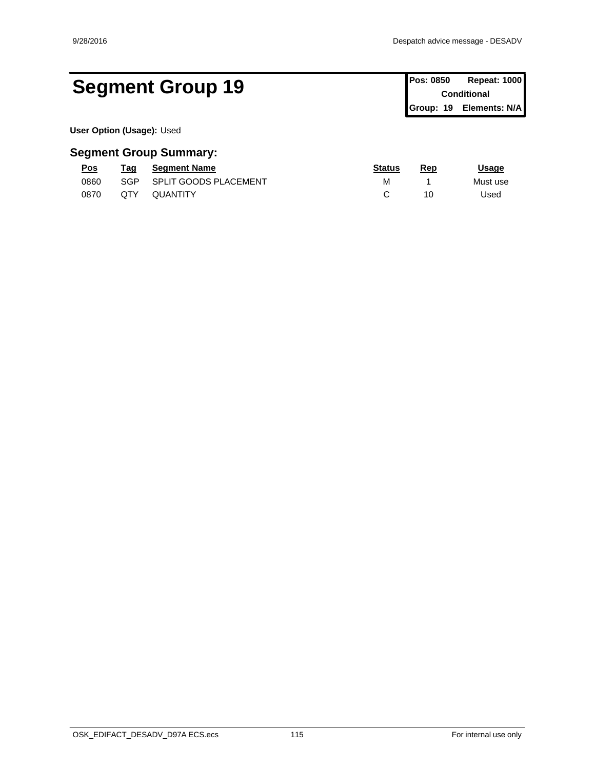## Segment Group 19 **Pos: 0850 Repeat: 1000 Pos: 0850 Repeat: 1000**

**Conditional Group: 19 Elements: N/A**

**User Option (Usage):** Used

| <u>Pos</u> | Taq | <b>Seament Name</b>          | <u>Status</u> | Rep | <u>Usage</u> |
|------------|-----|------------------------------|---------------|-----|--------------|
| 0860       | SGP | <b>SPLIT GOODS PLACEMENT</b> | м             |     | Must use     |
| 0870       | QTY | QUANTITY                     |               | 10  | Used         |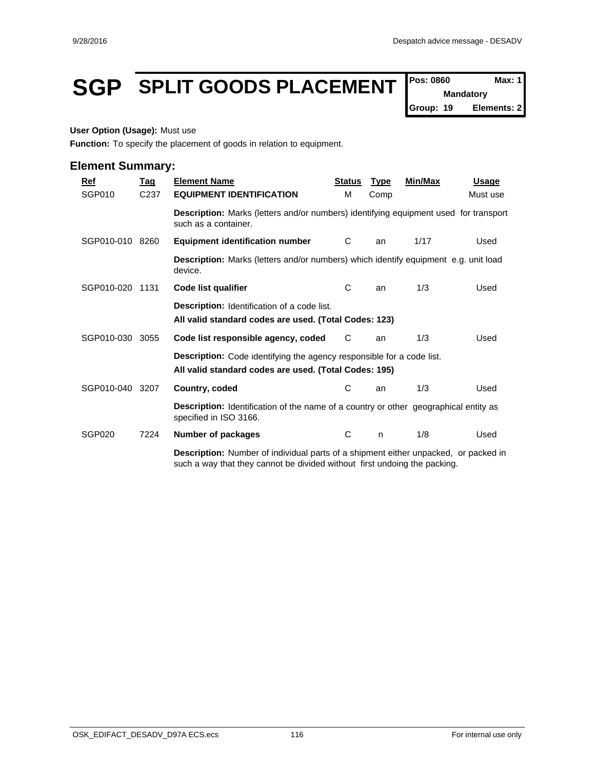## **SGP SPLIT GOODS PLACEMENT**  $\left| \text{{}^{Pos: 0860} \right| \text{{}^{Max: 1}}$

**Mandatory**

**Group: 19 Elements: 2**

#### **User Option (Usage):** Must use

**Function:** To specify the placement of goods in relation to equipment.

| $Ref$      | <b>Tag</b>       | <b>Element Name</b>                                                                                                                                                     | <b>Status</b> | <b>Type</b> | <b>Min/Max</b> | <b>Usage</b> |
|------------|------------------|-------------------------------------------------------------------------------------------------------------------------------------------------------------------------|---------------|-------------|----------------|--------------|
| SGP010     | C <sub>237</sub> | <b>EQUIPMENT IDENTIFICATION</b>                                                                                                                                         | M             | Comp        |                | Must use     |
|            |                  | Description: Marks (letters and/or numbers) identifying equipment used for transport<br>such as a container.                                                            |               |             |                |              |
| SGP010-010 | 8260             | <b>Equipment identification number</b>                                                                                                                                  | C             | an          | 1/17           | Used         |
|            |                  | <b>Description:</b> Marks (letters and/or numbers) which identify equipment e.g. unit load<br>device.                                                                   |               |             |                |              |
| SGP010-020 | 1131             | Code list qualifier                                                                                                                                                     | С             | an          | 1/3            | Used         |
|            |                  | <b>Description:</b> Identification of a code list.<br>All valid standard codes are used. (Total Codes: 123)                                                             |               |             |                |              |
| SGP010-030 | 3055             | Code list responsible agency, coded                                                                                                                                     | C             | an          | 1/3            | Used         |
|            |                  | <b>Description:</b> Code identifying the agency responsible for a code list.<br>All valid standard codes are used. (Total Codes: 195)                                   |               |             |                |              |
| SGP010-040 | 3207             | Country, coded                                                                                                                                                          | С             | an          | 1/3            | Used         |
|            |                  | <b>Description:</b> Identification of the name of a country or other geographical entity as<br>specified in ISO 3166.                                                   |               |             |                |              |
| SGP020     | 7224             | <b>Number of packages</b>                                                                                                                                               | C             | n           | 1/8            | Used         |
|            |                  | <b>Description:</b> Number of individual parts of a shipment either unpacked, or packed in<br>such a way that they cannot be divided without first undoing the packing. |               |             |                |              |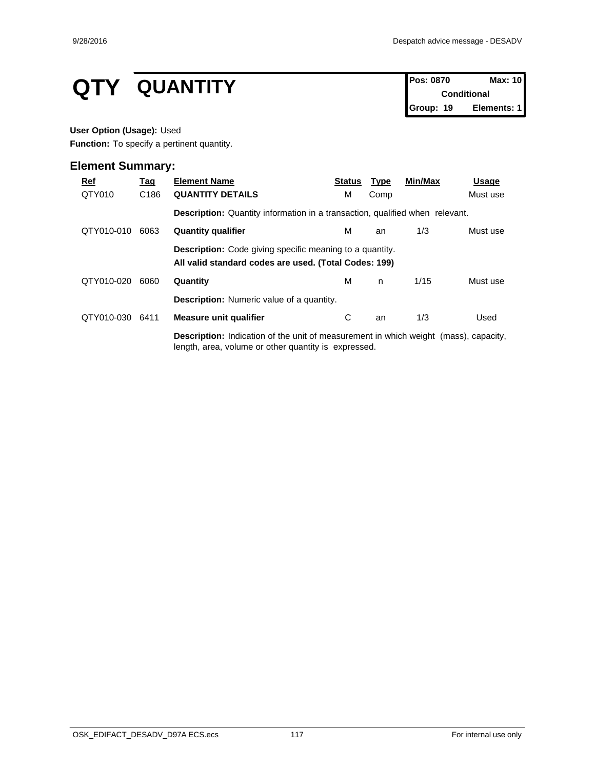# **QTY QUANTITY Pos: 0870 Max: 10**<br>Conditional

**Conditional Group: 19 Elements: 1**

#### **User Option (Usage):** Used

**Function:** To specify a pertinent quantity.

| $Ref$      | <u>Tag</u>       | <b>Element Name</b>                                                                                                                                 | <b>Status</b> | <b>Type</b> | Min/Max | Usage    |
|------------|------------------|-----------------------------------------------------------------------------------------------------------------------------------------------------|---------------|-------------|---------|----------|
| QTY010     | C <sub>186</sub> | <b>QUANTITY DETAILS</b>                                                                                                                             | М             | Comp        |         | Must use |
|            |                  | <b>Description:</b> Quantity information in a transaction, qualified when relevant.                                                                 |               |             |         |          |
| QTY010-010 | 6063             | <b>Quantity qualifier</b>                                                                                                                           | м             | an          | 1/3     | Must use |
|            |                  | <b>Description:</b> Code giving specific meaning to a quantity.<br>All valid standard codes are used. (Total Codes: 199)                            |               |             |         |          |
| QTY010-020 | 6060             | Quantity                                                                                                                                            | м             | n.          | 1/15    | Must use |
|            |                  | <b>Description:</b> Numeric value of a quantity.                                                                                                    |               |             |         |          |
| QTY010-030 | 6411             | Measure unit qualifier                                                                                                                              | С             | an          | 1/3     | Used     |
|            |                  | <b>Description:</b> Indication of the unit of measurement in which weight (mass), capacity,<br>length, area, volume or other quantity is expressed. |               |             |         |          |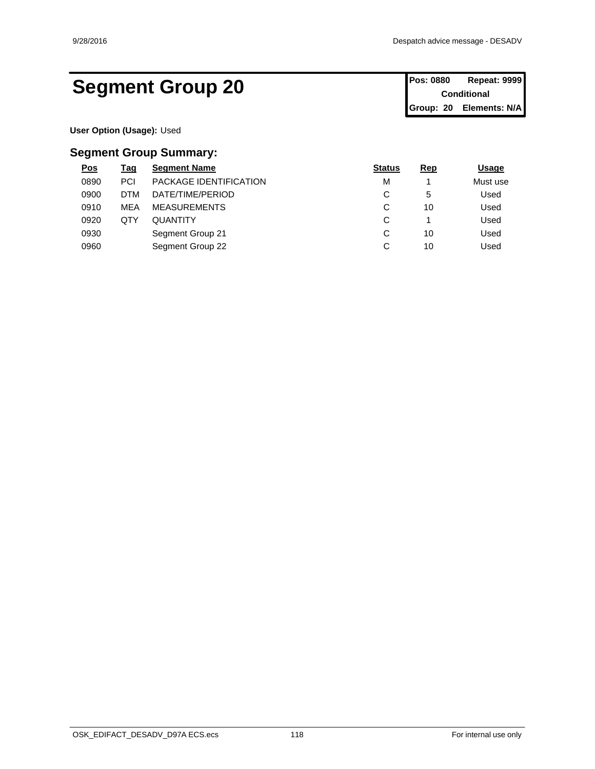## Segment Group 20 **Pos: 0880 Repeat: 9999**

**Conditional Group: 20 Elements: N/A**

**User Option (Usage):** Used

| $\underline{\mathsf{Pos}}$ | <u>Tag</u> | <b>Segment Name</b>           | <b>Status</b> | <b>Rep</b> | <u>Usage</u> |
|----------------------------|------------|-------------------------------|---------------|------------|--------------|
| 0890                       | <b>PCI</b> | <b>PACKAGE IDENTIFICATION</b> | М             |            | Must use     |
| 0900                       | <b>DTM</b> | DATE/TIME/PERIOD              | ⌒<br>◡        | 5          | Used         |
| 0910                       | MEA        | <b>MEASUREMENTS</b>           | ⌒<br>ັ        | 10         | Used         |
| 0920                       | QTY        | <b>QUANTITY</b>               | ⌒<br>◡        |            | Used         |
| 0930                       |            | Segment Group 21              | $\sim$<br>◡   | 10         | Used         |
| 0960                       |            | Segment Group 22              | ⌒<br>ັ        | 10         | Used         |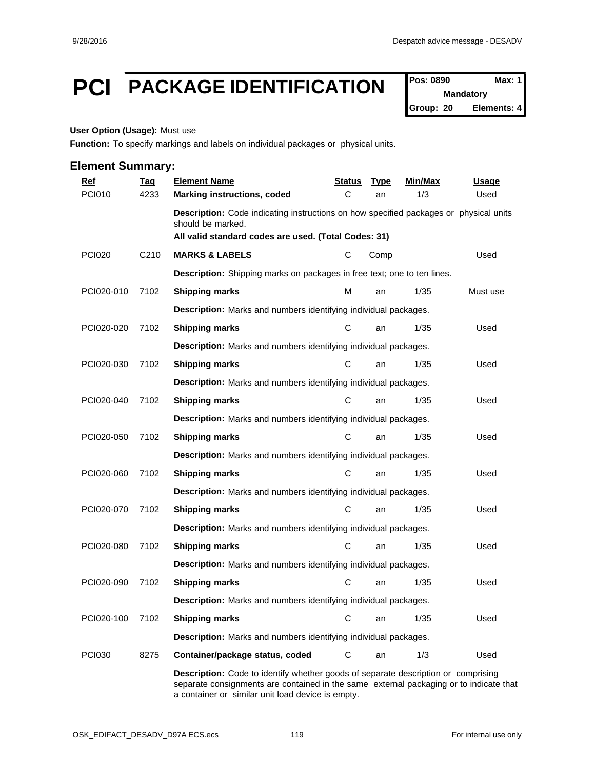## **PCI PACKAGE IDENTIFICATION Pos: 0890 Max: 1**

**Mandatory Group: 20 Elements: 4**

#### **User Option (Usage):** Must use

**Function:** To specify markings and labels on individual packages or physical units.

#### **Element Summary:**

| <b>Ref</b>    | <b>Tag</b>        | <b>Element Name</b>                                                                                                                                                | <u>Status</u> | <b>Type</b> | Min/Max | <u>Usage</u> |  |  |  |
|---------------|-------------------|--------------------------------------------------------------------------------------------------------------------------------------------------------------------|---------------|-------------|---------|--------------|--|--|--|
| <b>PCI010</b> | 4233              | <b>Marking instructions, coded</b>                                                                                                                                 | C             | an          | 1/3     | Used         |  |  |  |
|               |                   | Description: Code indicating instructions on how specified packages or physical units<br>should be marked.<br>All valid standard codes are used. (Total Codes: 31) |               |             |         |              |  |  |  |
| <b>PCI020</b> | C <sub>2</sub> 10 | <b>MARKS &amp; LABELS</b>                                                                                                                                          | С             | Comp        |         | Used         |  |  |  |
|               |                   | Description: Shipping marks on packages in free text; one to ten lines.                                                                                            |               |             |         |              |  |  |  |
| PCI020-010    | 7102              | <b>Shipping marks</b>                                                                                                                                              | м             | an          | 1/35    | Must use     |  |  |  |
|               |                   | Description: Marks and numbers identifying individual packages.                                                                                                    |               |             |         |              |  |  |  |
| PCI020-020    | 7102              | <b>Shipping marks</b>                                                                                                                                              | С             | an          | 1/35    | Used         |  |  |  |
|               |                   | Description: Marks and numbers identifying individual packages.                                                                                                    |               |             |         |              |  |  |  |
| PCI020-030    | 7102              | <b>Shipping marks</b>                                                                                                                                              | $\mathbf C$   | an          | 1/35    | Used         |  |  |  |
|               |                   | <b>Description:</b> Marks and numbers identifying individual packages.                                                                                             |               |             |         |              |  |  |  |
| PCI020-040    | 7102              | Shipping marks                                                                                                                                                     | С             | an          | 1/35    | Used         |  |  |  |
|               |                   | <b>Description:</b> Marks and numbers identifying individual packages.                                                                                             |               |             |         |              |  |  |  |
| PCI020-050    | 7102              | <b>Shipping marks</b>                                                                                                                                              | $\mathbf C$   | an          | 1/35    | Used         |  |  |  |
|               |                   | Description: Marks and numbers identifying individual packages.                                                                                                    |               |             |         |              |  |  |  |
| PCI020-060    | 7102              | <b>Shipping marks</b>                                                                                                                                              | $\mathbf C$   | an          | 1/35    | Used         |  |  |  |
|               |                   | Description: Marks and numbers identifying individual packages.                                                                                                    |               |             |         |              |  |  |  |
| PCI020-070    | 7102              | <b>Shipping marks</b>                                                                                                                                              | C             | an          | 1/35    | Used         |  |  |  |
|               |                   | Description: Marks and numbers identifying individual packages.                                                                                                    |               |             |         |              |  |  |  |
| PCI020-080    | 7102              | <b>Shipping marks</b>                                                                                                                                              | C             | an          | 1/35    | Used         |  |  |  |
|               |                   | <b>Description:</b> Marks and numbers identifying individual packages.                                                                                             |               |             |         |              |  |  |  |
| PCI020-090    | 7102              | <b>Shipping marks</b>                                                                                                                                              | С             | an          | 1/35    | Used         |  |  |  |
|               |                   | Description: Marks and numbers identifying individual packages.                                                                                                    |               |             |         |              |  |  |  |
| PCI020-100    | 7102              | <b>Shipping marks</b>                                                                                                                                              | $\mathbf C$   | an          | 1/35    | Used         |  |  |  |
|               |                   | Description: Marks and numbers identifying individual packages.                                                                                                    |               |             |         |              |  |  |  |
| <b>PCI030</b> | 8275              | Container/package status, coded                                                                                                                                    | С             | an          | 1/3     | Used         |  |  |  |
|               |                   | <b>Description:</b> Code to identify whether goods of separate description or comprising                                                                           |               |             |         |              |  |  |  |

separate consignments are contained in the same external packaging or to indicate that a container or similar unit load device is empty.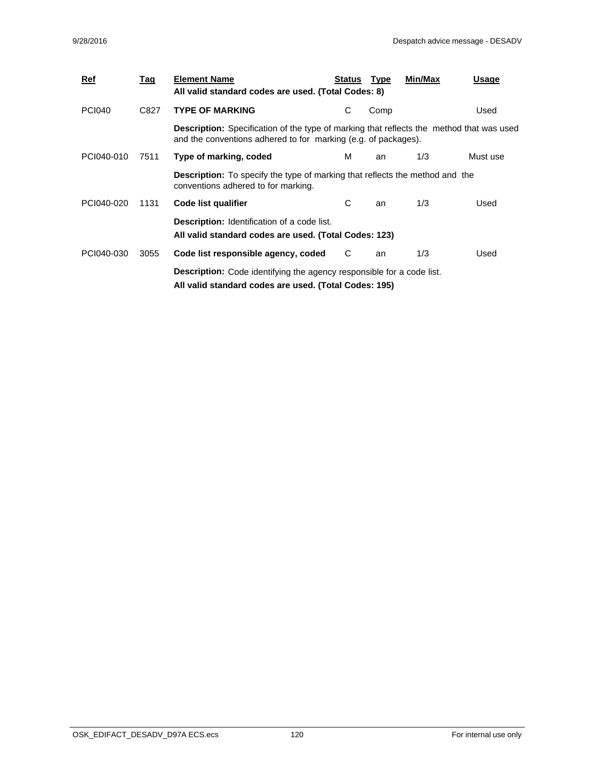| <u>Ref</u>    | Tag  | <b>Element Name</b><br>All valid standard codes are used. (Total Codes: 8)                                                                                        | Status | Type | Min/Max | Usage    |  |
|---------------|------|-------------------------------------------------------------------------------------------------------------------------------------------------------------------|--------|------|---------|----------|--|
| <b>PCI040</b> | C827 | <b>TYPE OF MARKING</b>                                                                                                                                            | С      | Comp |         | Used     |  |
|               |      | <b>Description:</b> Specification of the type of marking that reflects the method that was used<br>and the conventions adhered to for marking (e.g. of packages). |        |      |         |          |  |
| PCI040-010    | 7511 | Type of marking, coded                                                                                                                                            | м      | an   | 1/3     | Must use |  |
|               |      | <b>Description:</b> To specify the type of marking that reflects the method and the<br>conventions adhered to for marking.                                        |        |      |         |          |  |
| PCI040-020    | 1131 | Code list qualifier                                                                                                                                               | С      | an   | 1/3     | Used     |  |
|               |      | <b>Description:</b> Identification of a code list.<br>All valid standard codes are used. (Total Codes: 123)                                                       |        |      |         |          |  |
| PCI040-030    | 3055 | Code list responsible agency, coded                                                                                                                               | C      | an   | 1/3     | Used     |  |
|               |      | <b>Description:</b> Code identifying the agency responsible for a code list.<br>All valid standard codes are used. (Total Codes: 195)                             |        |      |         |          |  |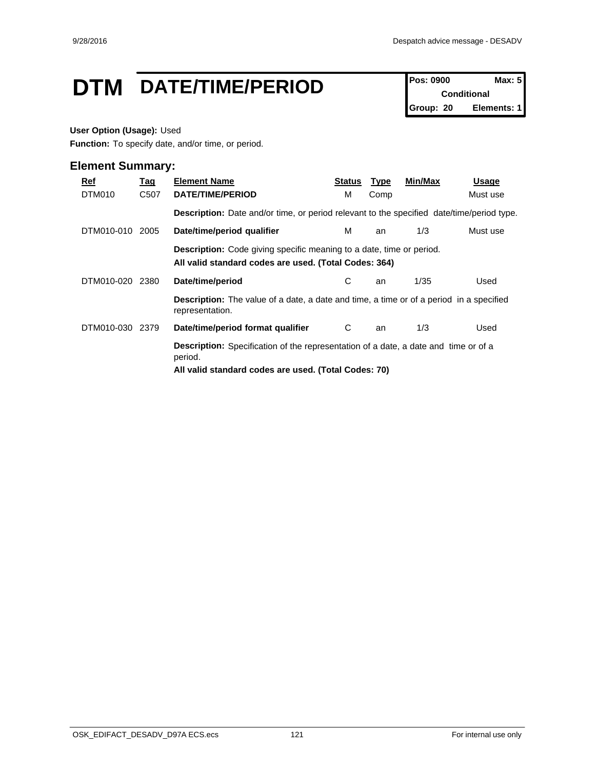## **DTM** DATE/TIME/PERIOD **Pos: 0900 Max: 5**

**Conditional Group: 20 Elements: 1**

#### **User Option (Usage):** Used

**Function:** To specify date, and/or time, or period.

| Ref<br>DTM010 | <u>Tag</u><br>C507 | <b>Element Name</b><br>DATE/TIME/PERIOD                                                                                                                       | Status<br>м | <b>Type</b><br>Comp | Min/Max | Usage<br>Must use |  |
|---------------|--------------------|---------------------------------------------------------------------------------------------------------------------------------------------------------------|-------------|---------------------|---------|-------------------|--|
|               |                    | <b>Description:</b> Date and/or time, or period relevant to the specified date/time/period type.                                                              |             |                     |         |                   |  |
| DTM010-010    | 2005               | Date/time/period qualifier                                                                                                                                    | м           | an                  | 1/3     | Must use          |  |
|               |                    | <b>Description:</b> Code giving specific meaning to a date, time or period.<br>All valid standard codes are used. (Total Codes: 364)                          |             |                     |         |                   |  |
| DTM010-020    | 2380               | Date/time/period                                                                                                                                              | С           | an                  | 1/35    | Used              |  |
|               |                    | <b>Description:</b> The value of a date, a date and time, a time or of a period in a specified<br>representation.                                             |             |                     |         |                   |  |
| DTM010-030    | 2379               | Date/time/period format qualifier                                                                                                                             | C           | an                  | 1/3     | Used              |  |
|               |                    | <b>Description:</b> Specification of the representation of a date, a date and time or of a<br>period.<br>All valid standard codes are used. (Total Codes: 70) |             |                     |         |                   |  |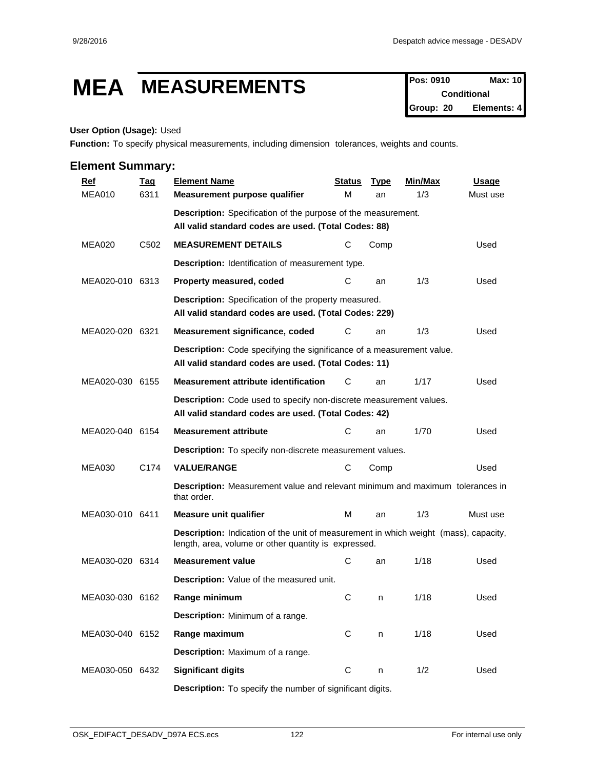## **MEA MEASUREMENTS Pos: 0910 Max: 10**

**Conditional Group: 20 Elements: 4**

#### **User Option (Usage):** Used

**Function:** To specify physical measurements, including dimension tolerances, weights and counts.

| <b>Ref</b>      | <b>Tag</b>       | <b>Element Name</b>                                                                                                                          | <b>Status</b> | <b>Type</b> | Min/Max | <b>Usage</b> |
|-----------------|------------------|----------------------------------------------------------------------------------------------------------------------------------------------|---------------|-------------|---------|--------------|
| <b>MEA010</b>   | 6311             | Measurement purpose qualifier                                                                                                                | М             | an          | 1/3     | Must use     |
|                 |                  | <b>Description:</b> Specification of the purpose of the measurement.                                                                         |               |             |         |              |
|                 |                  | All valid standard codes are used. (Total Codes: 88)                                                                                         |               |             |         |              |
| MEA020          | C <sub>502</sub> | <b>MEASUREMENT DETAILS</b>                                                                                                                   | С             | Comp        |         | Used         |
|                 |                  | <b>Description:</b> Identification of measurement type.                                                                                      |               |             |         |              |
| MEA020-010 6313 |                  | Property measured, coded                                                                                                                     | C             | an          | 1/3     | Used         |
|                 |                  | Description: Specification of the property measured.<br>All valid standard codes are used. (Total Codes: 229)                                |               |             |         |              |
| MEA020-020 6321 |                  | Measurement significance, coded                                                                                                              | С             | an          | 1/3     | Used         |
|                 |                  | Description: Code specifying the significance of a measurement value.<br>All valid standard codes are used. (Total Codes: 11)                |               |             |         |              |
| MEA020-030 6155 |                  | Measurement attribute identification                                                                                                         | С             | an          | 1/17    | Used         |
|                 |                  | Description: Code used to specify non-discrete measurement values.<br>All valid standard codes are used. (Total Codes: 42)                   |               |             |         |              |
| MEA020-040 6154 |                  | <b>Measurement attribute</b>                                                                                                                 | С             | an          | 1/70    | Used         |
|                 |                  | Description: To specify non-discrete measurement values.                                                                                     |               |             |         |              |
| <b>MEA030</b>   | C174             | <b>VALUE/RANGE</b>                                                                                                                           | C             | Comp        |         | Used         |
|                 |                  | <b>Description:</b> Measurement value and relevant minimum and maximum tolerances in<br>that order.                                          |               |             |         |              |
| MEA030-010 6411 |                  | <b>Measure unit qualifier</b>                                                                                                                | м             | an          | 1/3     | Must use     |
|                 |                  | Description: Indication of the unit of measurement in which weight (mass), capacity,<br>length, area, volume or other quantity is expressed. |               |             |         |              |
| MEA030-020 6314 |                  | <b>Measurement value</b>                                                                                                                     | С             | an          | 1/18    | Used         |
|                 |                  | Description: Value of the measured unit.                                                                                                     |               |             |         |              |
| MEA030-030 6162 |                  | Range minimum                                                                                                                                | С             | n           | 1/18    | Used         |
|                 |                  | Description: Minimum of a range.                                                                                                             |               |             |         |              |
| MEA030-040 6152 |                  | Range maximum                                                                                                                                | C             | n           | 1/18    | Used         |
|                 |                  | Description: Maximum of a range.                                                                                                             |               |             |         |              |
| MEA030-050 6432 |                  | <b>Significant digits</b>                                                                                                                    | ${\bf C}$     | n           | 1/2     | Used         |
|                 |                  | <b>Description:</b> To specify the number of significant digits.                                                                             |               |             |         |              |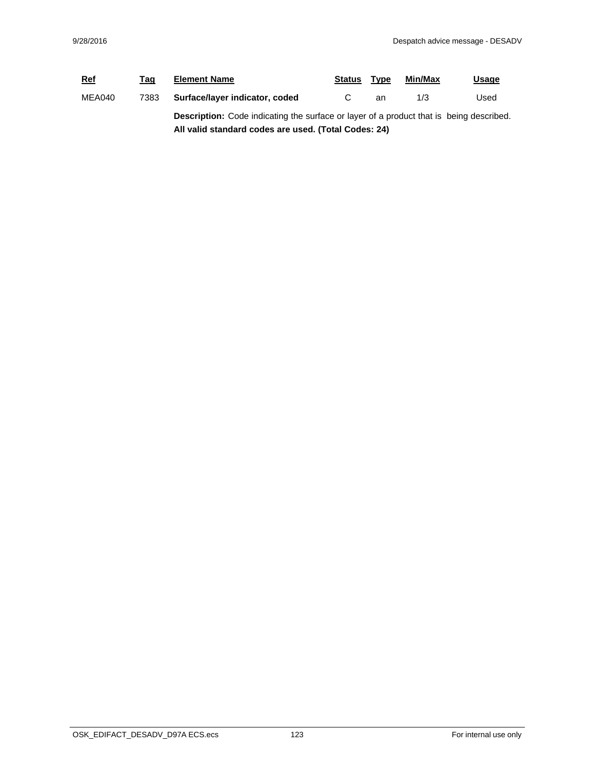| <b>Ref</b> | Tag                                                  | <b>Element Name</b>                                                                            | <b>Status</b> | Type | Min/Max | <u>Usage</u> |  |
|------------|------------------------------------------------------|------------------------------------------------------------------------------------------------|---------------|------|---------|--------------|--|
| MEA040     | 7383                                                 | Surface/layer indicator, coded                                                                 |               | an   | 1/3     | Used         |  |
|            |                                                      | <b>Description:</b> Code indicating the surface or layer of a product that is being described. |               |      |         |              |  |
|            | All valid standard codes are used. (Total Codes: 24) |                                                                                                |               |      |         |              |  |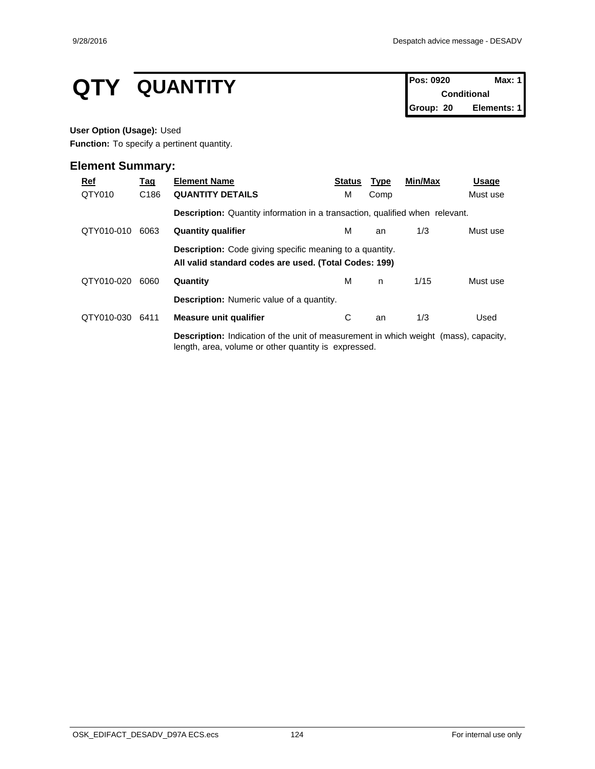# **QTY QUANTITY Pos: 0920 Max: 1**<br>Conditional

**Conditional Group: 20 Elements: 1**

#### **User Option (Usage):** Used

**Function:** To specify a pertinent quantity.

| $Ref$      | <u>Tag</u>       | <b>Element Name</b>                                                                                                                                 | <b>Status</b> | <b>Type</b> | Min/Max | Usage    |
|------------|------------------|-----------------------------------------------------------------------------------------------------------------------------------------------------|---------------|-------------|---------|----------|
| QTY010     | C <sub>186</sub> | <b>QUANTITY DETAILS</b>                                                                                                                             | М             | Comp        |         | Must use |
|            |                  | <b>Description:</b> Quantity information in a transaction, qualified when relevant.                                                                 |               |             |         |          |
| QTY010-010 | 6063             | <b>Quantity qualifier</b>                                                                                                                           | м             | an          | 1/3     | Must use |
|            |                  | <b>Description:</b> Code giving specific meaning to a quantity.<br>All valid standard codes are used. (Total Codes: 199)                            |               |             |         |          |
| QTY010-020 | 6060             | Quantity                                                                                                                                            | м             | n.          | 1/15    | Must use |
|            |                  | <b>Description:</b> Numeric value of a quantity.                                                                                                    |               |             |         |          |
| QTY010-030 | 6411             | Measure unit qualifier                                                                                                                              | С             | an          | 1/3     | Used     |
|            |                  | <b>Description:</b> Indication of the unit of measurement in which weight (mass), capacity,<br>length, area, volume or other quantity is expressed. |               |             |         |          |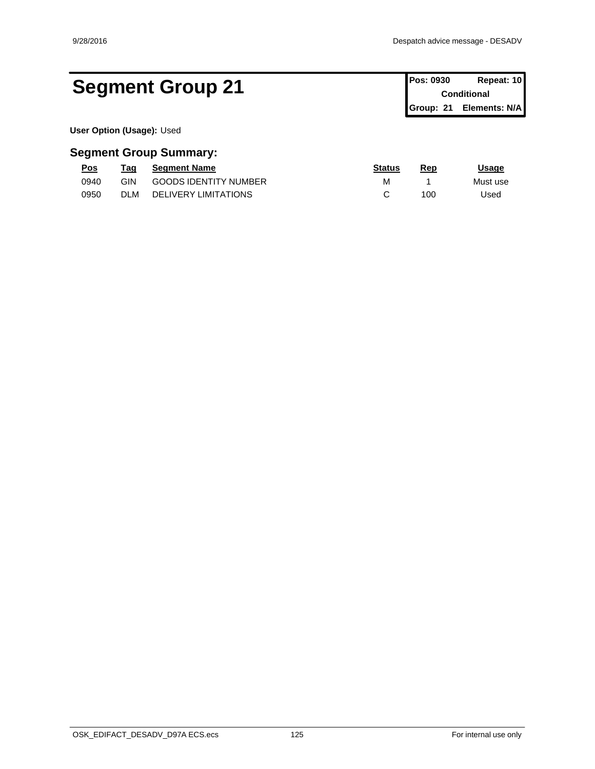## Segment Group 21 **Pos: 0930 Repeat: 10 Pos: 0930 Repeat: 10**

**Conditional Group: 21 Elements: N/A**

**User Option (Usage):** Used

| <u>Pos</u> | rag        | <b>Seament Name</b>          | <b>Status</b> | Rep | Jsaqe    |
|------------|------------|------------------------------|---------------|-----|----------|
| 0940       | GIN        | <b>GOODS IDENTITY NUMBER</b> | M             |     | Must use |
| 0950       | <b>DLM</b> | <b>DELIVERY LIMITATIONS</b>  |               | 100 | Jsed     |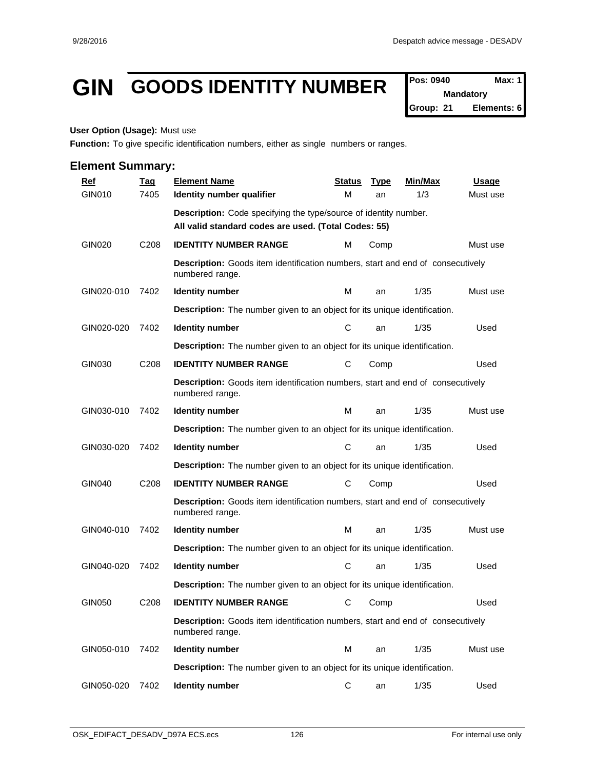## **GIN GOODS IDENTITY NUMBER**  $\int_{\text{Nandatory}}^{\text{Pos: 0940}}$

**Mandatory Group: 21 Elements: 6**

#### **User Option (Usage):** Must use

**Function:** To give specific identification numbers, either as single numbers or ranges.

| <b>Ref</b>    | <u>Tag</u>       | <b>Element Name</b>                                                                                      | <b>Status</b> | <b>Type</b> | <b>Min/Max</b> | <b>Usage</b> |
|---------------|------------------|----------------------------------------------------------------------------------------------------------|---------------|-------------|----------------|--------------|
| GIN010        | 7405             | Identity number qualifier                                                                                | м             | an          | 1/3            | Must use     |
|               |                  | Description: Code specifying the type/source of identity number.                                         |               |             |                |              |
|               |                  | All valid standard codes are used. (Total Codes: 55)                                                     |               |             |                |              |
| <b>GIN020</b> | C <sub>208</sub> | <b>IDENTITY NUMBER RANGE</b>                                                                             | м             | Comp        |                | Must use     |
|               |                  | Description: Goods item identification numbers, start and end of consecutively<br>numbered range.        |               |             |                |              |
| GIN020-010    | 7402             | <b>Identity number</b>                                                                                   | м             | an          | 1/35           | Must use     |
|               |                  | <b>Description:</b> The number given to an object for its unique identification.                         |               |             |                |              |
| GIN020-020    | 7402             | <b>Identity number</b>                                                                                   | C             | an          | 1/35           | Used         |
|               |                  | <b>Description:</b> The number given to an object for its unique identification.                         |               |             |                |              |
| GIN030        | C208             | <b>IDENTITY NUMBER RANGE</b>                                                                             | С             | Comp        |                | Used         |
|               |                  | <b>Description:</b> Goods item identification numbers, start and end of consecutively<br>numbered range. |               |             |                |              |
| GIN030-010    | 7402             | <b>Identity number</b>                                                                                   | м             | an          | 1/35           | Must use     |
|               |                  | <b>Description:</b> The number given to an object for its unique identification.                         |               |             |                |              |
| GIN030-020    | 7402             | <b>Identity number</b>                                                                                   | С             | an          | 1/35           | Used         |
|               |                  | <b>Description:</b> The number given to an object for its unique identification.                         |               |             |                |              |
| <b>GIN040</b> | C208             | <b>IDENTITY NUMBER RANGE</b>                                                                             | С             | Comp        |                | Used         |
|               |                  | <b>Description:</b> Goods item identification numbers, start and end of consecutively<br>numbered range. |               |             |                |              |
| GIN040-010    | 7402             | <b>Identity number</b>                                                                                   | м             | an          | 1/35           | Must use     |
|               |                  | <b>Description:</b> The number given to an object for its unique identification.                         |               |             |                |              |
| GIN040-020    | 7402             | <b>Identity number</b>                                                                                   | C             | an          | 1/35           | Used         |
|               |                  | <b>Description:</b> The number given to an object for its unique identification.                         |               |             |                |              |
| GIN050        | C <sub>208</sub> | <b>IDENTITY NUMBER RANGE</b>                                                                             | С             | Comp        |                | Used         |
|               |                  | Description: Goods item identification numbers, start and end of consecutively<br>numbered range.        |               |             |                |              |
| GIN050-010    | 7402             | <b>Identity number</b>                                                                                   | M             | an          | 1/35           | Must use     |
|               |                  | <b>Description:</b> The number given to an object for its unique identification.                         |               |             |                |              |
| GIN050-020    | 7402             | <b>Identity number</b>                                                                                   | С             | an          | 1/35           | Used         |
|               |                  |                                                                                                          |               |             |                |              |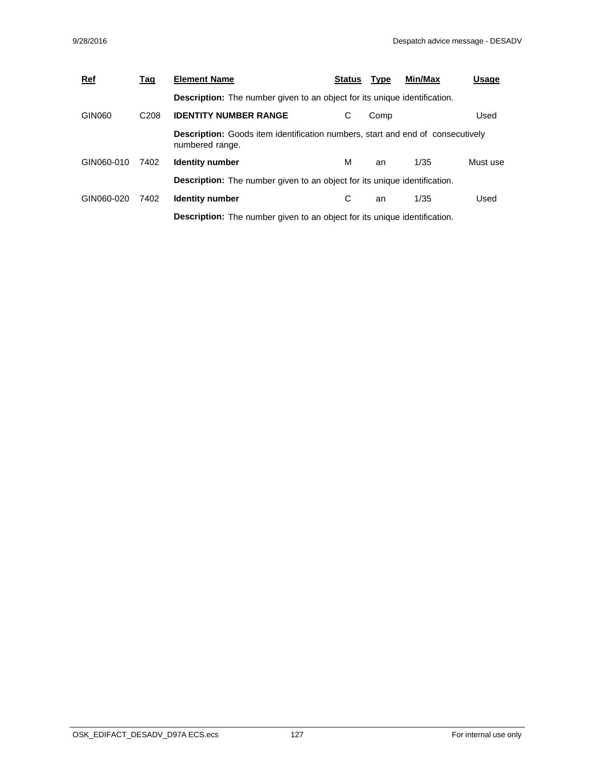| <b>Ref</b> | <u>Tag</u>       | <b>Element Name</b>                                                                                      | <b>Status</b> | <b>Type</b> | Min/Max | Usage    |
|------------|------------------|----------------------------------------------------------------------------------------------------------|---------------|-------------|---------|----------|
|            |                  | <b>Description:</b> The number given to an object for its unique identification.                         |               |             |         |          |
| GIN060     | C <sub>208</sub> | <b>IDENTITY NUMBER RANGE</b>                                                                             | С             | Comp        |         | Used     |
|            |                  | <b>Description:</b> Goods item identification numbers, start and end of consecutively<br>numbered range. |               |             |         |          |
| GIN060-010 | 7402             | <b>Identity number</b>                                                                                   | м             | an          | 1/35    | Must use |
|            |                  | <b>Description:</b> The number given to an object for its unique identification.                         |               |             |         |          |
| GIN060-020 | 7402             | <b>Identity number</b>                                                                                   | С             | an          | 1/35    | Used     |
|            |                  | <b>Description:</b> The number given to an object for its unique identification.                         |               |             |         |          |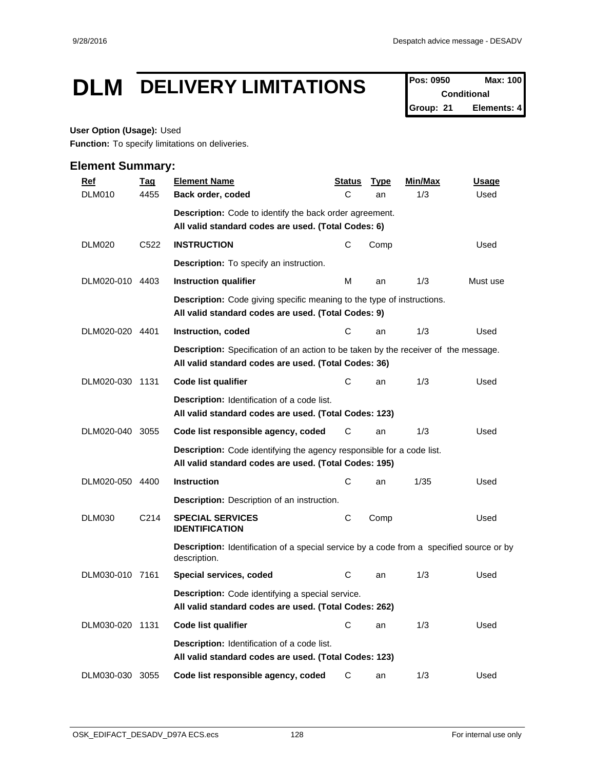## **DLM DELIVERY LIMITATIONS Pos: 0950 Max: 100**

**Conditional Group: 21 Elements: 4**

#### **User Option (Usage):** Used

**Function:** To specify limitations on deliveries.

| <b>Ref</b>      | <b>Tag</b>        | <b>Element Name</b>                                                                                                                         | <u>Status</u> | <b>Type</b> | Min/Max | <b>Usage</b> |
|-----------------|-------------------|---------------------------------------------------------------------------------------------------------------------------------------------|---------------|-------------|---------|--------------|
| <b>DLM010</b>   | 4455              | Back order, coded                                                                                                                           | C             | an          | 1/3     | Used         |
|                 |                   | <b>Description:</b> Code to identify the back order agreement.                                                                              |               |             |         |              |
|                 |                   | All valid standard codes are used. (Total Codes: 6)                                                                                         |               |             |         |              |
| DLM020          | C522              | <b>INSTRUCTION</b>                                                                                                                          | C             | Comp        |         | Used         |
|                 |                   | <b>Description:</b> To specify an instruction.                                                                                              |               |             |         |              |
| DLM020-010 4403 |                   | Instruction qualifier                                                                                                                       | м             | an          | 1/3     | Must use     |
|                 |                   | <b>Description:</b> Code giving specific meaning to the type of instructions.<br>All valid standard codes are used. (Total Codes: 9)        |               |             |         |              |
| DLM020-020 4401 |                   | Instruction, coded                                                                                                                          | C             | an          | 1/3     | Used         |
|                 |                   | Description: Specification of an action to be taken by the receiver of the message.<br>All valid standard codes are used. (Total Codes: 36) |               |             |         |              |
| DLM020-030 1131 |                   | Code list qualifier                                                                                                                         | С             | an          | 1/3     | Used         |
|                 |                   | <b>Description:</b> Identification of a code list.<br>All valid standard codes are used. (Total Codes: 123)                                 |               |             |         |              |
| DLM020-040 3055 |                   | Code list responsible agency, coded                                                                                                         | С             | an          | 1/3     | Used         |
|                 |                   | Description: Code identifying the agency responsible for a code list.<br>All valid standard codes are used. (Total Codes: 195)              |               |             |         |              |
| DLM020-050 4400 |                   | <b>Instruction</b>                                                                                                                          | C             | an          | 1/35    | Used         |
|                 |                   | <b>Description:</b> Description of an instruction.                                                                                          |               |             |         |              |
| <b>DLM030</b>   | C <sub>2</sub> 14 | <b>SPECIAL SERVICES</b><br><b>IDENTIFICATION</b>                                                                                            | С             | Comp        |         | Used         |
|                 |                   | <b>Description:</b> Identification of a special service by a code from a specified source or by<br>description.                             |               |             |         |              |
| DLM030-010 7161 |                   | Special services, coded                                                                                                                     | C             | an          | 1/3     | Used         |
|                 |                   | <b>Description:</b> Code identifying a special service.<br>All valid standard codes are used. (Total Codes: 262)                            |               |             |         |              |
| DLM030-020 1131 |                   | Code list qualifier                                                                                                                         | С             | an          | 1/3     | Used         |
|                 |                   | <b>Description:</b> Identification of a code list.<br>All valid standard codes are used. (Total Codes: 123)                                 |               |             |         |              |
| DLM030-030 3055 |                   | Code list responsible agency, coded                                                                                                         | С             | an          | 1/3     | Used         |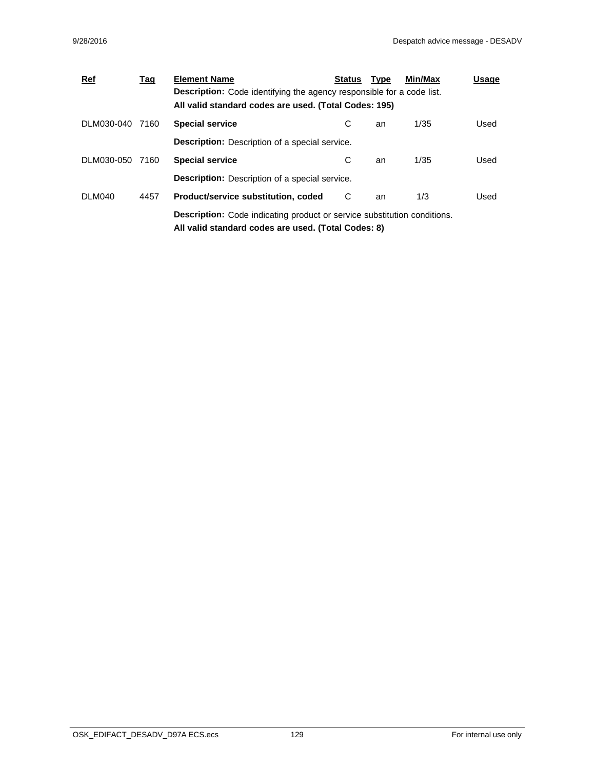| $Ref$           | <u>Tag</u> | <b>Element Name</b>                                                             | <b>Status</b> | <b>Type</b> | Min/Max | Usage |
|-----------------|------------|---------------------------------------------------------------------------------|---------------|-------------|---------|-------|
|                 |            | <b>Description:</b> Code identifying the agency responsible for a code list.    |               |             |         |       |
|                 |            | All valid standard codes are used. (Total Codes: 195)                           |               |             |         |       |
| DLM030-040 7160 |            | <b>Special service</b>                                                          | С             | an          | 1/35    | Used  |
|                 |            | <b>Description:</b> Description of a special service.                           |               |             |         |       |
| DLM030-050 7160 |            | <b>Special service</b>                                                          | С             | an          | 1/35    | Used  |
|                 |            | <b>Description:</b> Description of a special service.                           |               |             |         |       |
| DLM040          | 4457       | Product/service substitution, coded                                             | C             | an          | 1/3     | Used  |
|                 |            | <b>Description:</b> Code indicating product or service substitution conditions. |               |             |         |       |
|                 |            | All valid standard codes are used. (Total Codes: 8)                             |               |             |         |       |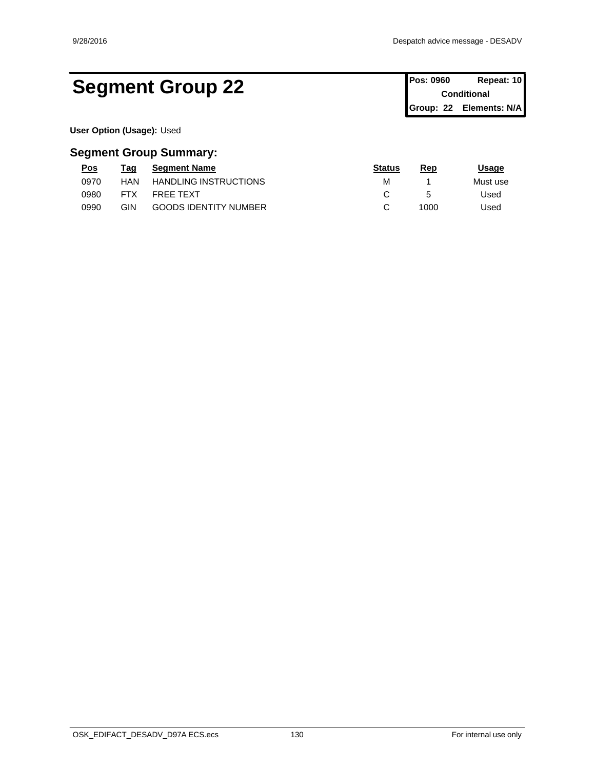## Segment Group 22 **Pos: 0960 Repeat: 10 Pos: 0960 Repeat: 10**

**Conditional Group: 22 Elements: N/A**

**User Option (Usage):** Used

| <u>Pos</u> | Taq        | <b>Segment Name</b>          | <b>Status</b> | Rep  | Jsage    |
|------------|------------|------------------------------|---------------|------|----------|
| 0970       | HAN        | <b>HANDLING INSTRUCTIONS</b> | М             |      | Must use |
| 0980       | <b>FTX</b> | <b>FREE TEXT</b>             |               |      | Used     |
| 0990       | GIN        | <b>GOODS IDENTITY NUMBER</b> |               | 1000 | Used     |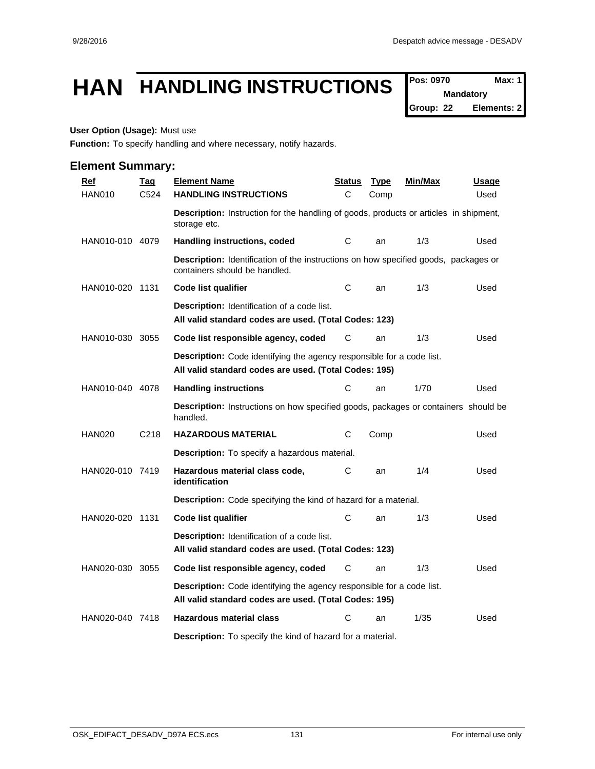## **HAN HANDLING INSTRUCTIONS**  $\int_{\text{Pois: } }^{\text{Pos: } }$  0970

**Mandatory**

**Group: 22 Elements: 2**

#### **User Option (Usage):** Must use

**Function:** To specify handling and where necessary, notify hazards.

| <b>Ref</b>      | <b>Tag</b>        | <b>Element Name</b>                                                                                                                   | <u>Status</u> | <b>Type</b> | <u>Min/Max</u> | <u>Usage</u> |  |  |  |
|-----------------|-------------------|---------------------------------------------------------------------------------------------------------------------------------------|---------------|-------------|----------------|--------------|--|--|--|
| <b>HAN010</b>   | C <sub>524</sub>  | <b>HANDLING INSTRUCTIONS</b>                                                                                                          | C             | Comp        |                | Used         |  |  |  |
|                 |                   | <b>Description:</b> Instruction for the handling of goods, products or articles in shipment,<br>storage etc.                          |               |             |                |              |  |  |  |
| HAN010-010 4079 |                   | Handling instructions, coded                                                                                                          | С             | an          | 1/3            | Used         |  |  |  |
|                 |                   | Description: Identification of the instructions on how specified goods, packages or<br>containers should be handled.                  |               |             |                |              |  |  |  |
| HAN010-020 1131 |                   | <b>Code list qualifier</b>                                                                                                            | С             | an          | 1/3            | Used         |  |  |  |
|                 |                   | <b>Description:</b> Identification of a code list.<br>All valid standard codes are used. (Total Codes: 123)                           |               |             |                |              |  |  |  |
| HAN010-030 3055 |                   | Code list responsible agency, coded                                                                                                   | С             | an          | 1/3            | Used         |  |  |  |
|                 |                   | <b>Description:</b> Code identifying the agency responsible for a code list.<br>All valid standard codes are used. (Total Codes: 195) |               |             |                |              |  |  |  |
| HAN010-040 4078 |                   | <b>Handling instructions</b>                                                                                                          | С             | an          | 1/70           | Used         |  |  |  |
|                 |                   | <b>Description:</b> Instructions on how specified goods, packages or containers should be<br>handled.                                 |               |             |                |              |  |  |  |
| <b>HAN020</b>   | C <sub>2</sub> 18 | <b>HAZARDOUS MATERIAL</b>                                                                                                             | С             | Comp        |                | Used         |  |  |  |
|                 |                   | <b>Description:</b> To specify a hazardous material.                                                                                  |               |             |                |              |  |  |  |
| HAN020-010 7419 |                   | Hazardous material class code,<br>identification                                                                                      | С             | an          | 1/4            | Used         |  |  |  |
|                 |                   | Description: Code specifying the kind of hazard for a material.                                                                       |               |             |                |              |  |  |  |
| HAN020-020 1131 |                   | <b>Code list qualifier</b>                                                                                                            | C             | an          | 1/3            | Used         |  |  |  |
|                 |                   | <b>Description:</b> Identification of a code list.<br>All valid standard codes are used. (Total Codes: 123)                           |               |             |                |              |  |  |  |
| HAN020-030 3055 |                   | Code list responsible agency, coded                                                                                                   | С             | an          | 1/3            | Used         |  |  |  |
|                 |                   | Description: Code identifying the agency responsible for a code list.<br>All valid standard codes are used. (Total Codes: 195)        |               |             |                |              |  |  |  |
| HAN020-040 7418 |                   | <b>Hazardous material class</b>                                                                                                       | С             | an          | 1/35           | Used         |  |  |  |
|                 |                   | <b>Description:</b> To specify the kind of hazard for a material.                                                                     |               |             |                |              |  |  |  |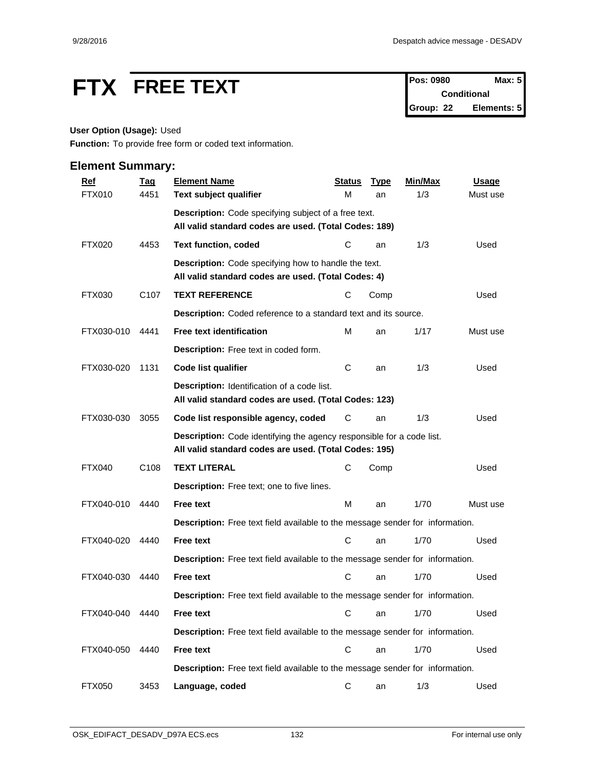# **FTX** FREE TEXT Pos: 0980 Max: 5

**Conditional Group: 22 Elements: 5**

## **User Option (Usage):** Used

**Function:** To provide free form or coded text information.

| <b>Ref</b>    | <b>Tag</b>       | <b>Element Name</b>                                                                                                                   | <b>Status</b> | <b>Type</b> | Min/Max | <b>Usage</b> |
|---------------|------------------|---------------------------------------------------------------------------------------------------------------------------------------|---------------|-------------|---------|--------------|
| FTX010        | 4451             | Text subject qualifier                                                                                                                | М             | an          | 1/3     | Must use     |
|               |                  | Description: Code specifying subject of a free text.                                                                                  |               |             |         |              |
|               |                  | All valid standard codes are used. (Total Codes: 189)                                                                                 |               |             |         |              |
| <b>FTX020</b> | 4453             | <b>Text function, coded</b>                                                                                                           | С             | an          | 1/3     | Used         |
|               |                  | <b>Description:</b> Code specifying how to handle the text.<br>All valid standard codes are used. (Total Codes: 4)                    |               |             |         |              |
| FTX030        | C <sub>107</sub> | <b>TEXT REFERENCE</b>                                                                                                                 | С             | Comp        |         | Used         |
|               |                  | Description: Coded reference to a standard text and its source.                                                                       |               |             |         |              |
| FTX030-010    | 4441             | <b>Free text identification</b>                                                                                                       | M             | an          | 1/17    | Must use     |
|               |                  | Description: Free text in coded form.                                                                                                 |               |             |         |              |
| FTX030-020    | 1131             | Code list qualifier                                                                                                                   | C             | an          | 1/3     | Used         |
|               |                  | Description: Identification of a code list.<br>All valid standard codes are used. (Total Codes: 123)                                  |               |             |         |              |
| FTX030-030    | 3055             | Code list responsible agency, coded                                                                                                   | С             | an          | 1/3     | Used         |
|               |                  | <b>Description:</b> Code identifying the agency responsible for a code list.<br>All valid standard codes are used. (Total Codes: 195) |               |             |         |              |
| <b>FTX040</b> | C <sub>108</sub> | <b>TEXT LITERAL</b>                                                                                                                   | С             | Comp        |         | Used         |
|               |                  | Description: Free text; one to five lines.                                                                                            |               |             |         |              |
| FTX040-010    | 4440             | <b>Free text</b>                                                                                                                      | M             | an          | 1/70    | Must use     |
|               |                  | Description: Free text field available to the message sender for information.                                                         |               |             |         |              |
| FTX040-020    | 4440             | <b>Free text</b>                                                                                                                      | C             | an          | 1/70    | Used         |
|               |                  | Description: Free text field available to the message sender for information.                                                         |               |             |         |              |
| FTX040-030    | 4440             | <b>Free text</b>                                                                                                                      | C             | an          | 1/70    | Used         |
|               |                  | Description: Free text field available to the message sender for information.                                                         |               |             |         |              |
| FTX040-040    | 4440             | <b>Free text</b>                                                                                                                      |               | C an        | 1/70    | Used         |
|               |                  | Description: Free text field available to the message sender for information.                                                         |               |             |         |              |
| FTX040-050    | 4440             | Free text                                                                                                                             | $\mathbf C$   | an          | 1/70    | Used         |
|               |                  | Description: Free text field available to the message sender for information.                                                         |               |             |         |              |
| <b>FTX050</b> | 3453             | Language, coded                                                                                                                       | C             | an          | 1/3     | Used         |
|               |                  |                                                                                                                                       |               |             |         |              |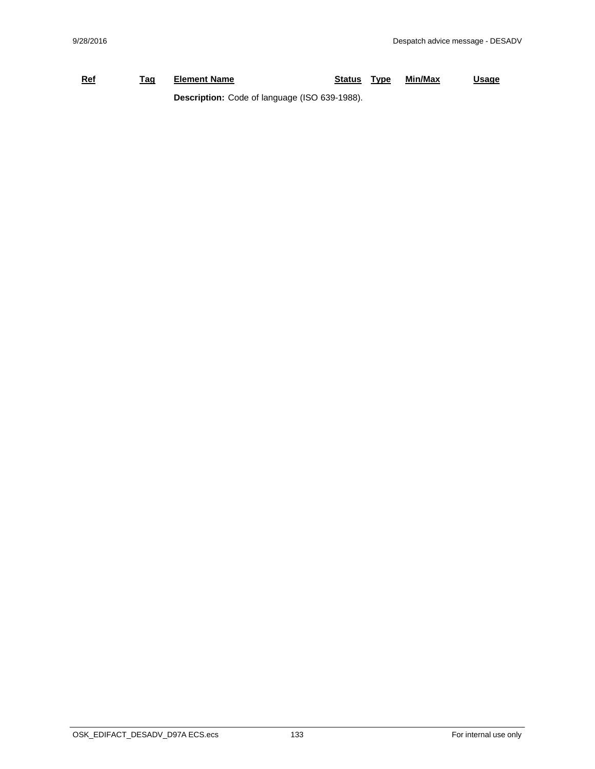## **Ref Tag Element Name Status Type Min/Max Usage Description:** Code of language (ISO 639-1988).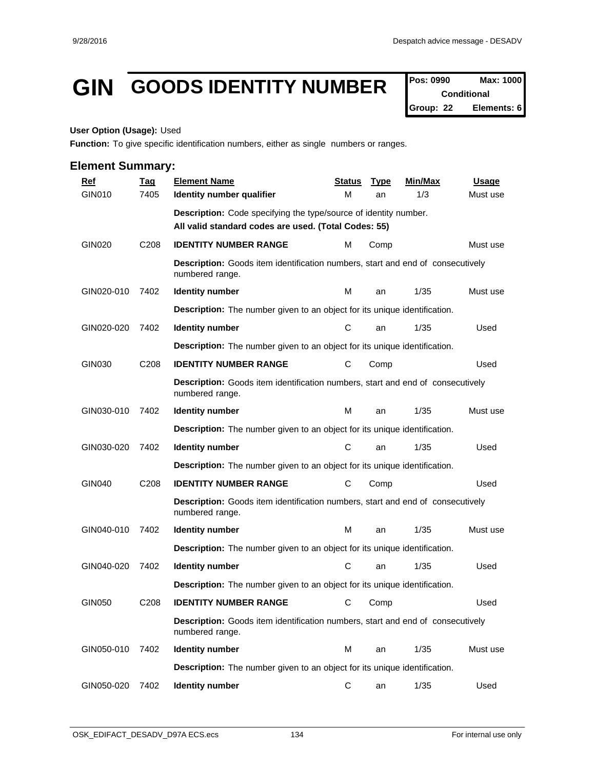## GIN GOODS IDENTITY NUMBER Pos: 0990 Max: 1000

**Conditional Group: 22 Elements: 6**

#### **User Option (Usage):** Used

**Function:** To give specific identification numbers, either as single numbers or ranges.

| <b>Ref</b>    | <b>Tag</b>       | <b>Element Name</b>                                                                                      | <b>Status</b> | <b>Type</b> | Min/Max | <b>Usage</b> |  |  |  |  |
|---------------|------------------|----------------------------------------------------------------------------------------------------------|---------------|-------------|---------|--------------|--|--|--|--|
| GIN010        | 7405             | Identity number qualifier                                                                                | м             | an          | 1/3     | Must use     |  |  |  |  |
|               |                  | Description: Code specifying the type/source of identity number.                                         |               |             |         |              |  |  |  |  |
|               |                  | All valid standard codes are used. (Total Codes: 55)                                                     |               |             |         |              |  |  |  |  |
| <b>GIN020</b> | C <sub>208</sub> | <b>IDENTITY NUMBER RANGE</b>                                                                             | м             | Comp        |         | Must use     |  |  |  |  |
|               |                  | <b>Description:</b> Goods item identification numbers, start and end of consecutively<br>numbered range. |               |             |         |              |  |  |  |  |
| GIN020-010    | 7402             | <b>Identity number</b>                                                                                   | м             | an          | 1/35    | Must use     |  |  |  |  |
|               |                  | <b>Description:</b> The number given to an object for its unique identification.                         |               |             |         |              |  |  |  |  |
| GIN020-020    | 7402             | <b>Identity number</b>                                                                                   | С             | an          | 1/35    | Used         |  |  |  |  |
|               |                  | <b>Description:</b> The number given to an object for its unique identification.                         |               |             |         |              |  |  |  |  |
| GIN030        | C208             | <b>IDENTITY NUMBER RANGE</b>                                                                             | С             | Comp        |         | Used         |  |  |  |  |
|               |                  | <b>Description:</b> Goods item identification numbers, start and end of consecutively<br>numbered range. |               |             |         |              |  |  |  |  |
| GIN030-010    | 7402             | <b>Identity number</b>                                                                                   | М             | an          | 1/35    | Must use     |  |  |  |  |
|               |                  | <b>Description:</b> The number given to an object for its unique identification.                         |               |             |         |              |  |  |  |  |
| GIN030-020    | 7402             | <b>Identity number</b>                                                                                   | С             | an          | 1/35    | Used         |  |  |  |  |
|               |                  | <b>Description:</b> The number given to an object for its unique identification.                         |               |             |         |              |  |  |  |  |
| <b>GIN040</b> | C208             | <b>IDENTITY NUMBER RANGE</b>                                                                             | С             | Comp        |         | Used         |  |  |  |  |
|               |                  | <b>Description:</b> Goods item identification numbers, start and end of consecutively<br>numbered range. |               |             |         |              |  |  |  |  |
| GIN040-010    | 7402             | <b>Identity number</b>                                                                                   | М             | an          | 1/35    | Must use     |  |  |  |  |
|               |                  | <b>Description:</b> The number given to an object for its unique identification.                         |               |             |         |              |  |  |  |  |
| GIN040-020    | 7402             | <b>Identity number</b>                                                                                   | С             | an          | 1/35    | Used         |  |  |  |  |
|               |                  | <b>Description:</b> The number given to an object for its unique identification.                         |               |             |         |              |  |  |  |  |
| <b>GIN050</b> | C <sub>208</sub> | <b>IDENTITY NUMBER RANGE</b>                                                                             | С             | Comp        |         | Used         |  |  |  |  |
|               |                  | Description: Goods item identification numbers, start and end of consecutively<br>numbered range.        |               |             |         |              |  |  |  |  |
| GIN050-010    | 7402             | <b>Identity number</b>                                                                                   | M             | an          | 1/35    | Must use     |  |  |  |  |
|               |                  | <b>Description:</b> The number given to an object for its unique identification.                         |               |             |         |              |  |  |  |  |
| GIN050-020    | 7402             | <b>Identity number</b>                                                                                   | С             | an          | 1/35    | Used         |  |  |  |  |
|               |                  |                                                                                                          |               |             |         |              |  |  |  |  |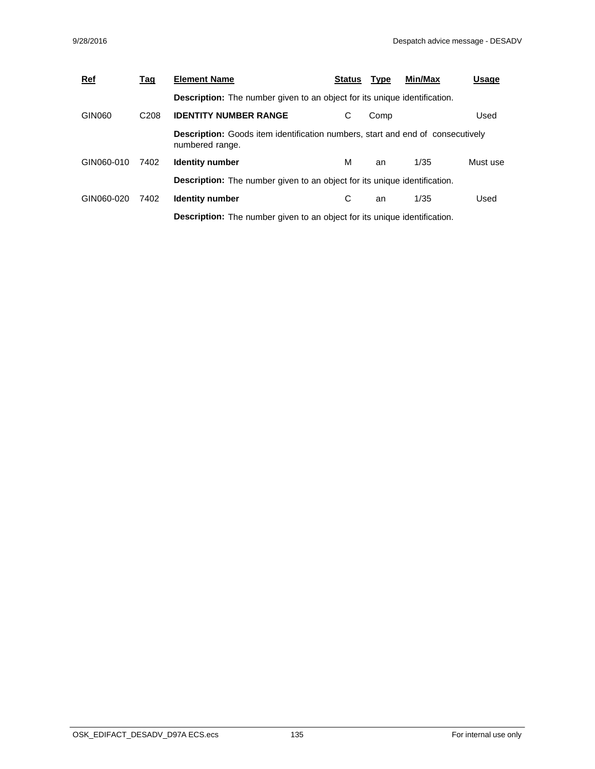| <b>Ref</b> | <u>Tag</u>       | <b>Element Name</b>                                                                                      | <b>Status</b> | <b>Type</b> | Min/Max | Usage    |  |  |  |
|------------|------------------|----------------------------------------------------------------------------------------------------------|---------------|-------------|---------|----------|--|--|--|
|            |                  | <b>Description:</b> The number given to an object for its unique identification.                         |               |             |         |          |  |  |  |
| GIN060     | C <sub>208</sub> | <b>IDENTITY NUMBER RANGE</b>                                                                             | С             | Comp        |         | Used     |  |  |  |
|            |                  | <b>Description:</b> Goods item identification numbers, start and end of consecutively<br>numbered range. |               |             |         |          |  |  |  |
| GIN060-010 | 7402             | <b>Identity number</b>                                                                                   | м             | an          | 1/35    | Must use |  |  |  |
|            |                  | <b>Description:</b> The number given to an object for its unique identification.                         |               |             |         |          |  |  |  |
| GIN060-020 | 7402             | <b>Identity number</b>                                                                                   | С             | an          | 1/35    | Used     |  |  |  |
|            |                  | <b>Description:</b> The number given to an object for its unique identification.                         |               |             |         |          |  |  |  |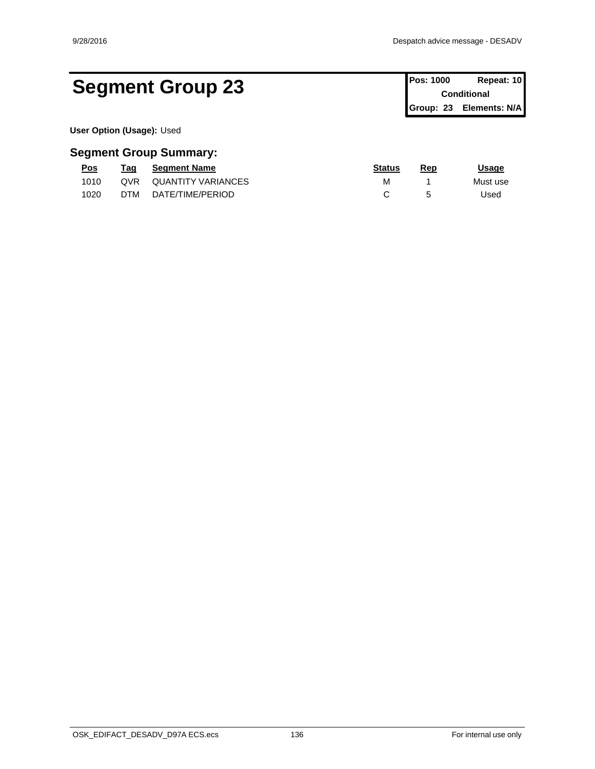## Segment Group 23 **Pos: 1000** Repeat: 10

**Conditional Group: 23 Elements: N/A**

**User Option (Usage):** Used

| <u>Pos</u> | rag | <b>Seament Name</b>       | <b>Status</b> | Rer | Usage    |
|------------|-----|---------------------------|---------------|-----|----------|
| 1010       | QVR | <b>QUANTITY VARIANCES</b> | M             |     | Must use |
| 1020       | DTM | DATE/TIME/PERIOD          |               |     | Used     |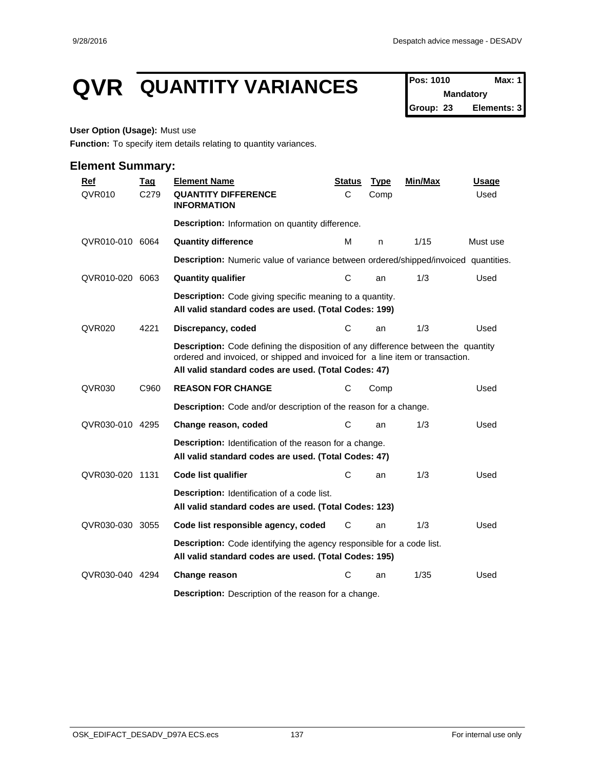## **QVR** QUANTITY VARIANCES Pos: 1010 Max: 1

**Mandatory Group: 23 Elements: 3**

#### **User Option (Usage):** Must use

**Function:** To specify item details relating to quantity variances.

| <b>Ref</b>      | <u>Taq</u> | <b>Element Name</b>                                                                                                                                                                                                        | <b>Status</b> | <b>Type</b> | Min/Max | <b>Usage</b> |
|-----------------|------------|----------------------------------------------------------------------------------------------------------------------------------------------------------------------------------------------------------------------------|---------------|-------------|---------|--------------|
| QVR010          | C279       | <b>QUANTITY DIFFERENCE</b><br><b>INFORMATION</b>                                                                                                                                                                           | C             | Comp        |         | Used         |
|                 |            | Description: Information on quantity difference.                                                                                                                                                                           |               |             |         |              |
| QVR010-010 6064 |            | <b>Quantity difference</b>                                                                                                                                                                                                 | М             | n           | 1/15    | Must use     |
|                 |            | Description: Numeric value of variance between ordered/shipped/invoiced quantities.                                                                                                                                        |               |             |         |              |
| QVR010-020 6063 |            | <b>Quantity qualifier</b>                                                                                                                                                                                                  | C             | an          | 1/3     | Used         |
|                 |            | <b>Description:</b> Code giving specific meaning to a quantity.<br>All valid standard codes are used. (Total Codes: 199)                                                                                                   |               |             |         |              |
| <b>QVR020</b>   | 4221       | Discrepancy, coded                                                                                                                                                                                                         | C             | an          | 1/3     | Used         |
|                 |            | Description: Code defining the disposition of any difference between the quantity<br>ordered and invoiced, or shipped and invoiced for a line item or transaction.<br>All valid standard codes are used. (Total Codes: 47) |               |             |         |              |
| QVR030          | C960       | <b>REASON FOR CHANGE</b>                                                                                                                                                                                                   | С             | Comp        |         | Used         |
|                 |            | Description: Code and/or description of the reason for a change.                                                                                                                                                           |               |             |         |              |
| QVR030-010 4295 |            | Change reason, coded                                                                                                                                                                                                       | C             | an          | 1/3     | Used         |
|                 |            | <b>Description:</b> Identification of the reason for a change.<br>All valid standard codes are used. (Total Codes: 47)                                                                                                     |               |             |         |              |
| QVR030-020 1131 |            | Code list qualifier                                                                                                                                                                                                        | C             | an          | 1/3     | Used         |
|                 |            | <b>Description:</b> Identification of a code list.<br>All valid standard codes are used. (Total Codes: 123)                                                                                                                |               |             |         |              |
| QVR030-030 3055 |            | Code list responsible agency, coded                                                                                                                                                                                        | С             | an          | 1/3     | Used         |
|                 |            | Description: Code identifying the agency responsible for a code list.<br>All valid standard codes are used. (Total Codes: 195)                                                                                             |               |             |         |              |
| QVR030-040 4294 |            | Change reason                                                                                                                                                                                                              | C             | an          | 1/35    | Used         |
|                 |            | <b>Description:</b> Description of the reason for a change.                                                                                                                                                                |               |             |         |              |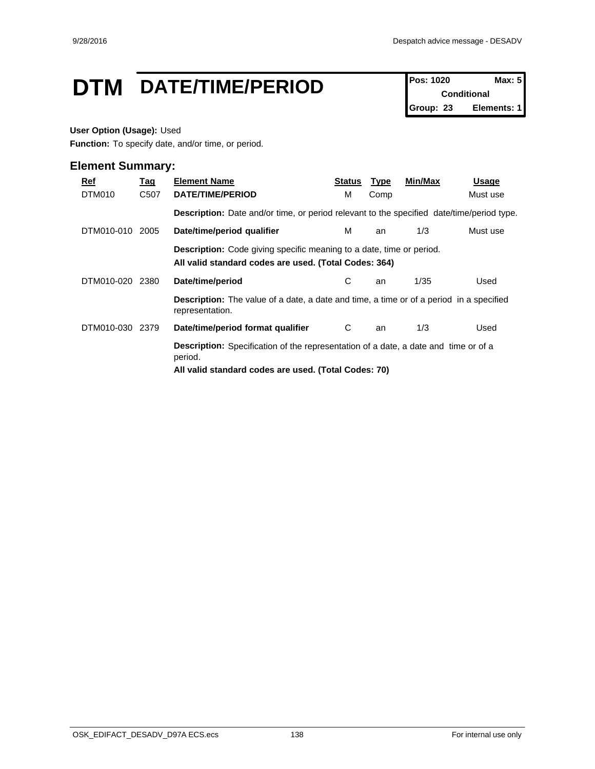## **DTM** DATE/TIME/PERIOD **Pos:** 1020 **Max:** 5

**Conditional Group: 23 Elements: 1**

#### **User Option (Usage):** Used

**Function:** To specify date, and/or time, or period.

| Ref<br>DTM010 | <u>Tag</u><br>C507 | <b>Element Name</b><br>DATE/TIME/PERIOD                                                                                                                | Status<br>м | <b>Type</b><br>Comp | Min/Max | Usage<br>Must use |  |  |  |
|---------------|--------------------|--------------------------------------------------------------------------------------------------------------------------------------------------------|-------------|---------------------|---------|-------------------|--|--|--|
|               |                    | <b>Description:</b> Date and/or time, or period relevant to the specified date/time/period type.                                                       |             |                     |         |                   |  |  |  |
| DTM010-010    | 2005               | Date/time/period qualifier                                                                                                                             | м           | an                  | 1/3     | Must use          |  |  |  |
|               |                    | <b>Description:</b> Code giving specific meaning to a date, time or period.<br>All valid standard codes are used. (Total Codes: 364)                   |             |                     |         |                   |  |  |  |
| DTM010-020    | 2380               | Date/time/period                                                                                                                                       | С           | an                  | 1/35    | Used              |  |  |  |
|               |                    | <b>Description:</b> The value of a date, a date and time, a time or of a period in a specified<br>representation.                                      |             |                     |         |                   |  |  |  |
| DTM010-030    | 2379               | Date/time/period format qualifier                                                                                                                      | C           | an                  | 1/3     | Used              |  |  |  |
|               |                    | Description: Specification of the representation of a date, a date and time or of a<br>period.<br>All valid standard codes are used. (Total Codes: 70) |             |                     |         |                   |  |  |  |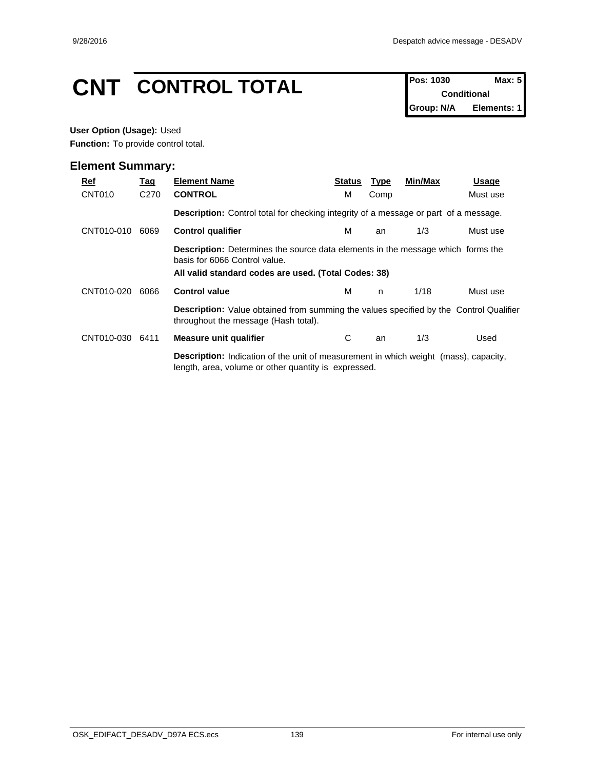# **CNT CONTROL TOTAL** Pos: 1030 **Max: 5**

**Conditional Group: N/A Elements: 1**

#### **User Option (Usage):** Used

**Function:** To provide control total.

| Ref<br>CNT010 | <u>Tag</u><br>C <sub>270</sub> | <b>Element Name</b><br><b>CONTROL</b>                                                                                                                                           | <b>Status</b><br>м                                                                          | <b>Type</b><br>Comp | Min/Max | <b>Usage</b><br>Must use |  |  |  |  |  |
|---------------|--------------------------------|---------------------------------------------------------------------------------------------------------------------------------------------------------------------------------|---------------------------------------------------------------------------------------------|---------------------|---------|--------------------------|--|--|--|--|--|
|               |                                |                                                                                                                                                                                 | <b>Description:</b> Control total for checking integrity of a message or part of a message. |                     |         |                          |  |  |  |  |  |
| CNT010-010    | 6069                           | <b>Control qualifier</b>                                                                                                                                                        | м                                                                                           | an                  | 1/3     | Must use                 |  |  |  |  |  |
|               |                                | <b>Description:</b> Determines the source data elements in the message which forms the<br>basis for 6066 Control value.<br>All valid standard codes are used. (Total Codes: 38) |                                                                                             |                     |         |                          |  |  |  |  |  |
| CNT010-020    | 6066                           | <b>Control value</b>                                                                                                                                                            | м                                                                                           | n                   | 1/18    | Must use                 |  |  |  |  |  |
|               |                                | <b>Description:</b> Value obtained from summing the values specified by the Control Qualifier<br>throughout the message (Hash total).                                           |                                                                                             |                     |         |                          |  |  |  |  |  |
| CNT010-030    | 6411                           | <b>Measure unit qualifier</b>                                                                                                                                                   | С                                                                                           | an                  | 1/3     | Used                     |  |  |  |  |  |
|               |                                | <b>Description:</b> Indication of the unit of measurement in which weight (mass), capacity,<br>length, area, volume or other quantity is expressed.                             |                                                                                             |                     |         |                          |  |  |  |  |  |